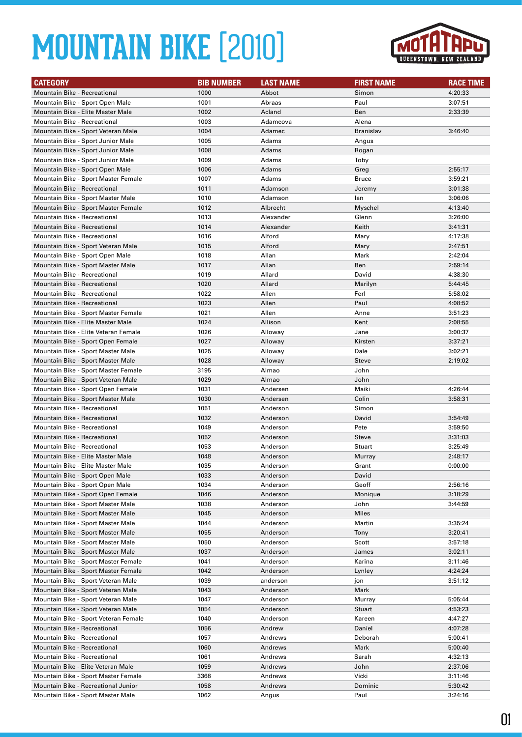

| <b>CATEGORY</b>                                                        | <b>BIB NUMBER</b> | <b>LAST NAME</b>  | <b>FIRST NAME</b> | <b>RACE TIME</b> |
|------------------------------------------------------------------------|-------------------|-------------------|-------------------|------------------|
| Mountain Bike - Recreational                                           | 1000              | Abbot             | Simon             | 4:20:33          |
| Mountain Bike - Sport Open Male                                        | 1001              | Abraas            | Paul              | 3:07:51          |
| Mountain Bike - Elite Master Male                                      | 1002              | Acland            | Ben               | 2:33:39          |
| <b>Mountain Bike - Recreational</b>                                    | 1003              | Adamcova          | Alena             |                  |
| Mountain Bike - Sport Veteran Male                                     | 1004              | Adamec            | Branislav         | 3:46:40          |
| Mountain Bike - Sport Junior Male                                      | 1005              | Adams             | Angus             |                  |
| Mountain Bike - Sport Junior Male                                      | 1008              | Adams             | Rogan             |                  |
| Mountain Bike - Sport Junior Male                                      | 1009              | Adams             | Toby              |                  |
| Mountain Bike - Sport Open Male                                        | 1006              | Adams             | Greg              | 2:55:17          |
| Mountain Bike - Sport Master Female                                    | 1007              | Adams             | <b>Bruce</b>      | 3:59:21          |
| <b>Mountain Bike - Recreational</b>                                    | 1011              | Adamson           | Jeremy            | 3:01:38          |
| Mountain Bike - Sport Master Male                                      | 1010              | Adamson           | lan               | 3:06:06          |
| Mountain Bike - Sport Master Female                                    | 1012              | Albrecht          | Myschel           | 4:13:40          |
| <b>Mountain Bike - Recreational</b>                                    | 1013              | Alexander         | Glenn             | 3:26:00          |
| <b>Mountain Bike - Recreational</b>                                    | 1014              | Alexander         | Keith             | 3:41:31          |
| <b>Mountain Bike - Recreational</b>                                    | 1016              | Alford            | Mary              | 4:17:38          |
| Mountain Bike - Sport Veteran Male                                     | 1015              | Alford            | Mary              | 2:47:51          |
| Mountain Bike - Sport Open Male                                        | 1018              | Allan             | Mark              | 2:42:04          |
| Mountain Bike - Sport Master Male                                      | 1017              | Allan             | Ben               | 2:59:14          |
| Mountain Bike - Recreational                                           | 1019              | Allard            | David             | 4:38:30          |
| <b>Mountain Bike - Recreational</b>                                    | 1020              | Allard            | Marilyn           | 5:44:45          |
| <b>Mountain Bike - Recreational</b>                                    | 1022              | Allen             | Ferl              | 5:58:02          |
| Mountain Bike - Recreational                                           | 1023              | Allen             | Paul              | 4:08:52          |
| Mountain Bike - Sport Master Female                                    | 1021              | Allen             | Anne              | 3:51:23          |
| Mountain Bike - Elite Master Male                                      | 1024              | Allison           | Kent              | 2:08:55          |
| Mountain Bike - Elite Veteran Female                                   | 1026              | Alloway           | Jane              | 3:00:37          |
| Mountain Bike - Sport Open Female                                      | 1027              | Alloway           | Kirsten           | 3:37:21          |
| Mountain Bike - Sport Master Male                                      | 1025              | Alloway           | Dale              | 3:02:21          |
| Mountain Bike - Sport Master Male                                      | 1028              | Alloway           | Steve             | 2:19:02          |
| Mountain Bike - Sport Master Female                                    | 3195<br>1029      | Almao             | John              |                  |
| Mountain Bike - Sport Veteran Male                                     | 1031              | Almao<br>Andersen | John<br>Maiki     | 4:26:44          |
| Mountain Bike - Sport Open Female<br>Mountain Bike - Sport Master Male | 1030              | Andersen          | Colin             | 3:58:31          |
| <b>Mountain Bike - Recreational</b>                                    | 1051              | Anderson          | Simon             |                  |
| Mountain Bike - Recreational                                           | 1032              | Anderson          | David             | 3:54:49          |
| <b>Mountain Bike - Recreational</b>                                    | 1049              | Anderson          | Pete              | 3:59:50          |
| Mountain Bike - Recreational                                           | 1052              | Anderson          | <b>Steve</b>      | 3:31:03          |
| Mountain Bike - Recreational                                           | 1053              | Anderson          | Stuart            | 3:25:49          |
| Mountain Bike - Elite Master Male                                      | 1048              | Anderson          | Murray            | 2:48:17          |
| Mountain Bike - Elite Master Male                                      | 1035              | Anderson          | Grant             | 0:00:00          |
| Mountain Bike - Sport Open Male                                        | 1033              | Anderson          | David             |                  |
| Mountain Bike - Sport Open Male                                        | 1034              | Anderson          | Geoff             | 2:56:16          |
| Mountain Bike - Sport Open Female                                      | 1046              | Anderson          | Monique           | 3:18:29          |
| Mountain Bike - Sport Master Male                                      | 1038              | Anderson          | John              | 3:44:59          |
| Mountain Bike - Sport Master Male                                      | 1045              | Anderson          | Miles             |                  |
| Mountain Bike - Sport Master Male                                      | 1044              | Anderson          | Martin            | 3:35:24          |
| Mountain Bike - Sport Master Male                                      | 1055              | Anderson          | Tony              | 3:20:41          |
| Mountain Bike - Sport Master Male                                      | 1050              | Anderson          | Scott             | 3:57:18          |
| Mountain Bike - Sport Master Male                                      | 1037              | Anderson          | James             | 3:02:11          |
| Mountain Bike - Sport Master Female                                    | 1041              | Anderson          | Karina            | 3:11:46          |
| Mountain Bike - Sport Master Female                                    | 1042              | Anderson          | Lynley            | 4:24:24          |
| Mountain Bike - Sport Veteran Male                                     | 1039              | anderson          | jon               | 3:51:12          |
| Mountain Bike - Sport Veteran Male                                     | 1043              | Anderson          | Mark              |                  |
| Mountain Bike - Sport Veteran Male                                     | 1047              | Anderson          | Murray            | 5:05:44          |
| Mountain Bike - Sport Veteran Male                                     | 1054              | Anderson          | Stuart            | 4:53:23          |
| Mountain Bike - Sport Veteran Female                                   | 1040              | Anderson          | Kareen            | 4:47:27          |
| Mountain Bike - Recreational                                           | 1056              | Andrew            | Daniel            | 4:07:28          |
| Mountain Bike - Recreational                                           | 1057              | Andrews           | Deborah           | 5:00:41          |
| Mountain Bike - Recreational                                           | 1060              | Andrews           | Mark              | 5:00:40          |
| Mountain Bike - Recreational                                           | 1061              | Andrews           | Sarah             | 4:32:13          |
| Mountain Bike - Elite Veteran Male                                     | 1059              | Andrews           | John              | 2:37:06          |
| Mountain Bike - Sport Master Female                                    | 3368              | Andrews           | Vicki             | 3:11:46          |
| Mountain Bike - Recreational Junior                                    | 1058              | Andrews           | Dominic           | 5:30:42          |
| Mountain Bike - Sport Master Male                                      | 1062              | Angus             | Paul              | 3:24:16          |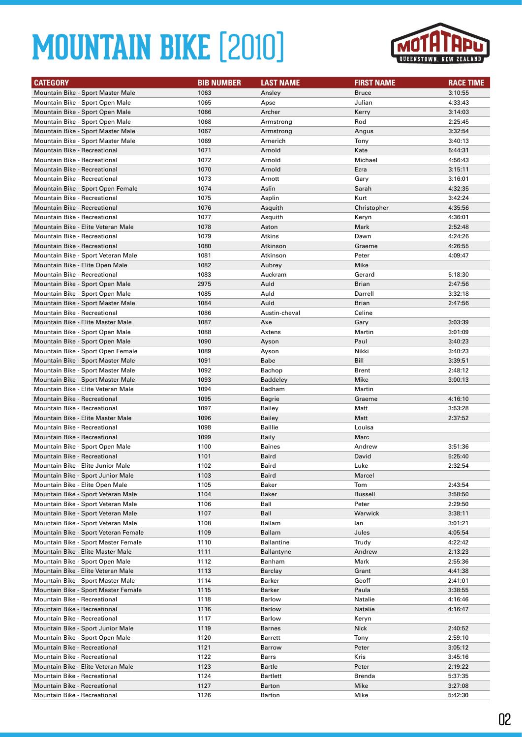

| <b>CATEGORY</b>                                                        | <b>BIB NUMBER</b> | <b>LAST NAME</b>       | <b>FIRST NAME</b> | <b>RACE TIME</b>   |
|------------------------------------------------------------------------|-------------------|------------------------|-------------------|--------------------|
| Mountain Bike - Sport Master Male                                      | 1063              | Ansley                 | Bruce             | 3:10:55            |
| Mountain Bike - Sport Open Male                                        | 1065              | Apse                   | Julian            | 4:33:43            |
| Mountain Bike - Sport Open Male                                        | 1066              | Archer                 | Kerry             | 3:14:03            |
| Mountain Bike - Sport Open Male                                        | 1068              | Armstrong              | Rod               | 2:25:45            |
| Mountain Bike - Sport Master Male                                      | 1067              | Armstrong              | Angus             | 3:32:54            |
| Mountain Bike - Sport Master Male                                      | 1069              | Arnerich               | Tony              | 3:40:13            |
| Mountain Bike - Recreational                                           | 1071              | Arnold                 | Kate              | 5:44:31            |
| <b>Mountain Bike - Recreational</b>                                    | 1072              | Arnold                 | Michael           | 4:56:43            |
| Mountain Bike - Recreational                                           | 1070              | Arnold                 | Ezra              | 3:15:11            |
| Mountain Bike - Recreational                                           | 1073              | Arnott                 | Gary              | 3:16:01            |
| Mountain Bike - Sport Open Female                                      | 1074              | Aslin                  | Sarah             | 4:32:35            |
| Mountain Bike - Recreational                                           | 1075              | Asplin                 | Kurt              | 3:42:24            |
| <b>Mountain Bike - Recreational</b>                                    | 1076              | Asquith                | Christopher       | 4:35:56            |
| <b>Mountain Bike - Recreational</b>                                    | 1077              | Asquith                | Keryn             | 4:36:01            |
| Mountain Bike - Elite Veteran Male                                     | 1078              | Aston                  | Mark              | 2:52:48            |
| <b>Mountain Bike - Recreational</b>                                    | 1079              | Atkins                 | Dawn              | 4:24:26            |
| <b>Mountain Bike - Recreational</b>                                    | 1080              | Atkinson               | Graeme            | 4:26:55            |
| Mountain Bike - Sport Veteran Male                                     | 1081              | Atkinson               | Peter             | 4:09:47            |
| Mountain Bike - Elite Open Male                                        | 1082              | Aubrey                 | Mike              |                    |
| Mountain Bike - Recreational                                           | 1083              | Auckram                | Gerard            | 5:18:30            |
| Mountain Bike - Sport Open Male                                        | 2975              | Auld                   | Brian             | 2:47:56            |
| Mountain Bike - Sport Open Male                                        | 1085              | Auld                   | Darrell           | 3:32:18            |
| Mountain Bike - Sport Master Male                                      | 1084              | Auld                   | Brian             | 2:47:56            |
| Mountain Bike - Recreational                                           | 1086              | Austin-cheval          | Celine            |                    |
| Mountain Bike - Elite Master Male                                      | 1087              | Axe                    | Gary              | 3:03:39            |
| Mountain Bike - Sport Open Male                                        | 1088              | Axtens                 | Martin            | 3:01:09            |
| Mountain Bike - Sport Open Male                                        | 1090              | Ayson                  | Paul              | 3:40:23            |
| Mountain Bike - Sport Open Female                                      | 1089              | Ayson                  | Nikki             | 3:40:23            |
| Mountain Bike - Sport Master Male                                      | 1091              | Babe                   | Bill              | 3:39:51            |
| Mountain Bike - Sport Master Male                                      | 1092              | Bachop                 | Brent             | 2:48:12            |
| Mountain Bike - Sport Master Male                                      | 1093              | <b>Baddeley</b>        | Mike              | 3:00:13            |
| Mountain Bike - Elite Veteran Male                                     | 1094              | Badham                 | Martin            |                    |
| <b>Mountain Bike - Recreational</b>                                    | 1095              | Bagrie                 | Graeme            | 4:16:10            |
| <b>Mountain Bike - Recreational</b>                                    | 1097              | Bailey                 | Matt              | 3:53:28            |
| Mountain Bike - Elite Master Male                                      | 1096              | <b>Bailey</b>          | Matt              | 2:37:52            |
| Mountain Bike - Recreational                                           | 1098              | <b>Baillie</b>         | Louisa            |                    |
| Mountain Bike - Recreational                                           | 1099              | Baily                  | Marc              |                    |
| Mountain Bike - Sport Open Male<br><b>Mountain Bike - Recreational</b> | 1100              | <b>Baines</b><br>Baird | Andrew<br>David   | 3:51:36            |
| Mountain Bike - Elite Junior Male                                      | 1101<br>1102      | Baird                  | Luke              | 5:25:40<br>2:32:54 |
| Mountain Bike - Sport Junior Male                                      |                   | Baird                  | Marcel            |                    |
| Mountain Bike - Elite Open Male                                        | 1103<br>1105      | Baker                  | Tom               | 2:43:54            |
| Mountain Bike - Sport Veteran Male                                     | 1104              | Baker                  | Russell           | 3:58:50            |
| Mountain Bike - Sport Veteran Male                                     | 1106              | Ball                   | Peter             | 2:29:50            |
| Mountain Bike - Sport Veteran Male                                     | 1107              | Ball                   | Warwick           | 3:38:11            |
| Mountain Bike - Sport Veteran Male                                     | 1108              | Ballam                 | lan               | 3:01:21            |
| Mountain Bike - Sport Veteran Female                                   | 1109              | Ballam                 | Jules             | 4:05:54            |
| Mountain Bike - Sport Master Female                                    | 1110              | <b>Ballantine</b>      | Trudy             | 4:22:42            |
| Mountain Bike - Elite Master Male                                      | 1111              | <b>Ballantyne</b>      | Andrew            | 2:13:23            |
| Mountain Bike - Sport Open Male                                        | 1112              | Banham                 | Mark              | 2:55:36            |
| Mountain Bike - Elite Veteran Male                                     | 1113              | Barclay                | Grant             | 4:41:38            |
| Mountain Bike - Sport Master Male                                      | 1114              | Barker                 | Geoff             | 2:41:01            |
| Mountain Bike - Sport Master Female                                    | 1115              | Barker                 | Paula             | 3:38:55            |
| Mountain Bike - Recreational                                           | 1118              | <b>Barlow</b>          | Natalie           | 4:16:46            |
| Mountain Bike - Recreational                                           | 1116              | Barlow                 | Natalie           | 4:16:47            |
| Mountain Bike - Recreational                                           | 1117              | Barlow                 | Keryn             |                    |
| Mountain Bike - Sport Junior Male                                      | 1119              | Barnes                 | Nick              | 2:40:52            |
| Mountain Bike - Sport Open Male                                        | 1120              | Barrett                | Tony              | 2:59:10            |
| Mountain Bike - Recreational                                           | 1121              | Barrow                 | Peter             | 3:05:12            |
| Mountain Bike - Recreational                                           | 1122              | Barrs                  | Kris              | 3:45:16            |
| Mountain Bike - Elite Veteran Male                                     | 1123              | Bartle                 | Peter             | 2:19:22            |
| Mountain Bike - Recreational                                           | 1124              | Bartlett               | Brenda            | 5:37:35            |
| Mountain Bike - Recreational                                           | 1127              | Barton                 | Mike              | 3:27:08            |
| Mountain Bike - Recreational                                           | 1126              | Barton                 | Mike              | 5:42:30            |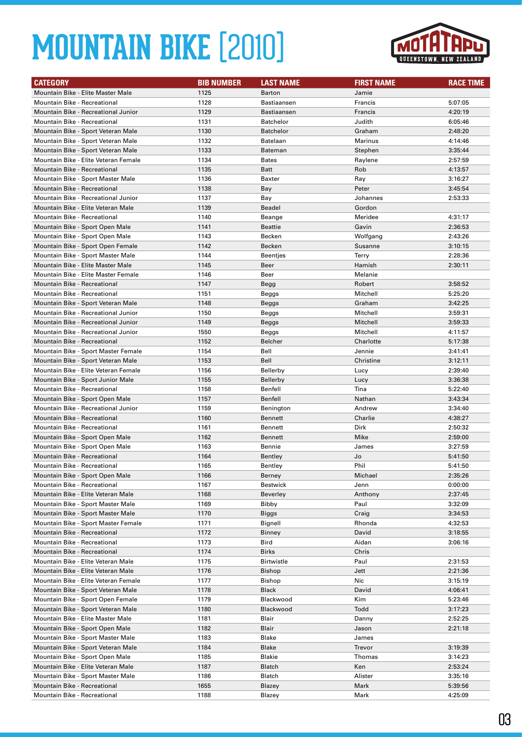

| <b>CATEGORY</b>                                                            | <b>BIB NUMBER</b> | <b>LAST NAME</b>            | <b>FIRST NAME</b> | <b>RACE TIME</b>   |
|----------------------------------------------------------------------------|-------------------|-----------------------------|-------------------|--------------------|
| Mountain Bike - Elite Master Male                                          | 1125              | <b>Barton</b>               | Jamie             |                    |
| <b>Mountain Bike - Recreational</b>                                        | 1128              | Bastiaansen                 | Francis           | 5:07:05            |
| Mountain Bike - Recreational Junior                                        | 1129              | Bastiaansen                 | Francis           | 4:20:19            |
| <b>Mountain Bike - Recreational</b>                                        | 1131              | <b>Batchelor</b>            | Judith            | 6:05:46            |
| Mountain Bike - Sport Veteran Male                                         | 1130              | <b>Batchelor</b>            | Graham            | 2:48:20            |
| Mountain Bike - Sport Veteran Male                                         | 1132              | Batelaan                    | Marinus           | 4:14:46            |
| Mountain Bike - Sport Veteran Male                                         | 1133              | Bateman                     | Stephen           | 3:35:44            |
| Mountain Bike - Elite Veteran Female                                       | 1134              | <b>Bates</b>                | Raylene           | 2:57:59            |
| <b>Mountain Bike - Recreational</b>                                        | 1135              | <b>Batt</b>                 | Rob               | 4:13:57            |
| Mountain Bike - Sport Master Male                                          | 1136              | Baxter                      | Ray               | 3:16:27            |
| <b>Mountain Bike - Recreational</b>                                        | 1138              | Bay                         | Peter             | 3:45:54            |
| Mountain Bike - Recreational Junior                                        | 1137              | Bay                         | Johannes          | 2:53:33            |
| Mountain Bike - Elite Veteran Male                                         | 1139              | <b>Beadel</b>               | Gordon            |                    |
| Mountain Bike - Recreational                                               | 1140              | Beange                      | Meridee           | 4:31:17            |
| Mountain Bike - Sport Open Male                                            | 1141              | Beattie                     | Gavin             | 2:36:53            |
| Mountain Bike - Sport Open Male                                            | 1143              | Becken                      | Wolfgang          | 2:43:26            |
| Mountain Bike - Sport Open Female                                          | 1142              | Becken                      | Susanne           | 3:10:15            |
| Mountain Bike - Sport Master Male                                          | 1144              | <b>Beentjes</b>             | Terry             | 2:28:36            |
| Mountain Bike - Elite Master Male                                          | 1145              | Beer                        | Hamish            | 2:30:11            |
| Mountain Bike - Elite Master Female                                        | 1146              | Beer                        | Melanie           |                    |
| <b>Mountain Bike - Recreational</b>                                        | 1147              | Begg                        | Robert            | 3:58:52            |
| <b>Mountain Bike - Recreational</b>                                        | 1151              | Beggs                       | Mitchell          | 5:25:20            |
| Mountain Bike - Sport Veteran Male                                         | 1148              | Beggs                       | Graham            | 3:42:25            |
| Mountain Bike - Recreational Junior                                        | 1150              | Beggs                       | Mitchell          | 3:59:31            |
| Mountain Bike - Recreational Junior                                        | 1149              | Beggs                       | Mitchell          | 3:59:33            |
| Mountain Bike - Recreational Junior                                        | 1550              | Beggs                       | Mitchell          | 4:11:57            |
| Mountain Bike - Recreational                                               | 1152              | Belcher                     | Charlotte         | 5:17:38            |
| Mountain Bike - Sport Master Female                                        | 1154              | Bell                        | Jennie            | 3:41:41            |
| Mountain Bike - Sport Veteran Male                                         | 1153              | Bell                        | Christine         | 3:12:11            |
| Mountain Bike - Elite Veteran Female                                       | 1156              | Bellerby                    | Lucy              | 2:39:40            |
| Mountain Bike - Sport Junior Male                                          | 1155              | Bellerby                    | Lucy              | 3:36:38            |
| <b>Mountain Bike - Recreational</b>                                        | 1158              | Benfell                     | Tina              | 5:22:40            |
| Mountain Bike - Sport Open Male                                            | 1157              | Benfell                     | Nathan            | 3:43:34            |
| Mountain Bike - Recreational Junior                                        | 1159              | Benington                   | Andrew            | 3:34:40            |
| <b>Mountain Bike - Recreational</b>                                        | 1160              | <b>Bennett</b>              | Charlie           | 4:38:27            |
| Mountain Bike - Recreational                                               | 1161              | Bennett                     | Dirk              | 2:50:32            |
| Mountain Bike - Sport Open Male                                            | 1162              | <b>Bennett</b>              | Mike              | 2:59:00            |
| Mountain Bike - Sport Open Male                                            | 1163              | Bennie                      | James             | 3:27:59            |
| Mountain Bike - Recreational                                               | 1164              | Bentley                     | Jo                | 5:41:50            |
| Mountain Bike - Recreational                                               | 1165              | Bentley                     | Phil              | 5:41:50            |
| Mountain Bike - Sport Open Male                                            | 1166              | Berney                      | Michael           | 2:35:26            |
| Mountain Bike - Recreational                                               | 1167              | Bestwick                    | Jenn              | 0:00:00            |
| Mountain Bike - Elite Veteran Male                                         | 1168              | Beverley                    | Anthony           | 2:37:45            |
| Mountain Bike - Sport Master Male                                          | 1169              | Bibby                       | Paul              | 3:32:09            |
| Mountain Bike - Sport Master Male                                          | 1170              | Biggs                       | Craig             | 3:34:53            |
| Mountain Bike - Sport Master Female<br><b>Mountain Bike - Recreational</b> | 1171              | Bignell                     | Rhonda            | 4:32:53            |
|                                                                            | 1172<br>1173      | Binney<br>Bird              | David<br>Aidan    | 3:18:55<br>3:06:16 |
| Mountain Bike - Recreational<br>Mountain Bike - Recreational               |                   |                             |                   |                    |
| Mountain Bike - Elite Veteran Male                                         | 1174<br>1175      | <b>Birks</b>                | Chris<br>Paul     |                    |
| Mountain Bike - Elite Veteran Male                                         | 1176              | Birtwistle<br><b>Bishop</b> | Jett              | 2:31:53<br>2:21:36 |
| Mountain Bike - Elite Veteran Female                                       | 1177              | Bishop                      | Nic               | 3:15:19            |
| Mountain Bike - Sport Veteran Male                                         | 1178              | Black                       | David             | 4:06:41            |
| Mountain Bike - Sport Open Female                                          | 1179              | Blackwood                   | Kim               | 5:23:46            |
| Mountain Bike - Sport Veteran Male                                         | 1180              | Blackwood                   | Todd              | 3:17:23            |
| Mountain Bike - Elite Master Male                                          | 1181              | Blair                       | Danny             | 2:52:25            |
| Mountain Bike - Sport Open Male                                            | 1182              | Blair                       | Jason             | 2:21:18            |
| Mountain Bike - Sport Master Male                                          | 1183              | Blake                       | James             |                    |
| Mountain Bike - Sport Veteran Male                                         | 1184              | Blake                       | Trevor            | 3:19:39            |
| Mountain Bike - Sport Open Male                                            | 1185              | Blakie                      | Thomas            | 3:14:23            |
| Mountain Bike - Elite Veteran Male                                         | 1187              | Blatch                      | Ken               | 2:53:24            |
| Mountain Bike - Sport Master Male                                          | 1186              | Blatch                      | Alister           | 3:35:16            |
| Mountain Bike - Recreational                                               | 1655              | Blazey                      | Mark              | 5:39:56            |
| Mountain Bike - Recreational                                               | 1188              | Blazey                      | Mark              | 4:25:09            |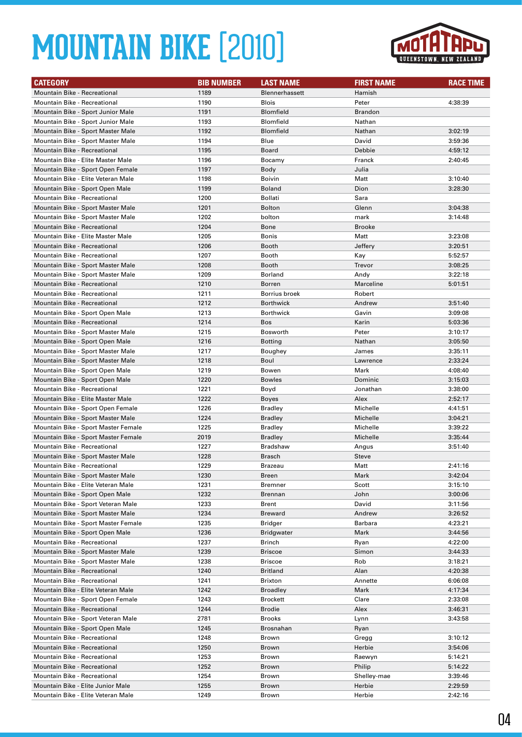

| <b>CATEGORY</b>                                                            | <b>BIB NUMBER</b> | <b>LAST NAME</b>           | <b>FIRST NAME</b>    | <b>RACE TIME</b>   |
|----------------------------------------------------------------------------|-------------------|----------------------------|----------------------|--------------------|
| <b>Mountain Bike - Recreational</b>                                        | 1189              | <b>Blennerhassett</b>      | Hamish               |                    |
| <b>Mountain Bike - Recreational</b>                                        | 1190              | <b>Blois</b>               | Peter                | 4:38:39            |
| Mountain Bike - Sport Junior Male                                          | 1191              | <b>Blomfield</b>           | Brandon              |                    |
| Mountain Bike - Sport Junior Male                                          | 1193              | <b>Blomfield</b>           | Nathan               |                    |
| Mountain Bike - Sport Master Male                                          | 1192              | <b>Blomfield</b>           | Nathan               | 3:02:19            |
| Mountain Bike - Sport Master Male                                          | 1194              | Blue                       | David                | 3:59:36            |
| <b>Mountain Bike - Recreational</b>                                        | 1195              | Board                      | Debbie               | 4:59:12            |
| Mountain Bike - Elite Master Male                                          | 1196              | Bocamy                     | Franck               | 2:40:45            |
| Mountain Bike - Sport Open Female                                          | 1197              | Body                       | Julia                |                    |
| Mountain Bike - Elite Veteran Male                                         | 1198              | <b>Boivin</b>              | Matt                 | 3:10:40            |
| Mountain Bike - Sport Open Male                                            | 1199              | <b>Boland</b>              | Dion                 | 3:28:30            |
| <b>Mountain Bike - Recreational</b>                                        | 1200              | Bollati                    | Sara                 |                    |
| Mountain Bike - Sport Master Male                                          | 1201              | <b>Bolton</b>              | Glenn                | 3:04:38            |
| Mountain Bike - Sport Master Male                                          | 1202              | bolton                     | mark                 | 3:14:48            |
| <b>Mountain Bike - Recreational</b>                                        | 1204              | Bone                       | <b>Brooke</b>        |                    |
| Mountain Bike - Elite Master Male                                          | 1205              | <b>Bonis</b>               | Matt                 | 3:23:08            |
| Mountain Bike - Recreational                                               | 1206              | <b>Booth</b>               | Jeffery              | 3:20:51            |
| <b>Mountain Bike - Recreational</b>                                        | 1207              | <b>Booth</b>               | Kay                  | 5:52:57            |
| Mountain Bike - Sport Master Male                                          | 1208              | Booth                      | Trevor               | 3:08:25            |
| Mountain Bike - Sport Master Male                                          | 1209              | Borland                    | Andy                 | 3:22:18            |
| <b>Mountain Bike - Recreational</b>                                        | 1210              | Borren                     | Marceline            | 5:01:51            |
| Mountain Bike - Recreational                                               | 1211              | Borrius broek              | Robert               |                    |
| <b>Mountain Bike - Recreational</b>                                        | 1212              | <b>Borthwick</b>           | Andrew               | 3:51:40            |
| Mountain Bike - Sport Open Male                                            | 1213              | <b>Borthwick</b>           | Gavin                | 3:09:08            |
| Mountain Bike - Recreational                                               | 1214              | <b>Bos</b>                 | Karin                | 5:03:36            |
| Mountain Bike - Sport Master Male                                          | 1215              | Bosworth                   | Peter                | 3:10:17            |
| Mountain Bike - Sport Open Male                                            | 1216              | <b>Botting</b>             | Nathan               | 3:05:50            |
| Mountain Bike - Sport Master Male                                          | 1217              | Boughey                    | James                | 3:35:11            |
| Mountain Bike - Sport Master Male                                          | 1218              | Boul                       | Lawrence             | 2:33:24            |
| Mountain Bike - Sport Open Male                                            | 1219              | Bowen                      | Mark                 | 4:08:40            |
| Mountain Bike - Sport Open Male                                            | 1220              | <b>Bowles</b>              | Dominic              | 3:15:03            |
| <b>Mountain Bike - Recreational</b>                                        | 1221              | Boyd                       | Jonathan             | 3:38:00            |
| Mountain Bike - Elite Master Male                                          | 1222              | Boyes                      | Alex                 | 2:52:17            |
| Mountain Bike - Sport Open Female                                          | 1226              | Bradley                    | Michelle             | 4:41:51            |
| Mountain Bike - Sport Master Male                                          | 1224              | <b>Bradley</b>             | Michelle             | 3:04:21            |
| Mountain Bike - Sport Master Female<br>Mountain Bike - Sport Master Female | 1225<br>2019      | <b>Bradley</b>             | Michelle<br>Michelle | 3:39:22<br>3:35:44 |
| Mountain Bike - Recreational                                               | 1227              | <b>Bradley</b><br>Bradshaw | Angus                | 3:51:40            |
| Mountain Bike - Sport Master Male                                          | 1228              | <b>Brasch</b>              | <b>Steve</b>         |                    |
| <b>Mountain Bike - Recreational</b>                                        | 1229              | Brazeau                    | Matt                 | 2:41:16            |
| Mountain Bike - Sport Master Male                                          | 1230              | Breen                      | Mark                 | 3:42:04            |
| Mountain Bike - Elite Veteran Male                                         | 1231              | Bremner                    | Scott                | 3:15:10            |
| Mountain Bike - Sport Open Male                                            | 1232              | Brennan                    | John                 | 3:00:06            |
| Mountain Bike - Sport Veteran Male                                         | 1233              | Brent                      | David                | 3:11:56            |
| Mountain Bike - Sport Master Male                                          | 1234              | <b>Breward</b>             | Andrew               | 3:26:52            |
| Mountain Bike - Sport Master Female                                        | 1235              | Bridger                    | Barbara              | 4:23:21            |
| Mountain Bike - Sport Open Male                                            | 1236              | <b>Bridgwater</b>          | Mark                 | 3:44:56            |
| Mountain Bike - Recreational                                               | 1237              | Brinch                     | Ryan                 | 4:22:00            |
| Mountain Bike - Sport Master Male                                          | 1239              | <b>Briscoe</b>             | Simon                | 3:44:33            |
| Mountain Bike - Sport Master Male                                          | 1238              | <b>Briscoe</b>             | Rob                  | 3:18:21            |
| <b>Mountain Bike - Recreational</b>                                        | 1240              | <b>Britland</b>            | Alan                 | 4:20:38            |
| Mountain Bike - Recreational                                               | 1241              | <b>Brixton</b>             | Annette              | 6:06:08            |
| Mountain Bike - Elite Veteran Male                                         | 1242              | <b>Broadley</b>            | Mark                 | 4:17:34            |
| Mountain Bike - Sport Open Female                                          | 1243              | Brockett                   | Clare                | 2:33:08            |
| Mountain Bike - Recreational                                               | 1244              | <b>Brodie</b>              | Alex                 | 3:46:31            |
| Mountain Bike - Sport Veteran Male                                         | 2781              | Brooks                     | Lynn                 | 3:43:58            |
| Mountain Bike - Sport Open Male                                            | 1245              | Brosnahan                  | Ryan                 |                    |
| Mountain Bike - Recreational                                               | 1248              | Brown                      | Gregg                | 3:10:12            |
| Mountain Bike - Recreational                                               | 1250              | Brown                      | Herbie               | 3:54:06            |
| Mountain Bike - Recreational                                               | 1253              | Brown                      | Raewyn               | 5:14:21            |
| Mountain Bike - Recreational                                               | 1252              | Brown                      | Philip               | 5:14:22            |
| Mountain Bike - Recreational                                               | 1254              | Brown                      | Shelley-mae          | 3:39:46            |
| Mountain Bike - Elite Junior Male                                          | 1255              | Brown                      | Herbie               | 2:29:59            |
| Mountain Bike - Elite Veteran Male                                         | 1249              | Brown                      | Herbie               | 2:42:16            |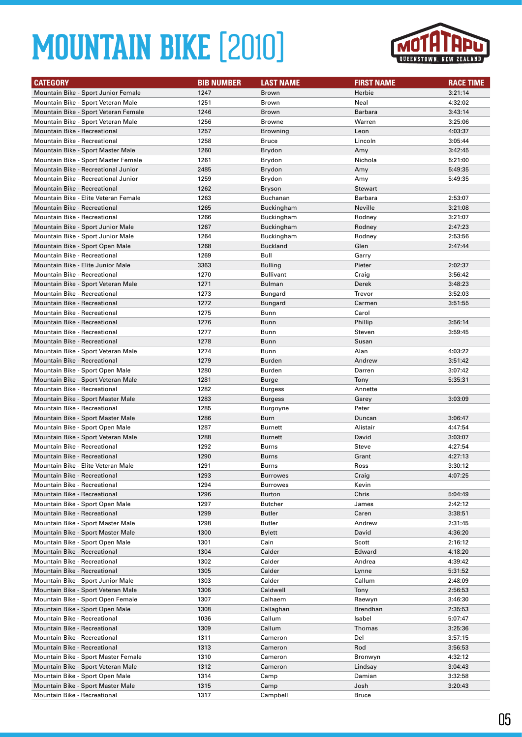

| <b>CATEGORY</b>                      | <b>BIB NUMBER</b> | <b>LAST NAME</b>          | <b>FIRST NAME</b> | <b>RACE TIME</b> |
|--------------------------------------|-------------------|---------------------------|-------------------|------------------|
| Mountain Bike - Sport Junior Female  | 1247              | <b>Brown</b>              | Herbie            | 3:21:14          |
| Mountain Bike - Sport Veteran Male   | 1251              | Brown                     | Neal              | 4:32:02          |
| Mountain Bike - Sport Veteran Female | 1246              | Brown                     | <b>Barbara</b>    | 3:43:14          |
| Mountain Bike - Sport Veteran Male   | 1256              | <b>Browne</b>             | Warren            | 3:25:06          |
| <b>Mountain Bike - Recreational</b>  | 1257              | <b>Browning</b>           | Leon              | 4:03:37          |
| <b>Mountain Bike - Recreational</b>  | 1258              | <b>Bruce</b>              | Lincoln           | 3:05:44          |
| Mountain Bike - Sport Master Male    | 1260              | Brydon                    | Amy               | 3:42:45          |
| Mountain Bike - Sport Master Female  | 1261              | Brydon                    | Nichola           | 5:21:00          |
| Mountain Bike - Recreational Junior  | 2485              | Brydon                    | Amy               | 5:49:35          |
| Mountain Bike - Recreational Junior  | 1259              | Brydon                    | Amy               | 5:49:35          |
| <b>Mountain Bike - Recreational</b>  | 1262              |                           | <b>Stewart</b>    |                  |
| Mountain Bike - Elite Veteran Female | 1263              | <b>Bryson</b><br>Buchanan | Barbara           | 2:53:07          |
| <b>Mountain Bike - Recreational</b>  | 1265              |                           | Neville           | 3:21:08          |
| <b>Mountain Bike - Recreational</b>  | 1266              | Buckingham<br>Buckingham  | Rodney            | 3:21:07          |
| Mountain Bike - Sport Junior Male    | 1267              | Buckingham                | Rodney            | 2:47:23          |
| Mountain Bike - Sport Junior Male    | 1264              | Buckingham                | Rodney            | 2:53:56          |
| Mountain Bike - Sport Open Male      | 1268              | <b>Buckland</b>           | Glen              | 2:47:44          |
| <b>Mountain Bike - Recreational</b>  | 1269              | Bull                      | Garry             |                  |
| Mountain Bike - Elite Junior Male    | 3363              |                           | Pieter            | 2:02:37          |
| <b>Mountain Bike - Recreational</b>  |                   | <b>Bulling</b>            |                   |                  |
|                                      | 1270              | <b>Bullivant</b>          | Craig             | 3:56:42          |
| Mountain Bike - Sport Veteran Male   | 1271              | Bulman                    | Derek             | 3:48:23          |
| <b>Mountain Bike - Recreational</b>  | 1273              | Bungard                   | Trevor            | 3:52:03          |
| Mountain Bike - Recreational         | 1272              | Bungard                   | Carmen            | 3:51:55          |
| Mountain Bike - Recreational         | 1275              | Bunn                      | Carol             |                  |
| <b>Mountain Bike - Recreational</b>  | 1276              | Bunn                      | Phillip           | 3:56:14          |
| Mountain Bike - Recreational         | 1277              | Bunn                      | Steven            | 3:59:45          |
| Mountain Bike - Recreational         | 1278              | Bunn                      | Susan             |                  |
| Mountain Bike - Sport Veteran Male   | 1274              | Bunn                      | Alan              | 4:03:22          |
| <b>Mountain Bike - Recreational</b>  | 1279              | <b>Burden</b>             | Andrew            | 3:51:42          |
| Mountain Bike - Sport Open Male      | 1280              | Burden                    | Darren            | 3:07:42          |
| Mountain Bike - Sport Veteran Male   | 1281              | Burge                     | Tony              | 5:35:31          |
| <b>Mountain Bike - Recreational</b>  | 1282              | Burgess                   | Annette           |                  |
| Mountain Bike - Sport Master Male    | 1283              | <b>Burgess</b>            | Garey             | 3:03:09          |
| <b>Mountain Bike - Recreational</b>  | 1285              | Burgoyne                  | Peter             |                  |
| Mountain Bike - Sport Master Male    | 1286              | Burn                      | Duncan            | 3:06:47          |
| Mountain Bike - Sport Open Male      | 1287              | <b>Burnett</b>            | Alistair          | 4:47:54          |
| Mountain Bike - Sport Veteran Male   | 1288              | <b>Burnett</b>            | David             | 3:03:07          |
| Mountain Bike - Recreational         | 1292              | Burns                     | Steve             | 4:27:54          |
| <b>Mountain Bike - Recreational</b>  | 1290              | <b>Burns</b>              | Grant             | 4:27:13          |
| Mountain Bike - Elite Veteran Male   | 1291              | Burns                     | Ross              | 3:30:12          |
| Mountain Bike - Recreational         | 1293              | <b>Burrowes</b>           | Craig             | 4:07:25          |
| Mountain Bike - Recreational         | 1294              | <b>Burrowes</b>           | Kevin             |                  |
| Mountain Bike - Recreational         | 1296              | Burton                    | Chris             | 5:04:49          |
| Mountain Bike - Sport Open Male      | 1297              | Butcher                   | James             | 2:42:12          |
| Mountain Bike - Recreational         | 1299              | Butler                    | Caren             | 3:38:51          |
| Mountain Bike - Sport Master Male    | 1298              | Butler                    | Andrew            | 2:31:45          |
| Mountain Bike - Sport Master Male    | 1300              | Bylett                    | David             | 4:36:20          |
| Mountain Bike - Sport Open Male      | 1301              | Cain                      | Scott             | 2:16:12          |
| <b>Mountain Bike - Recreational</b>  | 1304              | Calder                    | Edward            | 4:18:20          |
| Mountain Bike - Recreational         | 1302              | Calder                    | Andrea            | 4:39:42          |
| Mountain Bike - Recreational         | 1305              | Calder                    | Lynne             | 5:31:52          |
| Mountain Bike - Sport Junior Male    | 1303              | Calder                    | Callum            | 2:48:09          |
| Mountain Bike - Sport Veteran Male   | 1306              | Caldwell                  | Tony              | 2:56:53          |
| Mountain Bike - Sport Open Female    | 1307              | Calhaem                   | Raewyn            | 3:46:30          |
| Mountain Bike - Sport Open Male      | 1308              | Callaghan                 | Brendhan          | 2:35:53          |
| Mountain Bike - Recreational         | 1036              | Callum                    | Isabel            | 5:07:47          |
| Mountain Bike - Recreational         | 1309              | Callum                    | Thomas            | 3:25:36          |
| Mountain Bike - Recreational         | 1311              | Cameron                   | Del               | 3:57:15          |
| Mountain Bike - Recreational         | 1313              | Cameron                   | Rod               | 3:56:53          |
| Mountain Bike - Sport Master Female  | 1310              | Cameron                   | Bronwyn           | 4:32:12          |
| Mountain Bike - Sport Veteran Male   | 1312              | Cameron                   | Lindsay           | 3:04:43          |
| Mountain Bike - Sport Open Male      | 1314              | Camp                      | Damian            | 3:32:58          |
| Mountain Bike - Sport Master Male    | 1315              | Camp                      | Josh              | 3:20:43          |
| Mountain Bike - Recreational         | 1317              | Campbell                  | <b>Bruce</b>      |                  |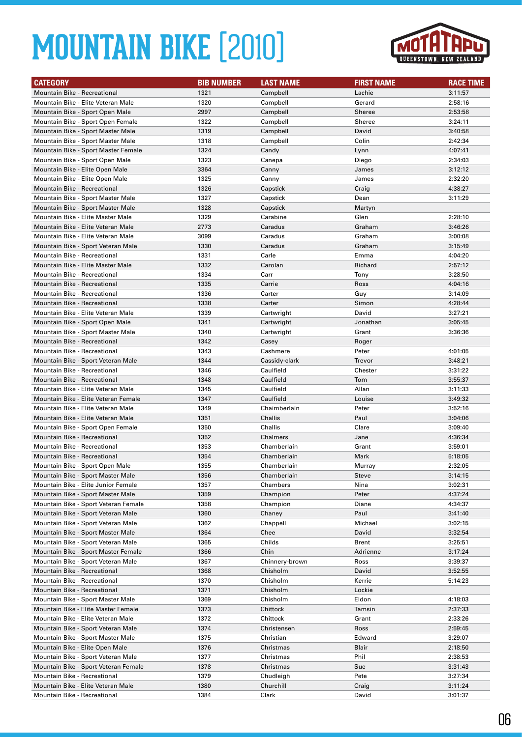

| <b>CATEGORY</b>                                                          | <b>BIB NUMBER</b> | <b>LAST NAME</b>       | <b>FIRST NAME</b> | <b>RACE TIME</b>   |
|--------------------------------------------------------------------------|-------------------|------------------------|-------------------|--------------------|
| Mountain Bike - Recreational                                             | 1321              | Campbell               | Lachie            | 3:11:57            |
| Mountain Bike - Elite Veteran Male                                       | 1320              | Campbell               | Gerard            | 2:58:16            |
| Mountain Bike - Sport Open Male                                          | 2997              | Campbell               | Sheree            | 2:53:58            |
| Mountain Bike - Sport Open Female                                        | 1322              | Campbell               | Sheree            | 3:24:11            |
| Mountain Bike - Sport Master Male                                        | 1319              | Campbell               | David             | 3:40:58            |
| Mountain Bike - Sport Master Male                                        | 1318              | Campbell               | Colin             | 2:42:34            |
| Mountain Bike - Sport Master Female                                      | 1324              | Candy                  | Lynn              | 4:07:41            |
| Mountain Bike - Sport Open Male                                          | 1323              | Canepa                 | Diego             | 2:34:03            |
| Mountain Bike - Elite Open Male                                          | 3364              | Canny                  | James             | 3:12:12            |
| Mountain Bike - Elite Open Male                                          | 1325              | Canny                  | James             | 2:32:20            |
| Mountain Bike - Recreational                                             | 1326              | Capstick               | Craig             | 4:38:27            |
| Mountain Bike - Sport Master Male                                        | 1327              | Capstick               | Dean              | 3:11:29            |
| Mountain Bike - Sport Master Male                                        | 1328              | Capstick               | Martyn            |                    |
| Mountain Bike - Elite Master Male                                        | 1329              | Carabine               | Glen              | 2:28:10            |
| Mountain Bike - Elite Veteran Male                                       | 2773              | Caradus                | Graham            | 3:46:26            |
| Mountain Bike - Elite Veteran Male                                       | 3099              | Caradus                | Graham            | 3:00:08            |
| Mountain Bike - Sport Veteran Male                                       | 1330              | Caradus                | Graham            | 3:15:49            |
| Mountain Bike - Recreational                                             | 1331              | Carle                  | Emma              | 4:04:20            |
| Mountain Bike - Elite Master Male                                        | 1332              | Carolan                | Richard           | 2:57:12            |
| Mountain Bike - Recreational                                             | 1334              | Carr                   | Tony              | 3:28:50            |
| Mountain Bike - Recreational                                             | 1335              | Carrie                 | Ross              | 4:04:16            |
| <b>Mountain Bike - Recreational</b>                                      | 1336              | Carter                 | Guy               | 3:14:09            |
| <b>Mountain Bike - Recreational</b>                                      | 1338              | Carter                 | Simon             | 4:28:44            |
| Mountain Bike - Elite Veteran Male                                       | 1339              | Cartwright             | David             | 3:27:21            |
| Mountain Bike - Sport Open Male                                          | 1341              | Cartwright             | Jonathan          | 3:05:45            |
| Mountain Bike - Sport Master Male                                        | 1340              | Cartwright             | Grant             | 3:36:36            |
| <b>Mountain Bike - Recreational</b>                                      | 1342              | Casey                  | Roger             |                    |
| <b>Mountain Bike - Recreational</b>                                      | 1343              | Cashmere               | Peter             | 4:01:05            |
| Mountain Bike - Sport Veteran Male                                       | 1344              | Cassidy-clark          | Trevor            | 3:48:21            |
| Mountain Bike - Recreational                                             | 1346              | Caulfield              | Chester           | 3:31:22            |
| <b>Mountain Bike - Recreational</b>                                      | 1348              | Caulfield              | Tom               | 3:55:37            |
| Mountain Bike - Elite Veteran Male                                       | 1345              | Caulfield              | Allan             | 3:11:33            |
| Mountain Bike - Elite Veteran Female                                     | 1347              | Caulfield              | Louise            | 3:49:32            |
| Mountain Bike - Elite Veteran Male                                       | 1349              | Chaimberlain           | Peter             | 3:52:16            |
| Mountain Bike - Elite Veteran Male                                       | 1351              | Challis                | Paul              | 3:04:06            |
| Mountain Bike - Sport Open Female                                        | 1350              | Challis                | Clare             | 3:09:40            |
| Mountain Bike - Recreational                                             | 1352              | Chalmers               | Jane              | 4:36:34            |
| <b>Mountain Bike - Recreational</b>                                      | 1353              | Chamberlain            | Grant             | 3:59:01            |
| <b>Mountain Bike - Recreational</b>                                      | 1354              | Chamberlain            | Mark              | 5:18:05            |
| Mountain Bike - Sport Open Male                                          | 1355              | Chamberlain            | Murray            | 2:32:05            |
| Mountain Bike - Sport Master Male                                        | 1356              | Chamberlain            | <b>Steve</b>      | 3:14:15            |
| Mountain Bike - Elite Junior Female                                      | 1357              | Chambers               | Nina              | 3:02:31            |
| Mountain Bike - Sport Master Male                                        | 1359              | Champion               | Peter             | 4:37:24            |
| Mountain Bike - Sport Veteran Female                                     | 1358              | Champion               | Diane             | 4:34:37            |
| Mountain Bike - Sport Veteran Male                                       | 1360              | Chaney                 | Paul              | 3:41:40            |
| Mountain Bike - Sport Veteran Male                                       | 1362              | Chappell               | Michael           | 3:02:15            |
| Mountain Bike - Sport Master Male                                        | 1364              | Chee                   | David             | 3:32:54            |
| Mountain Bike - Sport Veteran Male                                       | 1365              | Childs                 | Brent             | 3:25:51            |
| Mountain Bike - Sport Master Female                                      | 1366              | Chin                   | Adrienne          | 3:17:24            |
| Mountain Bike - Sport Veteran Male                                       | 1367              | Chinnery-brown         | Ross              | 3:39:37            |
| Mountain Bike - Recreational                                             | 1368              | Chisholm               | David             | 3:52:55            |
| <b>Mountain Bike - Recreational</b>                                      | 1370              | Chisholm               | Kerrie            | 5:14:23            |
| Mountain Bike - Recreational                                             | 1371              | Chisholm               | Lockie            |                    |
| Mountain Bike - Sport Master Male<br>Mountain Bike - Elite Master Female | 1369<br>1373      | Chisholm               | Eldon<br>Tamsin   | 4:18:03<br>2:37:33 |
| Mountain Bike - Elite Veteran Male                                       | 1372              | Chittock<br>Chittock   | Grant             | 2:33:26            |
|                                                                          |                   |                        |                   |                    |
| Mountain Bike - Sport Veteran Male                                       | 1374              | Christensen            | Ross              | 2:59:45            |
| Mountain Bike - Sport Master Male                                        | 1375              | Christian              | Edward<br>Blair   | 3:29:07            |
| Mountain Bike - Elite Open Male<br>Mountain Bike - Sport Veteran Male    | 1376              | Christmas              | Phil              | 2:18:50<br>2:38:53 |
| Mountain Bike - Sport Veteran Female                                     | 1377<br>1378      | Christmas<br>Christmas | Sue               | 3:31:43            |
| Mountain Bike - Recreational                                             | 1379              | Chudleigh              | Pete              | 3:27:34            |
| Mountain Bike - Elite Veteran Male                                       | 1380              | Churchill              | Craig             | 3:11:24            |
| Mountain Bike - Recreational                                             | 1384              | Clark                  | David             | 3:01:37            |
|                                                                          |                   |                        |                   |                    |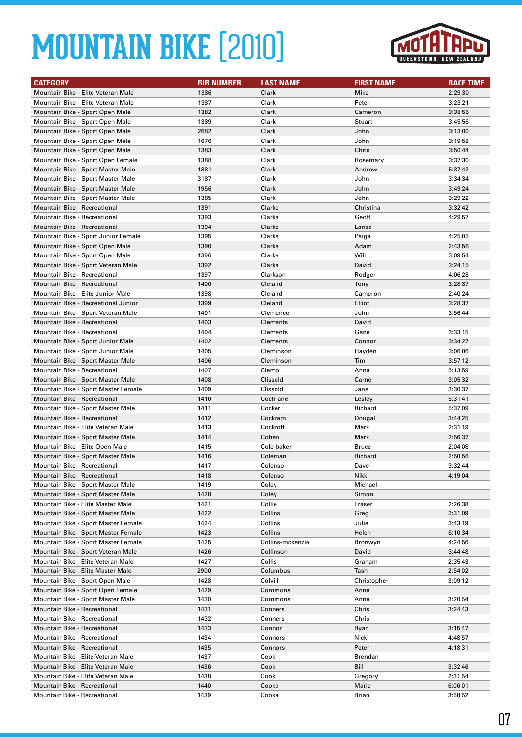

| <b>CATEGORY</b>                     | <b>BIB NUMBER</b> | <b>LAST NAME</b> | <b>FIRST NAME</b> | <b>RACE TIME</b> |
|-------------------------------------|-------------------|------------------|-------------------|------------------|
| Mountain Bike - Elite Veteran Male  | 1386              | Clark            | Mike              | 2:29:30          |
| Mountain Bike - Elite Veteran Male  | 1387              | Clark            | Peter             | 3:23:21          |
| Mountain Bike - Sport Open Male     | 1382              | Clark            | Cameron           | 3:38:55          |
| Mountain Bike - Sport Open Male     | 1389              | Clark            | Stuart            | 3:45:56          |
| Mountain Bike - Sport Open Male     | 2682              | Clark            | John              | 3:13:00          |
| Mountain Bike - Sport Open Male     | 1676              | Clark            | John              | 3:19:58          |
| Mountain Bike - Sport Open Male     | 1383              | Clark            | Chris             | 3:50:44          |
| Mountain Bike - Sport Open Female   | 1388              | Clark            | Rosemary          | 3:37:30          |
| Mountain Bike - Sport Master Male   | 1381              | Clark            | Andrew            | 5:37:42          |
| Mountain Bike - Sport Master Male   | 3187              | Clark            | John              | 3:34:34          |
| Mountain Bike - Sport Master Male   | 1956              | Clark            | John              | 3:49:24          |
| Mountain Bike - Sport Master Male   | 1385              | Clark            | John              | 3:29:22          |
| <b>Mountain Bike - Recreational</b> | 1391              | Clarke           | Christina         | 3:32:42          |
| Mountain Bike - Recreational        | 1393              | Clarke           | Geoff             | 4:29:57          |
| Mountain Bike - Recreational        | 1394              | Clarke           | Larisa            |                  |
| Mountain Bike - Sport Junior Female | 1395              | Clarke           | Paige             | 4:25:05          |
| Mountain Bike - Sport Open Male     | 1390              | Clarke           | Adam              | 2:43:56          |
| Mountain Bike - Sport Open Male     | 1396              | Clarke           | Will              | 3:09:54          |
| Mountain Bike - Sport Veteran Male  | 1392              | Clarke           | David             | 3:24:15          |
| Mountain Bike - Recreational        | 1397              | Clarkson         | Rodger            | 4:06:28          |
| <b>Mountain Bike - Recreational</b> | 1400              | Cleland          | Tony              | 3:28:37          |
| Mountain Bike - Elite Junior Male   | 1398              | Cleland          | Cameron           | 2:40:24          |
| Mountain Bike - Recreational Junior | 1399              | Cleland          | Elliot            | 3:28:37          |
| Mountain Bike - Sport Veteran Male  | 1401              | Clemence         | John              | 3:56:44          |
| Mountain Bike - Recreational        | 1403              | <b>Clements</b>  | David             |                  |
| Mountain Bike - Recreational        | 1404              | Clements         | Gene              | 3:33:15          |
| Mountain Bike - Sport Junior Male   | 1402              | <b>Clements</b>  | Connor            | 3:34:27          |
| Mountain Bike - Sport Junior Male   | 1405              | Cleminson        | Hayden            | 3:06:06          |
| Mountain Bike - Sport Master Male   | 1406              | Cleminson        | Tim               | 3:57:12          |
| <b>Mountain Bike - Recreational</b> | 1407              | Clemo            | Anna              | 5:13:59          |
| Mountain Bike - Sport Master Male   | 1408              | Clissold         | Carne             | 3:05:32          |
| Mountain Bike - Sport Master Female | 1409              | Clissold         | Jane              | 3:30:37          |
| Mountain Bike - Recreational        | 1410              | Cochrane         | Lesley            | 5:31:41          |
| Mountain Bike - Sport Master Male   | 1411              | Cocker           | Richard           | 5:37:09          |
| Mountain Bike - Recreational        | 1412              | Cockram          | Dougal            | 3:44:25          |
| Mountain Bike - Elite Veteran Male  | 1413              | Cockroft         | Mark              | 2:31:19          |
| Mountain Bike - Sport Master Male   | 1414              | Cohen            | Mark              | 2:56:37          |
| Mountain Bike - Elite Open Male     | 1415              | Cole-baker       | <b>Bruce</b>      | 2:04:08          |
| Mountain Bike - Sport Master Male   | 1416              | Coleman          | Richard           | 2:50:56          |
| <b>Mountain Bike - Recreational</b> | 1417              | Colenso          | Dave              | 3:32:44          |
| Mountain Bike - Recreational        | 1418              | Colenso          | Nikki             | 4:19:04          |
| Mountain Bike - Sport Master Male   | 1419              | Coley            | Michael           |                  |
| Mountain Bike - Sport Master Male   | 1420              | Coley            | Simon             |                  |
| Mountain Bike - Elite Master Male   | 1421              | Collie           | Fraser            | 2:26:38          |
| Mountain Bike - Sport Master Male   | 1422              | Collins          | Greg              | 3:31:09          |
| Mountain Bike - Sport Master Female | 1424              | Collins          | Julie             | 3:43:19          |
| Mountain Bike - Sport Master Female | 1423              | Collins          | Helen             | 6:10:34          |
| Mountain Bike - Sport Master Female | 1425              | Collins-mckenzie | Bronwyn           | 4:24:56          |
| Mountain Bike - Sport Veteran Male  | 1426              | Collinson        | David             | 3:44:48          |
| Mountain Bike - Elite Veteran Male  | 1427              | Collis           | Graham            | 2:35:43          |
| Mountain Bike - Elite Master Male   | 2900              | Columbus         | Tash              | 2:54:02          |
| Mountain Bike - Sport Open Male     | 1428              | Colvill          | Christopher       | 3:09:12          |
| Mountain Bike - Sport Open Female   | 1429              | Commons          | Anne              |                  |
| Mountain Bike - Sport Master Male   | 1430              | Commons          | Anne              | 3:20:54          |
| Mountain Bike - Recreational        | 1431              | Conners          | Chris             | 3:24:43          |
| Mountain Bike - Recreational        | 1432              | Conners          | Chris             |                  |
| Mountain Bike - Recreational        | 1433              | Connor           | Ryan              | 3:15:47          |
| Mountain Bike - Recreational        | 1434              | Connors          | Nicki             | 4:48:57          |
| Mountain Bike - Recreational        | 1435              | Connors          | Peter             | 4:18:31          |
| Mountain Bike - Elite Veteran Male  | 1437              | Cook             | <b>Brendan</b>    |                  |
| Mountain Bike - Elite Veteran Male  | 1436              | Cook             | Bill              | 3:32:46          |
| Mountain Bike - Elite Veteran Male  | 1438              | Cook             | Gregory           | 2:31:54          |
| Mountain Bike - Recreational        | 1440              | Cooke            | Marie             | 6:06:01          |
| Mountain Bike - Recreational        | 1439              | Cooke            | Brian             | 3:58:52          |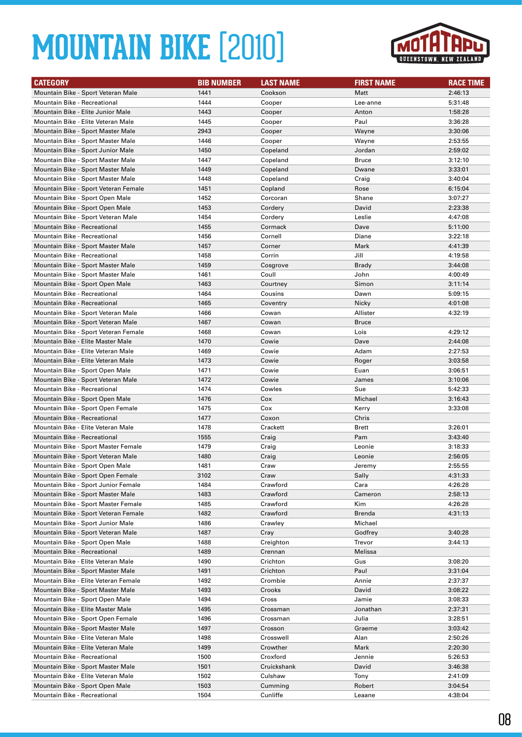

| <b>CATEGORY</b>                                                           | <b>BIB NUMBER</b> | <b>LAST NAME</b>    | <b>FIRST NAME</b> | <b>RACE TIME</b>   |
|---------------------------------------------------------------------------|-------------------|---------------------|-------------------|--------------------|
| Mountain Bike - Sport Veteran Male                                        | 1441              | Cookson             | Matt              | 2:46:13            |
| <b>Mountain Bike - Recreational</b>                                       | 1444              | Cooper              | Lee-anne          | 5:31:48            |
| Mountain Bike - Elite Junior Male                                         | 1443              | Cooper              | Anton             | 1:58:28            |
| Mountain Bike - Elite Veteran Male                                        | 1445              | Cooper              | Paul              | 3:36:28            |
| Mountain Bike - Sport Master Male                                         | 2943              | Cooper              | Wayne             | 3:30:06            |
| Mountain Bike - Sport Master Male                                         | 1446              | Cooper              | Wayne             | 2:53:55            |
| Mountain Bike - Sport Junior Male                                         | 1450              | Copeland            | Jordan            | 2:59:02            |
| Mountain Bike - Sport Master Male                                         | 1447              | Copeland            | <b>Bruce</b>      | 3:12:10            |
| Mountain Bike - Sport Master Male                                         | 1449              | Copeland            | Dwane             | 3:33:01            |
| Mountain Bike - Sport Master Male                                         | 1448              | Copeland            | Craig             | 3:40:04            |
| Mountain Bike - Sport Veteran Female                                      | 1451              | Copland             | Rose              | 6:15:04            |
| Mountain Bike - Sport Open Male                                           | 1452              | Corcoran            | Shane             | 3:07:27            |
| Mountain Bike - Sport Open Male                                           | 1453              | Cordery             | David             | 2:23:38            |
| Mountain Bike - Sport Veteran Male                                        | 1454              | Cordery             | Leslie            | 4:47:08            |
| Mountain Bike - Recreational                                              | 1455              | Cormack             | Dave              | 5:11:00            |
| <b>Mountain Bike - Recreational</b>                                       | 1456              | Cornell             | Diane             | 3:22:18            |
| Mountain Bike - Sport Master Male                                         | 1457              | Corner              | Mark              | 4:41:39            |
| <b>Mountain Bike - Recreational</b>                                       | 1458              | Corrin              | Jill              | 4:19:58            |
| Mountain Bike - Sport Master Male                                         | 1459              | Cosgrove            | Brady             | 3:44:08            |
| Mountain Bike - Sport Master Male<br>Mountain Bike - Sport Open Male      | 1461              | Coull               | John<br>Simon     | 4:00:49            |
| Mountain Bike - Recreational                                              | 1463<br>1464      | Courtney            | Dawn              | 3:11:14<br>5:09:15 |
| Mountain Bike - Recreational                                              | 1465              | Cousins<br>Coventry | Nicky             | 4:01:08            |
| Mountain Bike - Sport Veteran Male                                        | 1466              | Cowan               | Allister          | 4:32:19            |
| Mountain Bike - Sport Veteran Male                                        | 1467              | Cowan               | <b>Bruce</b>      |                    |
| Mountain Bike - Sport Veteran Female                                      | 1468              | Cowan               | Lois              | 4:29:12            |
| Mountain Bike - Elite Master Male                                         | 1470              | Cowie               | Dave              | 2:44:08            |
| Mountain Bike - Elite Veteran Male                                        | 1469              | Cowie               | Adam              | 2:27:53            |
| Mountain Bike - Elite Veteran Male                                        | 1473              | Cowie               | Roger             | 3:03:58            |
| Mountain Bike - Sport Open Male                                           | 1471              | Cowie               | Euan              | 3:06:51            |
| Mountain Bike - Sport Veteran Male                                        | 1472              | Cowie               | James             | 3:10:06            |
| Mountain Bike - Recreational                                              | 1474              | Cowles              | Sue               | 5:42:33            |
| Mountain Bike - Sport Open Male                                           | 1476              | Cox                 | Michael           | 3:16:43            |
| Mountain Bike - Sport Open Female                                         | 1475              | Cox                 | Kerry             | 3:33:08            |
| <b>Mountain Bike - Recreational</b>                                       | 1477              | Coxon               | Chris             |                    |
| Mountain Bike - Elite Veteran Male                                        | 1478              | Crackett            | Brett             | 3:26:01            |
| Mountain Bike - Recreational                                              | 1555              | Craig               | Pam               | 3:43:40            |
| Mountain Bike - Sport Master Female                                       | 1479              | Craig               | Leonie            | 3:18:33            |
| Mountain Bike - Sport Veteran Male                                        | 1480              | Craig               | Leonie            | 2:56:05            |
| Mountain Bike - Sport Open Male                                           | 1481              | Craw                | Jeremy            | 2:55:55            |
| Mountain Bike - Sport Open Female                                         | 3102              | Craw                | Sally             | 4:31:33            |
| Mountain Bike - Sport Junior Female                                       | 1484              | Crawford            | Cara              | 4:26:28            |
| Mountain Bike - Sport Master Male                                         | 1483              | Crawford            | Cameron           | 2:58:13            |
| Mountain Bike - Sport Master Female                                       | 1485              | Crawford            | Kim               | 4:26:28            |
| Mountain Bike - Sport Veteran Female                                      | 1482              | Crawford            | Brenda            | 4:31:13            |
| Mountain Bike - Sport Junior Male                                         | 1486              | Crawley             | Michael           |                    |
| Mountain Bike - Sport Veteran Male                                        | 1487              | Cray                | Godfrey           | 3:40:28            |
| Mountain Bike - Sport Open Male                                           | 1488              | Creighton           | Trevor            | 3:44:13            |
| <b>Mountain Bike - Recreational</b>                                       | 1489              | Crennan             | Melissa           |                    |
| Mountain Bike - Elite Veteran Male                                        | 1490              | Crichton            | Gus               | 3:08:20            |
| Mountain Bike - Sport Master Male<br>Mountain Bike - Elite Veteran Female | 1491<br>1492      | Crichton<br>Crombie | Paul<br>Annie     | 3:31:04<br>2:37:37 |
| Mountain Bike - Sport Master Male                                         | 1493              | Crooks              | David             | 3:08:22            |
| Mountain Bike - Sport Open Male                                           | 1494              | Cross               | Jamie             | 3:08:33            |
| Mountain Bike - Elite Master Male                                         | 1495              | Crossman            | Jonathan          | 2:37:31            |
| Mountain Bike - Sport Open Female                                         | 1496              | Crossman            | Julia             | 3:28:51            |
| Mountain Bike - Sport Master Male                                         | 1497              | Crosson             | Graeme            | 3:03:42            |
| Mountain Bike - Elite Veteran Male                                        | 1498              | Crosswell           | Alan              | 2:50:26            |
| Mountain Bike - Elite Veteran Male                                        | 1499              | Crowther            | Mark              | 2:20:30            |
| Mountain Bike - Recreational                                              | 1500              | Croxford            | Jennie            | 5:26:53            |
| Mountain Bike - Sport Master Male                                         | 1501              | Cruickshank         | David             | 3:46:38            |
| Mountain Bike - Elite Veteran Male                                        | 1502              | Culshaw             | Tony              | 2:41:09            |
| Mountain Bike - Sport Open Male                                           | 1503              | Cumming             | Robert            | 3:04:54            |
| Mountain Bike - Recreational                                              | 1504              | Cunliffe            | Leaane            | 4:38:04            |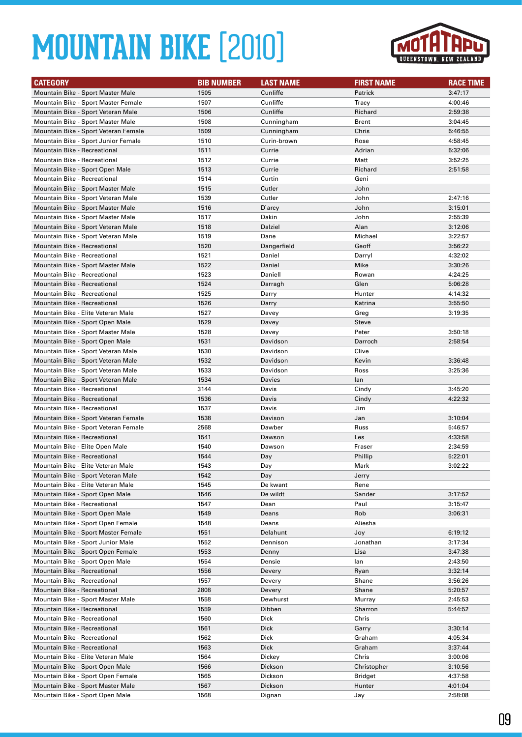

| <b>CATEGORY</b>                                                       | <b>BIB NUMBER</b> | <b>LAST NAME</b> | <b>FIRST NAME</b> | <b>RACE TIME</b>   |
|-----------------------------------------------------------------------|-------------------|------------------|-------------------|--------------------|
| Mountain Bike - Sport Master Male                                     | 1505              | Cunliffe         | Patrick           | 3:47:17            |
| Mountain Bike - Sport Master Female                                   | 1507              | Cunliffe         | Tracy             | 4:00:46            |
| Mountain Bike - Sport Veteran Male                                    | 1506              | Cunliffe         | Richard           | 2:59:38            |
| Mountain Bike - Sport Master Male                                     | 1508              | Cunningham       | Brent             | 3:04:45            |
| Mountain Bike - Sport Veteran Female                                  | 1509              | Cunningham       | Chris             | 5:46:55            |
| Mountain Bike - Sport Junior Female                                   | 1510              | Curin-brown      | Rose              | 4:58:45            |
| Mountain Bike - Recreational                                          | 1511              | Currie           | Adrian            | 5:32:06            |
| Mountain Bike - Recreational                                          | 1512              | Currie           | Matt              | 3:52:25            |
| Mountain Bike - Sport Open Male                                       | 1513              | Currie           | Richard           | 2:51:58            |
| <b>Mountain Bike - Recreational</b>                                   | 1514              | Curtin           | Geni              |                    |
| Mountain Bike - Sport Master Male                                     | 1515              | Cutler           | John              |                    |
| Mountain Bike - Sport Veteran Male                                    | 1539              | Cutler           | John              | 2:47:16            |
| Mountain Bike - Sport Master Male                                     | 1516              | D'arcy           | John              | 3:15:01            |
| Mountain Bike - Sport Master Male                                     | 1517              | Dakin            | John              | 2:55:39            |
| Mountain Bike - Sport Veteran Male                                    | 1518              | Dalziel          | Alan              | 3:12:06            |
| Mountain Bike - Sport Veteran Male                                    | 1519              | Dane             | Michael           | 3:22:57            |
| <b>Mountain Bike - Recreational</b>                                   | 1520              | Dangerfield      | Geoff             | 3:56:22            |
| <b>Mountain Bike - Recreational</b>                                   | 1521              | Daniel           | Darryl            | 4:32:02            |
| Mountain Bike - Sport Master Male                                     | 1522              | Daniel           | Mike              | 3:30:26            |
| <b>Mountain Bike - Recreational</b>                                   | 1523              | Daniell          | Rowan             | 4:24:25            |
| Mountain Bike - Recreational                                          | 1524              | Darragh          | Glen              | 5:06:28            |
| Mountain Bike - Recreational                                          | 1525              | Darry            | Hunter            | 4:14:32            |
| Mountain Bike - Recreational                                          | 1526              | Darry            | Katrina           | 3:55:50            |
| Mountain Bike - Elite Veteran Male                                    | 1527              | Davey            | Greg              | 3:19:35            |
| Mountain Bike - Sport Open Male                                       | 1529              | Davey            | Steve             |                    |
| Mountain Bike - Sport Master Male                                     | 1528              | Davey            | Peter             | 3:50:18            |
| Mountain Bike - Sport Open Male                                       | 1531              | Davidson         | Darroch           | 2:58:54            |
| Mountain Bike - Sport Veteran Male                                    | 1530              | Davidson         | Clive             |                    |
| Mountain Bike - Sport Veteran Male                                    | 1532              | Davidson         | Kevin             | 3:36:48            |
| Mountain Bike - Sport Veteran Male                                    | 1533              | Davidson         | Ross              | 3:25:36            |
| Mountain Bike - Sport Veteran Male                                    | 1534              | Davies           | lan               |                    |
| <b>Mountain Bike - Recreational</b>                                   | 3144              | Davis            | Cindy             | 3:45:20            |
| Mountain Bike - Recreational                                          | 1536              | Davis            | Cindy             | 4:22:32            |
| <b>Mountain Bike - Recreational</b>                                   | 1537              | Davis            | Jim               |                    |
| Mountain Bike - Sport Veteran Female                                  | 1538              | Davison          | Jan               | 3:10:04            |
| Mountain Bike - Sport Veteran Female                                  | 2568              | Dawber           | Russ              | 5:46:57            |
| Mountain Bike - Recreational                                          | 1541              | Dawson           | Les               | 4:33:58            |
| Mountain Bike - Elite Open Male                                       | 1540              | Dawson           | Fraser            | 2:34:59            |
| Mountain Bike - Recreational                                          | 1544              | Day              | Phillip           | 5:22:01            |
| Mountain Bike - Elite Veteran Male                                    | 1543              | Day              | Mark              | 3:02:22            |
| Mountain Bike - Sport Veteran Male                                    | 1542              | Day              | Jerry             |                    |
| Mountain Bike - Elite Veteran Male<br>Mountain Bike - Sport Open Male | 1545              | De kwant         | Rene              |                    |
| Mountain Bike - Recreational                                          | 1546<br>1547      | De wildt         | Sander<br>Paul    | 3:17:52<br>3:15:47 |
| Mountain Bike - Sport Open Male                                       | 1549              | Dean<br>Deans    | Rob               | 3:06:31            |
| Mountain Bike - Sport Open Female                                     | 1548              | Deans            | Aliesha           |                    |
| Mountain Bike - Sport Master Female                                   | 1551              | Delahunt         | Joy               | 6:19:12            |
| Mountain Bike - Sport Junior Male                                     | 1552              | Dennison         | Jonathan          | 3:17:34            |
| Mountain Bike - Sport Open Female                                     | 1553              | Denny            | Lisa              | 3:47:38            |
| Mountain Bike - Sport Open Male                                       | 1554              | Densie           | lan               | 2:43:50            |
| Mountain Bike - Recreational                                          | 1556              | Devery           | Ryan              | 3:32:14            |
| Mountain Bike - Recreational                                          | 1557              | Devery           | Shane             | 3:56:26            |
| Mountain Bike - Recreational                                          | 2808              | Devery           | Shane             | 5:20:57            |
| Mountain Bike - Sport Master Male                                     | 1558              | Dewhurst         | Murray            | 2:45:53            |
| Mountain Bike - Recreational                                          | 1559              | Dibben           | Sharron           | 5:44:52            |
| Mountain Bike - Recreational                                          | 1560              | Dick             | Chris             |                    |
| Mountain Bike - Recreational                                          | 1561              | Dick             | Garry             | 3:30:14            |
| Mountain Bike - Recreational                                          | 1562              | Dick             | Graham            | 4:05:34            |
| Mountain Bike - Recreational                                          | 1563              | Dick             | Graham            | 3:37:44            |
| Mountain Bike - Elite Veteran Male                                    | 1564              | Dickey           | Chris             | 3:00:06            |
| Mountain Bike - Sport Open Male                                       | 1566              | Dickson          | Christopher       | 3:10:56            |
| Mountain Bike - Sport Open Female                                     | 1565              | Dickson          | <b>Bridget</b>    | 4:37:58            |
| Mountain Bike - Sport Master Male                                     | 1567              | Dickson          | Hunter            | 4:01:04            |
| Mountain Bike - Sport Open Male                                       | 1568              | Dignan           | Jay               | 2:58:08            |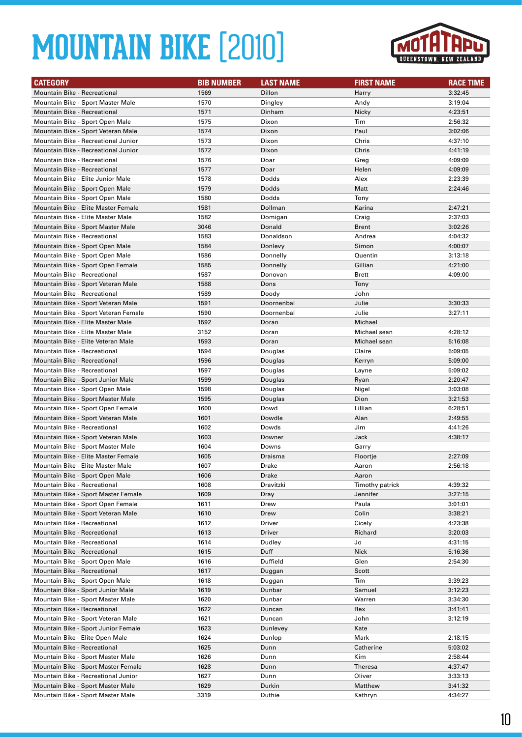

| <b>CATEGORY</b>                      | <b>BIB NUMBER</b> | <b>LAST NAME</b> | <b>FIRST NAME</b> | <b>RACE TIME</b> |
|--------------------------------------|-------------------|------------------|-------------------|------------------|
| Mountain Bike - Recreational         | 1569              | Dillon           | Harry             | 3:32:45          |
| Mountain Bike - Sport Master Male    | 1570              | Dingley          | Andy              | 3:19:04          |
| Mountain Bike - Recreational         | 1571              | Dinham           | Nicky             | 4:23:51          |
| Mountain Bike - Sport Open Male      | 1575              | Dixon            | Tim               | 2:56:32          |
| Mountain Bike - Sport Veteran Male   | 1574              | Dixon            | Paul              | 3:02:06          |
| Mountain Bike - Recreational Junior  | 1573              | Dixon            | Chris             | 4:37:10          |
| Mountain Bike - Recreational Junior  | 1572              | Dixon            | Chris             | 4:41:19          |
| Mountain Bike - Recreational         | 1576              | Doar             | Greg              | 4:09:09          |
| Mountain Bike - Recreational         | 1577              | Doar             | Helen             | 4:09:09          |
| Mountain Bike - Elite Junior Male    | 1578              | Dodds            | Alex              | 2:23:39          |
| Mountain Bike - Sport Open Male      | 1579              | Dodds            | Matt              | 2:24:46          |
| Mountain Bike - Sport Open Male      | 1580              | Dodds            | Tony              |                  |
| Mountain Bike - Elite Master Female  | 1581              | Dollman          | Karina            | 2:47:21          |
| Mountain Bike - Elite Master Male    | 1582              | Domigan          | Craig             | 2:37:03          |
| Mountain Bike - Sport Master Male    | 3046              | Donald           | Brent             | 3:02:26          |
| Mountain Bike - Recreational         | 1583              | Donaldson        | Andrea            | 4:04:32          |
| Mountain Bike - Sport Open Male      | 1584              | Donlevy          | Simon             | 4:00:07          |
| Mountain Bike - Sport Open Male      | 1586              | Donnelly         | Quentin           | 3:13:18          |
| Mountain Bike - Sport Open Female    | 1585              | Donnelly         | Gillian           | 4:21:00          |
| <b>Mountain Bike - Recreational</b>  | 1587              | Donovan          | <b>Brett</b>      | 4:09:00          |
| Mountain Bike - Sport Veteran Male   | 1588              | Dons             | Tony              |                  |
| <b>Mountain Bike - Recreational</b>  | 1589              | Doody            | John              |                  |
| Mountain Bike - Sport Veteran Male   | 1591              | Doornenbal       | Julie             | 3:30:33          |
| Mountain Bike - Sport Veteran Female | 1590              | Doornenbal       | Julie             | 3:27:11          |
| Mountain Bike - Elite Master Male    | 1592              | Doran            | Michael           |                  |
| Mountain Bike - Elite Master Male    | 3152              | Doran            | Michael sean      | 4:28:12          |
| Mountain Bike - Elite Veteran Male   | 1593              | Doran            | Michael sean      | 5:16:08          |
| <b>Mountain Bike - Recreational</b>  | 1594              | Douglas          | Claire            | 5:09:05          |
| <b>Mountain Bike - Recreational</b>  | 1596              | Douglas          | Kerryn            | 5:09:00          |
| <b>Mountain Bike - Recreational</b>  | 1597              | Douglas          | Layne             | 5:09:02          |
| Mountain Bike - Sport Junior Male    | 1599              | Douglas          | Ryan              | 2:20:47          |
| Mountain Bike - Sport Open Male      | 1598              | Douglas          | Nigel             | 3:03:08          |
| Mountain Bike - Sport Master Male    | 1595              | Douglas          | Dion              | 3:21:53          |
| Mountain Bike - Sport Open Female    | 1600              | Dowd             | Lillian           | 6:28:51          |
| Mountain Bike - Sport Veteran Male   | 1601              | Dowdle           | Alan              | 2:49:55          |
| Mountain Bike - Recreational         | 1602              | Dowds            | Jim               | 4:41:26          |
| Mountain Bike - Sport Veteran Male   | 1603              | Downer           | Jack              | 4:38:17          |
| Mountain Bike - Sport Master Male    | 1604              | Downs            | Garry             |                  |
| Mountain Bike - Elite Master Female  | 1605              | Draisma          | Floortje          | 2:27:09          |
| Mountain Bike - Elite Master Male    | 1607              | Drake            | Aaron             | 2:56:18          |
| Mountain Bike - Sport Open Male      | 1606              | Drake            | Aaron             |                  |
| Mountain Bike - Recreational         | 1608              | Dravitzki        | Timothy patrick   | 4:39:32          |
| Mountain Bike - Sport Master Female  | 1609              | Dray             | Jennifer          | 3:27:15          |
| Mountain Bike - Sport Open Female    | 1611              | Drew             | Paula             | 3:01:01          |
| Mountain Bike - Sport Veteran Male   | 1610              | Drew             | Colin             | 3:38:21          |
| Mountain Bike - Recreational         | 1612              | Driver           | Cicely            | 4:23:38          |
| Mountain Bike - Recreational         | 1613              | Driver           | Richard           | 3:20:03          |
| Mountain Bike - Recreational         | 1614              | Dudley           | Jo                | 4:31:15          |
| Mountain Bike - Recreational         | 1615              | Duff             | Nick              | 5:16:36          |
| Mountain Bike - Sport Open Male      | 1616              | Duffield         | Glen              | 2:54:30          |
| Mountain Bike - Recreational         | 1617              | Duggan           | Scott             |                  |
| Mountain Bike - Sport Open Male      | 1618              | Duggan           | Tim               | 3:39:23          |
| Mountain Bike - Sport Junior Male    | 1619              | Dunbar           | Samuel            | 3:12:23          |
| Mountain Bike - Sport Master Male    | 1620              | Dunbar           | Warren            | 3:34:30          |
| Mountain Bike - Recreational         | 1622              | Duncan           | Rex               | 3:41:41          |
| Mountain Bike - Sport Veteran Male   | 1621              | Duncan           | John              | 3:12:19          |
| Mountain Bike - Sport Junior Female  | 1623              | Dunlevey         | Kate              |                  |
| Mountain Bike - Elite Open Male      | 1624              | Dunlop           | Mark              | 2:18:15          |
| Mountain Bike - Recreational         | 1625              | Dunn             | Catherine         | 5:03:02          |
| Mountain Bike - Sport Master Male    | 1626              | Dunn             | Kim               | 2:58:44          |
| Mountain Bike - Sport Master Female  | 1628              | Dunn             | <b>Theresa</b>    | 4:37:47          |
| Mountain Bike - Recreational Junior  | 1627              | Dunn             | Oliver            | 3:33:13          |
| Mountain Bike - Sport Master Male    | 1629              | Durkin           | Matthew           | 3:41:32          |
| Mountain Bike - Sport Master Male    | 3319              | Duthie           | Kathryn           | 4:34:27          |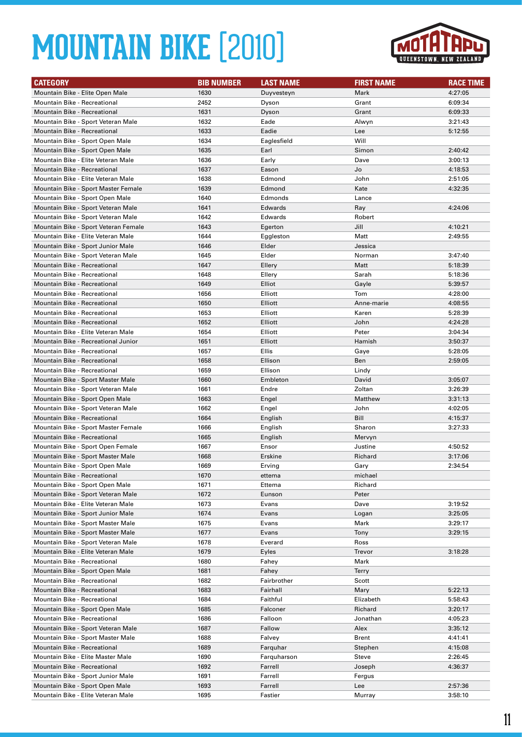

| <b>CATEGORY</b>                                                       | <b>BIB NUMBER</b> | <b>LAST NAME</b>   | <b>FIRST NAME</b> | <b>RACE TIME</b>   |
|-----------------------------------------------------------------------|-------------------|--------------------|-------------------|--------------------|
| Mountain Bike - Elite Open Male                                       | 1630              | Duyvesteyn         | Mark              | 4:27:05            |
| Mountain Bike - Recreational                                          | 2452              | Dyson              | Grant             | 6:09:34            |
| <b>Mountain Bike - Recreational</b>                                   | 1631              | Dyson              | Grant             | 6:09:33            |
| Mountain Bike - Sport Veteran Male                                    | 1632              | Eade               | Alwyn             | 3:21:43            |
| <b>Mountain Bike - Recreational</b>                                   | 1633              | Eadie              | Lee               | 5:12:55            |
| Mountain Bike - Sport Open Male                                       | 1634              | Eaglesfield        | Will              |                    |
| Mountain Bike - Sport Open Male                                       | 1635              | Earl               | Simon             | 2:40:42            |
| Mountain Bike - Elite Veteran Male                                    | 1636              | Early              | Dave              | 3:00:13            |
| Mountain Bike - Recreational                                          | 1637              | Eason              | Jo                | 4:18:53            |
| Mountain Bike - Elite Veteran Male                                    | 1638              | Edmond             | John              | 2:51:05            |
| Mountain Bike - Sport Master Female                                   | 1639              | Edmond             | Kate              | 4:32:35            |
| Mountain Bike - Sport Open Male                                       | 1640              | Edmonds            | Lance             |                    |
| Mountain Bike - Sport Veteran Male                                    | 1641              | Edwards            | Ray               | 4:24:06            |
| Mountain Bike - Sport Veteran Male                                    | 1642              | Edwards            | Robert            |                    |
| Mountain Bike - Sport Veteran Female                                  | 1643              | Egerton            | Jill              | 4:10:21            |
| Mountain Bike - Elite Veteran Male                                    | 1644              | Eggleston          | Matt              | 2:49:55            |
| Mountain Bike - Sport Junior Male                                     | 1646              | Elder              | Jessica           |                    |
| Mountain Bike - Sport Veteran Male                                    | 1645              | Elder              | Norman            | 3:47:40            |
| <b>Mountain Bike - Recreational</b>                                   | 1647              | Ellery             | Matt              | 5:18:39            |
| Mountain Bike - Recreational                                          | 1648              | Ellery             | Sarah             | 5:18:36            |
| <b>Mountain Bike - Recreational</b>                                   | 1649              | Elliot             | Gayle             | 5:39:57            |
| <b>Mountain Bike - Recreational</b>                                   | 1656              | Elliott            | Tom               | 4:28:00            |
| Mountain Bike - Recreational                                          | 1650              | Elliott            | Anne-marie        | 4:08:55            |
| Mountain Bike - Recreational                                          | 1653              | Elliott            | Karen             | 5:28:39            |
| <b>Mountain Bike - Recreational</b>                                   | 1652              | Elliott            | John              | 4:24:28            |
| Mountain Bike - Elite Veteran Male                                    | 1654              | Elliott            | Peter             | 3:04:34            |
| Mountain Bike - Recreational Junior                                   | 1651              | Elliott            | Hamish            | 3:50:37            |
| <b>Mountain Bike - Recreational</b>                                   | 1657              | Ellis              | Gaye              | 5:28:05            |
| <b>Mountain Bike - Recreational</b>                                   | 1658              | Ellison            | Ben               | 2:59:05            |
| <b>Mountain Bike - Recreational</b>                                   | 1659              | Ellison            | Lindy             |                    |
| Mountain Bike - Sport Master Male                                     | 1660<br>1661      | Embleton           | David<br>Zoltan   | 3:05:07            |
| Mountain Bike - Sport Veteran Male<br>Mountain Bike - Sport Open Male | 1663              | Endre              | Matthew           | 3:26:39<br>3:31:13 |
| Mountain Bike - Sport Veteran Male                                    | 1662              | Engel              | John              | 4:02:05            |
| <b>Mountain Bike - Recreational</b>                                   | 1664              | Engel              | Bill              | 4:15:37            |
| Mountain Bike - Sport Master Female                                   | 1666              | English<br>English | Sharon            | 3:27:33            |
| <b>Mountain Bike - Recreational</b>                                   | 1665              | English            | Mervyn            |                    |
| Mountain Bike - Sport Open Female                                     | 1667              | Ensor              | Justine           | 4:50:52            |
| Mountain Bike - Sport Master Male                                     | 1668              | Erskine            | Richard           | 3:17:06            |
| Mountain Bike - Sport Open Male                                       | 1669              | Erving             | Gary              | 2:34:54            |
| Mountain Bike - Recreational                                          | 1670              | ettema             | michael           |                    |
| Mountain Bike - Sport Open Male                                       | 1671              | Ettema             | Richard           |                    |
| Mountain Bike - Sport Veteran Male                                    | 1672              | Eunson             | Peter             |                    |
| Mountain Bike - Elite Veteran Male                                    | 1673              | Evans              | Dave              | 3:19:52            |
| Mountain Bike - Sport Junior Male                                     | 1674              | Evans              | Logan             | 3:25:05            |
| Mountain Bike - Sport Master Male                                     | 1675              | Evans              | Mark              | 3:29:17            |
| Mountain Bike - Sport Master Male                                     | 1677              | Evans              | Tony              | 3:29:15            |
| Mountain Bike - Sport Veteran Male                                    | 1678              | Everard            | Ross              |                    |
| Mountain Bike - Elite Veteran Male                                    | 1679              | Eyles              | Trevor            | 3:18:28            |
| <b>Mountain Bike - Recreational</b>                                   | 1680              | Fahey              | Mark              |                    |
| Mountain Bike - Sport Open Male                                       | 1681              | Fahey              | <b>Terry</b>      |                    |
| Mountain Bike - Recreational                                          | 1682              | Fairbrother        | Scott             |                    |
| Mountain Bike - Recreational                                          | 1683              | Fairhall           | Mary              | 5:22:13            |
| Mountain Bike - Recreational                                          | 1684              | Faithful           | Elizabeth         | 5:58:43            |
| Mountain Bike - Sport Open Male                                       | 1685              | Falconer           | Richard           | 3:20:17            |
| Mountain Bike - Recreational                                          | 1686              | Falloon            | Jonathan          | 4:05:23            |
| Mountain Bike - Sport Veteran Male                                    | 1687              | Fallow             | Alex              | 3:35:12            |
| Mountain Bike - Sport Master Male                                     | 1688              | Falvey             | Brent             | 4:41:41            |
| Mountain Bike - Recreational                                          | 1689              | Farquhar           | Stephen           | 4:15:08            |
| Mountain Bike - Elite Master Male                                     | 1690              | Farquharson        | Steve             | 2:26:45            |
| Mountain Bike - Recreational                                          | 1692              | Farrell            | Joseph            | 4:36:37            |
| Mountain Bike - Sport Junior Male                                     | 1691              | Farrell            | Fergus            |                    |
| Mountain Bike - Sport Open Male                                       | 1693              | Farrell            | Lee               | 2:57:36            |
| Mountain Bike - Elite Veteran Male                                    | 1695              | Fastier            | Murray            | 3:58:10            |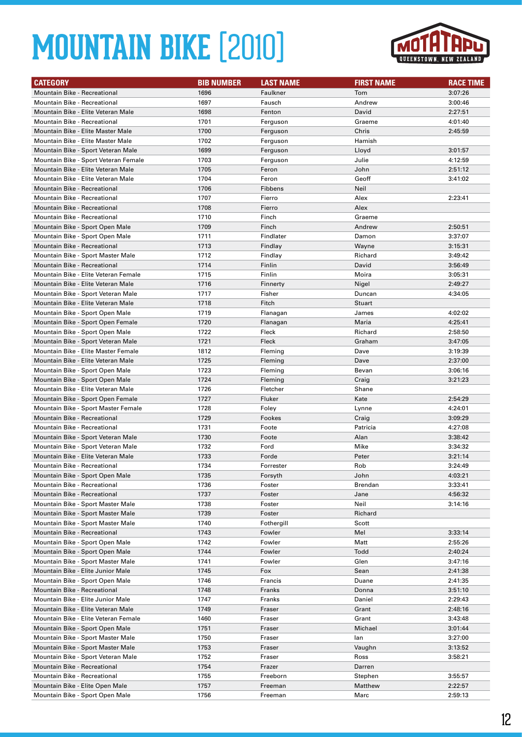

| <b>CATEGORY</b>                                                      | <b>BIB NUMBER</b> | <b>LAST NAME</b> | <b>FIRST NAME</b> | <b>RACE TIME</b>   |
|----------------------------------------------------------------------|-------------------|------------------|-------------------|--------------------|
| <b>Mountain Bike - Recreational</b>                                  | 1696              | Faulkner         | Tom               | 3:07:26            |
| <b>Mountain Bike - Recreational</b>                                  | 1697              | Fausch           | Andrew            | 3:00:46            |
| Mountain Bike - Elite Veteran Male                                   | 1698              | Fenton           | David             | 2:27:51            |
| <b>Mountain Bike - Recreational</b>                                  | 1701              | Ferguson         | Graeme            | 4:01:40            |
| Mountain Bike - Elite Master Male                                    | 1700              | Ferguson         | Chris             | 2:45:59            |
| Mountain Bike - Elite Master Male                                    | 1702              | Ferguson         | Hamish            |                    |
| Mountain Bike - Sport Veteran Male                                   | 1699              | Ferguson         | Lloyd             | 3:01:57            |
| Mountain Bike - Sport Veteran Female                                 | 1703              | Ferguson         | Julie             | 4:12:59            |
| Mountain Bike - Elite Veteran Male                                   | 1705              | Feron            | John              | 2:51:12            |
| Mountain Bike - Elite Veteran Male                                   | 1704              | Feron            | Geoff             | 3:41:02            |
| <b>Mountain Bike - Recreational</b>                                  | 1706              | Fibbens          | Neil              |                    |
| <b>Mountain Bike - Recreational</b>                                  | 1707              | Fierro           | Alex              | 2:23:41            |
| <b>Mountain Bike - Recreational</b>                                  | 1708              | Fierro           | Alex              |                    |
| <b>Mountain Bike - Recreational</b>                                  | 1710              | Finch            | Graeme            |                    |
| Mountain Bike - Sport Open Male                                      | 1709              | Finch            | Andrew            | 2:50:51            |
| Mountain Bike - Sport Open Male                                      | 1711              | Findlater        | Damon             | 3:37:07            |
| Mountain Bike - Recreational                                         | 1713              | Findlay          | Wayne             | 3:15:31            |
| Mountain Bike - Sport Master Male                                    | 1712              | Findlay          | Richard           | 3:49:42            |
| <b>Mountain Bike - Recreational</b>                                  | 1714              | Finlin           | David             | 3:56:49            |
| Mountain Bike - Elite Veteran Female                                 | 1715              | Finlin           | Moira             | 3:05:31            |
| Mountain Bike - Elite Veteran Male                                   | 1716              | Finnerty         | Nigel             | 2:49:27            |
| Mountain Bike - Sport Veteran Male                                   | 1717              | Fisher           | Duncan            | 4:34:05            |
| Mountain Bike - Elite Veteran Male                                   | 1718              | Fitch            | <b>Stuart</b>     |                    |
| Mountain Bike - Sport Open Male                                      | 1719              | Flanagan         | James             | 4:02:02            |
| Mountain Bike - Sport Open Female                                    | 1720              | Flanagan         | Maria             | 4:25:41            |
| Mountain Bike - Sport Open Male                                      | 1722              | Fleck            | Richard           | 2:58:50            |
| Mountain Bike - Sport Veteran Male                                   | 1721              | Fleck            | Graham            | 3:47:05            |
| Mountain Bike - Elite Master Female                                  | 1812              | Fleming          | Dave              | 3:19:39            |
| Mountain Bike - Elite Veteran Male                                   | 1725              | Fleming          | Dave              | 2:37:00            |
| Mountain Bike - Sport Open Male                                      | 1723              | Fleming          | Bevan             | 3:06:16            |
| Mountain Bike - Sport Open Male                                      | 1724              | Fleming          | Craig             | 3:21:23            |
| Mountain Bike - Elite Veteran Male                                   | 1726              | Fletcher         | Shane             |                    |
| Mountain Bike - Sport Open Female                                    | 1727              | Fluker           | Kate              | 2:54:29            |
| Mountain Bike - Sport Master Female                                  | 1728              | Foley            | Lynne             | 4:24:01            |
| <b>Mountain Bike - Recreational</b>                                  | 1729              | Fookes           | Craig             | 3:09:29            |
| <b>Mountain Bike - Recreational</b>                                  | 1731              | Foote            | Patricia          | 4:27:08            |
| Mountain Bike - Sport Veteran Male                                   | 1730              | Foote            | Alan              | 3:38:42            |
| Mountain Bike - Sport Veteran Male                                   | 1732              | Ford             | Mike              | 3:34:32            |
| Mountain Bike - Elite Veteran Male                                   | 1733              | Forde            | Peter             | 3:21:14            |
| Mountain Bike - Recreational                                         | 1734              | Forrester        | Rob               | 3:24:49            |
| Mountain Bike - Sport Open Male                                      | 1735              | Forsyth          | John              | 4:03:21            |
| Mountain Bike - Recreational                                         | 1736              | Foster           | Brendan           | 3:33:41            |
| Mountain Bike - Recreational                                         | 1737              | Foster           | Jane              | 4:56:32            |
| Mountain Bike - Sport Master Male                                    | 1738              | Foster           | Neil              | 3:14:16            |
| Mountain Bike - Sport Master Male                                    | 1739              | Foster           | Richard           |                    |
| Mountain Bike - Sport Master Male                                    | 1740              | Fothergill       | Scott             |                    |
| <b>Mountain Bike - Recreational</b>                                  | 1743              | Fowler           | Mel               | 3:33:14            |
| Mountain Bike - Sport Open Male                                      | 1742              | Fowler           | Matt              | 2:55:26            |
| Mountain Bike - Sport Open Male<br>Mountain Bike - Sport Master Male | 1744              | Fowler           | Todd              | 2:40:24            |
| Mountain Bike - Elite Junior Male                                    | 1741              | Fowler           | Glen              | 3:47:16            |
| Mountain Bike - Sport Open Male                                      | 1745<br>1746      | Fox<br>Francis   | Sean<br>Duane     | 2:41:38<br>2:41:35 |
| Mountain Bike - Recreational                                         | 1748              | Franks           | Donna             | 3:51:10            |
| Mountain Bike - Elite Junior Male                                    | 1747              | Franks           | Daniel            | 2:29:43            |
| Mountain Bike - Elite Veteran Male                                   | 1749              | Fraser           | Grant             | 2:48:16            |
| Mountain Bike - Elite Veteran Female                                 | 1460              | Fraser           | Grant             | 3:43:48            |
| Mountain Bike - Sport Open Male                                      | 1751              | Fraser           | Michael           | 3:01:44            |
| Mountain Bike - Sport Master Male                                    | 1750              | Fraser           | lan               | 3:27:00            |
| Mountain Bike - Sport Master Male                                    | 1753              | Fraser           | Vaughn            | 3:13:52            |
| Mountain Bike - Sport Veteran Male                                   | 1752              | Fraser           | Ross              | 3:58:21            |
| Mountain Bike - Recreational                                         | 1754              | Frazer           | Darren            |                    |
| Mountain Bike - Recreational                                         | 1755              | Freeborn         | Stephen           | 3:55:57            |
| Mountain Bike - Elite Open Male                                      | 1757              | Freeman          | Matthew           | 2:22:57            |
| Mountain Bike - Sport Open Male                                      | 1756              | Freeman          | Marc              | 2:59:13            |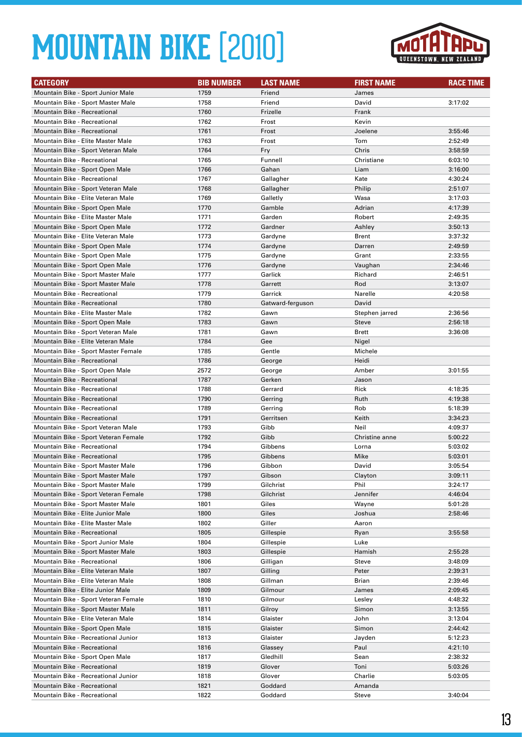

| <b>CATEGORY</b>                                                        | <b>BIB NUMBER</b> | <b>LAST NAME</b> | <b>FIRST NAME</b> | <b>RACE TIME</b>   |
|------------------------------------------------------------------------|-------------------|------------------|-------------------|--------------------|
| Mountain Bike - Sport Junior Male                                      | 1759              | Friend           | James             |                    |
| Mountain Bike - Sport Master Male                                      | 1758              | Friend           | David             | 3:17:02            |
| Mountain Bike - Recreational                                           | 1760              | Frizelle         | Frank             |                    |
| <b>Mountain Bike - Recreational</b>                                    | 1762              | Frost            | Kevin             |                    |
| <b>Mountain Bike - Recreational</b>                                    | 1761              | Frost            | Joelene           | 3:55:46            |
| Mountain Bike - Elite Master Male                                      | 1763              | Frost            | Tom               | 2:52:49            |
| Mountain Bike - Sport Veteran Male                                     | 1764              | Fry              | Chris             | 3:58:59            |
| Mountain Bike - Recreational                                           | 1765              | Funnell          | Christiane        | 6:03:10            |
| Mountain Bike - Sport Open Male                                        | 1766              | Gahan            | Liam              | 3:16:00            |
| <b>Mountain Bike - Recreational</b>                                    | 1767              | Gallagher        | Kate              | 4:30:24            |
| Mountain Bike - Sport Veteran Male                                     | 1768              | Gallagher        | Philip            | 2:51:07            |
| Mountain Bike - Elite Veteran Male                                     | 1769              | Galletly         | Wasa              | 3:17:03            |
| Mountain Bike - Sport Open Male                                        | 1770              | Gamble           | Adrian            | 4:17:39            |
| Mountain Bike - Elite Master Male                                      | 1771              | Garden           | Robert            | 2:49:35            |
| Mountain Bike - Sport Open Male                                        | 1772              | Gardner          | Ashley            | 3:50:13            |
| Mountain Bike - Elite Veteran Male                                     | 1773              | Gardyne          | Brent             | 3:37:32            |
| Mountain Bike - Sport Open Male                                        | 1774              | Gardyne          | Darren            | 2:49:59            |
| Mountain Bike - Sport Open Male                                        | 1775              | Gardyne          | Grant             | 2:33:55            |
| Mountain Bike - Sport Open Male                                        | 1776              | Gardyne          | Vaughan           | 2:34:46            |
| Mountain Bike - Sport Master Male                                      | 1777              | Garlick          | Richard           | 2:46:51            |
| Mountain Bike - Sport Master Male                                      | 1778              | Garrett          | Rod               | 3:13:07            |
| <b>Mountain Bike - Recreational</b>                                    | 1779              | Garrick          | Narelle           | 4:20:58            |
| <b>Mountain Bike - Recreational</b>                                    | 1780              | Gatward-ferguson | David             |                    |
| Mountain Bike - Elite Master Male                                      | 1782              | Gawn             | Stephen jarred    | 2:36:56            |
| Mountain Bike - Sport Open Male                                        | 1783              | Gawn             | Steve             | 2:56:18            |
| Mountain Bike - Sport Veteran Male                                     | 1781              | Gawn             | <b>Brett</b>      | 3:36:08            |
| Mountain Bike - Elite Veteran Male                                     | 1784              | Gee              | Nigel             |                    |
| Mountain Bike - Sport Master Female                                    | 1785              | Gentle           | Michele           |                    |
| <b>Mountain Bike - Recreational</b>                                    | 1786              | George           | Heidi             |                    |
| Mountain Bike - Sport Open Male                                        | 2572              | George           | Amber             | 3:01:55            |
| <b>Mountain Bike - Recreational</b>                                    | 1787              | Gerken           | Jason             |                    |
| <b>Mountain Bike - Recreational</b>                                    | 1788              | Gerrard          | Rick              | 4:18:35            |
| Mountain Bike - Recreational                                           | 1790              | Gerring          | Ruth              | 4:19:38            |
| <b>Mountain Bike - Recreational</b>                                    | 1789              | Gerring          | Rob               | 5:18:39            |
| <b>Mountain Bike - Recreational</b>                                    | 1791              | Gerritsen        | Keith             | 3:34:23            |
| Mountain Bike - Sport Veteran Male                                     | 1793              | Gibb             | Neil              | 4:09:37            |
| Mountain Bike - Sport Veteran Female                                   | 1792              | Gibb             | Christine anne    | 5:00:22            |
| Mountain Bike - Recreational                                           | 1794              | Gibbens          | Lorna             | 5:03:02            |
| <b>Mountain Bike - Recreational</b>                                    | 1795              | Gibbens          | Mike              | 5:03:01            |
| Mountain Bike - Sport Master Male                                      | 1796              | Gibbon           | David             | 3:05:54            |
| Mountain Bike - Sport Master Male                                      | 1797              | Gibson           | Clayton           | 3:09:11            |
| Mountain Bike - Sport Master Male                                      | 1799              | Gilchrist        | Phil              | 3:24:17            |
| Mountain Bike - Sport Veteran Female                                   | 1798              | Gilchrist        | Jennifer          | 4:46:04            |
| Mountain Bike - Sport Master Male<br>Mountain Bike - Elite Junior Male | 1801<br>1800      | Giles<br>Giles   | Wayne             | 5:01:28<br>2:58:46 |
| Mountain Bike - Elite Master Male                                      | 1802              | Giller           | Joshua<br>Aaron   |                    |
| Mountain Bike - Recreational                                           | 1805              | Gillespie        | Ryan              | 3:55:58            |
| Mountain Bike - Sport Junior Male                                      | 1804              | Gillespie        | Luke              |                    |
| Mountain Bike - Sport Master Male                                      | 1803              | Gillespie        | Hamish            | 2:55:28            |
| Mountain Bike - Recreational                                           | 1806              | Gilligan         | Steve             | 3:48:09            |
| Mountain Bike - Elite Veteran Male                                     | 1807              | Gilling          | Peter             | 2:39:31            |
| Mountain Bike - Elite Veteran Male                                     | 1808              | Gillman          | Brian             | 2:39:46            |
| Mountain Bike - Elite Junior Male                                      | 1809              | Gilmour          | James             | 2:09:45            |
| Mountain Bike - Sport Veteran Female                                   | 1810              | Gilmour          | Lesley            | 4:48:32            |
| Mountain Bike - Sport Master Male                                      | 1811              | Gilroy           | Simon             | 3:13:55            |
| Mountain Bike - Elite Veteran Male                                     | 1814              | Glaister         | John              | 3:13:04            |
| Mountain Bike - Sport Open Male                                        | 1815              | Glaister         | Simon             | 2:44:42            |
| Mountain Bike - Recreational Junior                                    | 1813              | Glaister         | Jayden            | 5:12:23            |
| Mountain Bike - Recreational                                           | 1816              | Glassey          | Paul              | 4:21:10            |
| Mountain Bike - Sport Open Male                                        | 1817              | Gledhill         | Sean              | 2:38:32            |
| Mountain Bike - Recreational                                           | 1819              | Glover           | Toni              | 5:03:26            |
| Mountain Bike - Recreational Junior                                    | 1818              | Glover           | Charlie           | 5:03:05            |
| Mountain Bike - Recreational                                           | 1821              | Goddard          | Amanda            |                    |
| Mountain Bike - Recreational                                           | 1822              | Goddard          | Steve             | 3:40:04            |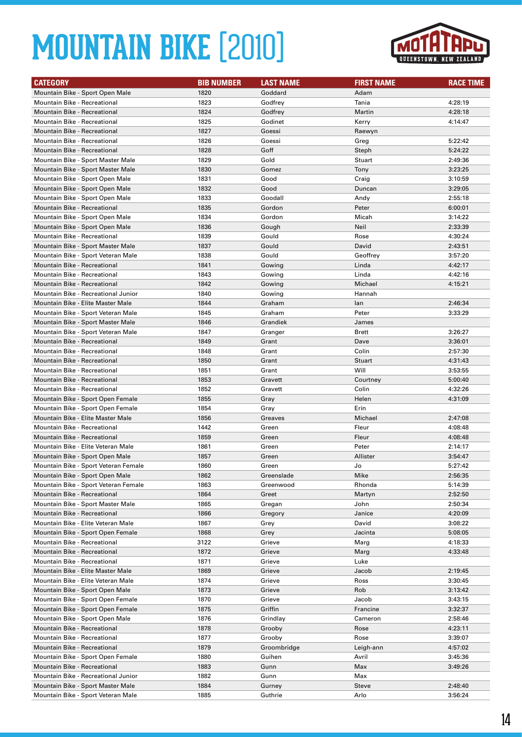

| <b>CATEGORY</b>                      | <b>BIB NUMBER</b> | <b>LAST NAME</b> | <b>FIRST NAME</b> | <b>RACE TIME</b> |
|--------------------------------------|-------------------|------------------|-------------------|------------------|
| Mountain Bike - Sport Open Male      | 1820              | Goddard          | Adam              |                  |
| <b>Mountain Bike - Recreational</b>  | 1823              | Godfrey          | Tania             | 4:28:19          |
| <b>Mountain Bike - Recreational</b>  | 1824              | Godfrey          | Martin            | 4:28:18          |
| <b>Mountain Bike - Recreational</b>  | 1825              | Godinet          | Kerry             | 4:14:47          |
| <b>Mountain Bike - Recreational</b>  | 1827              | Goessi           | Raewyn            |                  |
| <b>Mountain Bike - Recreational</b>  | 1826              | Goessi           | Greg              | 5:22:42          |
| <b>Mountain Bike - Recreational</b>  | 1828              | Goff             | Steph             | 5:24:22          |
| Mountain Bike - Sport Master Male    | 1829              | Gold             | Stuart            | 2:49:36          |
| Mountain Bike - Sport Master Male    | 1830              | Gomez            | Tony              | 3:23:25          |
| Mountain Bike - Sport Open Male      | 1831              | Good             | Craig             | 3:10:59          |
| Mountain Bike - Sport Open Male      | 1832              | Good             | Duncan            | 3:29:05          |
| Mountain Bike - Sport Open Male      | 1833              | Goodall          | Andy              | 2:55:18          |
| Mountain Bike - Recreational         | 1835              | Gordon           | Peter             | 6:00:01          |
| Mountain Bike - Sport Open Male      | 1834              | Gordon           | Micah             | 3:14:22          |
| Mountain Bike - Sport Open Male      | 1836              | Gough            | Neil              | 2:33:39          |
| <b>Mountain Bike - Recreational</b>  | 1839              | Gould            | Rose              | 4:30:24          |
| Mountain Bike - Sport Master Male    | 1837              | Gould            | David             | 2:43:51          |
| Mountain Bike - Sport Veteran Male   | 1838              | Gould            | Geoffrey          | 3:57:20          |
| <b>Mountain Bike - Recreational</b>  | 1841              | Gowing           | Linda             | 4:42:17          |
| <b>Mountain Bike - Recreational</b>  | 1843              | Gowing           | Linda             | 4:42:16          |
| Mountain Bike - Recreational         | 1842              | Gowing           | Michael           | 4:15:21          |
| Mountain Bike - Recreational Junior  | 1840              | Gowing           | Hannah            |                  |
| Mountain Bike - Elite Master Male    | 1844              | Graham           | lan               | 2:46:34          |
| Mountain Bike - Sport Veteran Male   | 1845              | Graham           | Peter             | 3:33:29          |
| Mountain Bike - Sport Master Male    | 1846              | Grandiek         | James             |                  |
| Mountain Bike - Sport Veteran Male   | 1847              | Granger          | <b>Brett</b>      | 3:26:27          |
| Mountain Bike - Recreational         | 1849              | Grant            | Dave              | 3:36:01          |
| <b>Mountain Bike - Recreational</b>  | 1848              | Grant            | Colin             | 2:57:30          |
| <b>Mountain Bike - Recreational</b>  | 1850              | Grant            | Stuart            | 4:31:43          |
| <b>Mountain Bike - Recreational</b>  | 1851              | Grant            | Will              | 3:53:55          |
| <b>Mountain Bike - Recreational</b>  | 1853              | Gravett          | Courtney          | 5:00:40          |
| <b>Mountain Bike - Recreational</b>  | 1852              | Gravett          | Colin             | 4:32:26          |
| Mountain Bike - Sport Open Female    | 1855              | Gray             | Helen             | 4:31:09          |
| Mountain Bike - Sport Open Female    | 1854              | Gray             | Erin              |                  |
| Mountain Bike - Elite Master Male    | 1856              | Greaves          | Michael           | 2:47:08          |
| Mountain Bike - Recreational         | 1442              | Green            | Fleur             | 4:08:48          |
| <b>Mountain Bike - Recreational</b>  | 1859              | Green            | Fleur             | 4:08:48          |
| Mountain Bike - Elite Veteran Male   | 1861              | Green            | Peter             | 2:14:17          |
| Mountain Bike - Sport Open Male      | 1857              | Green            | Allister          | 3:54:47          |
| Mountain Bike - Sport Veteran Female | 1860              | Green            | Jo                | 5:27:42          |
| Mountain Bike - Sport Open Male      | 1862              | Greenslade       | Mike              | 2:56:35          |
| Mountain Bike - Sport Veteran Female | 1863              | Greenwood        | Rhonda            | 5:14:39          |
| Mountain Bike - Recreational         | 1864              | Greet            | Martyn            | 2:52:50          |
| Mountain Bike - Sport Master Male    | 1865              | Gregan           | John              | 2:50:34          |
| Mountain Bike - Recreational         | 1866              | Gregory          | Janice            | 4:20:09          |
| Mountain Bike - Elite Veteran Male   | 1867              | Grey             | David             | 3:08:22          |
| Mountain Bike - Sport Open Female    | 1868              | Grey             | Jacinta           | 5:08:05          |
| <b>Mountain Bike - Recreational</b>  | 3122              | Grieve           | Marg              | 4:18:33          |
| Mountain Bike - Recreational         | 1872              | Grieve           | Marg              | 4:33:48          |
| Mountain Bike - Recreational         | 1871              | Grieve           | Luke              |                  |
| Mountain Bike - Elite Master Male    | 1869              | Grieve           | Jacob             | 2:19:45          |
| Mountain Bike - Elite Veteran Male   | 1874              | Grieve           | Ross              | 3:30:45          |
| Mountain Bike - Sport Open Male      | 1873              | Grieve           | Rob               | 3:13:42          |
| Mountain Bike - Sport Open Female    | 1870              | Grieve           | Jacob             | 3:43:15          |
| Mountain Bike - Sport Open Female    | 1875              | Griffin          | Francine          | 3:32:37          |
| Mountain Bike - Sport Open Male      | 1876              | Grindlay         | Cameron           | 2:58:46          |
| Mountain Bike - Recreational         | 1878              | Grooby           | Rose              | 4:23:11          |
| Mountain Bike - Recreational         | 1877              | Grooby           | Rose              | 3:39:07          |
| Mountain Bike - Recreational         | 1879              | Groombridge      | Leigh-ann         | 4:57:02          |
| Mountain Bike - Sport Open Female    | 1880              | Guihen           | Avril             | 3:45:36          |
| Mountain Bike - Recreational         | 1883              | Gunn             | Max               | 3:49:26          |
| Mountain Bike - Recreational Junior  | 1882              | Gunn             | Max               |                  |
| Mountain Bike - Sport Master Male    | 1884              | Gurney           | Steve             | 2:48:40          |
| Mountain Bike - Sport Veteran Male   | 1885              | Guthrie          | Arlo              | 3:56:24          |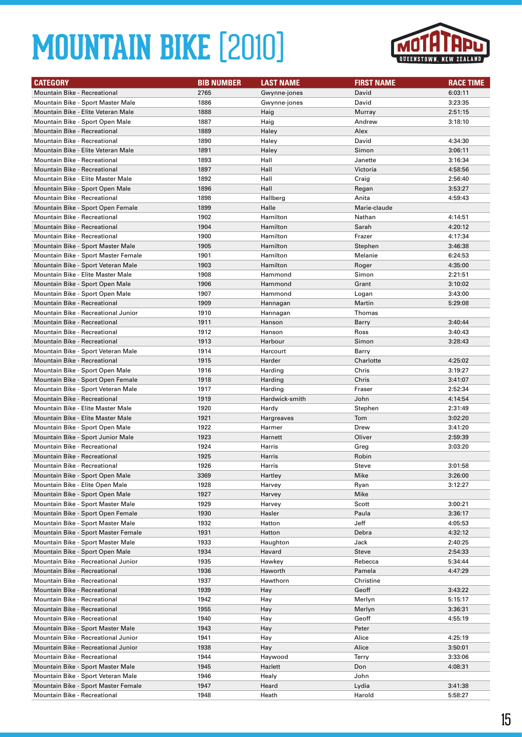

| <b>CATEGORY</b>                                                    | <b>BIB NUMBER</b> | <b>LAST NAME</b> | <b>FIRST NAME</b> | <b>RACE TIME</b>   |
|--------------------------------------------------------------------|-------------------|------------------|-------------------|--------------------|
| <b>Mountain Bike - Recreational</b>                                | 2765              | Gwynne-jones     | David             | 6:03:11            |
| Mountain Bike - Sport Master Male                                  | 1886              | Gwynne-jones     | David             | 3:23:35            |
| Mountain Bike - Elite Veteran Male                                 | 1888              | Haig             | Murray            | 2:51:15            |
| Mountain Bike - Sport Open Male                                    | 1887              | Haig             | Andrew            | 3:18:10            |
| <b>Mountain Bike - Recreational</b>                                | 1889              | Haley            | Alex              |                    |
| Mountain Bike - Recreational                                       | 1890              | Haley            | David             | 4:34:30            |
| Mountain Bike - Elite Veteran Male                                 | 1891              | Haley            | Simon             | 3:06:11            |
| <b>Mountain Bike - Recreational</b>                                | 1893              | Hall             | Janette           | 3:16:34            |
| <b>Mountain Bike - Recreational</b>                                | 1897              | Hall             | Victoria          | 4:58:56            |
| Mountain Bike - Elite Master Male                                  | 1892              | Hall             | Craig             | 2:56:40            |
| Mountain Bike - Sport Open Male                                    | 1896              | Hall             | Regan             | 3:53:27            |
| <b>Mountain Bike - Recreational</b>                                | 1898              | Hallberg         | Anita             | 4:59:43            |
| Mountain Bike - Sport Open Female                                  | 1899              | Halle            | Marie-claude      |                    |
| <b>Mountain Bike - Recreational</b>                                | 1902              | Hamilton         | Nathan            | 4:14:51            |
| <b>Mountain Bike - Recreational</b>                                | 1904              | Hamilton         | Sarah             | 4:20:12            |
| <b>Mountain Bike - Recreational</b>                                | 1900              | Hamilton         | Frazer            | 4:17:34            |
| Mountain Bike - Sport Master Male                                  | 1905              | Hamilton         | Stephen           | 3:46:38            |
| Mountain Bike - Sport Master Female                                | 1901              | Hamilton         | Melanie           | 6:24:53            |
| Mountain Bike - Sport Veteran Male                                 | 1903              | Hamilton         | Roger             | 4:35:00            |
| Mountain Bike - Elite Master Male                                  | 1908              | Hammond          | Simon             | 2:21:51            |
| Mountain Bike - Sport Open Male                                    | 1906              | Hammond          | Grant             | 3:10:02            |
| Mountain Bike - Sport Open Male                                    | 1907              | Hammond          | Logan             | 3:43:00            |
| Mountain Bike - Recreational                                       | 1909              | Hannagan         | Martin            | 5:29:08            |
| Mountain Bike - Recreational Junior                                | 1910              | Hannagan         | Thomas            |                    |
| <b>Mountain Bike - Recreational</b>                                | 1911              | Hanson           | Barry             | 3:40:44            |
| <b>Mountain Bike - Recreational</b>                                | 1912              | Hanson           | Ross              | 3:40:43            |
| <b>Mountain Bike - Recreational</b>                                | 1913              | Harbour          | Simon             | 3:28:43            |
| Mountain Bike - Sport Veteran Male                                 | 1914              | Harcourt         | Barry             |                    |
| Mountain Bike - Recreational                                       | 1915              | Harder           | Charlotte         | 4:25:02            |
| Mountain Bike - Sport Open Male                                    | 1916              | Harding          | Chris             | 3:19:27            |
| Mountain Bike - Sport Open Female                                  | 1918              | Harding          | Chris             | 3:41:07            |
| Mountain Bike - Sport Veteran Male                                 | 1917              | Harding          | Fraser            | 2:52:34            |
| Mountain Bike - Recreational                                       | 1919              | Hardwick-smith   | John              | 4:14:54            |
| Mountain Bike - Elite Master Male                                  | 1920              | Hardy            | Stephen           | 2:31:49            |
| Mountain Bike - Elite Master Male                                  | 1921              | Hargreaves       | Tom               | 3:02:20            |
| Mountain Bike - Sport Open Male                                    | 1922              | Harmer           | Drew              | 3:41:20            |
| Mountain Bike - Sport Junior Male                                  | 1923              | Harnett          | Oliver            | 2:59:39            |
| Mountain Bike - Recreational                                       | 1924              | Harris           | Greg              | 3:03:20            |
| Mountain Bike - Recreational                                       | 1925<br>1926      | Harris<br>Harris | Robin             | 3:01:58            |
| Mountain Bike - Recreational                                       |                   |                  | Steve             |                    |
| Mountain Bike - Sport Open Male<br>Mountain Bike - Elite Open Male | 3369<br>1928      | Hartley          | Mike              | 3:26:00<br>3:12:27 |
| Mountain Bike - Sport Open Male                                    | 1927              | Harvey<br>Harvey | Ryan<br>Mike      |                    |
| Mountain Bike - Sport Master Male                                  | 1929              | Harvey           | Scott             | 3:00:21            |
| Mountain Bike - Sport Open Female                                  | 1930              | Hasler           | Paula             | 3:36:17            |
| Mountain Bike - Sport Master Male                                  | 1932              | Hatton           | Jeff              | 4:05:53            |
| Mountain Bike - Sport Master Female                                | 1931              | Hatton           | Debra             | 4:32:12            |
| Mountain Bike - Sport Master Male                                  | 1933              | Haughton         | Jack              | 2:40:25            |
| Mountain Bike - Sport Open Male                                    | 1934              | Havard           | <b>Steve</b>      | 2:54:33            |
| Mountain Bike - Recreational Junior                                | 1935              | Hawkey           | Rebecca           | 5:34:44            |
| Mountain Bike - Recreational                                       | 1936              | Haworth          | Pamela            | 4:47:29            |
| Mountain Bike - Recreational                                       | 1937              | Hawthorn         | Christine         |                    |
| Mountain Bike - Recreational                                       | 1939              | Hay              | Geoff             | 3:43:22            |
| Mountain Bike - Recreational                                       | 1942              | Hay              | Merlyn            | 5:15:17            |
| Mountain Bike - Recreational                                       | 1955              | Hay              | Merlyn            | 3:36:31            |
| Mountain Bike - Recreational                                       | 1940              | Hay              | Geoff             | 4:55:19            |
| Mountain Bike - Sport Master Male                                  | 1943              | Hay              | Peter             |                    |
| Mountain Bike - Recreational Junior                                | 1941              | Hay              | Alice             | 4:25:19            |
| Mountain Bike - Recreational Junior                                | 1938              | Hay              | Alice             | 3:50:01            |
| Mountain Bike - Recreational                                       | 1944              | Haywood          | Terry             | 3:33:06            |
| Mountain Bike - Sport Master Male                                  | 1945              | Hazlett          | Don               | 4:08:31            |
| Mountain Bike - Sport Veteran Male                                 | 1946              | Healy            | John              |                    |
| Mountain Bike - Sport Master Female                                | 1947              | Heard            | Lydia             | 3:41:38            |
| Mountain Bike - Recreational                                       | 1948              | Heath            | Harold            | 5:58:27            |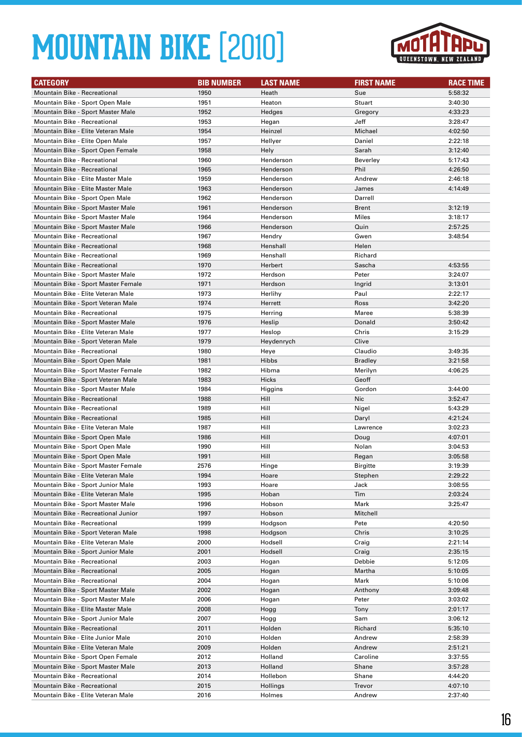

| <b>CATEGORY</b>                                                          | <b>BIB NUMBER</b> | <b>LAST NAME</b> | <b>FIRST NAME</b> | <b>RACE TIME</b>   |
|--------------------------------------------------------------------------|-------------------|------------------|-------------------|--------------------|
| <b>Mountain Bike - Recreational</b>                                      | 1950              | Heath            | Sue               | 5:58:32            |
| Mountain Bike - Sport Open Male                                          | 1951              | Heaton           | Stuart            | 3:40:30            |
| Mountain Bike - Sport Master Male                                        | 1952              | Hedges           | Gregory           | 4:33:23            |
| <b>Mountain Bike - Recreational</b>                                      | 1953              | Hegan            | Jeff              | 3:28:47            |
| Mountain Bike - Elite Veteran Male                                       | 1954              | Heinzel          | Michael           | 4:02:50            |
| Mountain Bike - Elite Open Male                                          | 1957              | Hellyer          | Daniel            | 2:22:18            |
| Mountain Bike - Sport Open Female                                        | 1958              | Hely             | Sarah             | 3:12:40            |
| Mountain Bike - Recreational                                             | 1960              | Henderson        | Beverley          | 5:17:43            |
| <b>Mountain Bike - Recreational</b>                                      | 1965              | Henderson        | Phil              | 4:26:50            |
| Mountain Bike - Elite Master Male                                        | 1959              | Henderson        | Andrew            | 2:46:18            |
| Mountain Bike - Elite Master Male                                        | 1963              | Henderson        | James             | 4:14:49            |
| Mountain Bike - Sport Open Male                                          | 1962              | Henderson        | Darrell           |                    |
| Mountain Bike - Sport Master Male                                        | 1961              | Henderson        | <b>Brent</b>      | 3:12:19            |
| Mountain Bike - Sport Master Male                                        | 1964              | Henderson        | Miles             | 3:18:17            |
| Mountain Bike - Sport Master Male                                        | 1966              | Henderson        | Quin              | 2:57:25            |
| <b>Mountain Bike - Recreational</b>                                      | 1967              | Hendry           | Gwen              | 3:48:54            |
| <b>Mountain Bike - Recreational</b>                                      | 1968              | Henshall         | Helen             |                    |
| <b>Mountain Bike - Recreational</b>                                      | 1969              | Henshall         | Richard           |                    |
| <b>Mountain Bike - Recreational</b>                                      | 1970              | Herbert          | Sascha            | 4:53:55            |
| Mountain Bike - Sport Master Male                                        | 1972              | Herdson          | Peter             | 3:24:07            |
| Mountain Bike - Sport Master Female                                      | 1971              | Herdson          | Ingrid            | 3:13:01            |
| Mountain Bike - Elite Veteran Male                                       | 1973              | Herlihy          | Paul              | 2:22:17            |
| Mountain Bike - Sport Veteran Male                                       | 1974              | Herrett          | Ross              | 3:42:20            |
| <b>Mountain Bike - Recreational</b>                                      | 1975              | Herring          | Maree             | 5:38:39            |
| Mountain Bike - Sport Master Male                                        | 1976              | Heslip           | Donald            | 3:50:42            |
| Mountain Bike - Elite Veteran Male                                       | 1977              | Heslop           | Chris             | 3:15:29            |
| Mountain Bike - Sport Veteran Male                                       | 1979              | Heydenrych       | Clive             |                    |
| <b>Mountain Bike - Recreational</b>                                      | 1980              | Heye             | Claudio           | 3:49:35            |
| Mountain Bike - Sport Open Male                                          | 1981              | Hibbs            | <b>Bradley</b>    | 3:21:58            |
| Mountain Bike - Sport Master Female                                      | 1982              | Hibma            | Merilyn           | 4:06:25            |
| Mountain Bike - Sport Veteran Male                                       | 1983<br>1984      | Hicks            | Geoff<br>Gordon   |                    |
| Mountain Bike - Sport Master Male<br><b>Mountain Bike - Recreational</b> | 1988              | Higgins<br>Hill  | Nic               | 3:44:00<br>3:52:47 |
| Mountain Bike - Recreational                                             | 1989              | Hill             | Nigel             | 5:43:29            |
| <b>Mountain Bike - Recreational</b>                                      | 1985              | Hill             | Daryl             | 4:21:24            |
| Mountain Bike - Elite Veteran Male                                       | 1987              | Hill             | Lawrence          | 3:02:23            |
| Mountain Bike - Sport Open Male                                          | 1986              | Hill             | Doug              | 4:07:01            |
| Mountain Bike - Sport Open Male                                          | 1990              | Hill             | Nolan             | 3:04:53            |
| Mountain Bike - Sport Open Male                                          | 1991              | Hill             | Regan             | 3:05:58            |
| Mountain Bike - Sport Master Female                                      | 2576              | Hinge            | Birgitte          | 3:19:39            |
| Mountain Bike - Elite Veteran Male                                       | 1994              | Hoare            | Stephen           | 2:29:22            |
| Mountain Bike - Sport Junior Male                                        | 1993              | Hoare            | Jack              | 3:08:55            |
| Mountain Bike - Elite Veteran Male                                       | 1995              | Hoban            | Tim               | 2:03:24            |
| Mountain Bike - Sport Master Male                                        | 1996              | Hobson           | Mark              | 3:25:47            |
| Mountain Bike - Recreational Junior                                      | 1997              | Hobson           | Mitchell          |                    |
| Mountain Bike - Recreational                                             | 1999              | Hodgson          | Pete              | 4:20:50            |
| Mountain Bike - Sport Veteran Male                                       | 1998              | Hodgson          | Chris             | 3:10:25            |
| Mountain Bike - Elite Veteran Male                                       | 2000              | Hodsell          | Craig             | 2:21:14            |
| Mountain Bike - Sport Junior Male                                        | 2001              | Hodsell          | Craig             | 2:35:15            |
| Mountain Bike - Recreational                                             | 2003              | Hogan            | Debbie            | 5:12:05            |
| <b>Mountain Bike - Recreational</b>                                      | 2005              | Hogan            | Martha            | 5:10:05            |
| Mountain Bike - Recreational                                             | 2004              | Hogan            | Mark              | 5:10:06            |
| Mountain Bike - Sport Master Male                                        | 2002              | Hogan            | Anthony           | 3:09:48            |
| Mountain Bike - Sport Master Male                                        | 2006              | Hogan            | Peter             | 3:03:02            |
| Mountain Bike - Elite Master Male                                        | 2008              | Hogg             | Tony              | 2:01:17            |
| Mountain Bike - Sport Junior Male                                        | 2007              | Hogg             | Sam               | 3:06:12            |
| Mountain Bike - Recreational                                             | 2011              | Holden           | Richard           | 5:35:10            |
| Mountain Bike - Elite Junior Male                                        | 2010              | Holden           | Andrew            | 2:58:39            |
| Mountain Bike - Elite Veteran Male                                       | 2009              | Holden           | Andrew            | 2:51:21            |
| Mountain Bike - Sport Open Female                                        | 2012              | Holland          | Caroline          | 3:37:55            |
| Mountain Bike - Sport Master Male                                        | 2013              | Holland          | Shane             | 3:57:28            |
| Mountain Bike - Recreational                                             | 2014              | Hollebon         | Shane             | 4:44:20            |
| Mountain Bike - Recreational                                             | 2015              | Hollings         | Trevor            | 4:07:10            |
| Mountain Bike - Elite Veteran Male                                       | 2016              | Holmes           | Andrew            | 2:37:40            |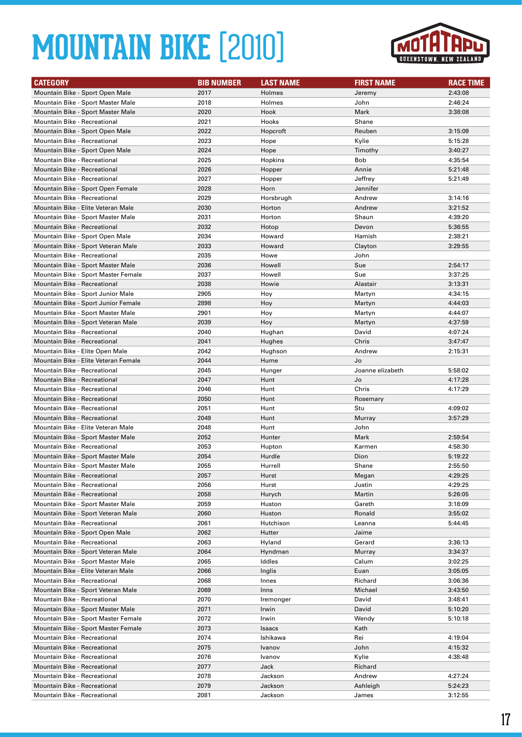

| <b>CATEGORY</b>                                                          | <b>BIB NUMBER</b> | <b>LAST NAME</b>   | <b>FIRST NAME</b> | <b>RACE TIME</b>   |
|--------------------------------------------------------------------------|-------------------|--------------------|-------------------|--------------------|
| Mountain Bike - Sport Open Male                                          | 2017              | Holmes             | Jeremy            | 2:43:08            |
| Mountain Bike - Sport Master Male                                        | 2018              | Holmes             | John              | 2:46:24            |
| Mountain Bike - Sport Master Male                                        | 2020              | Hook               | Mark              | 3:38:08            |
| <b>Mountain Bike - Recreational</b>                                      | 2021              | Hooks              | Shane             |                    |
| Mountain Bike - Sport Open Male                                          | 2022              | Hopcroft           | Reuben            | 3:15:09            |
| <b>Mountain Bike - Recreational</b>                                      | 2023              | Hope               | Kylie             | 5:15:28            |
| Mountain Bike - Sport Open Male                                          | 2024              | Hope               | Timothy           | 3:40:27            |
| Mountain Bike - Recreational                                             | 2025              | Hopkins            | Bob               | 4:35:54            |
| <b>Mountain Bike - Recreational</b>                                      | 2026              | Hopper             | Annie             | 5:21:48            |
| <b>Mountain Bike - Recreational</b>                                      | 2027              | Hopper             | Jeffrey           | 5:21:49            |
| Mountain Bike - Sport Open Female                                        | 2028              | Horn               | Jennifer          |                    |
| <b>Mountain Bike - Recreational</b>                                      | 2029              | Horsbrugh          | Andrew            | 3:14:16            |
| Mountain Bike - Elite Veteran Male                                       | 2030              | Horton             | Andrew            | 3:21:52            |
| Mountain Bike - Sport Master Male                                        | 2031              | Horton             | Shaun             | 4:39:20            |
| Mountain Bike - Recreational                                             | 2032              | Hotop              | Devon             | 5:36:55            |
| Mountain Bike - Sport Open Male                                          | 2034              | Howard             | Hamish            | 2:38:21            |
| Mountain Bike - Sport Veteran Male                                       | 2033              | Howard             | Clayton           | 3:29:55            |
| <b>Mountain Bike - Recreational</b>                                      | 2035              | Howe               | John              |                    |
| Mountain Bike - Sport Master Male                                        | 2036              | Howell             | Sue               | 2:54:17            |
| Mountain Bike - Sport Master Female                                      | 2037              | Howell             | Sue               | 3:37:25            |
| <b>Mountain Bike - Recreational</b>                                      | 2038              | Howie              | Alastair          | 3:13:31            |
| Mountain Bike - Sport Junior Male                                        | 2905<br>2898      | Hoy                | Martyn            | 4:34:15            |
| Mountain Bike - Sport Junior Female                                      | 2901              | Hoy                | Martyn            | 4:44:03<br>4:44:07 |
| Mountain Bike - Sport Master Male<br>Mountain Bike - Sport Veteran Male  | 2039              | Hoy<br>Hoy         | Martyn<br>Martyn  | 4:37:59            |
| <b>Mountain Bike - Recreational</b>                                      | 2040              | Hughan             | David             | 4:07:24            |
| <b>Mountain Bike - Recreational</b>                                      | 2041              | Hughes             | Chris             | 3:47:47            |
| Mountain Bike - Elite Open Male                                          | 2042              | Hughson            | Andrew            | 2:15:31            |
| Mountain Bike - Elite Veteran Female                                     | 2044              | Hume               | Jo                |                    |
| <b>Mountain Bike - Recreational</b>                                      | 2045              | Hunger             | Joanne elizabeth  | 5:58:02            |
| <b>Mountain Bike - Recreational</b>                                      | 2047              | Hunt               | Jo                | 4:17:28            |
| <b>Mountain Bike - Recreational</b>                                      | 2046              | Hunt               | Chris             | 4:17:29            |
| Mountain Bike - Recreational                                             | 2050              | Hunt               | Rosemary          |                    |
| <b>Mountain Bike - Recreational</b>                                      | 2051              | Hunt               | Stu               | 4:09:02            |
| <b>Mountain Bike - Recreational</b>                                      | 2049              | Hunt               | Murray            | 3:57:29            |
| Mountain Bike - Elite Veteran Male                                       | 2048              | Hunt               | John              |                    |
| Mountain Bike - Sport Master Male                                        | 2052              | Hunter             | Mark              | 2:59:54            |
| Mountain Bike - Recreational                                             | 2053              | Hupton             | Karmen            | 4:58:30            |
| Mountain Bike - Sport Master Male                                        | 2054              | Hurdle             | Dion              | 5:19:22            |
| Mountain Bike - Sport Master Male                                        | 2055              | Hurrell            | Shane             | 2:55:50            |
| Mountain Bike - Recreational                                             | 2057              | Hurst              | Megan             | 4:29:25            |
| Mountain Bike - Recreational                                             | 2056              | Hurst              | Justin            | 4:29:25            |
| Mountain Bike - Recreational                                             | 2058              | Hurych             | Martin            | 5:26:05            |
| Mountain Bike - Sport Master Male                                        | 2059              | Huston             | Gareth            | 3:18:09            |
| Mountain Bike - Sport Veteran Male                                       | 2060              | Huston             | Ronald            | 3:55:02            |
| Mountain Bike - Recreational                                             | 2061              | Hutchison          | Leanna            | 5:44:45            |
| Mountain Bike - Sport Open Male                                          | 2062              | Hutter             | Jaime             |                    |
| Mountain Bike - Recreational                                             | 2063              | Hyland             | Gerard            | 3:36:13            |
| Mountain Bike - Sport Veteran Male                                       | 2064              | Hyndman            | Murray            | 3:34:37            |
| Mountain Bike - Sport Master Male                                        | 2065              | Iddles             | Calum             | 3:02:25            |
| Mountain Bike - Elite Veteran Male                                       | 2066              | Inglis             | Euan              | 3:05:05            |
| Mountain Bike - Recreational                                             | 2068              | Innes              | Richard           | 3:06:36            |
| Mountain Bike - Sport Veteran Male                                       | 2069              | Inns               | Michael           | 3:43:50            |
| Mountain Bike - Recreational                                             | 2070              | Iremonger          | David             | 3:48:41            |
| Mountain Bike - Sport Master Male<br>Mountain Bike - Sport Master Female | 2071<br>2072      | Irwin              | David<br>Wendy    | 5:10:20            |
|                                                                          |                   | Irwin              |                   | 5:10:18            |
| Mountain Bike - Sport Master Female<br>Mountain Bike - Recreational      | 2073<br>2074      | Isaacs<br>Ishikawa | Kath<br>Rei       | 4:19:04            |
| Mountain Bike - Recreational                                             | 2075              | Ivanov             | John              | 4:15:32            |
| Mountain Bike - Recreational                                             | 2076              | Ivanov             | Kylie             | 4:38:48            |
| Mountain Bike - Recreational                                             | 2077              | Jack               | Richard           |                    |
| Mountain Bike - Recreational                                             | 2078              | Jackson            | Andrew            | 4:27:24            |
| Mountain Bike - Recreational                                             | 2079              | Jackson            | Ashleigh          | 5:24:23            |
| Mountain Bike - Recreational                                             | 2081              | Jackson            | James             | 3:12:55            |
|                                                                          |                   |                    |                   |                    |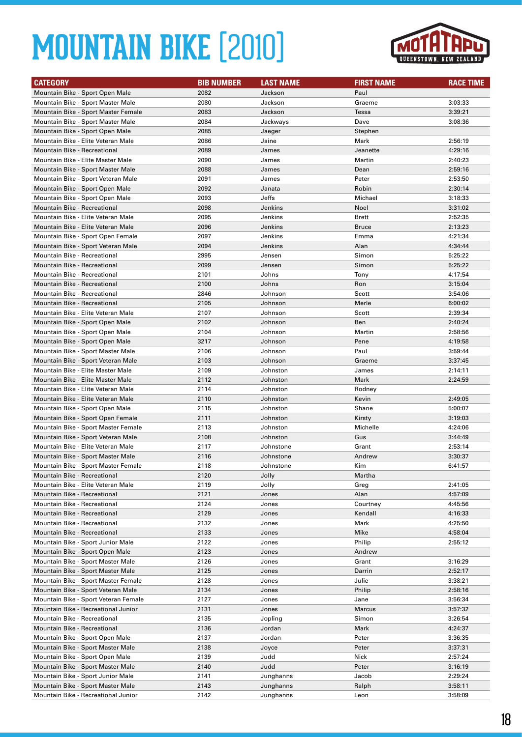

| <b>CATEGORY</b>                                              | <b>BIB NUMBER</b> | <b>LAST NAME</b> | <b>FIRST NAME</b>   | <b>RACE TIME</b>   |
|--------------------------------------------------------------|-------------------|------------------|---------------------|--------------------|
| Mountain Bike - Sport Open Male                              | 2082              | Jackson          | Paul                |                    |
| Mountain Bike - Sport Master Male                            | 2080              | Jackson          | Graeme              | 3:03:33            |
| Mountain Bike - Sport Master Female                          | 2083              | Jackson          | Tessa               | 3:39:21            |
| Mountain Bike - Sport Master Male                            | 2084              | Jackways         | Dave                | 3:08:36            |
| Mountain Bike - Sport Open Male                              | 2085              | Jaeger           | Stephen             |                    |
| Mountain Bike - Elite Veteran Male                           | 2086              | Jaine            | Mark                | 2:56:19            |
| <b>Mountain Bike - Recreational</b>                          | 2089              | James            | Jeanette            | 4:29:16            |
| Mountain Bike - Elite Master Male                            | 2090              | James            | Martin              | 2:40:23            |
| Mountain Bike - Sport Master Male                            | 2088              | James            | Dean                | 2:59:16            |
| Mountain Bike - Sport Veteran Male                           | 2091              | James            | Peter               | 2:53:50            |
| Mountain Bike - Sport Open Male                              | 2092              | Janata           | Robin               | 2:30:14            |
| Mountain Bike - Sport Open Male                              | 2093              | Jeffs            | Michael             | 3:18:33            |
| Mountain Bike - Recreational                                 | 2098              | Jenkins          | Noel                | 3:31:02            |
| Mountain Bike - Elite Veteran Male                           | 2095              | Jenkins          | Brett               | 2:52:35            |
| Mountain Bike - Elite Veteran Male                           | 2096              | Jenkins          | <b>Bruce</b>        | 2:13:23            |
| Mountain Bike - Sport Open Female                            | 2097              | Jenkins          | Emma                | 4:21:34            |
| Mountain Bike - Sport Veteran Male                           | 2094              | Jenkins          | Alan                | 4:34:44            |
| <b>Mountain Bike - Recreational</b>                          | 2995              | Jensen           | Simon               | 5:25:22            |
| <b>Mountain Bike - Recreational</b>                          | 2099              | Jensen           | Simon               | 5:25:22            |
| Mountain Bike - Recreational                                 | 2101              | Johns            | Tony                | 4:17:54            |
| <b>Mountain Bike - Recreational</b>                          | 2100              | Johns            | Ron                 | 3:15:04            |
| <b>Mountain Bike - Recreational</b>                          | 2846              | Johnson          | Scott               | 3:54:06            |
| Mountain Bike - Recreational                                 | 2105              | Johnson          | Merle               | 6:00:02            |
| Mountain Bike - Elite Veteran Male                           | 2107              | Johnson          | Scott               | 2:39:34            |
| Mountain Bike - Sport Open Male                              | 2102              | Johnson          | Ben                 | 2:40:24            |
| Mountain Bike - Sport Open Male                              | 2104              | Johnson          | Martin              | 2:58:56            |
| Mountain Bike - Sport Open Male                              | 3217              | Johnson          | Pene                | 4:19:58            |
| Mountain Bike - Sport Master Male                            | 2106              | Johnson          | Paul                | 3:59:44            |
| Mountain Bike - Sport Veteran Male                           | 2103              | Johnson          | Graeme              | 3:37:45            |
| Mountain Bike - Elite Master Male                            | 2109              | Johnston         | James               | 2:14:11            |
| Mountain Bike - Elite Master Male                            | 2112              | Johnston         | Mark                | 2:24:59            |
| Mountain Bike - Elite Veteran Male                           | 2114              | Johnston         | Rodney              |                    |
| Mountain Bike - Elite Veteran Male                           | 2110              | Johnston         | Kevin               | 2:49:05            |
| Mountain Bike - Sport Open Male                              | 2115              | Johnston         | Shane               | 5:00:07            |
| Mountain Bike - Sport Open Female                            | 2111              | Johnston         | Kirsty              | 3:19:03            |
| Mountain Bike - Sport Master Female                          | 2113              | Johnston         | Michelle            | 4:24:06            |
| Mountain Bike - Sport Veteran Male                           | 2108              | Johnston         | Gus                 | 3:44:49            |
| Mountain Bike - Elite Veteran Male                           | 2117              | Johnstone        | Grant               | 2:53:14            |
| Mountain Bike - Sport Master Male                            | 2116              | Johnstone        | Andrew              | 3:30:37            |
| Mountain Bike - Sport Master Female                          | 2118              | Johnstone        | Kim                 | 6:41:57            |
| Mountain Bike - Recreational                                 | 2120              | Jolly            | Martha              |                    |
| Mountain Bike - Elite Veteran Male                           | 2119              | Jolly            | Greg                | 2:41:05            |
| Mountain Bike - Recreational                                 | 2121              | Jones            | Alan                | 4:57:09            |
| Mountain Bike - Recreational<br>Mountain Bike - Recreational | 2124<br>2129      | Jones            | Courtney<br>Kendall | 4:45:56<br>4:16:33 |
| Mountain Bike - Recreational                                 | 2132              | Jones<br>Jones   | Mark                | 4:25:50            |
| <b>Mountain Bike - Recreational</b>                          |                   |                  | Mike                | 4:58:04            |
| Mountain Bike - Sport Junior Male                            | 2133<br>2122      | Jones<br>Jones   | Philip              | 2:55:12            |
| Mountain Bike - Sport Open Male                              | 2123              |                  | Andrew              |                    |
| Mountain Bike - Sport Master Male                            | 2126              | Jones<br>Jones   | Grant               | 3:16:29            |
| Mountain Bike - Sport Master Male                            | 2125              | Jones            | Darrin              | 2:52:17            |
| Mountain Bike - Sport Master Female                          | 2128              | Jones            | Julie               | 3:38:21            |
| Mountain Bike - Sport Veteran Male                           | 2134              | Jones            | Philip              | 2:58:16            |
| Mountain Bike - Sport Veteran Female                         | 2127              | Jones            | Jane                | 3:56:34            |
| Mountain Bike - Recreational Junior                          | 2131              | Jones            | Marcus              | 3:57:32            |
| Mountain Bike - Recreational                                 | 2135              | Jopling          | Simon               | 3:26:54            |
| Mountain Bike - Recreational                                 | 2136              | Jordan           | Mark                | 4:24:37            |
| Mountain Bike - Sport Open Male                              | 2137              | Jordan           | Peter               | 3:36:35            |
| Mountain Bike - Sport Master Male                            | 2138              | Joyce            | Peter               | 3:37:31            |
| Mountain Bike - Sport Open Male                              | 2139              | Judd             | Nick                | 2:57:24            |
| Mountain Bike - Sport Master Male                            | 2140              | Judd             | Peter               | 3:16:19            |
| Mountain Bike - Sport Junior Male                            | 2141              | Junghanns        | Jacob               | 2:29:24            |
| Mountain Bike - Sport Master Male                            | 2143              | Junghanns        | Ralph               | 3:58:11            |
| Mountain Bike - Recreational Junior                          | 2142              | Junghanns        | Leon                | 3:58:09            |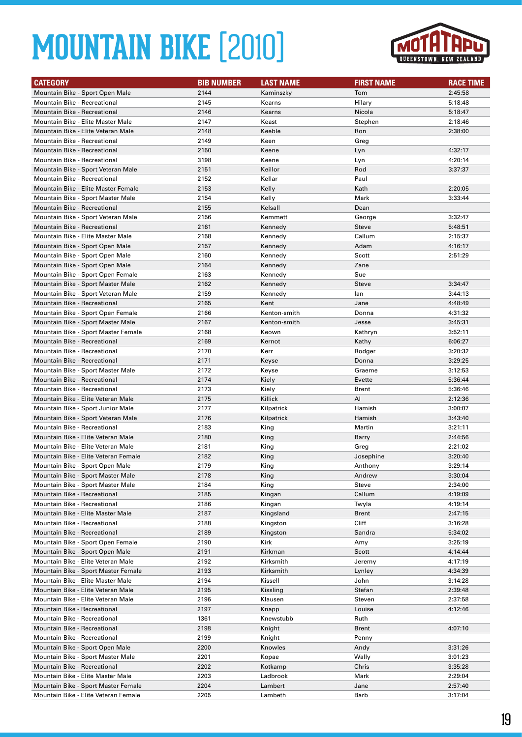

| <b>CATEGORY</b>                                                      | <b>BIB NUMBER</b> | <b>LAST NAME</b>     | <b>FIRST NAME</b> | <b>RACE TIME</b>   |
|----------------------------------------------------------------------|-------------------|----------------------|-------------------|--------------------|
| Mountain Bike - Sport Open Male                                      | 2144              | Kaminszky            | Tom               | 2:45:58            |
| Mountain Bike - Recreational                                         | 2145              | Kearns               | Hilary            | 5:18:48            |
| <b>Mountain Bike - Recreational</b>                                  | 2146              | Kearns               | Nicola            | 5:18:47            |
| Mountain Bike - Elite Master Male                                    | 2147              | Keast                | Stephen           | 2:18:46            |
| Mountain Bike - Elite Veteran Male                                   | 2148              | Keeble               | Ron               | 2:38:00            |
| Mountain Bike - Recreational                                         | 2149              | Keen                 | Greg              |                    |
| Mountain Bike - Recreational                                         | 2150              | Keene                | Lyn               | 4:32:17            |
| <b>Mountain Bike - Recreational</b>                                  | 3198              | Keene                | Lyn               | 4:20:14            |
| Mountain Bike - Sport Veteran Male                                   | 2151              | Keillor              | Rod               | 3:37:37            |
| <b>Mountain Bike - Recreational</b>                                  | 2152              | Kellar               | Paul              |                    |
| Mountain Bike - Elite Master Female                                  | 2153              | Kelly                | Kath              | 2:20:05            |
| Mountain Bike - Sport Master Male                                    | 2154              | Kelly                | Mark              | 3:33:44            |
| Mountain Bike - Recreational                                         | 2155              | Kelsall              | Dean              |                    |
| Mountain Bike - Sport Veteran Male                                   | 2156              | Kemmett              | George            | 3:32:47            |
| <b>Mountain Bike - Recreational</b>                                  | 2161              | Kennedy              | <b>Steve</b>      | 5:48:51            |
| Mountain Bike - Elite Master Male                                    | 2158              | Kennedy              | Callum            | 2:15:37            |
| Mountain Bike - Sport Open Male                                      | 2157              | Kennedy              | Adam              | 4:16:17            |
| Mountain Bike - Sport Open Male                                      | 2160              | Kennedy              | Scott             | 2:51:29            |
| Mountain Bike - Sport Open Male                                      | 2164              | Kennedy              | Zane              |                    |
| Mountain Bike - Sport Open Female                                    | 2163              | Kennedy              | Sue               |                    |
| Mountain Bike - Sport Master Male                                    | 2162              | Kennedy              | <b>Steve</b>      | 3:34:47            |
| Mountain Bike - Sport Veteran Male                                   | 2159              | Kennedy              | lan               | 3:44:13            |
| Mountain Bike - Recreational                                         | 2165              | Kent                 | Jane              | 4:48:49            |
| Mountain Bike - Sport Open Female                                    | 2166              | Kenton-smith         | Donna             | 4:31:32            |
| Mountain Bike - Sport Master Male                                    | 2167              | Kenton-smith         | Jesse             | 3:45:31            |
| Mountain Bike - Sport Master Female                                  | 2168              | Keown                | Kathryn           | 3:52:11            |
| Mountain Bike - Recreational                                         | 2169              | Kernot               | Kathy             | 6:06:27            |
| Mountain Bike - Recreational                                         | 2170              | Kerr                 | Rodger            | 3:20:32            |
| <b>Mountain Bike - Recreational</b>                                  | 2171              | Keyse                | Donna             | 3:29:25            |
| Mountain Bike - Sport Master Male                                    | 2172              | Keyse                | Graeme            | 3:12:53            |
| Mountain Bike - Recreational                                         | 2174              | Kiely                | Evette            | 5:36:44            |
| <b>Mountain Bike - Recreational</b>                                  | 2173              | Kiely                | Brent             | 5:36:46            |
| Mountain Bike - Elite Veteran Male                                   | 2175              | Killick              | AI                | 2:12:36            |
| Mountain Bike - Sport Junior Male                                    | 2177              | Kilpatrick           | Hamish            | 3:00:07            |
| Mountain Bike - Sport Veteran Male                                   | 2176              | Kilpatrick           | Hamish            | 3:43:40            |
| Mountain Bike - Recreational                                         | 2183              | King                 | Martin            | 3:21:11            |
| Mountain Bike - Elite Veteran Male                                   | 2180              | King                 | Barry             | 2:44:56            |
| Mountain Bike - Elite Veteran Male                                   | 2181              | King                 | Greg              | 2:21:02            |
| Mountain Bike - Elite Veteran Female                                 | 2182              | King                 | Josephine         | 3:20:40            |
| Mountain Bike - Sport Open Male                                      | 2179              | King                 | Anthony           | 3:29:14            |
| Mountain Bike - Sport Master Male                                    | 2178              | King                 | Andrew            | 3:30:04            |
| Mountain Bike - Sport Master Male                                    | 2184              | King                 | Steve             | 2:34:00            |
| Mountain Bike - Recreational                                         | 2185              | Kingan               | Callum            | 4:19:09            |
| Mountain Bike - Recreational                                         | 2186              | Kingan               | Twyla             | 4:19:14            |
| Mountain Bike - Elite Master Male                                    | 2187              | Kingsland            | <b>Brent</b>      | 2:47:15            |
| Mountain Bike - Recreational                                         | 2188              | Kingston             | Cliff             | 3:16:28            |
| Mountain Bike - Recreational                                         | 2189              | Kingston             | Sandra            | 5:34:02            |
| Mountain Bike - Sport Open Female<br>Mountain Bike - Sport Open Male | 2190              | Kirk                 | Amy               | 3:25:19            |
| Mountain Bike - Elite Veteran Male                                   | 2191              | Kirkman<br>Kirksmith | Scott<br>Jeremy   | 4:14:44            |
| Mountain Bike - Sport Master Female                                  | 2192              |                      |                   | 4:17:19<br>4:34:39 |
| Mountain Bike - Elite Master Male                                    | 2193<br>2194      | Kirksmith<br>Kissell | Lynley<br>John    | 3:14:28            |
| Mountain Bike - Elite Veteran Male                                   | 2195              | Kissling             | Stefan            | 2:39:48            |
| Mountain Bike - Elite Veteran Male                                   | 2196              | Klausen              | Steven            | 2:37:58            |
| Mountain Bike - Recreational                                         | 2197              | Knapp                | Louise            | 4:12:46            |
| Mountain Bike - Recreational                                         | 1361              | Knewstubb            | Ruth              |                    |
| Mountain Bike - Recreational                                         | 2198              | Knight               | Brent             | 4:07:10            |
| Mountain Bike - Recreational                                         | 2199              | Knight               | Penny             |                    |
| Mountain Bike - Sport Open Male                                      | 2200              | Knowles              | Andy              | 3:31:26            |
| Mountain Bike - Sport Master Male                                    | 2201              | Kopae                | Wally             | 3:01:23            |
| Mountain Bike - Recreational                                         | 2202              | Kotkamp              | Chris             | 3:35:28            |
| Mountain Bike - Elite Master Male                                    | 2203              | Ladbrook             | Mark              | 2:29:04            |
| Mountain Bike - Sport Master Female                                  | 2204              | Lambert              | Jane              | 2:57:40            |
| Mountain Bike - Elite Veteran Female                                 | 2205              | Lambeth              | Barb              | 3:17:04            |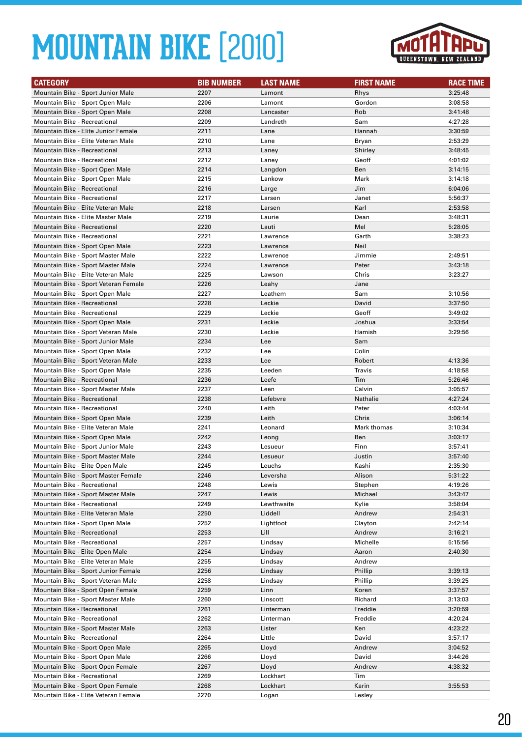

| <b>CATEGORY</b>                      | <b>BIB NUMBER</b> | <b>LAST NAME</b> | <b>FIRST NAME</b> | <b>RACE TIME</b> |
|--------------------------------------|-------------------|------------------|-------------------|------------------|
| Mountain Bike - Sport Junior Male    | 2207              | Lamont           | Rhys              | 3:25:48          |
| Mountain Bike - Sport Open Male      | 2206              | Lamont           | Gordon            | 3:08:58          |
| Mountain Bike - Sport Open Male      | 2208              | Lancaster        | Rob               | 3:41:48          |
| Mountain Bike - Recreational         | 2209              | Landreth         | Sam               | 4:27:28          |
| Mountain Bike - Elite Junior Female  | 2211              | Lane             | Hannah            | 3:30:59          |
| Mountain Bike - Elite Veteran Male   | 2210              | Lane             | Bryan             | 2:53:29          |
| <b>Mountain Bike - Recreational</b>  | 2213              | Laney            | Shirley           | 3:48:45          |
| Mountain Bike - Recreational         | 2212              | Laney            | Geoff             | 4:01:02          |
| Mountain Bike - Sport Open Male      | 2214              | Langdon          | Ben               | 3:14:15          |
| Mountain Bike - Sport Open Male      | 2215              | Lankow           | Mark              | 3:14:18          |
| <b>Mountain Bike - Recreational</b>  | 2216              | Large            | Jim               | 6:04:06          |
| <b>Mountain Bike - Recreational</b>  | 2217              | Larsen           | Janet             | 5:56:37          |
| Mountain Bike - Elite Veteran Male   | 2218              | Larsen           | Karl              | 2:53:58          |
| Mountain Bike - Elite Master Male    | 2219              | Laurie           | Dean              | 3:48:31          |
| <b>Mountain Bike - Recreational</b>  | 2220              | Lauti            | Mel               | 5:28:05          |
| <b>Mountain Bike - Recreational</b>  | 2221              | Lawrence         | Garth             | 3:38:23          |
| Mountain Bike - Sport Open Male      | 2223              | Lawrence         | Neil              |                  |
| Mountain Bike - Sport Master Male    | 2222              | Lawrence         | Jimmie            | 2:49:51          |
| Mountain Bike - Sport Master Male    | 2224              | Lawrence         | Peter             | 3:43:18          |
| Mountain Bike - Elite Veteran Male   | 2225              | Lawson           | Chris             | 3:23:27          |
| Mountain Bike - Sport Veteran Female | 2226              | Leahy            | Jane              |                  |
| Mountain Bike - Sport Open Male      | 2227              | Leathem          | Sam               | 3:10:56          |
| Mountain Bike - Recreational         | 2228              | Leckie           | David             | 3:37:50          |
| <b>Mountain Bike - Recreational</b>  | 2229              | Leckie           | Geoff             | 3:49:02          |
| Mountain Bike - Sport Open Male      | 2231              | Leckie           | Joshua            | 3:33:54          |
| Mountain Bike - Sport Veteran Male   | 2230              | Leckie           | Hamish            | 3:29:56          |
| Mountain Bike - Sport Junior Male    | 2234              | Lee              | Sam               |                  |
| Mountain Bike - Sport Open Male      | 2232              | Lee              | Colin             |                  |
| Mountain Bike - Sport Veteran Male   | 2233              | Lee              | Robert            | 4:13:36          |
| Mountain Bike - Sport Open Male      | 2235              | Leeden           | Travis            | 4:18:58          |
| Mountain Bike - Recreational         | 2236              | Leefe            | Tim               | 5:26:46          |
| Mountain Bike - Sport Master Male    | 2237              | Leen             | Calvin            | 3:05:57          |
| Mountain Bike - Recreational         | 2238              | Lefebvre         | Nathalie          | 4:27:24          |
| <b>Mountain Bike - Recreational</b>  | 2240              | Leith            | Peter             | 4:03:44          |
| Mountain Bike - Sport Open Male      | 2239              | Leith            | Chris             | 3:06:14          |
| Mountain Bike - Elite Veteran Male   | 2241              | Leonard          | Mark thomas       | 3:10:34          |
| Mountain Bike - Sport Open Male      | 2242              | Leong            | Ben               | 3:03:17          |
| Mountain Bike - Sport Junior Male    | 2243              | Lesueur          | Finn              | 3:57:41          |
| Mountain Bike - Sport Master Male    | 2244              | Lesueur          | Justin            | 3:57:40          |
| Mountain Bike - Elite Open Male      | 2245              | Leuchs           | Kashi             | 2:35:30          |
| Mountain Bike - Sport Master Female  | 2246              | Leversha         | Alison            | 5:31:22          |
| <b>Mountain Bike - Recreational</b>  | 2248              | Lewis            | Stephen           | 4:19:26          |
| Mountain Bike - Sport Master Male    | 2247              | Lewis            | Michael           | 3:43:47          |
| Mountain Bike - Recreational         | 2249              | Lewthwaite       | Kylie             | 3:58:04          |
| Mountain Bike - Elite Veteran Male   | 2250              | Liddell          | Andrew            | 2:54:31          |
| Mountain Bike - Sport Open Male      | 2252              | Lightfoot        | Clayton           | 2:42:14          |
| Mountain Bike - Recreational         | 2253              | Lill             | Andrew            | 3:16:21          |
| Mountain Bike - Recreational         | 2257              | Lindsay          | Michelle          | 5:15:56          |
| Mountain Bike - Elite Open Male      | 2254              | Lindsay          | Aaron             | 2:40:30          |
| Mountain Bike - Elite Veteran Male   | 2255              | Lindsay          | Andrew            |                  |
| Mountain Bike - Sport Junior Female  | 2256              | Lindsay          | Phillip           | 3:39:13          |
| Mountain Bike - Sport Veteran Male   | 2258              | Lindsay          | Phillip           | 3:39:25          |
| Mountain Bike - Sport Open Female    | 2259              | Linn             | Koren             | 3:37:57          |
| Mountain Bike - Sport Master Male    | 2260              | Linscott         | Richard           | 3:13:03          |
| Mountain Bike - Recreational         | 2261              | Linterman        | Freddie           | 3:20:59          |
| Mountain Bike - Recreational         | 2262              | Linterman        | Freddie           | 4:20:24          |
| Mountain Bike - Sport Master Male    | 2263              | Lister           | Ken               | 4:23:22          |
| Mountain Bike - Recreational         | 2264              | Little           | David             | 3:57:17          |
| Mountain Bike - Sport Open Male      | 2265              | Lloyd            | Andrew            | 3:04:52          |
| Mountain Bike - Sport Open Male      | 2266              | Lloyd            | David             | 3:44:26          |
| Mountain Bike - Sport Open Female    | 2267              | Lloyd            | Andrew            | 4:38:32          |
| Mountain Bike - Recreational         | 2269              | Lockhart         | Tim               |                  |
| Mountain Bike - Sport Open Female    | 2268              | Lockhart         | Karin             | 3:55:53          |
| Mountain Bike - Elite Veteran Female | 2270              | Logan            | Lesley            |                  |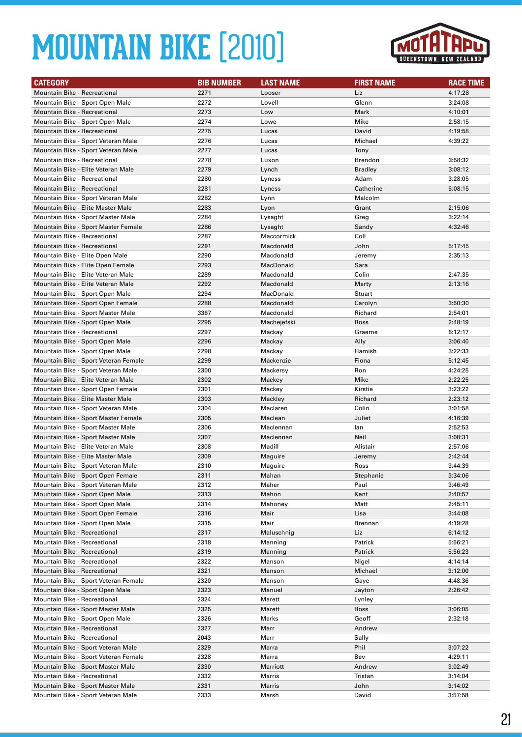

| <b>CATEGORY</b>                      | <b>BIB NUMBER</b> | <b>LAST NAME</b> | <b>FIRST NAME</b> | <b>RACE TIME</b> |
|--------------------------------------|-------------------|------------------|-------------------|------------------|
| <b>Mountain Bike - Recreational</b>  | 2271              | Looser           | Liz               | 4:17:28          |
| Mountain Bike - Sport Open Male      | 2272              | Lovell           | Glenn             | 3:24:08          |
| Mountain Bike - Recreational         | 2273              | Low              | Mark              | 4:10:01          |
| Mountain Bike - Sport Open Male      | 2274              | Lowe             | Mike              | 2:58:15          |
| Mountain Bike - Recreational         | 2275              | Lucas            | David             | 4:19:58          |
| Mountain Bike - Sport Veteran Male   | 2276              | Lucas            | Michael           | 4:39:22          |
| Mountain Bike - Sport Veteran Male   | 2277              | Lucas            | Tony              |                  |
| Mountain Bike - Recreational         | 2278              | Luxon            | Brendon           | 3:58:32          |
| Mountain Bike - Elite Veteran Male   | 2279              | Lynch            | <b>Bradley</b>    | 3:08:12          |
| <b>Mountain Bike - Recreational</b>  | 2280              | Lyness           | Adam              | 3:28:05          |
| <b>Mountain Bike - Recreational</b>  | 2281              | Lyness           | Catherine         | 5:08:15          |
| Mountain Bike - Sport Veteran Male   | 2282              | Lynn             | Malcolm           |                  |
| Mountain Bike - Elite Master Male    | 2283              | Lyon             | Grant             | 2:15:06          |
| Mountain Bike - Sport Master Male    | 2284              | Lysaght          | Greg              | 3:22:14          |
| Mountain Bike - Sport Master Female  | 2286              | Lysaght          | Sandy             | 4:32:46          |
| <b>Mountain Bike - Recreational</b>  | 2287              | Maccormick       | Coll              |                  |
| <b>Mountain Bike - Recreational</b>  | 2291              | Macdonald        | John              | 5:17:45          |
| Mountain Bike - Elite Open Male      | 2290              | Macdonald        | Jeremy            | 2:35:13          |
| Mountain Bike - Elite Open Female    | 2293              | MacDonald        | Sara              |                  |
| Mountain Bike - Elite Veteran Male   | 2289              | Macdonald        | Colin             | 2:47:35          |
| Mountain Bike - Elite Veteran Male   | 2292              | Macdonald        | Marty             | 2:13:16          |
| Mountain Bike - Sport Open Male      | 2294              | MacDonald        | Stuart            |                  |
| Mountain Bike - Sport Open Female    | 2288              | Macdonald        | Carolyn           | 3:50:30          |
| Mountain Bike - Sport Master Male    | 3367              | Macdonald        | Richard           | 2:54:01          |
| Mountain Bike - Sport Open Male      | 2295              | Machejefski      | Ross              | 2:48:19          |
| Mountain Bike - Recreational         | 2297              | Mackay           | Graeme            | 6:12:17          |
| Mountain Bike - Sport Open Male      | 2296              | Mackay           | Ally              | 3:06:40          |
| Mountain Bike - Sport Open Male      | 2298              | Mackay           | Hamish            | 3:22:33          |
| Mountain Bike - Sport Veteran Female | 2299              | Mackenzie        | Fiona             | 5:12:45          |
| Mountain Bike - Sport Veteran Male   | 2300              | Mackersy         | Ron               | 4:24:25          |
| Mountain Bike - Elite Veteran Male   | 2302              | Mackey           | Mike              | 2:22:25          |
| Mountain Bike - Sport Open Female    | 2301              | Mackey           | Kirstie           | 3:23:22          |
| Mountain Bike - Elite Master Male    | 2303              | Mackley          | Richard           | 2:23:12          |
| Mountain Bike - Sport Veteran Male   | 2304              | Maclaren         | Colin             | 3:01:58          |
| Mountain Bike - Sport Master Female  | 2305              | Maclean          | Juliet            | 4:16:39          |
| Mountain Bike - Sport Master Male    | 2306              | Maclennan        | lan               | 2:52:53          |
| Mountain Bike - Sport Master Male    | 2307              | Maclennan        | Neil              | 3:08:31          |
| Mountain Bike - Elite Veteran Male   | 2308              | Madill           | Alistair          | 2:57:06          |
| Mountain Bike - Elite Master Male    | 2309              | Maguire          | Jeremy            | 2:42:44          |
| Mountain Bike - Sport Veteran Male   | 2310              | Maguire          | Ross              | 3:44:39          |
| Mountain Bike - Sport Open Female    | 2311              | Mahan            | Stephanie         | 3:34:06          |
| Mountain Bike - Sport Veteran Male   | 2312              | Maher            | Paul              | 3:46:49          |
| Mountain Bike - Sport Open Male      | 2313              | Mahon            | Kent              | 2:40:57          |
| Mountain Bike - Sport Open Male      | 2314              | Mahoney          | Matt              | 2:45:11          |
| Mountain Bike - Sport Open Female    | 2316              | Mair             | Lisa              | 3:44:08          |
| Mountain Bike - Sport Open Male      | 2315              | Mair             | <b>Brennan</b>    | 4:19:28          |
| Mountain Bike - Recreational         | 2317              | Maluschnig       | Liz               | 6:14:12          |
| Mountain Bike - Recreational         | 2318              | Manning          | Patrick           | 5:56:21          |
| Mountain Bike - Recreational         | 2319              | Manning          | Patrick           | 5:56:23          |
| Mountain Bike - Recreational         | 2322              | Manson           | Nigel             | 4:14:14          |
| <b>Mountain Bike - Recreational</b>  | 2321              | Manson           | Michael           | 3:12:00          |
| Mountain Bike - Sport Veteran Female | 2320              | Manson           | Gaye              | 4:48:36          |
| Mountain Bike - Sport Open Male      | 2323              | Manuel           | Jayton            | 2:26:42          |
| Mountain Bike - Recreational         | 2324              | Marett           | Lynley            |                  |
| Mountain Bike - Sport Master Male    | 2325              | Marett           | Ross              | 3:06:05          |
| Mountain Bike - Sport Open Male      | 2326              | Marks            | Geoff             | 2:32:18          |
| Mountain Bike - Recreational         | 2327              | Marr             | Andrew            |                  |
| Mountain Bike - Recreational         | 2043              | Marr             | Sally             |                  |
| Mountain Bike - Sport Veteran Male   | 2329              | Marra            | Phil              | 3:07:22          |
| Mountain Bike - Sport Veteran Female | 2328              | Marra            | Bev               | 4:29:11          |
| Mountain Bike - Sport Master Male    | 2330              | Marriott         | Andrew            | 3:02:49          |
| Mountain Bike - Recreational         | 2332              | Marris           | Tristan           | 3:14:04          |
| Mountain Bike - Sport Master Male    | 2331              | Marris           | John              | 3:14:02          |
| Mountain Bike - Sport Veteran Male   | 2333              | Marsh            | David             | 3:57:58          |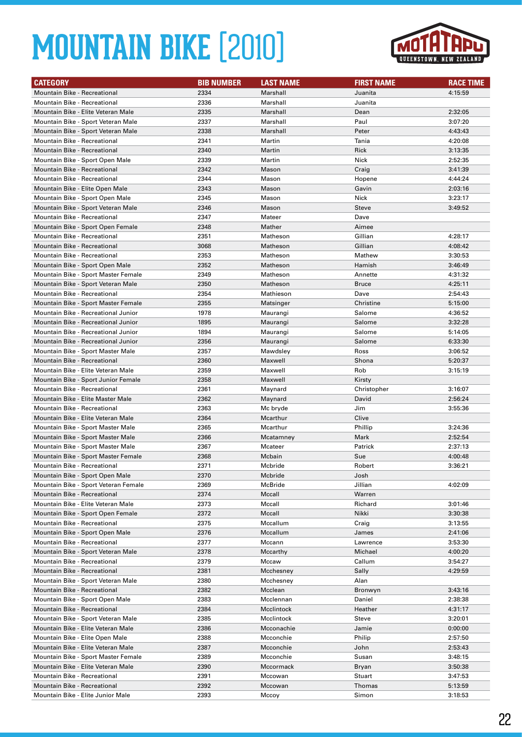

| <b>CATEGORY</b>                                              | <b>BIB NUMBER</b> | <b>LAST NAME</b>   | <b>FIRST NAME</b> | <b>RACE TIME</b>   |
|--------------------------------------------------------------|-------------------|--------------------|-------------------|--------------------|
| Mountain Bike - Recreational                                 | 2334              | Marshall           | Juanita           | 4:15:59            |
| <b>Mountain Bike - Recreational</b>                          | 2336              | Marshall           | Juanita           |                    |
| Mountain Bike - Elite Veteran Male                           | 2335              | Marshall           | Dean              | 2:32:05            |
| Mountain Bike - Sport Veteran Male                           | 2337              | Marshall           | Paul              | 3:07:20            |
| Mountain Bike - Sport Veteran Male                           | 2338              | Marshall           | Peter             | 4:43:43            |
| <b>Mountain Bike - Recreational</b>                          | 2341              | Martin             | Tania             | 4:20:08            |
| <b>Mountain Bike - Recreational</b>                          | 2340              | Martin             | Rick              | 3:13:35            |
| Mountain Bike - Sport Open Male                              | 2339              | Martin             | Nick              | 2:52:35            |
| Mountain Bike - Recreational                                 | 2342              | Mason              | Craig             | 3:41:39            |
| <b>Mountain Bike - Recreational</b>                          | 2344              | Mason              | Hopene            | 4:44:24            |
| Mountain Bike - Elite Open Male                              | 2343              | Mason              | Gavin             | 2:03:16            |
| Mountain Bike - Sport Open Male                              | 2345              | Mason              | Nick              | 3:23:17            |
| Mountain Bike - Sport Veteran Male                           | 2346              | Mason              | Steve             | 3:49:52            |
| Mountain Bike - Recreational                                 | 2347              | Mateer             | Dave              |                    |
| Mountain Bike - Sport Open Female                            | 2348              | Mather             | Aimee             |                    |
| Mountain Bike - Recreational                                 | 2351              | Matheson           | Gillian           | 4:28:17            |
| <b>Mountain Bike - Recreational</b>                          | 3068              | Matheson           | Gillian           | 4:08:42            |
| <b>Mountain Bike - Recreational</b>                          | 2353              | Matheson           | Mathew            | 3:30:53            |
| Mountain Bike - Sport Open Male                              | 2352              | Matheson           | Hamish            | 3:46:49            |
| Mountain Bike - Sport Master Female                          | 2349              | Matheson           | Annette           | 4:31:32            |
| Mountain Bike - Sport Veteran Male                           | 2350              | Matheson           | <b>Bruce</b>      | 4:25:11            |
| <b>Mountain Bike - Recreational</b>                          | 2354              | Mathieson          | Dave              | 2:54:43            |
| Mountain Bike - Sport Master Female                          | 2355              | Matsinger          | Christine         | 5:15:00            |
| Mountain Bike - Recreational Junior                          | 1978              | Maurangi           | Salome            | 4:36:52            |
| Mountain Bike - Recreational Junior                          | 1895              | Maurangi           | Salome            | 3:32:28            |
| Mountain Bike - Recreational Junior                          | 1894              | Maurangi           | Salome            | 5:14:05            |
| Mountain Bike - Recreational Junior                          | 2356              | Maurangi           | Salome            | 6:33:30            |
| Mountain Bike - Sport Master Male                            | 2357              | Mawdsley           | Ross              | 3:06:52            |
| <b>Mountain Bike - Recreational</b>                          | 2360              | Maxwell            | Shona             | 5:20:37            |
| Mountain Bike - Elite Veteran Male                           | 2359              | Maxwell            | Rob               | 3:15:19            |
| Mountain Bike - Sport Junior Female                          | 2358              | Maxwell            | Kirsty            |                    |
| <b>Mountain Bike - Recreational</b>                          | 2361              | Maynard            | Christopher       | 3:16:07            |
| Mountain Bike - Elite Master Male                            | 2362              | Maynard            | David             | 2:56:24            |
| Mountain Bike - Recreational                                 | 2363              | Mc bryde           | Jim               | 3:55:36            |
| Mountain Bike - Elite Veteran Male                           | 2364              | Mcarthur           | Clive             |                    |
| Mountain Bike - Sport Master Male                            | 2365              | Mcarthur           | Phillip           | 3:24:36            |
| Mountain Bike - Sport Master Male                            | 2366              | Mcatamney          | Mark              | 2:52:54            |
| Mountain Bike - Sport Master Male                            | 2367              | Mcateer            | Patrick           | 2:37:13            |
| Mountain Bike - Sport Master Female                          | 2368              | Mcbain             | Sue               | 4:00:48            |
| <b>Mountain Bike - Recreational</b>                          | 2371              | Mcbride            | Robert            | 3:36:21            |
| Mountain Bike - Sport Open Male                              | 2370              | Mcbride            | Josh              |                    |
| Mountain Bike - Sport Veteran Female                         | 2369              | McBride            | Jillian           | 4:02:09            |
| Mountain Bike - Recreational                                 | 2374              | Mccall             | Warren            |                    |
| Mountain Bike - Elite Veteran Male                           | 2373              | Mccall             | Richard           | 3:01:46            |
| Mountain Bike - Sport Open Female                            | 2372              | Mccall             | Nikki             | 3:30:38            |
| Mountain Bike - Recreational                                 | 2375              | Mccallum           | Craig             | 3:13:55            |
| Mountain Bike - Sport Open Male                              | 2376              | Mccallum           | James             | 2:41:06            |
| Mountain Bike - Recreational                                 | 2377              | Mccann             | Lawrence          | 3:53:30            |
| Mountain Bike - Sport Veteran Male                           | 2378              | Mccarthy           | Michael           | 4:00:20            |
| Mountain Bike - Recreational                                 | 2379              | Mccaw              | Callum            | 3:54:27            |
| Mountain Bike - Recreational                                 | 2381              | Mcchesney          | Sally             | 4:29:59            |
| Mountain Bike - Sport Veteran Male                           | 2380              | Mcchesnev          | Alan              |                    |
| Mountain Bike - Recreational                                 | 2382              | Mcclean            | Bronwyn           | 3:43:16            |
| Mountain Bike - Sport Open Male                              | 2383              | Mcclennan          | Daniel            | 2:38:38            |
| Mountain Bike - Recreational                                 | 2384              | Mcclintock         | Heather           | 4:31:17            |
| Mountain Bike - Sport Veteran Male                           | 2385              | Mcclintock         | Steve             | 3:20:01            |
| Mountain Bike - Elite Veteran Male                           | 2386              | Mcconachie         | Jamie             | 0:00:00            |
| Mountain Bike - Elite Open Male                              | 2388              | Mcconchie          | Philip            | 2:57:50            |
| Mountain Bike - Elite Veteran Male                           | 2387              | Mcconchie          | John              | 2:53:43            |
| Mountain Bike - Sport Master Female                          | 2389              | Mcconchie          | Susan             | 3:48:15            |
| Mountain Bike - Elite Veteran Male                           | 2390              | Mccormack          | Bryan             | 3:50:38            |
| Mountain Bike - Recreational<br>Mountain Bike - Recreational | 2391<br>2392      | Mccowan<br>Mccowan | Stuart<br>Thomas  | 3:47:53<br>5:13:59 |
| Mountain Bike - Elite Junior Male                            | 2393              | Mccoy              | Simon             | 3:18:53            |
|                                                              |                   |                    |                   |                    |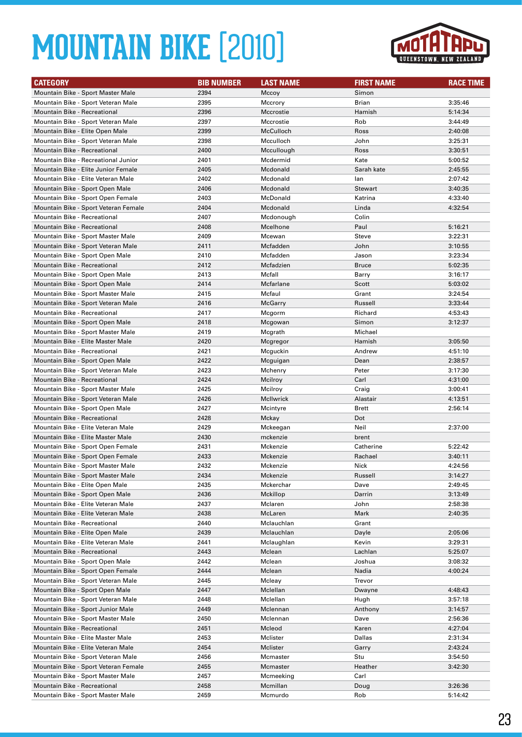

| <b>CATEGORY</b>                                                   | <b>BIB NUMBER</b> | <b>LAST NAME</b>   | <b>FIRST NAME</b> | <b>RACE TIME</b>   |
|-------------------------------------------------------------------|-------------------|--------------------|-------------------|--------------------|
| Mountain Bike - Sport Master Male                                 | 2394              | Mccoy              | Simon             |                    |
| Mountain Bike - Sport Veteran Male                                | 2395              | Mccrory            | Brian             | 3:35:46            |
| Mountain Bike - Recreational                                      | 2396              | Mccrostie          | Hamish            | 5:14:34            |
| Mountain Bike - Sport Veteran Male                                | 2397              | Mccrostie          | Rob               | 3:44:49            |
| Mountain Bike - Elite Open Male                                   | 2399              | McCulloch          | Ross              | 2:40:08            |
| Mountain Bike - Sport Veteran Male                                | 2398              | Mcculloch          | John              | 3:25:31            |
| <b>Mountain Bike - Recreational</b>                               | 2400              | Mccullough         | Ross              | 3:30:51            |
| Mountain Bike - Recreational Junior                               | 2401              | Mcdermid           | Kate              | 5:00:52            |
| Mountain Bike - Elite Junior Female                               | 2405              | Mcdonald           | Sarah kate        | 2:45:55            |
| Mountain Bike - Elite Veteran Male                                | 2402              | Mcdonald           | lan               | 2:07:42            |
| Mountain Bike - Sport Open Male                                   | 2406              | Mcdonald           | <b>Stewart</b>    | 3:40:35            |
| Mountain Bike - Sport Open Female                                 | 2403              | McDonald           | Katrina           | 4:33:40            |
| Mountain Bike - Sport Veteran Female                              | 2404              | Mcdonald           | Linda             | 4:32:54            |
| Mountain Bike - Recreational                                      | 2407              | Mcdonough          | Colin             |                    |
| <b>Mountain Bike - Recreational</b>                               | 2408              | Mcelhone           | Paul              | 5:16:21            |
| Mountain Bike - Sport Master Male                                 | 2409              | Mcewan             | Steve             | 3:22:31            |
| Mountain Bike - Sport Veteran Male                                | 2411              | Mcfadden           | John              | 3:10:55            |
| Mountain Bike - Sport Open Male                                   | 2410              | Mcfadden           | Jason             | 3:23:34            |
| Mountain Bike - Recreational                                      | 2412              | Mcfadzien          | <b>Bruce</b>      | 5:02:35            |
| Mountain Bike - Sport Open Male                                   | 2413              | Mcfall             | Barry             | 3:16:17            |
| Mountain Bike - Sport Open Male                                   | 2414              | Mcfarlane          | Scott             | 5:03:02            |
| Mountain Bike - Sport Master Male                                 | 2415              | Mcfaul             | Grant             | 3:24:54            |
| Mountain Bike - Sport Veteran Male                                | 2416              | McGarry            | Russell           | 3:33:44            |
| <b>Mountain Bike - Recreational</b>                               | 2417              | Mcgorm             | Richard           | 4:53:43            |
| Mountain Bike - Sport Open Male                                   | 2418              | Mcgowan            | Simon             | 3:12:37            |
| Mountain Bike - Sport Master Male                                 | 2419              | Mcgrath            | Michael           |                    |
| Mountain Bike - Elite Master Male                                 | 2420              | Mcgregor           | Hamish            | 3:05:50            |
| Mountain Bike - Recreational                                      | 2421              | Mcguckin           | Andrew            | 4:51:10            |
| Mountain Bike - Sport Open Male                                   | 2422              | Mcguigan           | Dean              | 2:38:57            |
| Mountain Bike - Sport Veteran Male                                | 2423<br>2424      | Mchenry            | Peter<br>Carl     | 3:17:30            |
| Mountain Bike - Recreational<br>Mountain Bike - Sport Master Male | 2425              | Mcilroy<br>Mcilroy | Craig             | 4:31:00<br>3:00:41 |
| Mountain Bike - Sport Veteran Male                                | 2426              | <b>McIlwrick</b>   | Alastair          | 4:13:51            |
| Mountain Bike - Sport Open Male                                   | 2427              | Mcintyre           | <b>Brett</b>      | 2:56:14            |
| <b>Mountain Bike - Recreational</b>                               | 2428              | Mckay              | Dot               |                    |
| Mountain Bike - Elite Veteran Male                                | 2429              | Mckeegan           | Neil              | 2:37:00            |
| Mountain Bike - Elite Master Male                                 | 2430              | mckenzie           | brent             |                    |
| Mountain Bike - Sport Open Female                                 | 2431              | Mckenzie           | Catherine         | 5:22:42            |
| Mountain Bike - Sport Open Female                                 | 2433              | Mckenzie           | Rachael           | 3:40:11            |
| Mountain Bike - Sport Master Male                                 | 2432              | Mckenzie           | Nick              | 4:24:56            |
| Mountain Bike - Sport Master Male                                 | 2434              | Mckenzie           | Russell           | 3:14:27            |
| Mountain Bike - Elite Open Male                                   | 2435              | Mckerchar          | Dave              | 2:49:45            |
| Mountain Bike - Sport Open Male                                   | 2436              | Mckillop           | Darrin            | 3:13:49            |
| Mountain Bike - Elite Veteran Male                                | 2437              | Mclaren            | John              | 2:58:38            |
| Mountain Bike - Elite Veteran Male                                | 2438              | McLaren            | Mark              | 2:40:35            |
| Mountain Bike - Recreational                                      | 2440              | Mclauchlan         | Grant             |                    |
| Mountain Bike - Elite Open Male                                   | 2439              | Mclauchlan         | Dayle             | 2:05:06            |
| Mountain Bike - Elite Veteran Male                                | 2441              | Mclaughlan         | Kevin             | 3:29:31            |
| Mountain Bike - Recreational                                      | 2443              | Mclean             | Lachlan           | 5:25:07            |
| Mountain Bike - Sport Open Male                                   | 2442              | Mclean             | Joshua            | 3:08:32            |
| Mountain Bike - Sport Open Female                                 | 2444              | Mclean             | Nadia             | 4:00:24            |
| Mountain Bike - Sport Veteran Male                                | 2445              | Mcleay             | Trevor            |                    |
| Mountain Bike - Sport Open Male                                   | 2447              | Mclellan           | Dwayne            | 4:48:43            |
| Mountain Bike - Sport Veteran Male                                | 2448              | Mclellan           | Hugh              | 3:57:18            |
| Mountain Bike - Sport Junior Male                                 | 2449              | Mclennan           | Anthony           | 3:14:57            |
| Mountain Bike - Sport Master Male                                 | 2450              | Mclennan           | Dave              | 2:56:36            |
| Mountain Bike - Recreational                                      | 2451              | Mcleod             | Karen             | 4:27:04            |
| Mountain Bike - Elite Master Male                                 | 2453              | Mclister           | Dallas            | 2:31:34            |
| Mountain Bike - Elite Veteran Male                                | 2454              | Mclister           | Garry             | 2:43:24            |
| Mountain Bike - Sport Veteran Male                                | 2456              | Mcmaster           | Stu               | 3:54:50            |
| Mountain Bike - Sport Veteran Female                              | 2455              | Mcmaster           | Heather           | 3:42:30            |
| Mountain Bike - Sport Master Male                                 | 2457              | Mcmeeking          | Carl              |                    |
| Mountain Bike - Recreational                                      | 2458              | Mcmillan           | Doug              | 3:26:36            |
| Mountain Bike - Sport Master Male                                 | 2459              | Mcmurdo            | Rob               | 5:14:42            |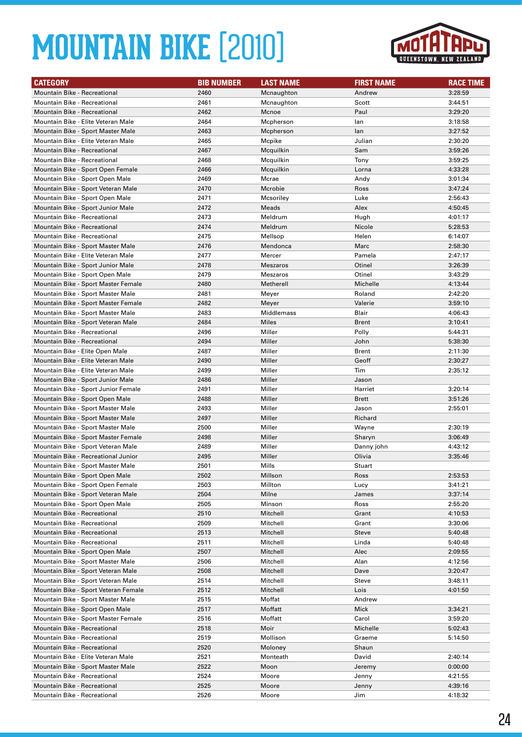

| <b>CATEGORY</b>                      | <b>BIB NUMBER</b> | <b>LAST NAME</b> | <b>FIRST NAME</b> | <b>RACE TIME</b> |
|--------------------------------------|-------------------|------------------|-------------------|------------------|
| <b>Mountain Bike - Recreational</b>  | 2460              | Mcnaughton       | Andrew            | 3:28:59          |
| <b>Mountain Bike - Recreational</b>  | 2461              | Mcnaughton       | Scott             | 3:44:51          |
| Mountain Bike - Recreational         | 2462              | Mcnoe            | Paul              | 3:29:20          |
| Mountain Bike - Elite Veteran Male   | 2464              | Mcpherson        | lan               | 3:18:58          |
| Mountain Bike - Sport Master Male    | 2463              | Mcpherson        | lan               | 3:27:52          |
| Mountain Bike - Elite Veteran Male   | 2465              | Mcpike           | Julian            | 2:30:20          |
| <b>Mountain Bike - Recreational</b>  | 2467              | Mcquilkin        | Sam               | 3:59:26          |
| Mountain Bike - Recreational         | 2468              | Mcquilkin        | Tony              | 3:59:25          |
| Mountain Bike - Sport Open Female    | 2466              | Mcquilkin        | Lorna             | 4:33:28          |
| Mountain Bike - Sport Open Male      | 2469              | Mcrae            | Andy              | 3:01:34          |
| Mountain Bike - Sport Veteran Male   | 2470              | Mcrobie          | Ross              | 3:47:24          |
| Mountain Bike - Sport Open Male      | 2471              | Mcsoriley        | Luke              | 2:56:43          |
| Mountain Bike - Sport Junior Male    | 2472              | Meads            | Alex              | 4:50:45          |
| Mountain Bike - Recreational         | 2473              | Meldrum          | Hugh              | 4:01:17          |
| <b>Mountain Bike - Recreational</b>  | 2474              | Meldrum          | Nicole            | 5:28:53          |
| <b>Mountain Bike - Recreational</b>  | 2475              | Mellsop          | Helen             | 6:14:07          |
| Mountain Bike - Sport Master Male    | 2476              | Mendonca         | Marc              | 2:58:30          |
| Mountain Bike - Elite Veteran Male   | 2477              | Mercer           | Pamela            | 2:47:17          |
| Mountain Bike - Sport Junior Male    | 2478              | <b>Meszaros</b>  | Otinel            | 3:26:39          |
| Mountain Bike - Sport Open Male      | 2479              | Meszaros         | Otinel            | 3:43:29          |
| Mountain Bike - Sport Master Female  | 2480              | Metherell        | Michelle          | 4:13:44          |
| Mountain Bike - Sport Master Male    | 2481              | Meyer            | Roland            | 2:42:20          |
| Mountain Bike - Sport Master Female  | 2482              | Meyer            | Valerie           | 3:59:10          |
| Mountain Bike - Sport Master Male    | 2483              | Middlemass       | Blair             | 4:06:43          |
| Mountain Bike - Sport Veteran Male   | 2484              | Miles            | <b>Brent</b>      | 3:10:41          |
| <b>Mountain Bike - Recreational</b>  | 2496              | Miller           | Polly             | 5:44:31          |
| <b>Mountain Bike - Recreational</b>  | 2494              | Miller           | John              | 5:38:30          |
| Mountain Bike - Elite Open Male      | 2487              | Miller           | <b>Brent</b>      | 2:11:30          |
| Mountain Bike - Elite Veteran Male   | 2490              | Miller           | Geoff             | 2:30:27          |
| Mountain Bike - Elite Veteran Male   | 2499              | Miller           | Tim               | 2:35:12          |
| Mountain Bike - Sport Junior Male    | 2486              | Miller           | Jason             |                  |
| Mountain Bike - Sport Junior Female  | 2491              | Miller           | Harriet           | 3:20:14          |
| Mountain Bike - Sport Open Male      | 2488              | Miller           | <b>Brett</b>      | 3:51:26          |
| Mountain Bike - Sport Master Male    | 2493              | Miller           | Jason             | 2:55:01          |
| Mountain Bike - Sport Master Male    | 2497              | Miller           | Richard           |                  |
| Mountain Bike - Sport Master Male    | 2500              | Miller           | Wayne             | 2:30:19          |
| Mountain Bike - Sport Master Female  | 2498              | Miller           | Sharyn            | 3:06:49          |
| Mountain Bike - Sport Veteran Male   | 2489              | Miller           | Danny john        | 4:43:12          |
| Mountain Bike - Recreational Junior  | 2495              | Miller           | Olivia            | 3:35:46          |
| Mountain Bike - Sport Master Male    | 2501              | Mills            | Stuart            |                  |
| Mountain Bike - Sport Open Male      | 2502              | Millson          | Ross              | 2:53:53          |
| Mountain Bike - Sport Open Female    | 2503              | Millton          | Lucy              | 3:41:21          |
| Mountain Bike - Sport Veteran Male   | 2504              | Milne            | James             | 3:37:14          |
| Mountain Bike - Sport Open Male      | 2505              | Minson           | Ross              | 2:55:20          |
| <b>Mountain Bike - Recreational</b>  | 2510              | Mitchell         | Grant             | 4:10:53          |
| <b>Mountain Bike - Recreational</b>  | 2509              | Mitchell         | Grant             | 3:30:06          |
| Mountain Bike - Recreational         | 2513              | Mitchell         | Steve             | 5:40:48          |
| Mountain Bike - Recreational         | 2511              | Mitchell         | Linda             | 5:40:48          |
| Mountain Bike - Sport Open Male      | 2507              | Mitchell         | Alec              | 2:09:55          |
| Mountain Bike - Sport Master Male    | 2506              | Mitchell         | Alan              | 4:12:56          |
| Mountain Bike - Sport Veteran Male   | 2508              | Mitchell         | Dave              | 3:20:47          |
| Mountain Bike - Sport Veteran Male   | 2514              | Mitchell         | Steve             | 3:48:11          |
| Mountain Bike - Sport Veteran Female | 2512              | Mitchell         | Lois              | 4:01:50          |
| Mountain Bike - Sport Master Male    | 2515              | Moffat           | Andrew            |                  |
| Mountain Bike - Sport Open Male      | 2517              | Moffatt          | Mick              | 3:34:21          |
| Mountain Bike - Sport Master Female  | 2516              | Moffatt          | Carol             | 3:59:20          |
| Mountain Bike - Recreational         | 2518              | Moir             | Michelle          | 5:02:43          |
| Mountain Bike - Recreational         | 2519              | Mollison         | Graeme            | 5:14:50          |
| Mountain Bike - Recreational         | 2520              | Moloney          | Shaun             |                  |
| Mountain Bike - Elite Veteran Male   | 2521              | Monteath         | David             | 2:40:14          |
| Mountain Bike - Sport Master Male    | 2522              | Moon             | Jeremy            | 0:00:00          |
| Mountain Bike - Recreational         | 2524              | Moore            | Jenny             | 4:21:55          |
| Mountain Bike - Recreational         | 2525              | Moore            | Jenny             | 4:39:16          |
| Mountain Bike - Recreational         | 2526              | Moore            | Jim               | 4:18:32          |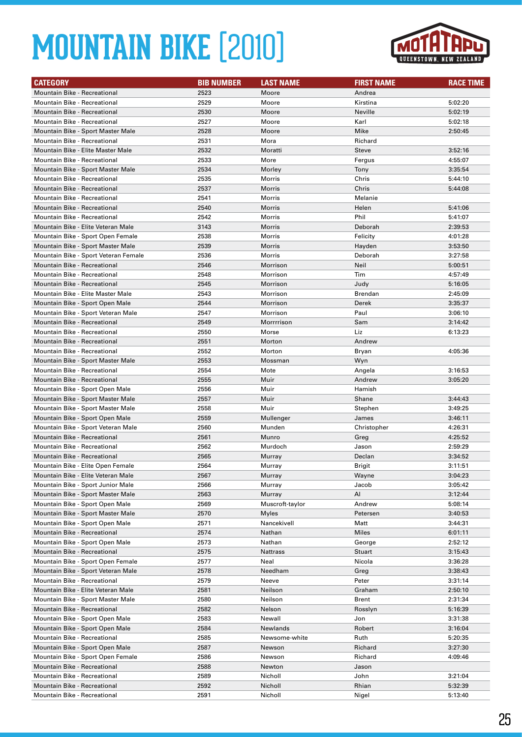

| <b>CATEGORY</b>                      | <b>BIB NUMBER</b> | <b>LAST NAME</b> | <b>FIRST NAME</b> | <b>RACE TIME</b> |
|--------------------------------------|-------------------|------------------|-------------------|------------------|
| <b>Mountain Bike - Recreational</b>  | 2523              | Moore            | Andrea            |                  |
| <b>Mountain Bike - Recreational</b>  | 2529              | Moore            | Kirstina          | 5:02:20          |
| Mountain Bike - Recreational         | 2530              | Moore            | Neville           | 5:02:19          |
| <b>Mountain Bike - Recreational</b>  | 2527              | Moore            | Karl              | 5:02:18          |
| Mountain Bike - Sport Master Male    | 2528              | Moore            | Mike              | 2:50:45          |
| <b>Mountain Bike - Recreational</b>  | 2531              | Mora             | Richard           |                  |
| Mountain Bike - Elite Master Male    | 2532              | Moratti          | <b>Steve</b>      | 3:52:16          |
| <b>Mountain Bike - Recreational</b>  | 2533              | More             | Fergus            | 4:55:07          |
| Mountain Bike - Sport Master Male    | 2534              | Morley           | Tony              | 3:35:54          |
| <b>Mountain Bike - Recreational</b>  | 2535              | Morris           | Chris             | 5:44:10          |
| <b>Mountain Bike - Recreational</b>  | 2537              | Morris           | Chris             | 5:44:08          |
| <b>Mountain Bike - Recreational</b>  | 2541              | Morris           | Melanie           |                  |
| <b>Mountain Bike - Recreational</b>  | 2540              | <b>Morris</b>    | Helen             | 5:41:06          |
| <b>Mountain Bike - Recreational</b>  | 2542              | Morris           | Phil              | 5:41:07          |
| Mountain Bike - Elite Veteran Male   | 3143              | <b>Morris</b>    | Deborah           | 2:39:53          |
| Mountain Bike - Sport Open Female    | 2538              | Morris           | Felicity          | 4:01:28          |
| Mountain Bike - Sport Master Male    | 2539              | <b>Morris</b>    | Hayden            | 3:53:50          |
| Mountain Bike - Sport Veteran Female | 2536              | Morris           | Deborah           | 3:27:58          |
| Mountain Bike - Recreational         | 2546              | Morrison         | Neil              | 5:00:51          |
| <b>Mountain Bike - Recreational</b>  | 2548              | Morrison         | Tim               | 4:57:49          |
| <b>Mountain Bike - Recreational</b>  | 2545              | Morrison         | Judy              | 5:16:05          |
| Mountain Bike - Elite Master Male    | 2543              | Morrison         | Brendan           | 2:45:09          |
| Mountain Bike - Sport Open Male      | 2544              | Morrison         | Derek             | 3:35:37          |
| Mountain Bike - Sport Veteran Male   | 2547              | Morrison         | Paul              | 3:06:10          |
| Mountain Bike - Recreational         | 2549              | Morrrrison       | Sam               | 3:14:42          |
| Mountain Bike - Recreational         | 2550              | Morse            | Liz               | 6:13:23          |
| <b>Mountain Bike - Recreational</b>  | 2551              | Morton           | Andrew            |                  |
| <b>Mountain Bike - Recreational</b>  | 2552              | Morton           | Bryan             | 4:05:36          |
| Mountain Bike - Sport Master Male    | 2553              | Mossman          | Wyn               |                  |
| Mountain Bike - Recreational         | 2554              | Mote             | Angela            | 3:16:53          |
| Mountain Bike - Recreational         | 2555              | Muir             | Andrew            | 3:05:20          |
| Mountain Bike - Sport Open Male      | 2556              | Muir             | Hamish            |                  |
| Mountain Bike - Sport Master Male    | 2557              | Muir             | Shane             | 3:44:43          |
| Mountain Bike - Sport Master Male    | 2558              | Muir             | Stephen           | 3:49:25          |
| Mountain Bike - Sport Open Male      | 2559              | Mullenger        | James             | 3:46:11          |
| Mountain Bike - Sport Veteran Male   | 2560              | Munden           | Christopher       | 4:26:31          |
| <b>Mountain Bike - Recreational</b>  | 2561              | Munro            | Greg              | 4:25:52          |
| Mountain Bike - Recreational         | 2562              | Murdoch          | Jason             | 2:59:29          |
| Mountain Bike - Recreational         | 2565              | Murray           | Declan            | 3:34:52          |
| Mountain Bike - Elite Open Female    | 2564              | Murray           | Brigit            | 3:11:51          |
| Mountain Bike - Elite Veteran Male   | 2567              | Murray           | Wayne             | 3:04:23          |
| Mountain Bike - Sport Junior Male    | 2566              | Murray           | Jacob             | 3:05:42          |
| Mountain Bike - Sport Master Male    | 2563              | Murray           | Al                | 3:12:44          |
| Mountain Bike - Sport Open Male      | 2569              | Muscroft-taylor  | Andrew            | 5:08:14          |
| Mountain Bike - Sport Master Male    | 2570              | Myles            | Petersen          | 3:40:53          |
| Mountain Bike - Sport Open Male      | 2571              | Nancekivell      | Matt              | 3:44:31          |
| <b>Mountain Bike - Recreational</b>  | 2574              | Nathan           | Miles             | 6:01:11          |
| Mountain Bike - Sport Open Male      | 2573              | Nathan           | George            | 2:52:12          |
| <b>Mountain Bike - Recreational</b>  | 2575              | Nattrass         | Stuart            | 3:15:43          |
| Mountain Bike - Sport Open Female    | 2577              | Neal             | Nicola            | 3:36:28          |
| Mountain Bike - Sport Veteran Male   | 2578              | Needham          | Greg              | 3:38:43          |
| Mountain Bike - Recreational         | 2579              | Neeve            | Peter             | 3:31:14          |
| Mountain Bike - Elite Veteran Male   | 2581              | Neilson          | Graham            | 2:50:10          |
| Mountain Bike - Sport Master Male    | 2580              | Neilson          | Brent             | 2:31:34          |
| Mountain Bike - Recreational         | 2582              | Nelson           | Rosslyn           | 5:16:39          |
| Mountain Bike - Sport Open Male      | 2583              | Newall           | Jon               | 3:31:38          |
| Mountain Bike - Sport Open Male      | 2584              | Newlands         | Robert            | 3:16:04          |
| Mountain Bike - Recreational         | 2585              | Newsome-white    | Ruth              | 5:20:35          |
| Mountain Bike - Sport Open Male      | 2587              | Newson           | Richard           | 3:27:30          |
| Mountain Bike - Sport Open Female    | 2586              | Newson           | Richard           | 4:09:46          |
| Mountain Bike - Recreational         | 2588              | Newton           | Jason             |                  |
| Mountain Bike - Recreational         | 2589              | Nicholl          | John              | 3:21:04          |
| Mountain Bike - Recreational         | 2592              | Nicholl          | Rhian             | 5:32:39          |
| Mountain Bike - Recreational         | 2591              | Nicholl          | Nigel             | 5:13:40          |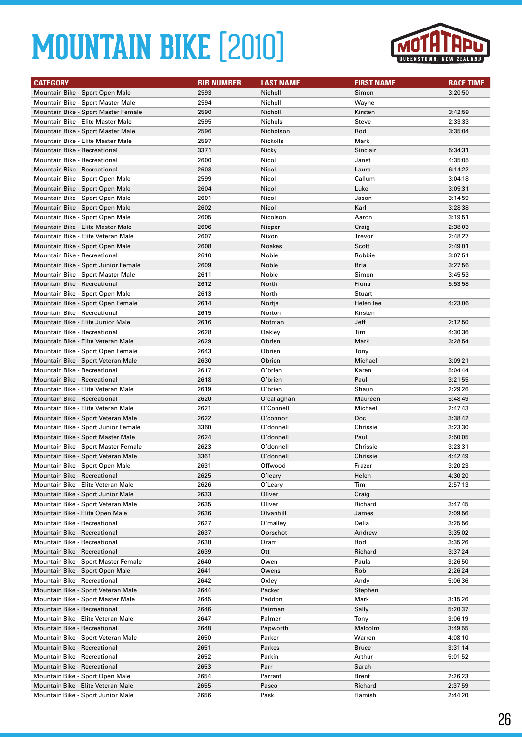

| <b>CATEGORY</b>                     | <b>BIB NUMBER</b> | <b>LAST NAME</b> | <b>FIRST NAME</b> | <b>RACE TIME</b> |
|-------------------------------------|-------------------|------------------|-------------------|------------------|
| Mountain Bike - Sport Open Male     | 2593              | Nicholl          | Simon             | 3:20:50          |
| Mountain Bike - Sport Master Male   | 2594              | Nicholl          | Wayne             |                  |
| Mountain Bike - Sport Master Female | 2590              | Nicholl          | Kirsten           | 3:42:59          |
| Mountain Bike - Elite Master Male   | 2595              | Nichols          | Steve             | 2:33:33          |
| Mountain Bike - Sport Master Male   | 2596              | Nicholson        | Rod               | 3:35:04          |
| Mountain Bike - Elite Master Male   | 2597              | Nickolls         | Mark              |                  |
| Mountain Bike - Recreational        | 3371              | Nicky            | Sinclair          | 5:34:31          |
| Mountain Bike - Recreational        | 2600              | Nicol            | Janet             | 4:35:05          |
| Mountain Bike - Recreational        | 2603              | Nicol            | Laura             | 6:14:22          |
|                                     | 2599              | Nicol            | Callum            | 3:04:18          |
| Mountain Bike - Sport Open Male     |                   |                  |                   |                  |
| Mountain Bike - Sport Open Male     | 2604              | Nicol            | Luke              | 3:05:31          |
| Mountain Bike - Sport Open Male     | 2601              | Nicol            | Jason             | 3:14:59          |
| Mountain Bike - Sport Open Male     | 2602              | Nicol            | Karl              | 3:28:38          |
| Mountain Bike - Sport Open Male     | 2605              | Nicolson         | Aaron             | 3:19:51          |
| Mountain Bike - Elite Master Male   | 2606              | Nieper           | Craig             | 2:38:03          |
| Mountain Bike - Elite Veteran Male  | 2607              | Nixon            | Trevor            | 2:48:27          |
| Mountain Bike - Sport Open Male     | 2608              | <b>Noakes</b>    | Scott             | 2:49:01          |
| Mountain Bike - Recreational        | 2610              | Noble            | Robbie            | 3:07:51          |
| Mountain Bike - Sport Junior Female | 2609              | Noble            | Bria              | 3:27:56          |
| Mountain Bike - Sport Master Male   | 2611              | Noble            | Simon             | 3:45:53          |
| Mountain Bike - Recreational        | 2612              | North            | Fiona             | 5:53:58          |
| Mountain Bike - Sport Open Male     | 2613              | North            | Stuart            |                  |
| Mountain Bike - Sport Open Female   | 2614              | Nortje           | Helen lee         | 4:23:06          |
| <b>Mountain Bike - Recreational</b> | 2615              | Norton           | Kirsten           |                  |
| Mountain Bike - Elite Junior Male   | 2616              | Notman           | Jeff              | 2:12:50          |
| Mountain Bike - Recreational        | 2628              | Oakley           | Tim               | 4:30:36          |
| Mountain Bike - Elite Veteran Male  | 2629              | Obrien           | Mark              | 3:28:54          |
| Mountain Bike - Sport Open Female   | 2643              | Obrien           | Tony              |                  |
| Mountain Bike - Sport Veteran Male  | 2630              | Obrien           | Michael           | 3:09:21          |
| <b>Mountain Bike - Recreational</b> | 2617              | O'brien          | Karen             | 5:04:44          |
| Mountain Bike - Recreational        | 2618              | O'brien          | Paul              | 3:21:55          |
| Mountain Bike - Elite Veteran Male  | 2619              | O'brien          | Shaun             | 2:29:26          |
| <b>Mountain Bike - Recreational</b> | 2620              | O'callaghan      | Maureen           | 5:48:49          |
| Mountain Bike - Elite Veteran Male  | 2621              | O'Connell        | Michael           | 2:47:43          |
| Mountain Bike - Sport Veteran Male  | 2622              | O'connor         | Doc               | 3:38:42          |
| Mountain Bike - Sport Junior Female | 3360              | O'donnell        | Chrissie          | 3:23:30          |
| Mountain Bike - Sport Master Male   | 2624              | O'donnell        | Paul              | 2:50:05          |
| Mountain Bike - Sport Master Female | 2623              | O'donnell        | Chrissie          | 3:23:31          |
| Mountain Bike - Sport Veteran Male  | 3361              | O'donnell        | Chrissie          | 4:42:49          |
| Mountain Bike - Sport Open Male     | 2631              | Offwood          | Frazer            | 3:20:23          |
| Mountain Bike - Recreational        | 2625              | O'leary          | Helen             | 4:30:20          |
| Mountain Bike - Elite Veteran Male  | 2626              | O'Learv          | Tim               | 2:57:13          |
| Mountain Bike - Sport Junior Male   | 2633              | Oliver           | Craig             |                  |
| Mountain Bike - Sport Veteran Male  | 2635              | Oliver           | Richard           | 3:47:45          |
| Mountain Bike - Elite Open Male     | 2636              | Olvanhill        | James             | 2:09:56          |
| Mountain Bike - Recreational        | 2627              | O'malley         | Delia             | 3:25:56          |
| Mountain Bike - Recreational        | 2637              | Oorschot         | Andrew            | 3:35:02          |
| Mountain Bike - Recreational        | 2638              | Oram             | Rod               | 3:35:26          |
| Mountain Bike - Recreational        | 2639              | Ott              | Richard           | 3:37:24          |
| Mountain Bike - Sport Master Female | 2640              | Owen             | Paula             | 3:26:50          |
| Mountain Bike - Sport Open Male     | 2641              | Owens            | Rob               | 2:26:24          |
| Mountain Bike - Recreational        | 2642              | Oxley            | Andy              | 5:06:36          |
| Mountain Bike - Sport Veteran Male  | 2644              | Packer           | Stephen           |                  |
| Mountain Bike - Sport Master Male   | 2645              | Paddon           | Mark              | 3:15:26          |
| Mountain Bike - Recreational        | 2646              | Pairman          | Sally             | 5:20:37          |
| Mountain Bike - Elite Veteran Male  | 2647              | Palmer           | Tony              | 3:06:19          |
| Mountain Bike - Recreational        | 2648              | Papworth         | Malcolm           | 3:49:55          |
| Mountain Bike - Sport Veteran Male  | 2650              | Parker           | Warren            | 4:08:10          |
| Mountain Bike - Recreational        | 2651              | Parkes           | <b>Bruce</b>      | 3:31:14          |
| Mountain Bike - Recreational        | 2652              | Parkin           | Arthur            | 5:01:52          |
| Mountain Bike - Recreational        | 2653              | Parr             | Sarah             |                  |
| Mountain Bike - Sport Open Male     | 2654              | Parrant          | Brent             | 2:26:23          |
| Mountain Bike - Elite Veteran Male  | 2655              | Pasco            | Richard           | 2:37:59          |
| Mountain Bike - Sport Junior Male   | 2656              | Pask             | Hamish            | 2:44:20          |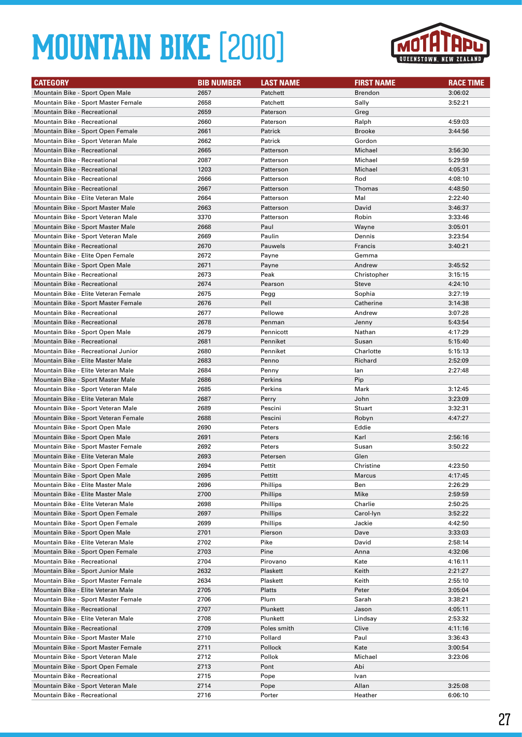

| <b>CATEGORY</b>                      | <b>BIB NUMBER</b> | <b>LAST NAME</b> | <b>FIRST NAME</b> | <b>RACE TIME</b> |
|--------------------------------------|-------------------|------------------|-------------------|------------------|
| Mountain Bike - Sport Open Male      | 2657              | Patchett         | Brendon           | 3:06:02          |
| Mountain Bike - Sport Master Female  | 2658              | Patchett         | Sally             | 3:52:21          |
| Mountain Bike - Recreational         | 2659              | Paterson         | Greg              |                  |
| <b>Mountain Bike - Recreational</b>  | 2660              | Paterson         | Ralph             | 4:59:03          |
| Mountain Bike - Sport Open Female    | 2661              | Patrick          | <b>Brooke</b>     | 3:44:56          |
| Mountain Bike - Sport Veteran Male   | 2662              | Patrick          | Gordon            |                  |
| <b>Mountain Bike - Recreational</b>  | 2665              | Patterson        | Michael           | 3:56:30          |
| Mountain Bike - Recreational         | 2087              | Patterson        | Michael           | 5:29:59          |
| Mountain Bike - Recreational         | 1203              | Patterson        | Michael           | 4:05:31          |
| <b>Mountain Bike - Recreational</b>  | 2666              | Patterson        | Rod               | 4:08:10          |
| <b>Mountain Bike - Recreational</b>  | 2667              | Patterson        | Thomas            | 4:48:50          |
| Mountain Bike - Elite Veteran Male   | 2664              | Patterson        | Mal               | 2:22:40          |
| Mountain Bike - Sport Master Male    | 2663              | Patterson        | David             | 3:46:37          |
| Mountain Bike - Sport Veteran Male   | 3370              | Patterson        | Robin             | 3:33:46          |
| Mountain Bike - Sport Master Male    | 2668              | Paul             | Wayne             | 3:05:01          |
| Mountain Bike - Sport Veteran Male   | 2669              | Paulin           | Dennis            | 3:23:54          |
| Mountain Bike - Recreational         | 2670              | Pauwels          | Francis           | 3:40:21          |
| Mountain Bike - Elite Open Female    | 2672              | Payne            | Gemma             |                  |
| Mountain Bike - Sport Open Male      | 2671              | Payne            | Andrew            | 3:45:52          |
| Mountain Bike - Recreational         | 2673              | Peak             | Christopher       | 3:15:15          |
| <b>Mountain Bike - Recreational</b>  | 2674              | Pearson          | Steve             | 4:24:10          |
| Mountain Bike - Elite Veteran Female | 2675              | Pegg             | Sophia            | 3:27:19          |
| Mountain Bike - Sport Master Female  | 2676              | Pell             | Catherine         | 3:14:38          |
| Mountain Bike - Recreational         | 2677              | Pellowe          | Andrew            | 3:07:28          |
| <b>Mountain Bike - Recreational</b>  | 2678              | Penman           | Jenny             | 5:43:54          |
| Mountain Bike - Sport Open Male      | 2679              | Pennicott        | Nathan            | 4:17:29          |
| <b>Mountain Bike - Recreational</b>  | 2681              | Penniket         | Susan             | 5:15:40          |
| Mountain Bike - Recreational Junior  | 2680              | Penniket         | Charlotte         | 5:15:13          |
| Mountain Bike - Elite Master Male    | 2683              | Penno            | Richard           | 2:52:09          |
| Mountain Bike - Elite Veteran Male   | 2684              | Penny            | lan               | 2:27:48          |
| Mountain Bike - Sport Master Male    | 2686              | Perkins          | Pip               |                  |
| Mountain Bike - Sport Veteran Male   | 2685              | Perkins          | Mark              | 3:12:45          |
| Mountain Bike - Elite Veteran Male   | 2687              | Perry            | John              | 3:23:09          |
| Mountain Bike - Sport Veteran Male   | 2689              | Pescini          | <b>Stuart</b>     | 3:32:31          |
| Mountain Bike - Sport Veteran Female | 2688              | Pescini          | Robyn             | 4:47:27          |
| Mountain Bike - Sport Open Male      | 2690              | Peters           | Eddie             |                  |
| Mountain Bike - Sport Open Male      | 2691              | Peters           | Karl              | 2:56:16          |
| Mountain Bike - Sport Master Female  | 2692              | Peters           | Susan             | 3:50:22          |
| Mountain Bike - Elite Veteran Male   | 2693              | Petersen         | Glen              |                  |
| Mountain Bike - Sport Open Female    | 2694              | Pettit           | Christine         | 4:23:50          |
| Mountain Bike - Sport Open Male      | 2695              | Pettitt          | Marcus            | 4:17:45          |
| Mountain Bike - Elite Master Male    | 2696              | Phillips         | Ben               | 2:26:29          |
| Mountain Bike - Elite Master Male    | 2700              | Phillips         | Mike              | 2:59:59          |
| Mountain Bike - Elite Veteran Male   | 2698              | Phillips         | Charlie           | 2:50:25          |
| Mountain Bike - Sport Open Female    | 2697              | Phillips         | Carol-Iyn         | 3:52:22          |
| Mountain Bike - Sport Open Female    | 2699              | Phillips         | Jackie            | 4:42:50          |
| Mountain Bike - Sport Open Male      | 2701              | Pierson          | Dave              | 3:33:03          |
| Mountain Bike - Elite Veteran Male   | 2702              | Pike             | David             | 2:58:14          |
| Mountain Bike - Sport Open Female    | 2703              | Pine             | Anna              | 4:32:06          |
| Mountain Bike - Recreational         | 2704              | Pirovano         | Kate              | 4:16:11          |
| Mountain Bike - Sport Junior Male    | 2632              | Plaskett         | Keith             | 2:21:27          |
| Mountain Bike - Sport Master Female  | 2634              | Plaskett         | Keith             | 2:55:10          |
| Mountain Bike - Elite Veteran Male   | 2705              | Platts           | Peter             | 3:05:04          |
| Mountain Bike - Sport Master Female  | 2706              | Plum             | Sarah             | 3:38:21          |
| Mountain Bike - Recreational         | 2707              | Plunkett         | Jason             | 4:05:11          |
| Mountain Bike - Elite Veteran Male   | 2708              | Plunkett         | Lindsay           | 2:53:32          |
| Mountain Bike - Recreational         | 2709              | Poles smith      | Clive             | 4:11:16          |
| Mountain Bike - Sport Master Male    | 2710              | Pollard          | Paul              | 3:36:43          |
| Mountain Bike - Sport Master Female  | 2711              | Pollock          | Kate              | 3:00:54          |
| Mountain Bike - Sport Veteran Male   | 2712              | Pollok           | Michael           | 3:23:06          |
| Mountain Bike - Sport Open Female    | 2713              | Pont             | Abi               |                  |
| Mountain Bike - Recreational         | 2715              | Pope             | Ivan              |                  |
| Mountain Bike - Sport Veteran Male   | 2714              | Pope             | Allan             | 3:25:08          |
| Mountain Bike - Recreational         | 2716              | Porter           | Heather           | 6:06:10          |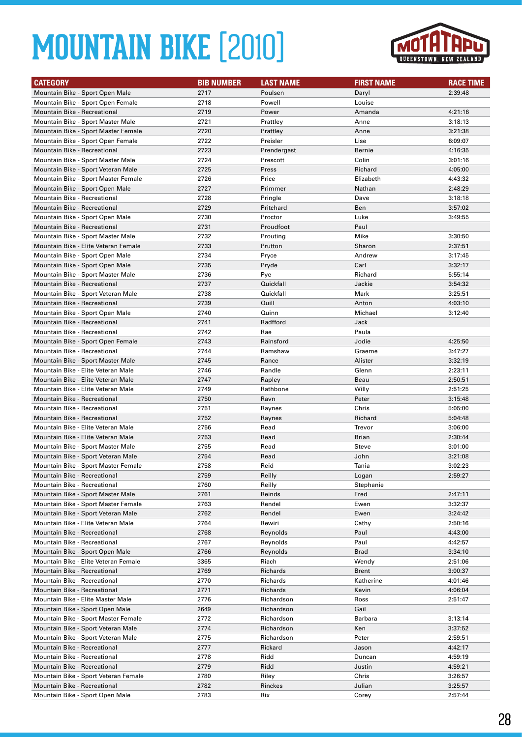

| <b>CATEGORY</b>                                                         | <b>BIB NUMBER</b> | <b>LAST NAME</b>   | <b>FIRST NAME</b> | <b>RACE TIME</b>   |
|-------------------------------------------------------------------------|-------------------|--------------------|-------------------|--------------------|
| Mountain Bike - Sport Open Male                                         | 2717              | Poulsen            | Daryl             | 2:39:48            |
| Mountain Bike - Sport Open Female                                       | 2718              | Powell             | Louise            |                    |
| Mountain Bike - Recreational                                            | 2719              | Power              | Amanda            | 4:21:16            |
| Mountain Bike - Sport Master Male                                       | 2721              | Prattley           | Anne              | 3:18:13            |
| Mountain Bike - Sport Master Female                                     | 2720              | Prattley           | Anne              | 3:21:38            |
| Mountain Bike - Sport Open Female                                       | 2722              | Preisler           | Lise              | 6:09:07            |
| <b>Mountain Bike - Recreational</b>                                     | 2723              | Prendergast        | Bernie            | 4:16:35            |
| Mountain Bike - Sport Master Male                                       | 2724              | Prescott           | Colin             | 3:01:16            |
| Mountain Bike - Sport Veteran Male                                      | 2725              | Press              | Richard           | 4:05:00            |
| Mountain Bike - Sport Master Female                                     | 2726              | Price              | Elizabeth         | 4:43:32            |
| Mountain Bike - Sport Open Male                                         | 2727              | Primmer            | Nathan            | 2:48:29            |
| <b>Mountain Bike - Recreational</b>                                     | 2728              | Pringle            | Dave              | 3:18:18            |
| <b>Mountain Bike - Recreational</b>                                     | 2729              | Pritchard          | Ben               | 3:57:02            |
| Mountain Bike - Sport Open Male                                         | 2730              | Proctor            | Luke              | 3:49:55            |
| Mountain Bike - Recreational                                            | 2731              | Proudfoot          | Paul              |                    |
| Mountain Bike - Sport Master Male                                       | 2732              | Prouting           | Mike              | 3:30:50            |
| Mountain Bike - Elite Veteran Female                                    | 2733              | Prutton            | Sharon            | 2:37:51            |
| Mountain Bike - Sport Open Male                                         | 2734              | Pryce              | Andrew            | 3:17:45            |
| Mountain Bike - Sport Open Male                                         | 2735              | Pryde              | Carl              | 3:32:17            |
| Mountain Bike - Sport Master Male                                       | 2736              | Pye                | Richard           | 5:55:14            |
| <b>Mountain Bike - Recreational</b>                                     | 2737              | Quickfall          | Jackie            | 3:54:32            |
| Mountain Bike - Sport Veteran Male                                      | 2738              | Quickfall          | Mark              | 3:25:51            |
| Mountain Bike - Recreational                                            | 2739              | Quill              | Anton             | 4:03:10            |
| Mountain Bike - Sport Open Male                                         | 2740              | Quinn              | Michael           | 3:12:40            |
| Mountain Bike - Recreational                                            | 2741              | Radfford           | Jack              |                    |
| Mountain Bike - Recreational                                            | 2742              | Rae                | Paula             |                    |
| Mountain Bike - Sport Open Female                                       | 2743              | Rainsford          | Jodie             | 4:25:50            |
| Mountain Bike - Recreational                                            | 2744              | Ramshaw            | Graeme            | 3:47:27            |
| Mountain Bike - Sport Master Male<br>Mountain Bike - Elite Veteran Male | 2745<br>2746      | Rance<br>Randle    | Alister<br>Glenn  | 3:32:19            |
| Mountain Bike - Elite Veteran Male                                      | 2747              |                    | Beau              | 2:23:11            |
| Mountain Bike - Elite Veteran Male                                      | 2749              | Rapley<br>Rathbone | Willy             | 2:50:51<br>2:51:25 |
| Mountain Bike - Recreational                                            | 2750              | Ravn               | Peter             | 3:15:48            |
| <b>Mountain Bike - Recreational</b>                                     | 2751              | Raynes             | Chris             | 5:05:00            |
| <b>Mountain Bike - Recreational</b>                                     | 2752              | Raynes             | Richard           | 5:04:48            |
| Mountain Bike - Elite Veteran Male                                      | 2756              | Read               | Trevor            | 3:06:00            |
| Mountain Bike - Elite Veteran Male                                      | 2753              | Read               | Brian             | 2:30:44            |
| Mountain Bike - Sport Master Male                                       | 2755              | Read               | Steve             | 3:01:00            |
| Mountain Bike - Sport Veteran Male                                      | 2754              | Read               | John              | 3:21:08            |
| Mountain Bike - Sport Master Female                                     | 2758              | Reid               | Tania             | 3:02:23            |
| Mountain Bike - Recreational                                            | 2759              | Reilly             | Logan             | 2:59:27            |
| Mountain Bike - Recreational                                            | 2760              | Reilly             | Stephanie         |                    |
| Mountain Bike - Sport Master Male                                       | 2761              | Reinds             | Fred              | 2:47:11            |
| Mountain Bike - Sport Master Female                                     | 2763              | Rendel             | Ewen              | 3:32:37            |
| Mountain Bike - Sport Veteran Male                                      | 2762              | Rendel             | Ewen              | 3:24:42            |
| Mountain Bike - Elite Veteran Male                                      | 2764              | Rewiri             | Cathy             | 2:50:16            |
| Mountain Bike - Recreational                                            | 2768              | Reynolds           | Paul              | 4:43:00            |
| Mountain Bike - Recreational                                            | 2767              | Reynolds           | Paul              | 4:42:57            |
| Mountain Bike - Sport Open Male                                         | 2766              | Reynolds           | <b>Brad</b>       | 3:34:10            |
| Mountain Bike - Elite Veteran Female                                    | 3365              | Riach              | Wendy             | 2:51:06            |
| <b>Mountain Bike - Recreational</b>                                     | 2769              | Richards           | Brent             | 3:00:37            |
| <b>Mountain Bike - Recreational</b>                                     | 2770              | Richards           | Katherine         | 4:01:46            |
| Mountain Bike - Recreational                                            | 2771              | Richards           | Kevin             | 4:06:04            |
| Mountain Bike - Elite Master Male                                       | 2776              | Richardson         | Ross              | 2:51:47            |
| Mountain Bike - Sport Open Male                                         | 2649              | Richardson         | Gail              |                    |
| Mountain Bike - Sport Master Female                                     | 2772              | Richardson         | Barbara           | 3:13:14            |
| Mountain Bike - Sport Veteran Male                                      | 2774              | Richardson         | Ken               | 3:37:52            |
| Mountain Bike - Sport Veteran Male                                      | 2775              | Richardson         | Peter             | 2:59:51            |
| Mountain Bike - Recreational                                            | 2777              | Rickard            | Jason             | 4:42:17            |
| Mountain Bike - Recreational                                            | 2778              | Ridd               | Duncan            | 4:59:19            |
| Mountain Bike - Recreational                                            | 2779              | Ridd               | Justin            | 4:59:21            |
| Mountain Bike - Sport Veteran Female                                    | 2780              | Riley              | Chris             | 3:26:57            |
| Mountain Bike - Recreational                                            | 2782              | Rinckes            | Julian            | 3:25:57            |
| Mountain Bike - Sport Open Male                                         | 2783              | Rix                | Corey             | 2:57:44            |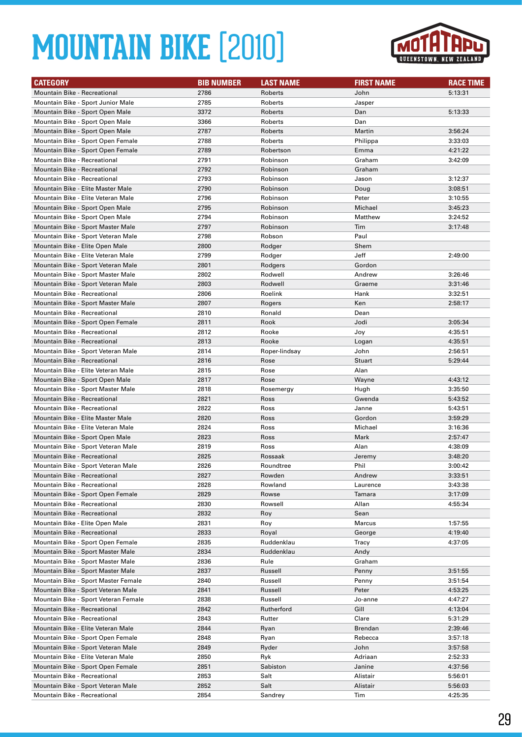

| <b>CATEGORY</b>                                                          | <b>BIB NUMBER</b> | <b>LAST NAME</b>   | <b>FIRST NAME</b> | <b>RACE TIME</b> |
|--------------------------------------------------------------------------|-------------------|--------------------|-------------------|------------------|
| Mountain Bike - Recreational                                             | 2786              | Roberts            | John              | 5:13:31          |
| Mountain Bike - Sport Junior Male                                        | 2785              | Roberts            | Jasper            |                  |
| Mountain Bike - Sport Open Male                                          | 3372              | Roberts            | Dan               | 5:13:33          |
| Mountain Bike - Sport Open Male                                          | 3366              | Roberts            | Dan               |                  |
| Mountain Bike - Sport Open Male                                          | 2787              | Roberts            | Martin            | 3:56:24          |
| Mountain Bike - Sport Open Female                                        | 2788              | Roberts            | Philippa          | 3:33:03          |
| Mountain Bike - Sport Open Female                                        | 2789              | Robertson          | Emma              | 4:21:22          |
| Mountain Bike - Recreational                                             | 2791              | Robinson           | Graham            | 3:42:09          |
| <b>Mountain Bike - Recreational</b>                                      | 2792              | Robinson           | Graham            |                  |
| <b>Mountain Bike - Recreational</b>                                      | 2793              | Robinson           | Jason             | 3:12:37          |
| Mountain Bike - Elite Master Male                                        | 2790              | Robinson           | Doug              | 3:08:51          |
| Mountain Bike - Elite Veteran Male                                       | 2796              | Robinson           | Peter             | 3:10:55          |
| Mountain Bike - Sport Open Male                                          | 2795              | Robinson           | Michael           | 3:45:23          |
| Mountain Bike - Sport Open Male                                          | 2794              | Robinson           | Matthew           | 3:24:52          |
| Mountain Bike - Sport Master Male                                        | 2797              | Robinson           | Tim               | 3:17:48          |
| Mountain Bike - Sport Veteran Male                                       | 2798              | Robson             | Paul              |                  |
| Mountain Bike - Elite Open Male                                          | 2800              | Rodger             | Shem              |                  |
| Mountain Bike - Elite Veteran Male                                       | 2799              | Rodger             | Jeff              | 2:49:00          |
| Mountain Bike - Sport Veteran Male                                       | 2801              | Rodgers            | Gordon            |                  |
| Mountain Bike - Sport Master Male                                        | 2802              | Rodwell            | Andrew            | 3:26:46          |
| Mountain Bike - Sport Veteran Male                                       | 2803              | Rodwell            | Graeme            | 3:31:46          |
| <b>Mountain Bike - Recreational</b>                                      | 2806              | Roelink            | Hank              | 3:32:51          |
| Mountain Bike - Sport Master Male                                        | 2807              | Rogers             | Ken               | 2:58:17          |
| <b>Mountain Bike - Recreational</b>                                      | 2810              | Ronald             | Dean              |                  |
| Mountain Bike - Sport Open Female                                        | 2811              | Rook               | Jodi              | 3:05:34          |
| Mountain Bike - Recreational                                             | 2812              | Rooke              | Joy               | 4:35:51          |
| <b>Mountain Bike - Recreational</b>                                      | 2813              | Rooke              | Logan             | 4:35:51          |
| Mountain Bike - Sport Veteran Male                                       | 2814              | Roper-lindsay      | John              | 2:56:51          |
| <b>Mountain Bike - Recreational</b>                                      | 2816              | Rose               | Stuart            | 5:29:44          |
| Mountain Bike - Elite Veteran Male                                       | 2815              | Rose               | Alan              |                  |
| Mountain Bike - Sport Open Male                                          | 2817              | Rose               | Wayne             | 4:43:12          |
| Mountain Bike - Sport Master Male                                        | 2818              | Rosemergy          | Hugh              | 3:35:50          |
| <b>Mountain Bike - Recreational</b>                                      | 2821              | Ross               | Gwenda            | 5:43:52          |
| Mountain Bike - Recreational                                             | 2822              | Ross               | Janne             | 5:43:51          |
| Mountain Bike - Elite Master Male                                        | 2820              | Ross               | Gordon            | 3:59:29          |
| Mountain Bike - Elite Veteran Male                                       | 2824              | Ross               | Michael           | 3:16:36          |
| Mountain Bike - Sport Open Male                                          | 2823              | Ross               | Mark              | 2:57:47          |
| Mountain Bike - Sport Veteran Male                                       | 2819              | Ross               | Alan              | 4:38:09          |
| <b>Mountain Bike - Recreational</b>                                      | 2825              | Rossaak            | Jeremy            | 3:48:20          |
| Mountain Bike - Sport Veteran Male                                       | 2826              | Roundtree          | Phil              | 3:00:42          |
| Mountain Bike - Recreational                                             | 2827              | Rowden             | Andrew            | 3:33:51          |
| Mountain Bike - Recreational                                             | 2828              | Rowland            | Laurence          | 3:43:38          |
| Mountain Bike - Sport Open Female                                        | 2829              | Rowse              | Tamara            | 3:17:09          |
| Mountain Bike - Recreational                                             | 2830              | Rowsell            | Allan             | 4:55:34          |
| Mountain Bike - Recreational                                             | 2832              | Roy                | Sean              |                  |
| Mountain Bike - Elite Open Male                                          | 2831              | Roy                | Marcus            | 1:57:55          |
| Mountain Bike - Recreational                                             | 2833              | Royal              | George            | 4:19:40          |
| Mountain Bike - Sport Open Female                                        | 2835              | Ruddenklau         | Tracy             | 4:37:05          |
| Mountain Bike - Sport Master Male<br>Mountain Bike - Sport Master Male   | 2834              | Ruddenklau         | Andy              |                  |
|                                                                          | 2836<br>2837      | Rule               | Graham            | 3:51:55          |
| Mountain Bike - Sport Master Male<br>Mountain Bike - Sport Master Female | 2840              | Russell<br>Russell | Penny<br>Penny    | 3:51:54          |
| Mountain Bike - Sport Veteran Male                                       | 2841              | Russell            | Peter             | 4:53:25          |
| Mountain Bike - Sport Veteran Female                                     | 2838              | Russell            | Jo-anne           | 4:47:27          |
| Mountain Bike - Recreational                                             | 2842              | Rutherford         | Gill              | 4:13:04          |
| Mountain Bike - Recreational                                             | 2843              | Rutter             | Clare             | 5:31:29          |
| Mountain Bike - Elite Veteran Male                                       | 2844              | Ryan               | Brendan           | 2:39:46          |
| Mountain Bike - Sport Open Female                                        | 2848              | Ryan               | Rebecca           | 3:57:18          |
| Mountain Bike - Sport Veteran Male                                       | 2849              | Ryder              | John              | 3:57:58          |
| Mountain Bike - Elite Veteran Male                                       | 2850              | Ryk                | Adriaan           | 2:52:33          |
| Mountain Bike - Sport Open Female                                        | 2851              | Sabiston           | Janine            | 4:37:56          |
| Mountain Bike - Recreational                                             | 2853              | Salt               | Alistair          | 5:56:01          |
| Mountain Bike - Sport Veteran Male                                       | 2852              | Salt               | Alistair          | 5:56:03          |
| Mountain Bike - Recreational                                             | 2854              | Sandrey            | Tim               | 4:25:35          |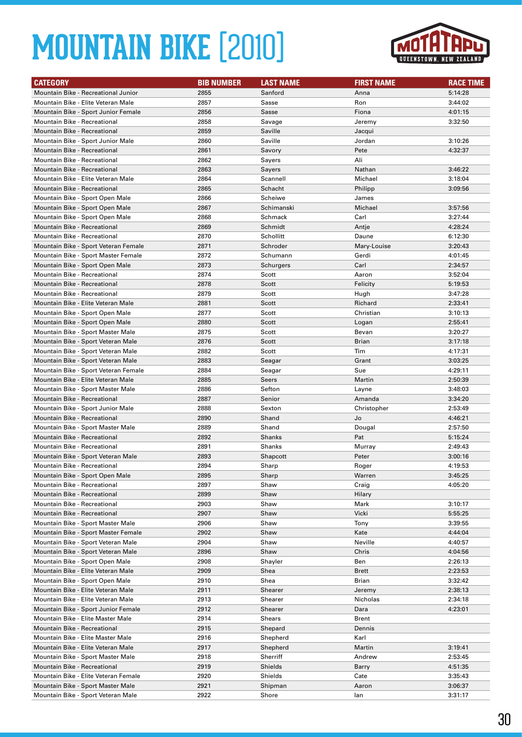

| <b>CATEGORY</b>                                                       | <b>BIB NUMBER</b> | <b>LAST NAME</b> | <b>FIRST NAME</b> | <b>RACE TIME</b>   |
|-----------------------------------------------------------------------|-------------------|------------------|-------------------|--------------------|
| Mountain Bike - Recreational Junior                                   | 2855              | Sanford          | Anna              | 5:14:28            |
| Mountain Bike - Elite Veteran Male                                    | 2857              | Sasse            | Ron               | 3:44:02            |
| Mountain Bike - Sport Junior Female                                   | 2856              | Sasse            | Fiona             | 4:01:15            |
| Mountain Bike - Recreational                                          | 2858              | Savage           | Jeremy            | 3:32:50            |
| Mountain Bike - Recreational                                          | 2859              | Saville          | Jacqui            |                    |
| Mountain Bike - Sport Junior Male                                     | 2860              | Saville          | Jordan            | 3:10:26            |
| Mountain Bike - Recreational                                          | 2861              | Savory           | Pete              | 4:32:37            |
| Mountain Bike - Recreational                                          | 2862              | Sayers           | Ali               |                    |
| <b>Mountain Bike - Recreational</b>                                   | 2863              | <b>Sayers</b>    | Nathan            | 3:46:22            |
| Mountain Bike - Elite Veteran Male                                    | 2864              | Scannell         | Michael           | 3:18:04            |
| <b>Mountain Bike - Recreational</b>                                   | 2865              | Schacht          | Philipp           | 3:09:56            |
| Mountain Bike - Sport Open Male                                       | 2866              | Scheiwe          | James             |                    |
| Mountain Bike - Sport Open Male                                       | 2867              | Schimanski       | Michael           | 3:57:56            |
| Mountain Bike - Sport Open Male                                       | 2868              | Schmack          | Carl              | 3:27:44            |
| Mountain Bike - Recreational                                          | 2869              | Schmidt          | Antje             | 4:28:24            |
| <b>Mountain Bike - Recreational</b>                                   | 2870              | Schollitt        | Daune             | 6:12:30            |
| Mountain Bike - Sport Veteran Female                                  | 2871              | Schroder         | Mary-Louise       | 3:20:43            |
| Mountain Bike - Sport Master Female                                   | 2872              | Schumann         | Gerdi             | 4:01:45            |
| Mountain Bike - Sport Open Male                                       | 2873              | Schurgers        | Carl              | 2:34:57            |
| Mountain Bike - Recreational                                          | 2874              | Scott            | Aaron             | 3:52:04            |
| <b>Mountain Bike - Recreational</b>                                   | 2878              | Scott            | Felicity          | 5:19:53            |
| Mountain Bike - Recreational                                          | 2879              | Scott            | Hugh              | 3:47:28            |
| Mountain Bike - Elite Veteran Male                                    | 2881              | Scott            | Richard           | 2:33:41            |
| Mountain Bike - Sport Open Male                                       | 2877              | Scott            | Christian         | 3:10:13            |
| Mountain Bike - Sport Open Male                                       | 2880              | Scott            | Logan             | 2:55:41            |
| Mountain Bike - Sport Master Male                                     | 2875              | Scott            | Bevan             | 3:20:27            |
| Mountain Bike - Sport Veteran Male                                    | 2876              | Scott            | <b>Brian</b>      | 3:17:18            |
| Mountain Bike - Sport Veteran Male                                    | 2882              | Scott            | Tim               | 4:17:31            |
| Mountain Bike - Sport Veteran Male                                    | 2883              | Seagar           | Grant             | 3:03:25            |
| Mountain Bike - Sport Veteran Female                                  | 2884              | Seagar           | Sue               | 4:29:11            |
| Mountain Bike - Elite Veteran Male                                    | 2885              | Seers            | Martin            | 2:50:39            |
| Mountain Bike - Sport Master Male                                     | 2886              | Sefton           | Layne             | 3:48:03            |
| <b>Mountain Bike - Recreational</b>                                   | 2887              | Senior           | Amanda            | 3:34:20            |
| Mountain Bike - Sport Junior Male                                     | 2888              | Sexton           | Christopher       | 2:53:49            |
| <b>Mountain Bike - Recreational</b>                                   | 2890              | Shand            | Jo                | 4:46:21            |
| Mountain Bike - Sport Master Male                                     | 2889              | Shand            | Dougal            | 2:57:50            |
| <b>Mountain Bike - Recreational</b>                                   | 2892              | Shanks           | Pat               | 5:15:24            |
| Mountain Bike - Recreational                                          | 2891              | Shanks           | Murray            | 2:49:43            |
| Mountain Bike - Sport Veteran Male                                    | 2893              | Shapcott         | Peter             | 3:00:16            |
| Mountain Bike - Recreational                                          | 2894              | Sharp            | Roger             | 4:19:53            |
| Mountain Bike - Sport Open Male                                       | 2895              | Sharp            | Warren            | 3:45:25            |
| Mountain Bike - Recreational                                          | 2897              | Shaw             | Craig             | 4:05:20            |
| Mountain Bike - Recreational                                          | 2899              | Shaw             | Hilary            |                    |
| Mountain Bike - Recreational                                          | 2903              | Shaw             | Mark              | 3:10:17            |
| Mountain Bike - Recreational                                          | 2907              | Shaw             | Vicki             | 5:55:25            |
| Mountain Bike - Sport Master Male                                     | 2906              | Shaw             | Tony              | 3:39:55            |
| Mountain Bike - Sport Master Female                                   | 2902              | Shaw             | Kate              | 4:44:04            |
| Mountain Bike - Sport Veteran Male                                    | 2904              | Shaw             | Neville           | 4:40:57            |
| Mountain Bike - Sport Veteran Male                                    | 2896              | Shaw             | Chris             | 4:04:56            |
| Mountain Bike - Sport Open Male                                       | 2908              | Shayler          | Ben               | 2:26:13            |
| Mountain Bike - Elite Veteran Male<br>Mountain Bike - Sport Open Male | 2909<br>2910      | Shea<br>Shea     | Brett<br>Brian    | 2:23:53            |
| Mountain Bike - Elite Veteran Male                                    | 2911              | Shearer          | Jeremy            | 3:32:42<br>2:38:13 |
| Mountain Bike - Elite Veteran Male                                    | 2913              | Shearer          | Nicholas          | 2:34:18            |
| Mountain Bike - Sport Junior Female                                   | 2912              | Shearer          | Dara              | 4:23:01            |
| Mountain Bike - Elite Master Male                                     | 2914              | Shears           | Brent             |                    |
| Mountain Bike - Recreational                                          | 2915              | Shepard          | Dennis            |                    |
| Mountain Bike - Elite Master Male                                     | 2916              | Shepherd         | Karl              |                    |
| Mountain Bike - Elite Veteran Male                                    | 2917              | Shepherd         | Martin            | 3:19:41            |
| Mountain Bike - Sport Master Male                                     | 2918              | Sherriff         | Andrew            | 2:53:45            |
| Mountain Bike - Recreational                                          | 2919              | Shields          | Barry             | 4:51:35            |
| Mountain Bike - Elite Veteran Female                                  | 2920              | Shields          | Cate              | 3:35:43            |
| Mountain Bike - Sport Master Male                                     | 2921              | Shipman          | Aaron             | 3:06:37            |
| Mountain Bike - Sport Veteran Male                                    | 2922              | Shore            | lan               | 3:31:17            |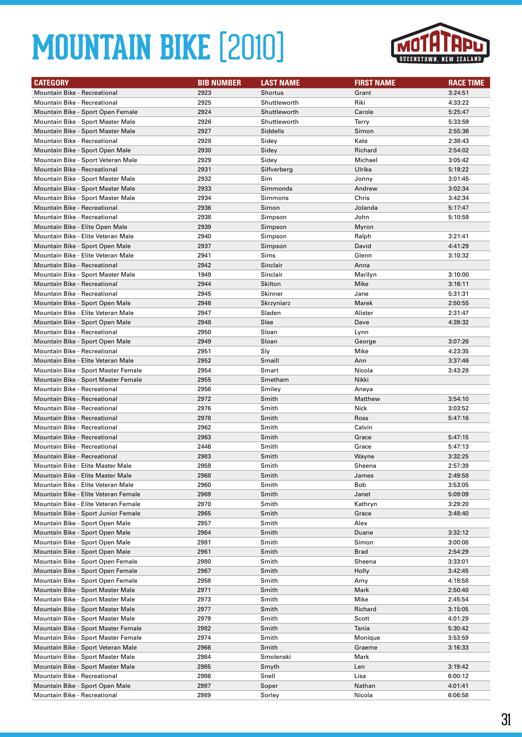

| <b>CATEGORY</b>                                                     | <b>BIB NUMBER</b> | <b>LAST NAME</b> | <b>FIRST NAME</b> | <b>RACE TIME</b>   |
|---------------------------------------------------------------------|-------------------|------------------|-------------------|--------------------|
| Mountain Bike - Recreational                                        | 2923              | <b>Shortus</b>   | Grant             | 3:24:51            |
| <b>Mountain Bike - Recreational</b>                                 | 2925              | Shuttleworth     | Riki              | 4:33:22            |
| Mountain Bike - Sport Open Female                                   | 2924              | Shuttleworth     | Carole            | 5:25:47            |
| Mountain Bike - Sport Master Male                                   | 2926              | Shuttleworth     | Terry             | 5:33:59            |
| Mountain Bike - Sport Master Male                                   | 2927              | Siddells         | Simon             | 2:55:36            |
| <b>Mountain Bike - Recreational</b>                                 | 2928              | Sidey            | Kate              | 2:38:43            |
| Mountain Bike - Sport Open Male                                     | 2930              | Sidey            | Richard           | 2:54:02            |
| Mountain Bike - Sport Veteran Male                                  | 2929              | Sidey            | Michael           | 3:05:42            |
| Mountain Bike - Recreational                                        | 2931              | Silfverberg      | Ulrika            | 5:19:22            |
| Mountain Bike - Sport Master Male                                   | 2932              | Sim              | Jonny             | 3:01:45            |
| Mountain Bike - Sport Master Male                                   | 2933              | Simmonds         | Andrew            | 3:02:34            |
| Mountain Bike - Sport Master Male                                   | 2934              | Simmons          | Chris             | 3:42:34            |
| Mountain Bike - Recreational                                        | 2936              | Simon            | Jolanda           | 5:17:47            |
| <b>Mountain Bike - Recreational</b>                                 | 2938              | Simpson          | John              | 5:10:59            |
| Mountain Bike - Elite Open Male                                     | 2939              | Simpson          | Myron             |                    |
| Mountain Bike - Elite Veteran Male                                  | 2940              | Simpson          | Ralph             | 3:21:41            |
| Mountain Bike - Sport Open Male                                     | 2937              | Simpson          | David             | 4:41:29            |
| Mountain Bike - Elite Veteran Male                                  | 2941              | Sims             | Glenn             | 3:10:32            |
| <b>Mountain Bike - Recreational</b>                                 | 2942              | Sinclair         | Anna              |                    |
| Mountain Bike - Sport Master Male                                   | 1949              | Sinclair         | Marilyn           | 3:10:00            |
| <b>Mountain Bike - Recreational</b>                                 | 2944              | Skilton          | Mike              | 3:16:11            |
| <b>Mountain Bike - Recreational</b>                                 | 2945              | Skinner          | Jane              | 5:31:31            |
| Mountain Bike - Sport Open Male                                     | 2946              | Skrzyniarz       | Marek             | 2:50:55            |
| Mountain Bike - Elite Veteran Male                                  | 2947              | Sladen           | Alister           | 2:31:47            |
| Mountain Bike - Sport Open Male                                     | 2948              | Slee             | Dave              | 4:39:32            |
| <b>Mountain Bike - Recreational</b>                                 | 2950              | Sloan            | Lynn              |                    |
| Mountain Bike - Sport Open Male                                     | 2949              | Sloan            | George            | 3:07:26            |
| <b>Mountain Bike - Recreational</b>                                 | 2951              | Sly              | Mike              | 4:23:35            |
| Mountain Bike - Elite Veteran Male                                  | 2952              | Smaill           | Ann               | 3:37:46            |
| Mountain Bike - Sport Master Female                                 | 2954              | Smart            | Nicola            | 3:43:28            |
| Mountain Bike - Sport Master Female                                 | 2955              | Smetham          | Nikki             |                    |
| Mountain Bike - Recreational                                        | 2956<br>2972      | Smiley<br>Smith  | Anaya<br>Matthew  |                    |
| Mountain Bike - Recreational<br><b>Mountain Bike - Recreational</b> | 2976              | Smith            | Nick              | 3:54:10<br>3:03:52 |
| <b>Mountain Bike - Recreational</b>                                 | 2978              | Smith            | Ross              | 5:47:16            |
| Mountain Bike - Recreational                                        | 2962              | Smith            | Calvin            |                    |
| Mountain Bike - Recreational                                        | 2963              | Smith            | Grace             | 5:47:15            |
| <b>Mountain Bike - Recreational</b>                                 | 2446              | Smith            | Grace             | 5:47:13            |
| <b>Mountain Bike - Recreational</b>                                 | 2983              | Smith            | Wayne             | 3:32:25            |
| Mountain Bike - Elite Master Male                                   | 2959              | Smith            | Sheena            | 2:57:39            |
| Mountain Bike - Elite Master Male                                   | 2968              | Smith            | James             | 2:49:58            |
| Mountain Bike - Elite Veteran Male                                  | 2960              | Smith            | Bob               | 3:53:05            |
| Mountain Bike - Elite Veteran Female                                | 2969              | Smith            | Janet             | 5:09:09            |
| Mountain Bike - Elite Veteran Female                                | 2970              | Smith            | Kathryn           | 3:29:20            |
| Mountain Bike - Sport Junior Female                                 | 2965              | Smith            | Grace             | 3:48:40            |
| Mountain Bike - Sport Open Male                                     | 2957              | Smith            | Alex              |                    |
| Mountain Bike - Sport Open Male                                     | 2964              | Smith            | Duane             | 3:32:12            |
| Mountain Bike - Sport Open Male                                     | 2981              | Smith            | Simon             | 3:00:08            |
| Mountain Bike - Sport Open Male                                     | 2961              | Smith            | <b>Brad</b>       | 2:54:29            |
| Mountain Bike - Sport Open Female                                   | 2980              | Smith            | Sheena            | 3:33:01            |
| Mountain Bike - Sport Open Female                                   | 2967              | Smith            | Holly             | 3:42:45            |
| Mountain Bike - Sport Open Female                                   | 2958              | Smith            | Amy               | 4:18:58            |
| Mountain Bike - Sport Master Male                                   | 2971              | Smith            | Mark              | 2:50:40            |
| Mountain Bike - Sport Master Male                                   | 2973              | Smith            | Mike              | 2:45:54            |
| Mountain Bike - Sport Master Male                                   | 2977              | Smith            | Richard           | 3:15:05            |
| Mountain Bike - Sport Master Male                                   | 2979              | Smith            | Scott             | 4:01:29            |
| Mountain Bike - Sport Master Female                                 | 2982              | Smith            | Tania             | 5:30:42            |
| Mountain Bike - Sport Master Female                                 | 2974              | Smith            | Monique           | 3:53:59            |
| Mountain Bike - Sport Veteran Male                                  | 2966              | Smith            | Graeme            | 3:16:33            |
| Mountain Bike - Sport Master Male                                   | 2984              | Smolenski        | Mark              |                    |
| Mountain Bike - Sport Master Male                                   | 2985              | Smyth            | Len               | 3:19:42            |
| Mountain Bike - Recreational                                        | 2986              | Snell            | Lisa              | 6:00:12            |
| Mountain Bike - Sport Open Male                                     | 2987              | Soper            | Nathan            | 4:01:41            |
| Mountain Bike - Recreational                                        | 2989              | Sorley           | Nicola            | 6:06:58            |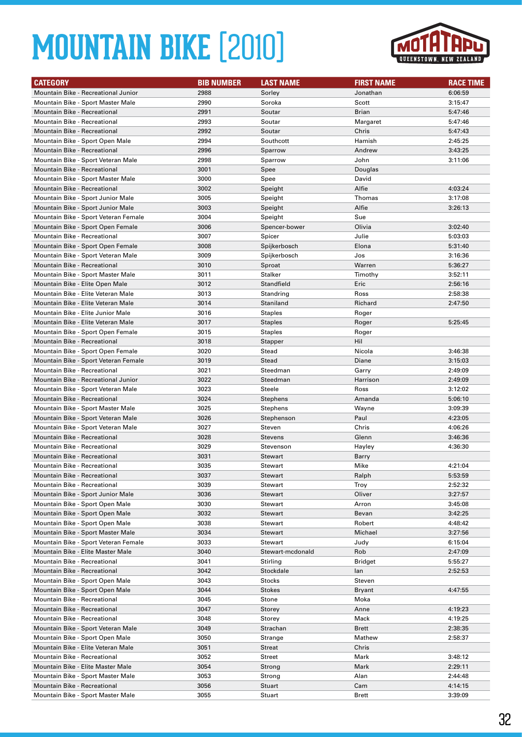

| <b>CATEGORY</b>                      | <b>BIB NUMBER</b> | <b>LAST NAME</b> | <b>FIRST NAME</b> | <b>RACE TIME</b> |
|--------------------------------------|-------------------|------------------|-------------------|------------------|
| Mountain Bike - Recreational Junior  | 2988              | Sorley           | Jonathan          | 6:06:59          |
| Mountain Bike - Sport Master Male    | 2990              | Soroka           | Scott             | 3:15:47          |
| Mountain Bike - Recreational         | 2991              | Soutar           | <b>Brian</b>      | 5:47:46          |
| <b>Mountain Bike - Recreational</b>  | 2993              | Soutar           | Margaret          | 5:47:46          |
| <b>Mountain Bike - Recreational</b>  | 2992              | Soutar           | Chris             | 5:47:43          |
| Mountain Bike - Sport Open Male      | 2994              | Southcott        | Hamish            | 2:45:25          |
| <b>Mountain Bike - Recreational</b>  | 2996              | Sparrow          | Andrew            | 3:43:25          |
| Mountain Bike - Sport Veteran Male   | 2998              | Sparrow          | John              | 3:11:06          |
| Mountain Bike - Recreational         | 3001              | Spee             | Douglas           |                  |
| Mountain Bike - Sport Master Male    | 3000              | Spee             | David             |                  |
| <b>Mountain Bike - Recreational</b>  | 3002              | Speight          | Alfie             | 4:03:24          |
| Mountain Bike - Sport Junior Male    | 3005              | Speight          | Thomas            | 3:17:08          |
| Mountain Bike - Sport Junior Male    | 3003              | Speight          | Alfie             | 3:26:13          |
| Mountain Bike - Sport Veteran Female | 3004              | Speight          | Sue               |                  |
| Mountain Bike - Sport Open Female    | 3006              | Spencer-bower    | Olivia            | 3:02:40          |
| Mountain Bike - Recreational         | 3007              | Spicer           | Julie             | 5:03:03          |
| Mountain Bike - Sport Open Female    | 3008              | Spijkerbosch     | Elona             | 5:31:40          |
| Mountain Bike - Sport Veteran Male   | 3009              | Spijkerbosch     | Jos               | 3:16:36          |
| <b>Mountain Bike - Recreational</b>  | 3010              | Sproat           | Warren            | 5:36:27          |
| Mountain Bike - Sport Master Male    | 3011              | Stalker          | Timothy           | 3:52:11          |
| Mountain Bike - Elite Open Male      | 3012              | Standfield       | Eric              | 2:56:16          |
| Mountain Bike - Elite Veteran Male   | 3013              | Standring        | Ross              | 2:58:38          |
| Mountain Bike - Elite Veteran Male   | 3014              | Staniland        | Richard           | 2:47:50          |
| Mountain Bike - Elite Junior Male    | 3016              | <b>Staples</b>   | Roger             |                  |
| Mountain Bike - Elite Veteran Male   | 3017              | <b>Staples</b>   | Roger             | 5:25:45          |
| Mountain Bike - Sport Open Female    | 3015              | <b>Staples</b>   | Roger             |                  |
| Mountain Bike - Recreational         | 3018              | Stapper          | Hil               |                  |
| Mountain Bike - Sport Open Female    | 3020              | Stead            | Nicola            | 3:46:38          |
| Mountain Bike - Sport Veteran Female | 3019              | Stead            | Diane             | 3:15:03          |
| <b>Mountain Bike - Recreational</b>  | 3021              | Steedman         | Garry             | 2:49:09          |
| Mountain Bike - Recreational Junior  | 3022              | Steedman         | Harrison          | 2:49:09          |
| Mountain Bike - Sport Veteran Male   | 3023              | Steele           | Ross              | 3:12:02          |
| <b>Mountain Bike - Recreational</b>  | 3024              | <b>Stephens</b>  | Amanda            | 5:06:10          |
| Mountain Bike - Sport Master Male    | 3025              | Stephens         | Wayne             | 3:09:39          |
| Mountain Bike - Sport Veteran Male   | 3026              | Stephenson       | Paul              | 4:23:05          |
| Mountain Bike - Sport Veteran Male   | 3027              | Steven           | Chris             | 4:06:26          |
| <b>Mountain Bike - Recreational</b>  | 3028              | <b>Stevens</b>   | Glenn             | 3:46:36          |
| Mountain Bike - Recreational         | 3029              | Stevenson        | Hayley            | 4:36:30          |
| <b>Mountain Bike - Recreational</b>  | 3031              | <b>Stewart</b>   | Barry             |                  |
| Mountain Bike - Recreational         | 3035              | Stewart          | Mike              | 4:21:04          |
| Mountain Bike - Recreational         | 3037              | Stewart          | Ralph             | 5:53:59          |
| Mountain Bike - Recreational         | 3039              | Stewart          | Troy              | 2:52:32          |
| Mountain Bike - Sport Junior Male    | 3036              | <b>Stewart</b>   | Oliver            | 3:27:57          |
| Mountain Bike - Sport Open Male      | 3030              | Stewart          | Arron             | 3:45:08          |
| Mountain Bike - Sport Open Male      | 3032              | <b>Stewart</b>   | Bevan             | 3:42:25          |
| Mountain Bike - Sport Open Male      | 3038              | Stewart          | Robert            | 4:48:42          |
| Mountain Bike - Sport Master Male    | 3034              | Stewart          | Michael           | 3:27:56          |
| Mountain Bike - Sport Veteran Female | 3033              | Stewart          | Judy              | 6:15:04          |
| Mountain Bike - Elite Master Male    | 3040              | Stewart-mcdonald | Rob               | 2:47:09          |
| Mountain Bike - Recreational         | 3041              | Stirling         | <b>Bridget</b>    | 5:55:27          |
| Mountain Bike - Recreational         | 3042              | Stockdale        | lan               | 2:52:53          |
| Mountain Bike - Sport Open Male      | 3043              | Stocks           | Steven            |                  |
| Mountain Bike - Sport Open Male      | 3044              | Stokes           | <b>Bryant</b>     | 4:47:55          |
| Mountain Bike - Recreational         | 3045              | Stone            | Moka              |                  |
| Mountain Bike - Recreational         | 3047              | Storey           | Anne              | 4:19:23          |
| Mountain Bike - Recreational         | 3048              | Storey           | Mack              | 4:19:25          |
| Mountain Bike - Sport Veteran Male   | 3049              | Strachan         | Brett             | 2:38:35          |
| Mountain Bike - Sport Open Male      | 3050              | Strange          | Mathew            | 2:58:37          |
| Mountain Bike - Elite Veteran Male   | 3051              | Streat           | Chris             |                  |
| Mountain Bike - Recreational         | 3052              | Street           | Mark              | 3:48:12          |
| Mountain Bike - Elite Master Male    | 3054              | Strong           | Mark              | 2:29:11          |
| Mountain Bike - Sport Master Male    | 3053              | Strong           | Alan              | 2:44:48          |
| Mountain Bike - Recreational         | 3056              | Stuart           | Cam               | 4:14:15          |
| Mountain Bike - Sport Master Male    | 3055              | Stuart           | <b>Brett</b>      | 3:39:09          |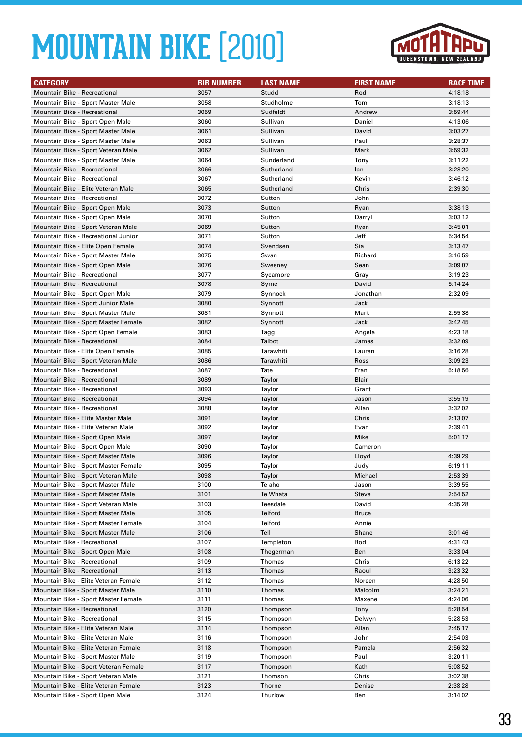

| <b>CATEGORY</b>                                                         | <b>BIB NUMBER</b> | <b>LAST NAME</b> | <b>FIRST NAME</b> | <b>RACE TIME</b> |
|-------------------------------------------------------------------------|-------------------|------------------|-------------------|------------------|
| Mountain Bike - Recreational                                            | 3057              | Studd            | Rod               | 4:18:18          |
| Mountain Bike - Sport Master Male                                       | 3058              | Studholme        | Tom               | 3:18:13          |
| Mountain Bike - Recreational                                            | 3059              | Sudfeldt         | Andrew            | 3:59:44          |
| Mountain Bike - Sport Open Male                                         | 3060              | Sullivan         | Daniel            | 4:13:06          |
| Mountain Bike - Sport Master Male                                       | 3061              | Sullivan         | David             | 3:03:27          |
| Mountain Bike - Sport Master Male                                       | 3063              | Sullivan         | Paul              | 3:28:37          |
| Mountain Bike - Sport Veteran Male                                      | 3062              | Sullivan         | Mark              | 3:59:32          |
| Mountain Bike - Sport Master Male                                       | 3064              | Sunderland       | Tony              | 3:11:22          |
| Mountain Bike - Recreational                                            | 3066              | Sutherland       | lan               | 3:28:20          |
| Mountain Bike - Recreational                                            | 3067              | Sutherland       | Kevin             | 3:46:12          |
| Mountain Bike - Elite Veteran Male                                      | 3065              | Sutherland       | Chris             | 2:39:30          |
| Mountain Bike - Recreational                                            | 3072              | Sutton           | John              |                  |
| Mountain Bike - Sport Open Male                                         | 3073              | Sutton           | Ryan              | 3:38:13          |
| Mountain Bike - Sport Open Male                                         | 3070              | Sutton           | Darryl            | 3:03:12          |
| Mountain Bike - Sport Veteran Male                                      | 3069              | Sutton           | Ryan              | 3:45:01          |
| Mountain Bike - Recreational Junior                                     | 3071              | Sutton           | Jeff              | 5:34:54          |
| Mountain Bike - Elite Open Female                                       | 3074              | Svendsen         | Sia               | 3:13:47          |
| Mountain Bike - Sport Master Male                                       | 3075              | Swan             | Richard           | 3:16:59          |
| Mountain Bike - Sport Open Male                                         | 3076              | Sweeney          | Sean              | 3:09:07          |
| Mountain Bike - Recreational                                            | 3077              | Sycamore         | Gray              | 3:19:23          |
| Mountain Bike - Recreational                                            | 3078              | Syme             | David             | 5:14:24          |
| Mountain Bike - Sport Open Male                                         | 3079              | Synnock          | Jonathan          | 2:32:09          |
| Mountain Bike - Sport Junior Male                                       | 3080              | Synnott          | Jack              |                  |
| Mountain Bike - Sport Master Male                                       | 3081              | Synnott          | Mark              | 2:55:38          |
| Mountain Bike - Sport Master Female                                     | 3082              | Synnott          | Jack              | 3:42:45          |
| Mountain Bike - Sport Open Female                                       | 3083              | Tagg             | Angela            | 4:23:18          |
| Mountain Bike - Recreational                                            | 3084              | Talbot           | James             | 3:32:09          |
| Mountain Bike - Elite Open Female                                       | 3085              | Tarawhiti        | Lauren            | 3:16:28          |
| Mountain Bike - Sport Veteran Male                                      | 3086              | Tarawhiti        | Ross              | 3:09:23          |
| <b>Mountain Bike - Recreational</b>                                     | 3087              | Tate             | Fran              | 5:18:56          |
| Mountain Bike - Recreational                                            | 3089              | Taylor           | Blair             |                  |
| Mountain Bike - Recreational                                            | 3093              | Taylor           | Grant             |                  |
| <b>Mountain Bike - Recreational</b>                                     | 3094              | Taylor           | Jason             | 3:55:19          |
| <b>Mountain Bike - Recreational</b>                                     | 3088              | Taylor           | Allan             | 3:32:02          |
| Mountain Bike - Elite Master Male<br>Mountain Bike - Elite Veteran Male | 3091              | Taylor           | Chris             | 2:13:07          |
|                                                                         | 3092<br>3097      | Taylor           | Evan<br>Mike      | 2:39:41          |
| Mountain Bike - Sport Open Male<br>Mountain Bike - Sport Open Male      | 3090              | Taylor<br>Taylor | Cameron           | 5:01:17          |
| Mountain Bike - Sport Master Male                                       | 3096              | Taylor           | Lloyd             | 4:39:29          |
| Mountain Bike - Sport Master Female                                     | 3095              |                  |                   | 6:19:11          |
| Mountain Bike - Sport Veteran Male                                      | 3098              | Taylor<br>Taylor | Judy<br>Michael   | 2:53:39          |
| Mountain Bike - Sport Master Male                                       | 3100              | Te aho           | Jason             | 3:39:55          |
| Mountain Bike - Sport Master Male                                       | 3101              | Te Whata         | Steve             | 2:54:52          |
| Mountain Bike - Sport Veteran Male                                      | 3103              | Teesdale         | David             | 4:35:28          |
| Mountain Bike - Sport Master Male                                       | 3105              | Telford          | <b>Bruce</b>      |                  |
| Mountain Bike - Sport Master Female                                     | 3104              | Telford          | Annie             |                  |
| Mountain Bike - Sport Master Male                                       | 3106              | Tell             | Shane             | 3:01:46          |
| Mountain Bike - Recreational                                            | 3107              | Templeton        | Rod               | 4:31:43          |
| Mountain Bike - Sport Open Male                                         | 3108              | Thegerman        | Ben               | 3:33:04          |
| Mountain Bike - Recreational                                            | 3109              | Thomas           | Chris             | 6:13:22          |
| Mountain Bike - Recreational                                            | 3113              | Thomas           | Raoul             | 3:23:32          |
| Mountain Bike - Elite Veteran Female                                    | 3112              | Thomas           | Noreen            | 4:28:50          |
| Mountain Bike - Sport Master Male                                       | 3110              | Thomas           | Malcolm           | 3:24:21          |
| Mountain Bike - Sport Master Female                                     | 3111              | Thomas           | Maxene            | 4:24:06          |
| Mountain Bike - Recreational                                            | 3120              | Thompson         | Tony              | 5:28:54          |
| Mountain Bike - Recreational                                            | 3115              | Thompson         | Delwyn            | 5:28:53          |
| Mountain Bike - Elite Veteran Male                                      | 3114              | Thompson         | Allan             | 2:45:17          |
| Mountain Bike - Elite Veteran Male                                      | 3116              | Thompson         | John              | 2:54:03          |
| Mountain Bike - Elite Veteran Female                                    | 3118              | Thompson         | Pamela            | 2:56:32          |
| Mountain Bike - Sport Master Male                                       | 3119              | Thompson         | Paul              | 3:20:11          |
| Mountain Bike - Sport Veteran Female                                    | 3117              | Thompson         | Kath              | 5:08:52          |
| Mountain Bike - Sport Veteran Male                                      | 3121              | Thomson          | Chris             | 3:02:38          |
| Mountain Bike - Elite Veteran Female                                    | 3123              | Thorne           | Denise            | 2:38:28          |
| Mountain Bike - Sport Open Male                                         | 3124              | Thurlow          | Ben               | 3:14:02          |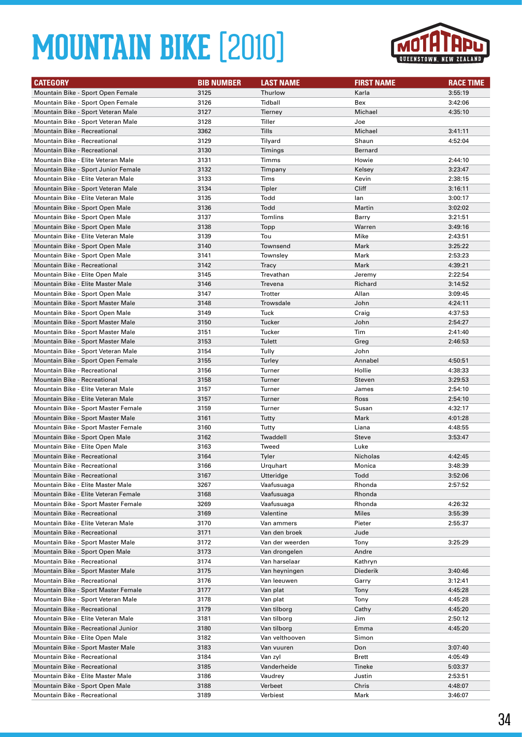

| <b>CATEGORY</b>                                                          | <b>BIB NUMBER</b> | <b>LAST NAME</b> | <b>FIRST NAME</b> | <b>RACE TIME</b>   |
|--------------------------------------------------------------------------|-------------------|------------------|-------------------|--------------------|
| Mountain Bike - Sport Open Female                                        | 3125              | Thurlow          | Karla             | 3:55:19            |
| Mountain Bike - Sport Open Female                                        | 3126              | Tidball          | Bex               | 3:42:06            |
| Mountain Bike - Sport Veteran Male                                       | 3127              | Tierney          | Michael           | 4:35:10            |
| Mountain Bike - Sport Veteran Male                                       | 3128              | Tiller           | Joe               |                    |
| <b>Mountain Bike - Recreational</b>                                      | 3362              | Tills            | Michael           | 3:41:11            |
| Mountain Bike - Recreational                                             | 3129              | Tilyard          | Shaun             | 4:52:04            |
| <b>Mountain Bike - Recreational</b>                                      | 3130              | Timings          | <b>Bernard</b>    |                    |
| Mountain Bike - Elite Veteran Male                                       | 3131              | Timms            | Howie             | 2:44:10            |
| Mountain Bike - Sport Junior Female                                      | 3132              | Timpany          | Kelsey            | 3:23:47            |
| Mountain Bike - Elite Veteran Male                                       | 3133              | Tims             | Kevin             | 2:38:15            |
| Mountain Bike - Sport Veteran Male                                       | 3134              | Tipler           | Cliff             | 3:16:11            |
| Mountain Bike - Elite Veteran Male                                       | 3135              | Todd             | lan               | 3:00:17            |
| Mountain Bike - Sport Open Male                                          | 3136              | Todd             | Martin            | 3:02:02            |
| Mountain Bike - Sport Open Male                                          | 3137              | Tomlins          | Barry             | 3:21:51            |
| Mountain Bike - Sport Open Male                                          | 3138              | Topp             | Warren            | 3:49:16            |
| Mountain Bike - Elite Veteran Male                                       | 3139              | Tou              | Mike              | 2:43:51            |
| Mountain Bike - Sport Open Male                                          | 3140              | Townsend         | Mark              | 3:25:22            |
| Mountain Bike - Sport Open Male                                          | 3141              | Townsley         | Mark              | 2:53:23            |
| <b>Mountain Bike - Recreational</b>                                      | 3142              | Tracy            | Mark              | 4:39:21            |
| Mountain Bike - Elite Open Male                                          | 3145              | Trevathan        | Jeremy            | 2:22:54            |
| Mountain Bike - Elite Master Male                                        | 3146              | Trevena          | Richard           | 3:14:52            |
| Mountain Bike - Sport Open Male                                          | 3147              | Trotter          | Allan             | 3:09:45            |
| Mountain Bike - Sport Master Male                                        | 3148              | Trowsdale        | John              | 4:24:11            |
| Mountain Bike - Sport Open Male                                          | 3149              | Tuck             | Craig             | 4:37:53            |
| Mountain Bike - Sport Master Male                                        | 3150              | Tucker           | John              | 2:54:27            |
| Mountain Bike - Sport Master Male                                        | 3151              | Tucker           | Tim               | 2:41:40            |
| Mountain Bike - Sport Master Male                                        | 3153              | Tulett           | Greg              | 2:46:53            |
| Mountain Bike - Sport Veteran Male                                       | 3154              | Tully            | John              |                    |
| Mountain Bike - Sport Open Female<br><b>Mountain Bike - Recreational</b> | 3155<br>3156      | Turley<br>Turner | Annabel<br>Hollie | 4:50:51<br>4:38:33 |
| <b>Mountain Bike - Recreational</b>                                      | 3158              | Turner           | <b>Steven</b>     | 3:29:53            |
| Mountain Bike - Elite Veteran Male                                       | 3157              | Turner           | James             | 2:54:10            |
| Mountain Bike - Elite Veteran Male                                       | 3157              | Turner           | Ross              | 2:54:10            |
| Mountain Bike - Sport Master Female                                      | 3159              | Turner           | Susan             | 4:32:17            |
| Mountain Bike - Sport Master Male                                        | 3161              | Tutty            | Mark              | 4:01:28            |
| Mountain Bike - Sport Master Female                                      | 3160              | Tutty            | Liana             | 4:48:55            |
| Mountain Bike - Sport Open Male                                          | 3162              | Twaddell         | Steve             | 3:53:47            |
| Mountain Bike - Elite Open Male                                          | 3163              | Tweed            | Luke              |                    |
| Mountain Bike - Recreational                                             | 3164              | Tyler            | Nicholas          | 4:42:45            |
| <b>Mountain Bike - Recreational</b>                                      | 3166              | Urquhart         | Monica            | 3:48:39            |
| Mountain Bike - Recreational                                             | 3167              | Utteridge        | Todd              | 3:52:06            |
| Mountain Bike - Elite Master Male                                        | 3267              | Vaafusuaga       | Rhonda            | 2:57:52            |
| Mountain Bike - Elite Veteran Female                                     | 3168              | Vaafusuaga       | Rhonda            |                    |
| Mountain Bike - Sport Master Female                                      | 3269              | Vaafusuaga       | Rhonda            | 4:26:32            |
| Mountain Bike - Recreational                                             | 3169              | Valentine        | Miles             | 3:55:39            |
| Mountain Bike - Elite Veteran Male                                       | 3170              | Van ammers       | Pieter            | 2:55:37            |
| Mountain Bike - Recreational                                             | 3171              | Van den broek    | Jude              |                    |
| Mountain Bike - Sport Master Male                                        | 3172              | Van der weerden  | Tony              | 3:25:29            |
| Mountain Bike - Sport Open Male                                          | 3173              | Van drongelen    | Andre             |                    |
| Mountain Bike - Recreational                                             | 3174              | Van harselaar    | Kathryn           |                    |
| Mountain Bike - Sport Master Male                                        | 3175              | Van heyningen    | Diederik          | 3:40:46            |
| Mountain Bike - Recreational                                             | 3176              | Van leeuwen      | Garry             | 3:12:41            |
| Mountain Bike - Sport Master Female                                      | 3177              | Van plat         | Tony              | 4:45:28            |
| Mountain Bike - Sport Veteran Male                                       | 3178              | Van plat         | Tony              | 4:45:28            |
| Mountain Bike - Recreational                                             | 3179              | Van tilborg      | Cathy             | 4:45:20            |
| Mountain Bike - Elite Veteran Male                                       | 3181              | Van tilborg      | Jim               | 2:50:12            |
| Mountain Bike - Recreational Junior                                      | 3180              | Van tilborg      | Emma              | 4:45:20            |
| Mountain Bike - Elite Open Male                                          | 3182              | Van velthooven   | Simon             |                    |
| Mountain Bike - Sport Master Male                                        | 3183              | Van vuuren       | Don               | 3:07:40            |
| Mountain Bike - Recreational                                             | 3184              | Van zyl          | Brett             | 4:05:49            |
| Mountain Bike - Recreational                                             | 3185              | Vanderheide      | Tineke            | 5:03:37            |
| Mountain Bike - Elite Master Male                                        | 3186              | Vaudrey          | Justin            | 2:53:51            |
| Mountain Bike - Sport Open Male                                          | 3188              | Verbeet          | Chris             | 4:48:07            |
| Mountain Bike - Recreational                                             | 3189              | Verbiest         | Mark              | 3:46:07            |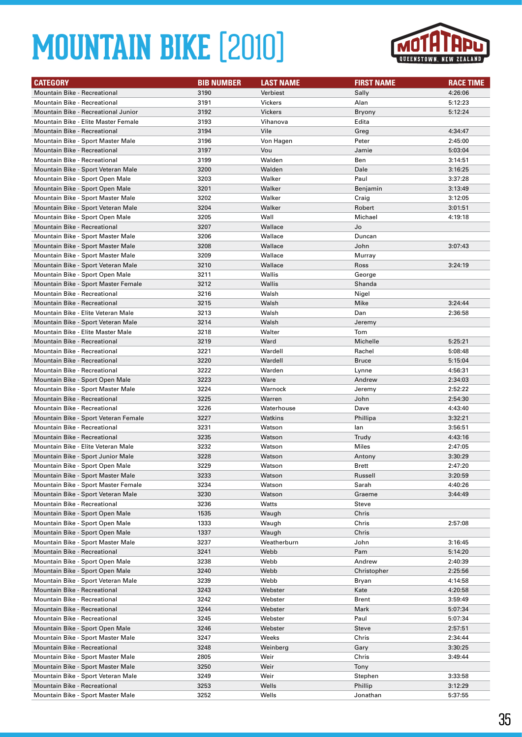

| <b>Mountain Bike - Recreational</b><br>3190<br>Verbiest<br>Sally<br>4:26:06<br><b>Mountain Bike - Recreational</b><br>3191<br><b>Vickers</b><br>5:12:23<br>Alan<br>3192<br>5:12:24<br>Mountain Bike - Recreational Junior<br>Vickers<br><b>Bryony</b><br>Mountain Bike - Elite Master Female<br>3193<br>Edita<br>Vihanova<br><b>Mountain Bike - Recreational</b><br>3194<br>Vile<br>4:34:47<br>Greg<br>3196<br>Peter<br>Mountain Bike - Sport Master Male<br>Von Hagen<br>2:45:00<br>3197<br><b>Mountain Bike - Recreational</b><br>Vou<br>Jamie<br>5:03:04<br>Ben<br><b>Mountain Bike - Recreational</b><br>3199<br>Walden<br>3:14:51<br>3200<br>Dale<br>Mountain Bike - Sport Veteran Male<br>Walden<br>3:16:25<br>3203<br>Walker<br>Paul<br>Mountain Bike - Sport Open Male<br>3:37:28<br>Mountain Bike - Sport Open Male<br>3201<br>Walker<br>Benjamin<br>3:13:49<br>Mountain Bike - Sport Master Male<br>3202<br>Walker<br>Craig<br>3:12:05<br>3204<br>Mountain Bike - Sport Veteran Male<br>Walker<br>Robert<br>3:01:51<br>3205<br>Mountain Bike - Sport Open Male<br>Wall<br>Michael<br>4:19:18<br>3207<br>Wallace<br>Jo<br>Mountain Bike - Recreational<br>Mountain Bike - Sport Master Male<br>3206<br>Wallace<br>Duncan<br>Mountain Bike - Sport Master Male<br>3208<br>John<br>3:07:43<br>Wallace<br>3209<br>Wallace<br>Mountain Bike - Sport Master Male<br>Murray<br>Mountain Bike - Sport Veteran Male<br>3210<br>Wallace<br>3:24:19<br>Ross<br>Mountain Bike - Sport Open Male<br>3211<br>Wallis<br>George<br>3212<br>Mountain Bike - Sport Master Female<br>Wallis<br>Shanda<br><b>Mountain Bike - Recreational</b><br>3216<br>Walsh<br>Nigel<br><b>Mountain Bike - Recreational</b><br>3215<br>Walsh<br>Mike<br>3:24:44<br>Mountain Bike - Elite Veteran Male<br>3213<br>Walsh<br>2:36:58<br>Dan<br>3214<br>Mountain Bike - Sport Veteran Male<br>Walsh<br>Jeremy<br>3218<br>Walter<br>Tom<br>Mountain Bike - Elite Master Male<br><b>Mountain Bike - Recreational</b><br>3219<br>Ward<br>Michelle<br>5:25:21<br>3221<br><b>Mountain Bike - Recreational</b><br>Wardell<br>Rachel<br>5:08:48<br>3220<br><b>Bruce</b><br><b>Mountain Bike - Recreational</b><br>Wardell<br>5:15:04<br><b>Mountain Bike - Recreational</b><br>3222<br>Warden<br>Lynne<br>4:56:31<br>3223<br>Mountain Bike - Sport Open Male<br>Ware<br>Andrew<br>2:34:03<br>3224<br>Warnock<br>Mountain Bike - Sport Master Male<br>Jeremy<br>2:52:22<br>3225<br>Mountain Bike - Recreational<br>Warren<br>John<br>2:54:30<br><b>Mountain Bike - Recreational</b><br>3226<br>4:43:40<br>Waterhouse<br>Dave<br>3227<br>Mountain Bike - Sport Veteran Female<br>Watkins<br>Phillipa<br>3:32:21<br>Mountain Bike - Recreational<br>3231<br>Watson<br>lan<br>3:56:51<br><b>Mountain Bike - Recreational</b><br>3235<br>4:43:16<br>Watson<br>Trudy<br>Mountain Bike - Elite Veteran Male<br>3232<br>Miles<br>2:47:05<br>Watson<br>Mountain Bike - Sport Junior Male<br>3228<br>3:30:29<br>Watson<br>Antony<br>3229<br>2:47:20<br>Mountain Bike - Sport Open Male<br>Watson<br>Brett<br>Mountain Bike - Sport Master Male<br>3233<br>Watson<br>Russell<br>3:20:59<br>Mountain Bike - Sport Master Female<br>3234<br>Sarah<br>4:40:26<br>Watson<br>Mountain Bike - Sport Veteran Male<br>3230<br>3:44:49<br>Watson<br>Graeme<br>Mountain Bike - Recreational<br>3236<br>Watts<br>Steve<br>Mountain Bike - Sport Open Male<br>1535<br>Chris<br>Waugh<br>Mountain Bike - Sport Open Male<br>1333<br>Chris<br>Waugh<br>2:57:08<br>Mountain Bike - Sport Open Male<br>1337<br>Waugh<br>Chris<br>Mountain Bike - Sport Master Male<br>3237<br>Weatherburn<br>John<br>3:16:45<br>Mountain Bike - Recreational<br>3241<br>Webb<br>Pam<br>5:14:20<br>Mountain Bike - Sport Open Male<br>3238<br>Webb<br>Andrew<br>2:40:39<br>Mountain Bike - Sport Open Male<br>3240<br>Webb<br>Christopher<br>2:25:56<br>Mountain Bike - Sport Veteran Male<br>3239<br>Webb<br>4:14:58<br>Bryan<br>Mountain Bike - Recreational<br>3243<br>Webster<br>Kate<br>4:20:58<br>3242<br>Mountain Bike - Recreational<br>Webster<br>Brent<br>3:59:49<br>Mountain Bike - Recreational<br>3244<br>5:07:34<br>Webster<br>Mark<br>Mountain Bike - Recreational<br>3245<br>Paul<br>5:07:34<br>Webster<br>Mountain Bike - Sport Open Male<br>3246<br>Webster<br><b>Steve</b><br>2:57:51<br>Mountain Bike - Sport Master Male<br>Chris<br>3247<br>Weeks<br>2:34:44<br>3248<br>Mountain Bike - Recreational<br>Weinberg<br>3:30:25<br>Gary<br>Mountain Bike - Sport Master Male<br>2805<br>Chris<br>3:49:44<br>Weir<br>Mountain Bike - Sport Master Male<br>3250<br>Weir<br>Tony<br>Mountain Bike - Sport Veteran Male<br>3249<br>Weir<br>3:33:58<br>Stephen<br>3253<br>Wells<br>Phillip<br>Mountain Bike - Recreational<br>3:12:29 | <b>CATEGORY</b>                   | <b>BIB NUMBER</b> | <b>LAST NAME</b> | <b>FIRST NAME</b> | <b>RACE TIME</b> |
|----------------------------------------------------------------------------------------------------------------------------------------------------------------------------------------------------------------------------------------------------------------------------------------------------------------------------------------------------------------------------------------------------------------------------------------------------------------------------------------------------------------------------------------------------------------------------------------------------------------------------------------------------------------------------------------------------------------------------------------------------------------------------------------------------------------------------------------------------------------------------------------------------------------------------------------------------------------------------------------------------------------------------------------------------------------------------------------------------------------------------------------------------------------------------------------------------------------------------------------------------------------------------------------------------------------------------------------------------------------------------------------------------------------------------------------------------------------------------------------------------------------------------------------------------------------------------------------------------------------------------------------------------------------------------------------------------------------------------------------------------------------------------------------------------------------------------------------------------------------------------------------------------------------------------------------------------------------------------------------------------------------------------------------------------------------------------------------------------------------------------------------------------------------------------------------------------------------------------------------------------------------------------------------------------------------------------------------------------------------------------------------------------------------------------------------------------------------------------------------------------------------------------------------------------------------------------------------------------------------------------------------------------------------------------------------------------------------------------------------------------------------------------------------------------------------------------------------------------------------------------------------------------------------------------------------------------------------------------------------------------------------------------------------------------------------------------------------------------------------------------------------------------------------------------------------------------------------------------------------------------------------------------------------------------------------------------------------------------------------------------------------------------------------------------------------------------------------------------------------------------------------------------------------------------------------------------------------------------------------------------------------------------------------------------------------------------------------------------------------------------------------------------------------------------------------------------------------------------------------------------------------------------------------------------------------------------------------------------------------------------------------------------------------------------------------------------------------------------------------------------------------------------------------------------------------------------------------------------------------------------------------------------------------------------------------------------------------------------------------------------------------------------------------------------------------------------------------------------------------------------------------------------------------------------------------------------------------------------------------------------------------------------------------------------------------------------------------------------------------------------------------------|-----------------------------------|-------------------|------------------|-------------------|------------------|
|                                                                                                                                                                                                                                                                                                                                                                                                                                                                                                                                                                                                                                                                                                                                                                                                                                                                                                                                                                                                                                                                                                                                                                                                                                                                                                                                                                                                                                                                                                                                                                                                                                                                                                                                                                                                                                                                                                                                                                                                                                                                                                                                                                                                                                                                                                                                                                                                                                                                                                                                                                                                                                                                                                                                                                                                                                                                                                                                                                                                                                                                                                                                                                                                                                                                                                                                                                                                                                                                                                                                                                                                                                                                                                                                                                                                                                                                                                                                                                                                                                                                                                                                                                                                                                                                                                                                                                                                                                                                                                                                                                                                                                                                                                                                                                      |                                   |                   |                  |                   |                  |
|                                                                                                                                                                                                                                                                                                                                                                                                                                                                                                                                                                                                                                                                                                                                                                                                                                                                                                                                                                                                                                                                                                                                                                                                                                                                                                                                                                                                                                                                                                                                                                                                                                                                                                                                                                                                                                                                                                                                                                                                                                                                                                                                                                                                                                                                                                                                                                                                                                                                                                                                                                                                                                                                                                                                                                                                                                                                                                                                                                                                                                                                                                                                                                                                                                                                                                                                                                                                                                                                                                                                                                                                                                                                                                                                                                                                                                                                                                                                                                                                                                                                                                                                                                                                                                                                                                                                                                                                                                                                                                                                                                                                                                                                                                                                                                      |                                   |                   |                  |                   |                  |
|                                                                                                                                                                                                                                                                                                                                                                                                                                                                                                                                                                                                                                                                                                                                                                                                                                                                                                                                                                                                                                                                                                                                                                                                                                                                                                                                                                                                                                                                                                                                                                                                                                                                                                                                                                                                                                                                                                                                                                                                                                                                                                                                                                                                                                                                                                                                                                                                                                                                                                                                                                                                                                                                                                                                                                                                                                                                                                                                                                                                                                                                                                                                                                                                                                                                                                                                                                                                                                                                                                                                                                                                                                                                                                                                                                                                                                                                                                                                                                                                                                                                                                                                                                                                                                                                                                                                                                                                                                                                                                                                                                                                                                                                                                                                                                      |                                   |                   |                  |                   |                  |
|                                                                                                                                                                                                                                                                                                                                                                                                                                                                                                                                                                                                                                                                                                                                                                                                                                                                                                                                                                                                                                                                                                                                                                                                                                                                                                                                                                                                                                                                                                                                                                                                                                                                                                                                                                                                                                                                                                                                                                                                                                                                                                                                                                                                                                                                                                                                                                                                                                                                                                                                                                                                                                                                                                                                                                                                                                                                                                                                                                                                                                                                                                                                                                                                                                                                                                                                                                                                                                                                                                                                                                                                                                                                                                                                                                                                                                                                                                                                                                                                                                                                                                                                                                                                                                                                                                                                                                                                                                                                                                                                                                                                                                                                                                                                                                      |                                   |                   |                  |                   |                  |
|                                                                                                                                                                                                                                                                                                                                                                                                                                                                                                                                                                                                                                                                                                                                                                                                                                                                                                                                                                                                                                                                                                                                                                                                                                                                                                                                                                                                                                                                                                                                                                                                                                                                                                                                                                                                                                                                                                                                                                                                                                                                                                                                                                                                                                                                                                                                                                                                                                                                                                                                                                                                                                                                                                                                                                                                                                                                                                                                                                                                                                                                                                                                                                                                                                                                                                                                                                                                                                                                                                                                                                                                                                                                                                                                                                                                                                                                                                                                                                                                                                                                                                                                                                                                                                                                                                                                                                                                                                                                                                                                                                                                                                                                                                                                                                      |                                   |                   |                  |                   |                  |
|                                                                                                                                                                                                                                                                                                                                                                                                                                                                                                                                                                                                                                                                                                                                                                                                                                                                                                                                                                                                                                                                                                                                                                                                                                                                                                                                                                                                                                                                                                                                                                                                                                                                                                                                                                                                                                                                                                                                                                                                                                                                                                                                                                                                                                                                                                                                                                                                                                                                                                                                                                                                                                                                                                                                                                                                                                                                                                                                                                                                                                                                                                                                                                                                                                                                                                                                                                                                                                                                                                                                                                                                                                                                                                                                                                                                                                                                                                                                                                                                                                                                                                                                                                                                                                                                                                                                                                                                                                                                                                                                                                                                                                                                                                                                                                      |                                   |                   |                  |                   |                  |
|                                                                                                                                                                                                                                                                                                                                                                                                                                                                                                                                                                                                                                                                                                                                                                                                                                                                                                                                                                                                                                                                                                                                                                                                                                                                                                                                                                                                                                                                                                                                                                                                                                                                                                                                                                                                                                                                                                                                                                                                                                                                                                                                                                                                                                                                                                                                                                                                                                                                                                                                                                                                                                                                                                                                                                                                                                                                                                                                                                                                                                                                                                                                                                                                                                                                                                                                                                                                                                                                                                                                                                                                                                                                                                                                                                                                                                                                                                                                                                                                                                                                                                                                                                                                                                                                                                                                                                                                                                                                                                                                                                                                                                                                                                                                                                      |                                   |                   |                  |                   |                  |
|                                                                                                                                                                                                                                                                                                                                                                                                                                                                                                                                                                                                                                                                                                                                                                                                                                                                                                                                                                                                                                                                                                                                                                                                                                                                                                                                                                                                                                                                                                                                                                                                                                                                                                                                                                                                                                                                                                                                                                                                                                                                                                                                                                                                                                                                                                                                                                                                                                                                                                                                                                                                                                                                                                                                                                                                                                                                                                                                                                                                                                                                                                                                                                                                                                                                                                                                                                                                                                                                                                                                                                                                                                                                                                                                                                                                                                                                                                                                                                                                                                                                                                                                                                                                                                                                                                                                                                                                                                                                                                                                                                                                                                                                                                                                                                      |                                   |                   |                  |                   |                  |
|                                                                                                                                                                                                                                                                                                                                                                                                                                                                                                                                                                                                                                                                                                                                                                                                                                                                                                                                                                                                                                                                                                                                                                                                                                                                                                                                                                                                                                                                                                                                                                                                                                                                                                                                                                                                                                                                                                                                                                                                                                                                                                                                                                                                                                                                                                                                                                                                                                                                                                                                                                                                                                                                                                                                                                                                                                                                                                                                                                                                                                                                                                                                                                                                                                                                                                                                                                                                                                                                                                                                                                                                                                                                                                                                                                                                                                                                                                                                                                                                                                                                                                                                                                                                                                                                                                                                                                                                                                                                                                                                                                                                                                                                                                                                                                      |                                   |                   |                  |                   |                  |
|                                                                                                                                                                                                                                                                                                                                                                                                                                                                                                                                                                                                                                                                                                                                                                                                                                                                                                                                                                                                                                                                                                                                                                                                                                                                                                                                                                                                                                                                                                                                                                                                                                                                                                                                                                                                                                                                                                                                                                                                                                                                                                                                                                                                                                                                                                                                                                                                                                                                                                                                                                                                                                                                                                                                                                                                                                                                                                                                                                                                                                                                                                                                                                                                                                                                                                                                                                                                                                                                                                                                                                                                                                                                                                                                                                                                                                                                                                                                                                                                                                                                                                                                                                                                                                                                                                                                                                                                                                                                                                                                                                                                                                                                                                                                                                      |                                   |                   |                  |                   |                  |
|                                                                                                                                                                                                                                                                                                                                                                                                                                                                                                                                                                                                                                                                                                                                                                                                                                                                                                                                                                                                                                                                                                                                                                                                                                                                                                                                                                                                                                                                                                                                                                                                                                                                                                                                                                                                                                                                                                                                                                                                                                                                                                                                                                                                                                                                                                                                                                                                                                                                                                                                                                                                                                                                                                                                                                                                                                                                                                                                                                                                                                                                                                                                                                                                                                                                                                                                                                                                                                                                                                                                                                                                                                                                                                                                                                                                                                                                                                                                                                                                                                                                                                                                                                                                                                                                                                                                                                                                                                                                                                                                                                                                                                                                                                                                                                      |                                   |                   |                  |                   |                  |
|                                                                                                                                                                                                                                                                                                                                                                                                                                                                                                                                                                                                                                                                                                                                                                                                                                                                                                                                                                                                                                                                                                                                                                                                                                                                                                                                                                                                                                                                                                                                                                                                                                                                                                                                                                                                                                                                                                                                                                                                                                                                                                                                                                                                                                                                                                                                                                                                                                                                                                                                                                                                                                                                                                                                                                                                                                                                                                                                                                                                                                                                                                                                                                                                                                                                                                                                                                                                                                                                                                                                                                                                                                                                                                                                                                                                                                                                                                                                                                                                                                                                                                                                                                                                                                                                                                                                                                                                                                                                                                                                                                                                                                                                                                                                                                      |                                   |                   |                  |                   |                  |
|                                                                                                                                                                                                                                                                                                                                                                                                                                                                                                                                                                                                                                                                                                                                                                                                                                                                                                                                                                                                                                                                                                                                                                                                                                                                                                                                                                                                                                                                                                                                                                                                                                                                                                                                                                                                                                                                                                                                                                                                                                                                                                                                                                                                                                                                                                                                                                                                                                                                                                                                                                                                                                                                                                                                                                                                                                                                                                                                                                                                                                                                                                                                                                                                                                                                                                                                                                                                                                                                                                                                                                                                                                                                                                                                                                                                                                                                                                                                                                                                                                                                                                                                                                                                                                                                                                                                                                                                                                                                                                                                                                                                                                                                                                                                                                      |                                   |                   |                  |                   |                  |
|                                                                                                                                                                                                                                                                                                                                                                                                                                                                                                                                                                                                                                                                                                                                                                                                                                                                                                                                                                                                                                                                                                                                                                                                                                                                                                                                                                                                                                                                                                                                                                                                                                                                                                                                                                                                                                                                                                                                                                                                                                                                                                                                                                                                                                                                                                                                                                                                                                                                                                                                                                                                                                                                                                                                                                                                                                                                                                                                                                                                                                                                                                                                                                                                                                                                                                                                                                                                                                                                                                                                                                                                                                                                                                                                                                                                                                                                                                                                                                                                                                                                                                                                                                                                                                                                                                                                                                                                                                                                                                                                                                                                                                                                                                                                                                      |                                   |                   |                  |                   |                  |
|                                                                                                                                                                                                                                                                                                                                                                                                                                                                                                                                                                                                                                                                                                                                                                                                                                                                                                                                                                                                                                                                                                                                                                                                                                                                                                                                                                                                                                                                                                                                                                                                                                                                                                                                                                                                                                                                                                                                                                                                                                                                                                                                                                                                                                                                                                                                                                                                                                                                                                                                                                                                                                                                                                                                                                                                                                                                                                                                                                                                                                                                                                                                                                                                                                                                                                                                                                                                                                                                                                                                                                                                                                                                                                                                                                                                                                                                                                                                                                                                                                                                                                                                                                                                                                                                                                                                                                                                                                                                                                                                                                                                                                                                                                                                                                      |                                   |                   |                  |                   |                  |
|                                                                                                                                                                                                                                                                                                                                                                                                                                                                                                                                                                                                                                                                                                                                                                                                                                                                                                                                                                                                                                                                                                                                                                                                                                                                                                                                                                                                                                                                                                                                                                                                                                                                                                                                                                                                                                                                                                                                                                                                                                                                                                                                                                                                                                                                                                                                                                                                                                                                                                                                                                                                                                                                                                                                                                                                                                                                                                                                                                                                                                                                                                                                                                                                                                                                                                                                                                                                                                                                                                                                                                                                                                                                                                                                                                                                                                                                                                                                                                                                                                                                                                                                                                                                                                                                                                                                                                                                                                                                                                                                                                                                                                                                                                                                                                      |                                   |                   |                  |                   |                  |
|                                                                                                                                                                                                                                                                                                                                                                                                                                                                                                                                                                                                                                                                                                                                                                                                                                                                                                                                                                                                                                                                                                                                                                                                                                                                                                                                                                                                                                                                                                                                                                                                                                                                                                                                                                                                                                                                                                                                                                                                                                                                                                                                                                                                                                                                                                                                                                                                                                                                                                                                                                                                                                                                                                                                                                                                                                                                                                                                                                                                                                                                                                                                                                                                                                                                                                                                                                                                                                                                                                                                                                                                                                                                                                                                                                                                                                                                                                                                                                                                                                                                                                                                                                                                                                                                                                                                                                                                                                                                                                                                                                                                                                                                                                                                                                      |                                   |                   |                  |                   |                  |
|                                                                                                                                                                                                                                                                                                                                                                                                                                                                                                                                                                                                                                                                                                                                                                                                                                                                                                                                                                                                                                                                                                                                                                                                                                                                                                                                                                                                                                                                                                                                                                                                                                                                                                                                                                                                                                                                                                                                                                                                                                                                                                                                                                                                                                                                                                                                                                                                                                                                                                                                                                                                                                                                                                                                                                                                                                                                                                                                                                                                                                                                                                                                                                                                                                                                                                                                                                                                                                                                                                                                                                                                                                                                                                                                                                                                                                                                                                                                                                                                                                                                                                                                                                                                                                                                                                                                                                                                                                                                                                                                                                                                                                                                                                                                                                      |                                   |                   |                  |                   |                  |
|                                                                                                                                                                                                                                                                                                                                                                                                                                                                                                                                                                                                                                                                                                                                                                                                                                                                                                                                                                                                                                                                                                                                                                                                                                                                                                                                                                                                                                                                                                                                                                                                                                                                                                                                                                                                                                                                                                                                                                                                                                                                                                                                                                                                                                                                                                                                                                                                                                                                                                                                                                                                                                                                                                                                                                                                                                                                                                                                                                                                                                                                                                                                                                                                                                                                                                                                                                                                                                                                                                                                                                                                                                                                                                                                                                                                                                                                                                                                                                                                                                                                                                                                                                                                                                                                                                                                                                                                                                                                                                                                                                                                                                                                                                                                                                      |                                   |                   |                  |                   |                  |
|                                                                                                                                                                                                                                                                                                                                                                                                                                                                                                                                                                                                                                                                                                                                                                                                                                                                                                                                                                                                                                                                                                                                                                                                                                                                                                                                                                                                                                                                                                                                                                                                                                                                                                                                                                                                                                                                                                                                                                                                                                                                                                                                                                                                                                                                                                                                                                                                                                                                                                                                                                                                                                                                                                                                                                                                                                                                                                                                                                                                                                                                                                                                                                                                                                                                                                                                                                                                                                                                                                                                                                                                                                                                                                                                                                                                                                                                                                                                                                                                                                                                                                                                                                                                                                                                                                                                                                                                                                                                                                                                                                                                                                                                                                                                                                      |                                   |                   |                  |                   |                  |
|                                                                                                                                                                                                                                                                                                                                                                                                                                                                                                                                                                                                                                                                                                                                                                                                                                                                                                                                                                                                                                                                                                                                                                                                                                                                                                                                                                                                                                                                                                                                                                                                                                                                                                                                                                                                                                                                                                                                                                                                                                                                                                                                                                                                                                                                                                                                                                                                                                                                                                                                                                                                                                                                                                                                                                                                                                                                                                                                                                                                                                                                                                                                                                                                                                                                                                                                                                                                                                                                                                                                                                                                                                                                                                                                                                                                                                                                                                                                                                                                                                                                                                                                                                                                                                                                                                                                                                                                                                                                                                                                                                                                                                                                                                                                                                      |                                   |                   |                  |                   |                  |
|                                                                                                                                                                                                                                                                                                                                                                                                                                                                                                                                                                                                                                                                                                                                                                                                                                                                                                                                                                                                                                                                                                                                                                                                                                                                                                                                                                                                                                                                                                                                                                                                                                                                                                                                                                                                                                                                                                                                                                                                                                                                                                                                                                                                                                                                                                                                                                                                                                                                                                                                                                                                                                                                                                                                                                                                                                                                                                                                                                                                                                                                                                                                                                                                                                                                                                                                                                                                                                                                                                                                                                                                                                                                                                                                                                                                                                                                                                                                                                                                                                                                                                                                                                                                                                                                                                                                                                                                                                                                                                                                                                                                                                                                                                                                                                      |                                   |                   |                  |                   |                  |
|                                                                                                                                                                                                                                                                                                                                                                                                                                                                                                                                                                                                                                                                                                                                                                                                                                                                                                                                                                                                                                                                                                                                                                                                                                                                                                                                                                                                                                                                                                                                                                                                                                                                                                                                                                                                                                                                                                                                                                                                                                                                                                                                                                                                                                                                                                                                                                                                                                                                                                                                                                                                                                                                                                                                                                                                                                                                                                                                                                                                                                                                                                                                                                                                                                                                                                                                                                                                                                                                                                                                                                                                                                                                                                                                                                                                                                                                                                                                                                                                                                                                                                                                                                                                                                                                                                                                                                                                                                                                                                                                                                                                                                                                                                                                                                      |                                   |                   |                  |                   |                  |
|                                                                                                                                                                                                                                                                                                                                                                                                                                                                                                                                                                                                                                                                                                                                                                                                                                                                                                                                                                                                                                                                                                                                                                                                                                                                                                                                                                                                                                                                                                                                                                                                                                                                                                                                                                                                                                                                                                                                                                                                                                                                                                                                                                                                                                                                                                                                                                                                                                                                                                                                                                                                                                                                                                                                                                                                                                                                                                                                                                                                                                                                                                                                                                                                                                                                                                                                                                                                                                                                                                                                                                                                                                                                                                                                                                                                                                                                                                                                                                                                                                                                                                                                                                                                                                                                                                                                                                                                                                                                                                                                                                                                                                                                                                                                                                      |                                   |                   |                  |                   |                  |
|                                                                                                                                                                                                                                                                                                                                                                                                                                                                                                                                                                                                                                                                                                                                                                                                                                                                                                                                                                                                                                                                                                                                                                                                                                                                                                                                                                                                                                                                                                                                                                                                                                                                                                                                                                                                                                                                                                                                                                                                                                                                                                                                                                                                                                                                                                                                                                                                                                                                                                                                                                                                                                                                                                                                                                                                                                                                                                                                                                                                                                                                                                                                                                                                                                                                                                                                                                                                                                                                                                                                                                                                                                                                                                                                                                                                                                                                                                                                                                                                                                                                                                                                                                                                                                                                                                                                                                                                                                                                                                                                                                                                                                                                                                                                                                      |                                   |                   |                  |                   |                  |
|                                                                                                                                                                                                                                                                                                                                                                                                                                                                                                                                                                                                                                                                                                                                                                                                                                                                                                                                                                                                                                                                                                                                                                                                                                                                                                                                                                                                                                                                                                                                                                                                                                                                                                                                                                                                                                                                                                                                                                                                                                                                                                                                                                                                                                                                                                                                                                                                                                                                                                                                                                                                                                                                                                                                                                                                                                                                                                                                                                                                                                                                                                                                                                                                                                                                                                                                                                                                                                                                                                                                                                                                                                                                                                                                                                                                                                                                                                                                                                                                                                                                                                                                                                                                                                                                                                                                                                                                                                                                                                                                                                                                                                                                                                                                                                      |                                   |                   |                  |                   |                  |
|                                                                                                                                                                                                                                                                                                                                                                                                                                                                                                                                                                                                                                                                                                                                                                                                                                                                                                                                                                                                                                                                                                                                                                                                                                                                                                                                                                                                                                                                                                                                                                                                                                                                                                                                                                                                                                                                                                                                                                                                                                                                                                                                                                                                                                                                                                                                                                                                                                                                                                                                                                                                                                                                                                                                                                                                                                                                                                                                                                                                                                                                                                                                                                                                                                                                                                                                                                                                                                                                                                                                                                                                                                                                                                                                                                                                                                                                                                                                                                                                                                                                                                                                                                                                                                                                                                                                                                                                                                                                                                                                                                                                                                                                                                                                                                      |                                   |                   |                  |                   |                  |
|                                                                                                                                                                                                                                                                                                                                                                                                                                                                                                                                                                                                                                                                                                                                                                                                                                                                                                                                                                                                                                                                                                                                                                                                                                                                                                                                                                                                                                                                                                                                                                                                                                                                                                                                                                                                                                                                                                                                                                                                                                                                                                                                                                                                                                                                                                                                                                                                                                                                                                                                                                                                                                                                                                                                                                                                                                                                                                                                                                                                                                                                                                                                                                                                                                                                                                                                                                                                                                                                                                                                                                                                                                                                                                                                                                                                                                                                                                                                                                                                                                                                                                                                                                                                                                                                                                                                                                                                                                                                                                                                                                                                                                                                                                                                                                      |                                   |                   |                  |                   |                  |
|                                                                                                                                                                                                                                                                                                                                                                                                                                                                                                                                                                                                                                                                                                                                                                                                                                                                                                                                                                                                                                                                                                                                                                                                                                                                                                                                                                                                                                                                                                                                                                                                                                                                                                                                                                                                                                                                                                                                                                                                                                                                                                                                                                                                                                                                                                                                                                                                                                                                                                                                                                                                                                                                                                                                                                                                                                                                                                                                                                                                                                                                                                                                                                                                                                                                                                                                                                                                                                                                                                                                                                                                                                                                                                                                                                                                                                                                                                                                                                                                                                                                                                                                                                                                                                                                                                                                                                                                                                                                                                                                                                                                                                                                                                                                                                      |                                   |                   |                  |                   |                  |
|                                                                                                                                                                                                                                                                                                                                                                                                                                                                                                                                                                                                                                                                                                                                                                                                                                                                                                                                                                                                                                                                                                                                                                                                                                                                                                                                                                                                                                                                                                                                                                                                                                                                                                                                                                                                                                                                                                                                                                                                                                                                                                                                                                                                                                                                                                                                                                                                                                                                                                                                                                                                                                                                                                                                                                                                                                                                                                                                                                                                                                                                                                                                                                                                                                                                                                                                                                                                                                                                                                                                                                                                                                                                                                                                                                                                                                                                                                                                                                                                                                                                                                                                                                                                                                                                                                                                                                                                                                                                                                                                                                                                                                                                                                                                                                      |                                   |                   |                  |                   |                  |
|                                                                                                                                                                                                                                                                                                                                                                                                                                                                                                                                                                                                                                                                                                                                                                                                                                                                                                                                                                                                                                                                                                                                                                                                                                                                                                                                                                                                                                                                                                                                                                                                                                                                                                                                                                                                                                                                                                                                                                                                                                                                                                                                                                                                                                                                                                                                                                                                                                                                                                                                                                                                                                                                                                                                                                                                                                                                                                                                                                                                                                                                                                                                                                                                                                                                                                                                                                                                                                                                                                                                                                                                                                                                                                                                                                                                                                                                                                                                                                                                                                                                                                                                                                                                                                                                                                                                                                                                                                                                                                                                                                                                                                                                                                                                                                      |                                   |                   |                  |                   |                  |
|                                                                                                                                                                                                                                                                                                                                                                                                                                                                                                                                                                                                                                                                                                                                                                                                                                                                                                                                                                                                                                                                                                                                                                                                                                                                                                                                                                                                                                                                                                                                                                                                                                                                                                                                                                                                                                                                                                                                                                                                                                                                                                                                                                                                                                                                                                                                                                                                                                                                                                                                                                                                                                                                                                                                                                                                                                                                                                                                                                                                                                                                                                                                                                                                                                                                                                                                                                                                                                                                                                                                                                                                                                                                                                                                                                                                                                                                                                                                                                                                                                                                                                                                                                                                                                                                                                                                                                                                                                                                                                                                                                                                                                                                                                                                                                      |                                   |                   |                  |                   |                  |
|                                                                                                                                                                                                                                                                                                                                                                                                                                                                                                                                                                                                                                                                                                                                                                                                                                                                                                                                                                                                                                                                                                                                                                                                                                                                                                                                                                                                                                                                                                                                                                                                                                                                                                                                                                                                                                                                                                                                                                                                                                                                                                                                                                                                                                                                                                                                                                                                                                                                                                                                                                                                                                                                                                                                                                                                                                                                                                                                                                                                                                                                                                                                                                                                                                                                                                                                                                                                                                                                                                                                                                                                                                                                                                                                                                                                                                                                                                                                                                                                                                                                                                                                                                                                                                                                                                                                                                                                                                                                                                                                                                                                                                                                                                                                                                      |                                   |                   |                  |                   |                  |
|                                                                                                                                                                                                                                                                                                                                                                                                                                                                                                                                                                                                                                                                                                                                                                                                                                                                                                                                                                                                                                                                                                                                                                                                                                                                                                                                                                                                                                                                                                                                                                                                                                                                                                                                                                                                                                                                                                                                                                                                                                                                                                                                                                                                                                                                                                                                                                                                                                                                                                                                                                                                                                                                                                                                                                                                                                                                                                                                                                                                                                                                                                                                                                                                                                                                                                                                                                                                                                                                                                                                                                                                                                                                                                                                                                                                                                                                                                                                                                                                                                                                                                                                                                                                                                                                                                                                                                                                                                                                                                                                                                                                                                                                                                                                                                      |                                   |                   |                  |                   |                  |
|                                                                                                                                                                                                                                                                                                                                                                                                                                                                                                                                                                                                                                                                                                                                                                                                                                                                                                                                                                                                                                                                                                                                                                                                                                                                                                                                                                                                                                                                                                                                                                                                                                                                                                                                                                                                                                                                                                                                                                                                                                                                                                                                                                                                                                                                                                                                                                                                                                                                                                                                                                                                                                                                                                                                                                                                                                                                                                                                                                                                                                                                                                                                                                                                                                                                                                                                                                                                                                                                                                                                                                                                                                                                                                                                                                                                                                                                                                                                                                                                                                                                                                                                                                                                                                                                                                                                                                                                                                                                                                                                                                                                                                                                                                                                                                      |                                   |                   |                  |                   |                  |
|                                                                                                                                                                                                                                                                                                                                                                                                                                                                                                                                                                                                                                                                                                                                                                                                                                                                                                                                                                                                                                                                                                                                                                                                                                                                                                                                                                                                                                                                                                                                                                                                                                                                                                                                                                                                                                                                                                                                                                                                                                                                                                                                                                                                                                                                                                                                                                                                                                                                                                                                                                                                                                                                                                                                                                                                                                                                                                                                                                                                                                                                                                                                                                                                                                                                                                                                                                                                                                                                                                                                                                                                                                                                                                                                                                                                                                                                                                                                                                                                                                                                                                                                                                                                                                                                                                                                                                                                                                                                                                                                                                                                                                                                                                                                                                      |                                   |                   |                  |                   |                  |
|                                                                                                                                                                                                                                                                                                                                                                                                                                                                                                                                                                                                                                                                                                                                                                                                                                                                                                                                                                                                                                                                                                                                                                                                                                                                                                                                                                                                                                                                                                                                                                                                                                                                                                                                                                                                                                                                                                                                                                                                                                                                                                                                                                                                                                                                                                                                                                                                                                                                                                                                                                                                                                                                                                                                                                                                                                                                                                                                                                                                                                                                                                                                                                                                                                                                                                                                                                                                                                                                                                                                                                                                                                                                                                                                                                                                                                                                                                                                                                                                                                                                                                                                                                                                                                                                                                                                                                                                                                                                                                                                                                                                                                                                                                                                                                      |                                   |                   |                  |                   |                  |
|                                                                                                                                                                                                                                                                                                                                                                                                                                                                                                                                                                                                                                                                                                                                                                                                                                                                                                                                                                                                                                                                                                                                                                                                                                                                                                                                                                                                                                                                                                                                                                                                                                                                                                                                                                                                                                                                                                                                                                                                                                                                                                                                                                                                                                                                                                                                                                                                                                                                                                                                                                                                                                                                                                                                                                                                                                                                                                                                                                                                                                                                                                                                                                                                                                                                                                                                                                                                                                                                                                                                                                                                                                                                                                                                                                                                                                                                                                                                                                                                                                                                                                                                                                                                                                                                                                                                                                                                                                                                                                                                                                                                                                                                                                                                                                      |                                   |                   |                  |                   |                  |
|                                                                                                                                                                                                                                                                                                                                                                                                                                                                                                                                                                                                                                                                                                                                                                                                                                                                                                                                                                                                                                                                                                                                                                                                                                                                                                                                                                                                                                                                                                                                                                                                                                                                                                                                                                                                                                                                                                                                                                                                                                                                                                                                                                                                                                                                                                                                                                                                                                                                                                                                                                                                                                                                                                                                                                                                                                                                                                                                                                                                                                                                                                                                                                                                                                                                                                                                                                                                                                                                                                                                                                                                                                                                                                                                                                                                                                                                                                                                                                                                                                                                                                                                                                                                                                                                                                                                                                                                                                                                                                                                                                                                                                                                                                                                                                      |                                   |                   |                  |                   |                  |
|                                                                                                                                                                                                                                                                                                                                                                                                                                                                                                                                                                                                                                                                                                                                                                                                                                                                                                                                                                                                                                                                                                                                                                                                                                                                                                                                                                                                                                                                                                                                                                                                                                                                                                                                                                                                                                                                                                                                                                                                                                                                                                                                                                                                                                                                                                                                                                                                                                                                                                                                                                                                                                                                                                                                                                                                                                                                                                                                                                                                                                                                                                                                                                                                                                                                                                                                                                                                                                                                                                                                                                                                                                                                                                                                                                                                                                                                                                                                                                                                                                                                                                                                                                                                                                                                                                                                                                                                                                                                                                                                                                                                                                                                                                                                                                      |                                   |                   |                  |                   |                  |
|                                                                                                                                                                                                                                                                                                                                                                                                                                                                                                                                                                                                                                                                                                                                                                                                                                                                                                                                                                                                                                                                                                                                                                                                                                                                                                                                                                                                                                                                                                                                                                                                                                                                                                                                                                                                                                                                                                                                                                                                                                                                                                                                                                                                                                                                                                                                                                                                                                                                                                                                                                                                                                                                                                                                                                                                                                                                                                                                                                                                                                                                                                                                                                                                                                                                                                                                                                                                                                                                                                                                                                                                                                                                                                                                                                                                                                                                                                                                                                                                                                                                                                                                                                                                                                                                                                                                                                                                                                                                                                                                                                                                                                                                                                                                                                      |                                   |                   |                  |                   |                  |
|                                                                                                                                                                                                                                                                                                                                                                                                                                                                                                                                                                                                                                                                                                                                                                                                                                                                                                                                                                                                                                                                                                                                                                                                                                                                                                                                                                                                                                                                                                                                                                                                                                                                                                                                                                                                                                                                                                                                                                                                                                                                                                                                                                                                                                                                                                                                                                                                                                                                                                                                                                                                                                                                                                                                                                                                                                                                                                                                                                                                                                                                                                                                                                                                                                                                                                                                                                                                                                                                                                                                                                                                                                                                                                                                                                                                                                                                                                                                                                                                                                                                                                                                                                                                                                                                                                                                                                                                                                                                                                                                                                                                                                                                                                                                                                      |                                   |                   |                  |                   |                  |
|                                                                                                                                                                                                                                                                                                                                                                                                                                                                                                                                                                                                                                                                                                                                                                                                                                                                                                                                                                                                                                                                                                                                                                                                                                                                                                                                                                                                                                                                                                                                                                                                                                                                                                                                                                                                                                                                                                                                                                                                                                                                                                                                                                                                                                                                                                                                                                                                                                                                                                                                                                                                                                                                                                                                                                                                                                                                                                                                                                                                                                                                                                                                                                                                                                                                                                                                                                                                                                                                                                                                                                                                                                                                                                                                                                                                                                                                                                                                                                                                                                                                                                                                                                                                                                                                                                                                                                                                                                                                                                                                                                                                                                                                                                                                                                      |                                   |                   |                  |                   |                  |
|                                                                                                                                                                                                                                                                                                                                                                                                                                                                                                                                                                                                                                                                                                                                                                                                                                                                                                                                                                                                                                                                                                                                                                                                                                                                                                                                                                                                                                                                                                                                                                                                                                                                                                                                                                                                                                                                                                                                                                                                                                                                                                                                                                                                                                                                                                                                                                                                                                                                                                                                                                                                                                                                                                                                                                                                                                                                                                                                                                                                                                                                                                                                                                                                                                                                                                                                                                                                                                                                                                                                                                                                                                                                                                                                                                                                                                                                                                                                                                                                                                                                                                                                                                                                                                                                                                                                                                                                                                                                                                                                                                                                                                                                                                                                                                      |                                   |                   |                  |                   |                  |
|                                                                                                                                                                                                                                                                                                                                                                                                                                                                                                                                                                                                                                                                                                                                                                                                                                                                                                                                                                                                                                                                                                                                                                                                                                                                                                                                                                                                                                                                                                                                                                                                                                                                                                                                                                                                                                                                                                                                                                                                                                                                                                                                                                                                                                                                                                                                                                                                                                                                                                                                                                                                                                                                                                                                                                                                                                                                                                                                                                                                                                                                                                                                                                                                                                                                                                                                                                                                                                                                                                                                                                                                                                                                                                                                                                                                                                                                                                                                                                                                                                                                                                                                                                                                                                                                                                                                                                                                                                                                                                                                                                                                                                                                                                                                                                      |                                   |                   |                  |                   |                  |
|                                                                                                                                                                                                                                                                                                                                                                                                                                                                                                                                                                                                                                                                                                                                                                                                                                                                                                                                                                                                                                                                                                                                                                                                                                                                                                                                                                                                                                                                                                                                                                                                                                                                                                                                                                                                                                                                                                                                                                                                                                                                                                                                                                                                                                                                                                                                                                                                                                                                                                                                                                                                                                                                                                                                                                                                                                                                                                                                                                                                                                                                                                                                                                                                                                                                                                                                                                                                                                                                                                                                                                                                                                                                                                                                                                                                                                                                                                                                                                                                                                                                                                                                                                                                                                                                                                                                                                                                                                                                                                                                                                                                                                                                                                                                                                      |                                   |                   |                  |                   |                  |
|                                                                                                                                                                                                                                                                                                                                                                                                                                                                                                                                                                                                                                                                                                                                                                                                                                                                                                                                                                                                                                                                                                                                                                                                                                                                                                                                                                                                                                                                                                                                                                                                                                                                                                                                                                                                                                                                                                                                                                                                                                                                                                                                                                                                                                                                                                                                                                                                                                                                                                                                                                                                                                                                                                                                                                                                                                                                                                                                                                                                                                                                                                                                                                                                                                                                                                                                                                                                                                                                                                                                                                                                                                                                                                                                                                                                                                                                                                                                                                                                                                                                                                                                                                                                                                                                                                                                                                                                                                                                                                                                                                                                                                                                                                                                                                      |                                   |                   |                  |                   |                  |
|                                                                                                                                                                                                                                                                                                                                                                                                                                                                                                                                                                                                                                                                                                                                                                                                                                                                                                                                                                                                                                                                                                                                                                                                                                                                                                                                                                                                                                                                                                                                                                                                                                                                                                                                                                                                                                                                                                                                                                                                                                                                                                                                                                                                                                                                                                                                                                                                                                                                                                                                                                                                                                                                                                                                                                                                                                                                                                                                                                                                                                                                                                                                                                                                                                                                                                                                                                                                                                                                                                                                                                                                                                                                                                                                                                                                                                                                                                                                                                                                                                                                                                                                                                                                                                                                                                                                                                                                                                                                                                                                                                                                                                                                                                                                                                      |                                   |                   |                  |                   |                  |
|                                                                                                                                                                                                                                                                                                                                                                                                                                                                                                                                                                                                                                                                                                                                                                                                                                                                                                                                                                                                                                                                                                                                                                                                                                                                                                                                                                                                                                                                                                                                                                                                                                                                                                                                                                                                                                                                                                                                                                                                                                                                                                                                                                                                                                                                                                                                                                                                                                                                                                                                                                                                                                                                                                                                                                                                                                                                                                                                                                                                                                                                                                                                                                                                                                                                                                                                                                                                                                                                                                                                                                                                                                                                                                                                                                                                                                                                                                                                                                                                                                                                                                                                                                                                                                                                                                                                                                                                                                                                                                                                                                                                                                                                                                                                                                      |                                   |                   |                  |                   |                  |
|                                                                                                                                                                                                                                                                                                                                                                                                                                                                                                                                                                                                                                                                                                                                                                                                                                                                                                                                                                                                                                                                                                                                                                                                                                                                                                                                                                                                                                                                                                                                                                                                                                                                                                                                                                                                                                                                                                                                                                                                                                                                                                                                                                                                                                                                                                                                                                                                                                                                                                                                                                                                                                                                                                                                                                                                                                                                                                                                                                                                                                                                                                                                                                                                                                                                                                                                                                                                                                                                                                                                                                                                                                                                                                                                                                                                                                                                                                                                                                                                                                                                                                                                                                                                                                                                                                                                                                                                                                                                                                                                                                                                                                                                                                                                                                      |                                   |                   |                  |                   |                  |
|                                                                                                                                                                                                                                                                                                                                                                                                                                                                                                                                                                                                                                                                                                                                                                                                                                                                                                                                                                                                                                                                                                                                                                                                                                                                                                                                                                                                                                                                                                                                                                                                                                                                                                                                                                                                                                                                                                                                                                                                                                                                                                                                                                                                                                                                                                                                                                                                                                                                                                                                                                                                                                                                                                                                                                                                                                                                                                                                                                                                                                                                                                                                                                                                                                                                                                                                                                                                                                                                                                                                                                                                                                                                                                                                                                                                                                                                                                                                                                                                                                                                                                                                                                                                                                                                                                                                                                                                                                                                                                                                                                                                                                                                                                                                                                      |                                   |                   |                  |                   |                  |
|                                                                                                                                                                                                                                                                                                                                                                                                                                                                                                                                                                                                                                                                                                                                                                                                                                                                                                                                                                                                                                                                                                                                                                                                                                                                                                                                                                                                                                                                                                                                                                                                                                                                                                                                                                                                                                                                                                                                                                                                                                                                                                                                                                                                                                                                                                                                                                                                                                                                                                                                                                                                                                                                                                                                                                                                                                                                                                                                                                                                                                                                                                                                                                                                                                                                                                                                                                                                                                                                                                                                                                                                                                                                                                                                                                                                                                                                                                                                                                                                                                                                                                                                                                                                                                                                                                                                                                                                                                                                                                                                                                                                                                                                                                                                                                      |                                   |                   |                  |                   |                  |
|                                                                                                                                                                                                                                                                                                                                                                                                                                                                                                                                                                                                                                                                                                                                                                                                                                                                                                                                                                                                                                                                                                                                                                                                                                                                                                                                                                                                                                                                                                                                                                                                                                                                                                                                                                                                                                                                                                                                                                                                                                                                                                                                                                                                                                                                                                                                                                                                                                                                                                                                                                                                                                                                                                                                                                                                                                                                                                                                                                                                                                                                                                                                                                                                                                                                                                                                                                                                                                                                                                                                                                                                                                                                                                                                                                                                                                                                                                                                                                                                                                                                                                                                                                                                                                                                                                                                                                                                                                                                                                                                                                                                                                                                                                                                                                      |                                   |                   |                  |                   |                  |
|                                                                                                                                                                                                                                                                                                                                                                                                                                                                                                                                                                                                                                                                                                                                                                                                                                                                                                                                                                                                                                                                                                                                                                                                                                                                                                                                                                                                                                                                                                                                                                                                                                                                                                                                                                                                                                                                                                                                                                                                                                                                                                                                                                                                                                                                                                                                                                                                                                                                                                                                                                                                                                                                                                                                                                                                                                                                                                                                                                                                                                                                                                                                                                                                                                                                                                                                                                                                                                                                                                                                                                                                                                                                                                                                                                                                                                                                                                                                                                                                                                                                                                                                                                                                                                                                                                                                                                                                                                                                                                                                                                                                                                                                                                                                                                      |                                   |                   |                  |                   |                  |
|                                                                                                                                                                                                                                                                                                                                                                                                                                                                                                                                                                                                                                                                                                                                                                                                                                                                                                                                                                                                                                                                                                                                                                                                                                                                                                                                                                                                                                                                                                                                                                                                                                                                                                                                                                                                                                                                                                                                                                                                                                                                                                                                                                                                                                                                                                                                                                                                                                                                                                                                                                                                                                                                                                                                                                                                                                                                                                                                                                                                                                                                                                                                                                                                                                                                                                                                                                                                                                                                                                                                                                                                                                                                                                                                                                                                                                                                                                                                                                                                                                                                                                                                                                                                                                                                                                                                                                                                                                                                                                                                                                                                                                                                                                                                                                      |                                   |                   |                  |                   |                  |
|                                                                                                                                                                                                                                                                                                                                                                                                                                                                                                                                                                                                                                                                                                                                                                                                                                                                                                                                                                                                                                                                                                                                                                                                                                                                                                                                                                                                                                                                                                                                                                                                                                                                                                                                                                                                                                                                                                                                                                                                                                                                                                                                                                                                                                                                                                                                                                                                                                                                                                                                                                                                                                                                                                                                                                                                                                                                                                                                                                                                                                                                                                                                                                                                                                                                                                                                                                                                                                                                                                                                                                                                                                                                                                                                                                                                                                                                                                                                                                                                                                                                                                                                                                                                                                                                                                                                                                                                                                                                                                                                                                                                                                                                                                                                                                      |                                   |                   |                  |                   |                  |
|                                                                                                                                                                                                                                                                                                                                                                                                                                                                                                                                                                                                                                                                                                                                                                                                                                                                                                                                                                                                                                                                                                                                                                                                                                                                                                                                                                                                                                                                                                                                                                                                                                                                                                                                                                                                                                                                                                                                                                                                                                                                                                                                                                                                                                                                                                                                                                                                                                                                                                                                                                                                                                                                                                                                                                                                                                                                                                                                                                                                                                                                                                                                                                                                                                                                                                                                                                                                                                                                                                                                                                                                                                                                                                                                                                                                                                                                                                                                                                                                                                                                                                                                                                                                                                                                                                                                                                                                                                                                                                                                                                                                                                                                                                                                                                      |                                   |                   |                  |                   |                  |
|                                                                                                                                                                                                                                                                                                                                                                                                                                                                                                                                                                                                                                                                                                                                                                                                                                                                                                                                                                                                                                                                                                                                                                                                                                                                                                                                                                                                                                                                                                                                                                                                                                                                                                                                                                                                                                                                                                                                                                                                                                                                                                                                                                                                                                                                                                                                                                                                                                                                                                                                                                                                                                                                                                                                                                                                                                                                                                                                                                                                                                                                                                                                                                                                                                                                                                                                                                                                                                                                                                                                                                                                                                                                                                                                                                                                                                                                                                                                                                                                                                                                                                                                                                                                                                                                                                                                                                                                                                                                                                                                                                                                                                                                                                                                                                      |                                   |                   |                  |                   |                  |
|                                                                                                                                                                                                                                                                                                                                                                                                                                                                                                                                                                                                                                                                                                                                                                                                                                                                                                                                                                                                                                                                                                                                                                                                                                                                                                                                                                                                                                                                                                                                                                                                                                                                                                                                                                                                                                                                                                                                                                                                                                                                                                                                                                                                                                                                                                                                                                                                                                                                                                                                                                                                                                                                                                                                                                                                                                                                                                                                                                                                                                                                                                                                                                                                                                                                                                                                                                                                                                                                                                                                                                                                                                                                                                                                                                                                                                                                                                                                                                                                                                                                                                                                                                                                                                                                                                                                                                                                                                                                                                                                                                                                                                                                                                                                                                      |                                   |                   |                  |                   |                  |
|                                                                                                                                                                                                                                                                                                                                                                                                                                                                                                                                                                                                                                                                                                                                                                                                                                                                                                                                                                                                                                                                                                                                                                                                                                                                                                                                                                                                                                                                                                                                                                                                                                                                                                                                                                                                                                                                                                                                                                                                                                                                                                                                                                                                                                                                                                                                                                                                                                                                                                                                                                                                                                                                                                                                                                                                                                                                                                                                                                                                                                                                                                                                                                                                                                                                                                                                                                                                                                                                                                                                                                                                                                                                                                                                                                                                                                                                                                                                                                                                                                                                                                                                                                                                                                                                                                                                                                                                                                                                                                                                                                                                                                                                                                                                                                      |                                   |                   |                  |                   |                  |
|                                                                                                                                                                                                                                                                                                                                                                                                                                                                                                                                                                                                                                                                                                                                                                                                                                                                                                                                                                                                                                                                                                                                                                                                                                                                                                                                                                                                                                                                                                                                                                                                                                                                                                                                                                                                                                                                                                                                                                                                                                                                                                                                                                                                                                                                                                                                                                                                                                                                                                                                                                                                                                                                                                                                                                                                                                                                                                                                                                                                                                                                                                                                                                                                                                                                                                                                                                                                                                                                                                                                                                                                                                                                                                                                                                                                                                                                                                                                                                                                                                                                                                                                                                                                                                                                                                                                                                                                                                                                                                                                                                                                                                                                                                                                                                      |                                   |                   |                  |                   |                  |
|                                                                                                                                                                                                                                                                                                                                                                                                                                                                                                                                                                                                                                                                                                                                                                                                                                                                                                                                                                                                                                                                                                                                                                                                                                                                                                                                                                                                                                                                                                                                                                                                                                                                                                                                                                                                                                                                                                                                                                                                                                                                                                                                                                                                                                                                                                                                                                                                                                                                                                                                                                                                                                                                                                                                                                                                                                                                                                                                                                                                                                                                                                                                                                                                                                                                                                                                                                                                                                                                                                                                                                                                                                                                                                                                                                                                                                                                                                                                                                                                                                                                                                                                                                                                                                                                                                                                                                                                                                                                                                                                                                                                                                                                                                                                                                      |                                   |                   |                  |                   |                  |
|                                                                                                                                                                                                                                                                                                                                                                                                                                                                                                                                                                                                                                                                                                                                                                                                                                                                                                                                                                                                                                                                                                                                                                                                                                                                                                                                                                                                                                                                                                                                                                                                                                                                                                                                                                                                                                                                                                                                                                                                                                                                                                                                                                                                                                                                                                                                                                                                                                                                                                                                                                                                                                                                                                                                                                                                                                                                                                                                                                                                                                                                                                                                                                                                                                                                                                                                                                                                                                                                                                                                                                                                                                                                                                                                                                                                                                                                                                                                                                                                                                                                                                                                                                                                                                                                                                                                                                                                                                                                                                                                                                                                                                                                                                                                                                      |                                   |                   |                  |                   |                  |
|                                                                                                                                                                                                                                                                                                                                                                                                                                                                                                                                                                                                                                                                                                                                                                                                                                                                                                                                                                                                                                                                                                                                                                                                                                                                                                                                                                                                                                                                                                                                                                                                                                                                                                                                                                                                                                                                                                                                                                                                                                                                                                                                                                                                                                                                                                                                                                                                                                                                                                                                                                                                                                                                                                                                                                                                                                                                                                                                                                                                                                                                                                                                                                                                                                                                                                                                                                                                                                                                                                                                                                                                                                                                                                                                                                                                                                                                                                                                                                                                                                                                                                                                                                                                                                                                                                                                                                                                                                                                                                                                                                                                                                                                                                                                                                      | Mountain Bike - Sport Master Male | 3252              | Wells            | Jonathan          | 5:37:55          |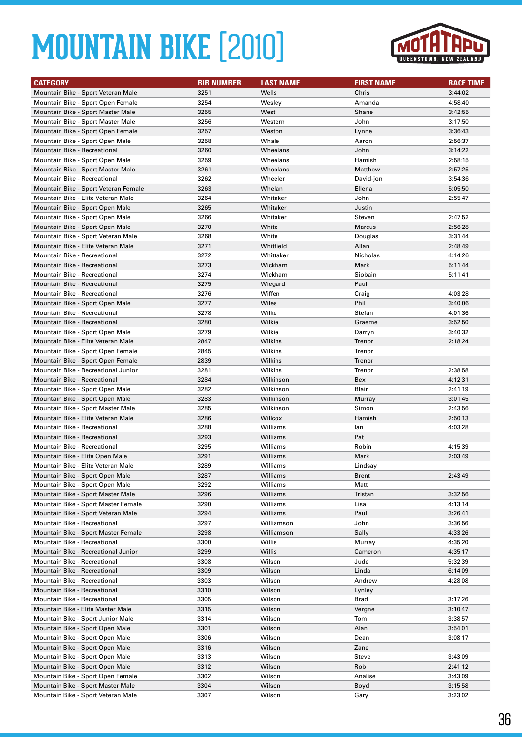

| <b>CATEGORY</b>                                                     | <b>BIB NUMBER</b> | <b>LAST NAME</b>     | <b>FIRST NAME</b> | <b>RACE TIME</b> |
|---------------------------------------------------------------------|-------------------|----------------------|-------------------|------------------|
| Mountain Bike - Sport Veteran Male                                  | 3251              | Wells                | Chris             | 3:44:02          |
| Mountain Bike - Sport Open Female                                   | 3254              | Wesley               | Amanda            | 4:58:40          |
| Mountain Bike - Sport Master Male                                   | 3255              | West                 | Shane             | 3:42:55          |
| Mountain Bike - Sport Master Male                                   | 3256              | Western              | John              | 3:17:50          |
| Mountain Bike - Sport Open Female                                   | 3257              | Weston               | Lynne             | 3:36:43          |
| Mountain Bike - Sport Open Male                                     | 3258              | Whale                | Aaron             | 2:56:37          |
| Mountain Bike - Recreational                                        | 3260              | Wheelans             | John              | 3:14:22          |
| Mountain Bike - Sport Open Male                                     | 3259              | Wheelans             | Hamish            | 2:58:15          |
| Mountain Bike - Sport Master Male                                   | 3261              | Wheelans             | Matthew           | 2:57:25          |
| Mountain Bike - Recreational                                        | 3262              | Wheeler              | David-jon         | 3:54:36          |
| Mountain Bike - Sport Veteran Female                                | 3263              | Whelan               | Ellena            | 5:05:50          |
| Mountain Bike - Elite Veteran Male                                  | 3264              | Whitaker             | John              | 2:55:47          |
| Mountain Bike - Sport Open Male                                     | 3265              | Whitaker             | Justin            |                  |
| Mountain Bike - Sport Open Male                                     | 3266              | Whitaker             | Steven            | 2:47:52          |
| Mountain Bike - Sport Open Male                                     | 3270              | White                | Marcus            | 2:56:28          |
| Mountain Bike - Sport Veteran Male                                  | 3268              | White                | Douglas           | 3:31:44          |
| Mountain Bike - Elite Veteran Male                                  | 3271              | Whitfield            | Allan             | 2:48:49          |
| <b>Mountain Bike - Recreational</b>                                 | 3272              | Whittaker            | Nicholas          | 4:14:26          |
| <b>Mountain Bike - Recreational</b>                                 | 3273              | Wickham              | Mark              | 5:11:44          |
| Mountain Bike - Recreational                                        | 3274              | Wickham              | Siobain           | 5:11:41          |
| <b>Mountain Bike - Recreational</b>                                 | 3275              | Wiegard              | Paul              |                  |
| Mountain Bike - Recreational                                        | 3276              | Wiffen               | Craig             | 4:03:28          |
| Mountain Bike - Sport Open Male                                     | 3277              | Wiles                | Phil              | 3:40:06          |
| <b>Mountain Bike - Recreational</b>                                 | 3278              | Wilke                | Stefan            | 4:01:36          |
| Mountain Bike - Recreational                                        | 3280              | Wilkie               | Graeme            | 3:52:50          |
| Mountain Bike - Sport Open Male                                     | 3279              | Wilkie               | Darryn            | 3:40:32          |
| Mountain Bike - Elite Veteran Male                                  | 2847              | Wilkins              | Trenor            | 2:18:24          |
| Mountain Bike - Sport Open Female                                   | 2845              | Wilkins              | Trenor            |                  |
| Mountain Bike - Sport Open Female                                   | 2839              | Wilkins              | Trenor            |                  |
| Mountain Bike - Recreational Junior                                 | 3281              | Wilkins              | Trenor            | 2:38:58          |
| Mountain Bike - Recreational                                        | 3284              | Wilkinson            | Bex               | 4:12:31          |
| Mountain Bike - Sport Open Male                                     | 3282              | Wilkinson            | Blair             | 2:41:19          |
| Mountain Bike - Sport Open Male                                     | 3283              | Wilkinson            | Murray            | 3:01:45          |
| Mountain Bike - Sport Master Male                                   | 3285              | Wilkinson            | Simon             | 2:43:56          |
| Mountain Bike - Elite Veteran Male                                  | 3286              | Willcox              | Hamish            | 2:50:13          |
| Mountain Bike - Recreational<br><b>Mountain Bike - Recreational</b> | 3288              | Williams             | lan<br>Pat        | 4:03:28          |
| <b>Mountain Bike - Recreational</b>                                 | 3293<br>3295      | Williams<br>Williams | Robin             | 4:15:39          |
| Mountain Bike - Elite Open Male                                     | 3291              | Williams             | Mark              | 2:03:49          |
| Mountain Bike - Elite Veteran Male                                  | 3289              | Williams             | Lindsay           |                  |
| Mountain Bike - Sport Open Male                                     | 3287              | Williams             | <b>Brent</b>      | 2:43:49          |
| Mountain Bike - Sport Open Male                                     | 3292              | Williams             | Matt              |                  |
| Mountain Bike - Sport Master Male                                   | 3296              | Williams             | Tristan           | 3:32:56          |
| Mountain Bike - Sport Master Female                                 | 3290              | Williams             | Lisa              | 4:13:14          |
| Mountain Bike - Sport Veteran Male                                  | 3294              | Williams             | Paul              | 3:26:41          |
| Mountain Bike - Recreational                                        | 3297              | Williamson           | John              | 3:36:56          |
| Mountain Bike - Sport Master Female                                 | 3298              | Williamson           | Sally             | 4:33:26          |
| Mountain Bike - Recreational                                        | 3300              | Willis               | Murray            | 4:35:20          |
| Mountain Bike - Recreational Junior                                 | 3299              | Willis               | Cameron           | 4:35:17          |
| Mountain Bike - Recreational                                        | 3308              | Wilson               | Jude              | 5:32:39          |
| Mountain Bike - Recreational                                        | 3309              | Wilson               | Linda             | 6:14:09          |
| Mountain Bike - Recreational                                        | 3303              | Wilson               | Andrew            | 4:28:08          |
| Mountain Bike - Recreational                                        | 3310              | Wilson               | Lynley            |                  |
| Mountain Bike - Recreational                                        | 3305              | Wilson               | Brad              | 3:17:26          |
| Mountain Bike - Elite Master Male                                   | 3315              | Wilson               | Vergne            | 3:10:47          |
| Mountain Bike - Sport Junior Male                                   | 3314              | Wilson               | Tom               | 3:38:57          |
| Mountain Bike - Sport Open Male                                     | 3301              | Wilson               | Alan              | 3:54:01          |
| Mountain Bike - Sport Open Male                                     | 3306              | Wilson               | Dean              | 3:08:17          |
| Mountain Bike - Sport Open Male                                     | 3316              | Wilson               | Zane              |                  |
| Mountain Bike - Sport Open Male                                     | 3313              | Wilson               | Steve             | 3:43:09          |
| Mountain Bike - Sport Open Male                                     | 3312              | Wilson               | Rob               | 2:41:12          |
| Mountain Bike - Sport Open Female                                   | 3302              | Wilson               | Analise           | 3:43:09          |
| Mountain Bike - Sport Master Male                                   | 3304              | Wilson               | Boyd              | 3:15:58          |
| Mountain Bike - Sport Veteran Male                                  | 3307              | Wilson               | Gary              | 3:23:02          |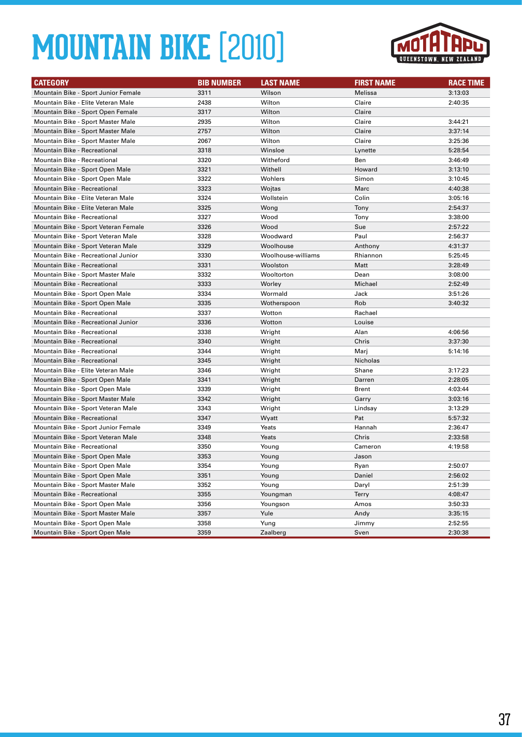

| <b>CATEGORY</b>                      | <b>BIB NUMBER</b> | <b>LAST NAME</b>   | <b>FIRST NAME</b> | <b>RACE TIME</b> |
|--------------------------------------|-------------------|--------------------|-------------------|------------------|
| Mountain Bike - Sport Junior Female  | 3311              | Wilson             | Melissa           | 3:13:03          |
| Mountain Bike - Elite Veteran Male   | 2438              | Wilton             | Claire            | 2:40:35          |
| Mountain Bike - Sport Open Female    | 3317              | Wilton             | Claire            |                  |
| Mountain Bike - Sport Master Male    | 2935              | Wilton             | Claire            | 3:44:21          |
| Mountain Bike - Sport Master Male    | 2757              | Wilton             | Claire            | 3:37:14          |
| Mountain Bike - Sport Master Male    | 2067              | Wilton             | Claire            | 3:25:36          |
| <b>Mountain Bike - Recreational</b>  | 3318              | Winsloe            | Lynette           | 5:28:54          |
| Mountain Bike - Recreational         | 3320              | Witheford          | Ben               | 3:46:49          |
| Mountain Bike - Sport Open Male      | 3321              | Withell            | Howard            | 3:13:10          |
| Mountain Bike - Sport Open Male      | 3322              | Wohlers            | Simon             | 3:10:45          |
| <b>Mountain Bike - Recreational</b>  | 3323              | Wojtas             | Marc              | 4:40:38          |
| Mountain Bike - Elite Veteran Male   | 3324              | Wollstein          | Colin             | 3:05:16          |
| Mountain Bike - Elite Veteran Male   | 3325              | Wong               | Tony              | 2:54:37          |
| Mountain Bike - Recreational         | 3327              | Wood               | Tony              | 3:38:00          |
| Mountain Bike - Sport Veteran Female | 3326              | Wood               | Sue               | 2:57:22          |
| Mountain Bike - Sport Veteran Male   | 3328              | Woodward           | Paul              | 2:56:37          |
| Mountain Bike - Sport Veteran Male   | 3329              | Woolhouse          | Anthony           | 4:31:37          |
| Mountain Bike - Recreational Junior  | 3330              | Woolhouse-williams | Rhiannon          | 5:25:45          |
| <b>Mountain Bike - Recreational</b>  | 3331              | Woolston           | Matt              | 3:28:49          |
| Mountain Bike - Sport Master Male    | 3332              | Wooltorton         | Dean              | 3:08:00          |
| <b>Mountain Bike - Recreational</b>  | 3333              | Worley             | Michael           | 2:52:49          |
| Mountain Bike - Sport Open Male      | 3334              | Wormald            | Jack              | 3:51:26          |
| Mountain Bike - Sport Open Male      | 3335              | Wotherspoon        | Rob               | 3:40:32          |
| <b>Mountain Bike - Recreational</b>  | 3337              | Wotton             | Rachael           |                  |
| Mountain Bike - Recreational Junior  | 3336              | Wotton             | Louise            |                  |
| <b>Mountain Bike - Recreational</b>  | 3338              | Wright             | Alan              | 4:06:56          |
| <b>Mountain Bike - Recreational</b>  | 3340              | Wright             | Chris             | 3:37:30          |
| <b>Mountain Bike - Recreational</b>  | 3344              | Wright             | Marj              | 5:14:16          |
| <b>Mountain Bike - Recreational</b>  | 3345              | Wright             | <b>Nicholas</b>   |                  |
| Mountain Bike - Elite Veteran Male   | 3346              | Wright             | Shane             | 3:17:23          |
| Mountain Bike - Sport Open Male      | 3341              | Wright             | Darren            | 2:28:05          |
| Mountain Bike - Sport Open Male      | 3339              | Wright             | Brent             | 4:03:44          |
| Mountain Bike - Sport Master Male    | 3342              | Wright             | Garry             | 3:03:16          |
| Mountain Bike - Sport Veteran Male   | 3343              | Wright             | Lindsay           | 3:13:29          |
| <b>Mountain Bike - Recreational</b>  | 3347              | Wyatt              | Pat               | 5:57:32          |
| Mountain Bike - Sport Junior Female  | 3349              | Yeats              | Hannah            | 2:36:47          |
| Mountain Bike - Sport Veteran Male   | 3348              | Yeats              | Chris             | 2:33:58          |
| Mountain Bike - Recreational         | 3350              | Young              | Cameron           | 4:19:58          |
| Mountain Bike - Sport Open Male      | 3353              | Young              | Jason             |                  |
| Mountain Bike - Sport Open Male      | 3354              | Young              | Ryan              | 2:50:07          |
| Mountain Bike - Sport Open Male      | 3351              | Young              | Daniel            | 2:56:02          |
| Mountain Bike - Sport Master Male    | 3352              | Young              | Daryl             | 2:51:39          |
| Mountain Bike - Recreational         | 3355              | Youngman           | <b>Terry</b>      | 4:08:47          |
| Mountain Bike - Sport Open Male      | 3356              | Youngson           | Amos              | 3:50:33          |
| Mountain Bike - Sport Master Male    | 3357              | Yule               | Andy              | 3:35:15          |
| Mountain Bike - Sport Open Male      | 3358              | Yung               | Jimmy             | 2:52:55          |
| Mountain Bike - Sport Open Male      | 3359              | Zaalberg           | Sven              | 2:30:38          |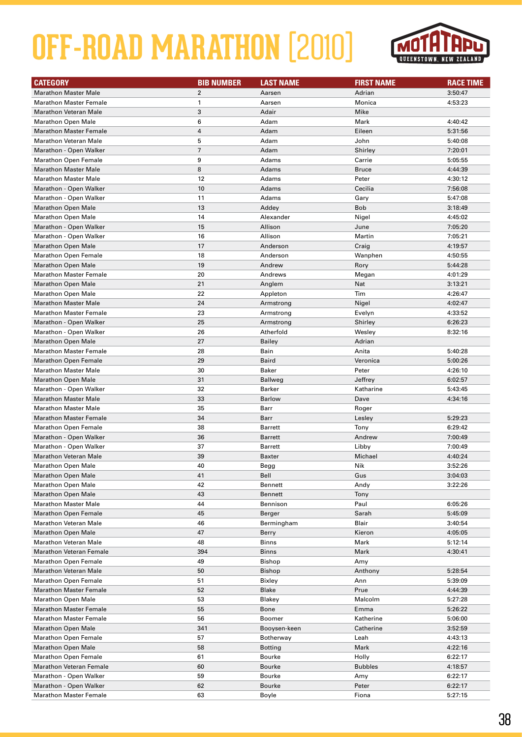

| <b>CATEGORY</b>                | <b>BIB NUMBER</b> | <b>LAST NAME</b> | <b>FIRST NAME</b> | <b>RACE TIME</b> |
|--------------------------------|-------------------|------------------|-------------------|------------------|
| <b>Marathon Master Male</b>    | $\overline{2}$    | Aarsen           | Adrian            | 3:50:47          |
| <b>Marathon Master Female</b>  | $\mathbf{1}$      | Aarsen           | Monica            | 4:53:23          |
| <b>Marathon Veteran Male</b>   | 3                 | Adair            | Mike              |                  |
| <b>Marathon Open Male</b>      | 6                 | Adam             | Mark              | 4:40:42          |
| <b>Marathon Master Female</b>  | $\overline{4}$    | Adam             | Eileen            | 5:31:56          |
| <b>Marathon Veteran Male</b>   | 5                 | Adam             | John              | 5:40:08          |
| Marathon - Open Walker         | $\overline{7}$    | Adam             | Shirley           | 7:20:01          |
| <b>Marathon Open Female</b>    | 9                 | Adams            | Carrie            | 5:05:55          |
| <b>Marathon Master Male</b>    | 8                 | Adams            | <b>Bruce</b>      | 4:44:39          |
| <b>Marathon Master Male</b>    | 12                | Adams            | Peter             | 4:30:12          |
| Marathon - Open Walker         | 10                | Adams            | Cecilia           | 7:56:08          |
| Marathon - Open Walker         | 11                | Adams            | Gary              | 5:47:08          |
| <b>Marathon Open Male</b>      | 13                | Addey            | <b>Bob</b>        | 3:18:49          |
| <b>Marathon Open Male</b>      | 14                | Alexander        | Nigel             | 4:45:02          |
| Marathon - Open Walker         | 15                | Allison          | June              | 7:05:20          |
| Marathon - Open Walker         | 16                | Allison          | Martin            | 7:05:21          |
| <b>Marathon Open Male</b>      | 17                | Anderson         | Craig             | 4:19:57          |
| <b>Marathon Open Female</b>    | 18                | Anderson         | Wanphen           | 4:50:55          |
| <b>Marathon Open Male</b>      | 19                | Andrew           | Rory              | 5:44:28          |
| <b>Marathon Master Female</b>  | 20                | Andrews          | Megan             | 4:01:29          |
| <b>Marathon Open Male</b>      | 21                | Anglem           | Nat               | 3:13:21          |
| <b>Marathon Open Male</b>      | 22                | Appleton         | Tim               | 4:26:47          |
| <b>Marathon Master Male</b>    | 24                | Armstrong        | Nigel             | 4:02:47          |
| <b>Marathon Master Female</b>  | 23                | Armstrong        | Evelyn            | 4:33:52          |
| Marathon - Open Walker         | 25                | Armstrong        | Shirley           | 6:26:23          |
| Marathon - Open Walker         | 26                | Atherfold        | Wesley            | 8:32:16          |
| <b>Marathon Open Male</b>      | 27                | <b>Bailey</b>    | Adrian            |                  |
| <b>Marathon Master Female</b>  | 28                | Bain             | Anita             | 5:40:28          |
| <b>Marathon Open Female</b>    | 29                | Baird            | Veronica          | 5:00:26          |
| <b>Marathon Master Male</b>    | 30                | Baker            | Peter             | 4:26:10          |
| <b>Marathon Open Male</b>      | 31                | <b>Ballweg</b>   | Jeffrey           | 6:02:57          |
| Marathon - Open Walker         | 32                | Barker           | Katharine         | 5:43:45          |
| <b>Marathon Master Male</b>    | 33                | <b>Barlow</b>    | Dave              | 4:34:16          |
| <b>Marathon Master Male</b>    | 35                | Barr             | Roger             |                  |
| <b>Marathon Master Female</b>  | 34                | Barr             | Lesley            | 5:29:23          |
| <b>Marathon Open Female</b>    | 38                | <b>Barrett</b>   | Tony              | 6:29:42          |
| Marathon - Open Walker         | 36                | <b>Barrett</b>   | Andrew            | 7:00:49          |
| Marathon - Open Walker         | 37                | <b>Barrett</b>   | Libby             | 7:00:49          |
| <b>Marathon Veteran Male</b>   | 39                | <b>Baxter</b>    | Michael           | 4:40:24          |
| Marathon Open Male             | 40                | Begg             | Nik               | 3:52:26          |
| <b>Marathon Open Male</b>      | 41                | Bell             | Gus               | 3:04:03          |
| <b>Marathon Open Male</b>      | 42                | <b>Bennett</b>   | Andy              | 3:22:26          |
| <b>Marathon Open Male</b>      | 43                | <b>Bennett</b>   | Tony              |                  |
| <b>Marathon Master Male</b>    | 44                | Bennison         | Paul              | 6:05:26          |
| <b>Marathon Open Female</b>    | 45                | Berger           | Sarah             | 5:45:09          |
| <b>Marathon Veteran Male</b>   | 46                | Bermingham       | Blair             | 3:40:54          |
| <b>Marathon Open Male</b>      | 47                | Berry            | Kieron            | 4:05:05          |
| <b>Marathon Veteran Male</b>   | 48                | <b>Binns</b>     | Mark              | 5:12:14          |
| <b>Marathon Veteran Female</b> | 394               | <b>Binns</b>     | Mark              | 4:30:41          |
| <b>Marathon Open Female</b>    | 49                | <b>Bishop</b>    | Amy               |                  |
| <b>Marathon Veteran Male</b>   | 50                | <b>Bishop</b>    | Anthony           | 5:28:54          |
| <b>Marathon Open Female</b>    | 51                | Bixley           | Ann               | 5:39:09          |
| <b>Marathon Master Female</b>  | 52                | <b>Blake</b>     | Prue              | 4:44:39          |
| <b>Marathon Open Male</b>      | 53                | Blakey           | Malcolm           | 5:27:28          |
| <b>Marathon Master Female</b>  | 55                | Bone             | Emma              | 5:26:22          |
| <b>Marathon Master Female</b>  | 56                | Boomer           | Katherine         | 5:06:00          |
| <b>Marathon Open Male</b>      | 341               | Booysen-keen     | Catherine         | 3:52:59          |
| <b>Marathon Open Female</b>    | 57                | Botherway        | Leah              | 4:43:13          |
| <b>Marathon Open Male</b>      | 58                | <b>Botting</b>   | Mark              | 4:22:16          |
| <b>Marathon Open Female</b>    | 61                | Bourke           | Holly             | 6:22:17          |
| <b>Marathon Veteran Female</b> | 60                | Bourke           | <b>Bubbles</b>    | 4:18:57          |
| Marathon - Open Walker         | 59                | Bourke           | Amy               | 6:22:17          |
| Marathon - Open Walker         | 62                | Bourke           | Peter             | 6:22:17          |
| <b>Marathon Master Female</b>  | 63                | Boyle            | Fiona             | 5:27:15          |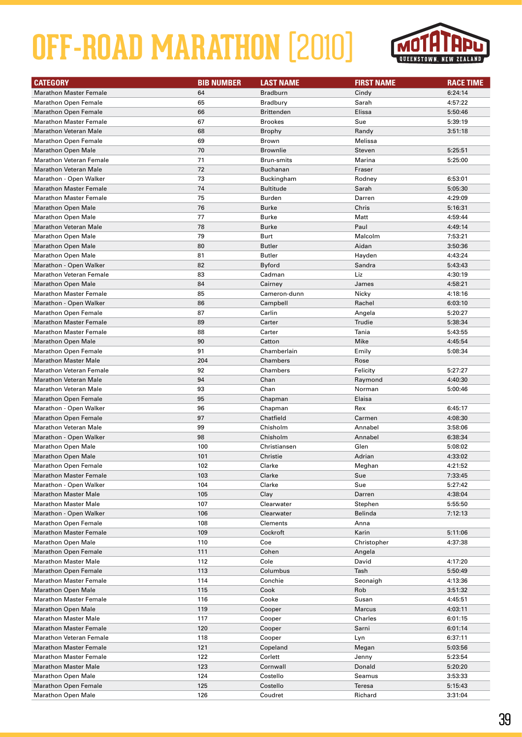

| <b>CATEGORY</b>                                          | <b>BIB NUMBER</b> | <b>LAST NAME</b>        | <b>FIRST NAME</b> | <b>RACE TIME</b> |
|----------------------------------------------------------|-------------------|-------------------------|-------------------|------------------|
| <b>Marathon Master Female</b>                            | 64                | <b>Bradburn</b>         | Cindy             | 6:24:14          |
| <b>Marathon Open Female</b>                              | 65                | <b>Bradbury</b>         | Sarah             | 4:57:22          |
| <b>Marathon Open Female</b>                              | 66                | <b>Brittenden</b>       | Elissa            | 5:50:46          |
| <b>Marathon Master Female</b>                            | 67                | <b>Brookes</b>          | Sue               | 5:39:19          |
| <b>Marathon Veteran Male</b>                             | 68                | Brophy                  | Randy             | 3:51:18          |
| <b>Marathon Open Female</b>                              | 69                | Brown                   | Melissa           |                  |
| <b>Marathon Open Male</b>                                | 70                | <b>Brownlie</b>         | Steven            | 5:25:51          |
| <b>Marathon Veteran Female</b>                           | 71                | Brun-smits              | Marina            | 5:25:00          |
| <b>Marathon Veteran Male</b>                             | 72                | <b>Buchanan</b>         | Fraser            |                  |
| Marathon - Open Walker                                   | 73                | Buckingham              | Rodney            | 6:53:01          |
| <b>Marathon Master Female</b>                            | 74                | <b>Bultitude</b>        | Sarah             | 5:05:30          |
| <b>Marathon Master Female</b>                            | 75                | <b>Burden</b>           | Darren            | 4:29:09          |
| <b>Marathon Open Male</b>                                | 76                | Burke                   | Chris             | 5:16:31          |
| <b>Marathon Open Male</b>                                | 77                | <b>Burke</b>            | Matt              | 4:59:44          |
| <b>Marathon Veteran Male</b>                             | 78                | <b>Burke</b>            | Paul              | 4:49:14          |
| <b>Marathon Open Male</b>                                | 79                | Burt                    | Malcolm           | 7:53:21          |
| <b>Marathon Open Male</b>                                | 80                | <b>Butler</b>           | Aidan             | 3:50:36          |
| <b>Marathon Open Male</b>                                | 81                | <b>Butler</b>           | Hayden            | 4:43:24          |
|                                                          | 82                |                         |                   |                  |
| Marathon - Open Walker<br><b>Marathon Veteran Female</b> | 83                | <b>Byford</b><br>Cadman | Sandra<br>Liz     | 5:43:43          |
|                                                          |                   |                         |                   | 4:30:19          |
| <b>Marathon Open Male</b>                                | 84                | Cairney                 | James             | 4:58:21          |
| <b>Marathon Master Female</b>                            | 85                | Cameron-dunn            | Nicky             | 4:18:16          |
| Marathon - Open Walker                                   | 86                | Campbell                | Rachel            | 6:03:10          |
| <b>Marathon Open Female</b>                              | 87                | Carlin                  | Angela            | 5:20:27          |
| <b>Marathon Master Female</b>                            | 89                | Carter                  | Trudie            | 5:38:34          |
| <b>Marathon Master Female</b>                            | 88                | Carter                  | Tania             | 5:43:55          |
| <b>Marathon Open Male</b>                                | 90                | Catton                  | Mike              | 4:45:54          |
| <b>Marathon Open Female</b>                              | 91                | Chamberlain             | Emily             | 5:08:34          |
| <b>Marathon Master Male</b>                              | 204               | Chambers                | Rose              |                  |
| <b>Marathon Veteran Female</b>                           | 92                | Chambers                | Felicity          | 5:27:27          |
| <b>Marathon Veteran Male</b>                             | 94                | Chan                    | Raymond           | 4:40:30          |
| Marathon Veteran Male                                    | 93                | Chan                    | Norman            | 5:00:46          |
| <b>Marathon Open Female</b>                              | 95                | Chapman                 | Elaisa            |                  |
| Marathon - Open Walker                                   | 96                | Chapman                 | Rex               | 6:45:17          |
| <b>Marathon Open Female</b>                              | 97                | Chatfield               | Carmen            | 4:08:30          |
| <b>Marathon Veteran Male</b>                             | 99                | Chisholm                | Annabel           | 3:58:06          |
| Marathon - Open Walker                                   | 98                | Chisholm                | Annabel           | 6:38:34          |
| <b>Marathon Open Male</b>                                | 100               | Christiansen            | Glen              | 5:08:02          |
| <b>Marathon Open Male</b>                                | 101               | Christie                | Adrian            | 4:33:02          |
| Marathon Open Female                                     | 102               | Clarke                  | Meghan            | 4:21:52          |
| <b>Marathon Master Female</b>                            | 103               | Clarke                  | Sue               | 7:33:45          |
| Marathon - Open Walker                                   | 104               | Clarke                  | Sue               | 5:27:42          |
| <b>Marathon Master Male</b>                              | 105               | Clay                    | Darren            | 4:38:04          |
| <b>Marathon Master Male</b>                              | 107               | Clearwater              | Stephen           | 5:55:50          |
| Marathon - Open Walker                                   | 106               | Clearwater              | Belinda           | 7:12:13          |
| <b>Marathon Open Female</b>                              | 108               | Clements                | Anna              |                  |
| <b>Marathon Master Female</b>                            | 109               | Cockroft                | Karin             | 5:11:06          |
| <b>Marathon Open Male</b>                                | 110               | Coe                     | Christopher       | 4:37:38          |
| <b>Marathon Open Female</b>                              | 111               | Cohen                   | Angela            |                  |
| <b>Marathon Master Male</b>                              | 112               | Cole                    | David             | 4:17:20          |
| <b>Marathon Open Female</b>                              | 113               | Columbus                | Tash              | 5:50:49          |
| <b>Marathon Master Female</b>                            | 114               | Conchie                 | Seonaigh          | 4:13:36          |
| <b>Marathon Open Male</b>                                | 115               | Cook                    | Rob               | 3:51:32          |
| <b>Marathon Master Female</b>                            | 116               | Cooke                   | Susan             | 4:45:51          |
| <b>Marathon Open Male</b>                                | 119               | Cooper                  | Marcus            | 4:03:11          |
| <b>Marathon Master Male</b>                              | 117               | Cooper                  | Charles           | 6:01:15          |
| <b>Marathon Master Female</b>                            | 120               | Cooper                  | Sarni             | 6:01:14          |
| <b>Marathon Veteran Female</b>                           | 118               | Cooper                  | Lyn               | 6:37:11          |
| <b>Marathon Master Female</b>                            | 121               | Copeland                | Megan             | 5:03:56          |
| <b>Marathon Master Female</b>                            | 122               | Corlett                 | Jenny             | 5:23:54          |
| <b>Marathon Master Male</b>                              | 123               | Cornwall                | Donald            | 5:20:20          |
| <b>Marathon Open Male</b>                                | 124               | Costello                | Seamus            | 3:53:33          |
| <b>Marathon Open Female</b>                              | 125               | Costello                | Teresa            | 5:15:43          |
| <b>Marathon Open Male</b>                                | 126               | Coudret                 | Richard           | 3:31:04          |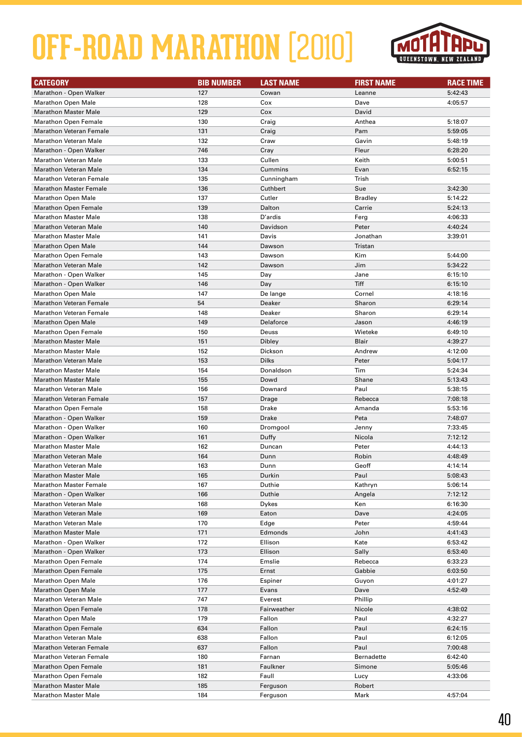

| <b>CATEGORY</b>                                       | <b>BIB NUMBER</b> | <b>LAST NAME</b> | <b>FIRST NAME</b> | <b>RACE TIME</b> |
|-------------------------------------------------------|-------------------|------------------|-------------------|------------------|
| Marathon - Open Walker                                | 127               | Cowan            | Leanne            | 5:42:43          |
| <b>Marathon Open Male</b>                             | 128               | Cox              | Dave              | 4:05:57          |
| <b>Marathon Master Male</b>                           | 129               | Cox              | David             |                  |
| <b>Marathon Open Female</b>                           | 130               | Craig            | Anthea            | 5:18:07          |
| <b>Marathon Veteran Female</b>                        | 131               | Craig            | Pam               | 5:59:05          |
| <b>Marathon Veteran Male</b>                          | 132               | Craw             | Gavin             | 5:48:19          |
| Marathon - Open Walker                                | 746               | Cray             | Fleur             | 6:28:20          |
| <b>Marathon Veteran Male</b>                          | 133               | Cullen           | Keith             | 5:00:51          |
| <b>Marathon Veteran Male</b>                          | 134               | Cummins          | Evan              | 6:52:15          |
| <b>Marathon Veteran Female</b>                        | 135               | Cunningham       | Trish             |                  |
| <b>Marathon Master Female</b>                         | 136               | Cuthbert         | Sue               | 3:42:30          |
| <b>Marathon Open Male</b>                             | 137               | Cutler           | <b>Bradley</b>    | 5:14:22          |
| <b>Marathon Open Female</b>                           | 139               | Dalton           | Carrie            | 5:24:13          |
| <b>Marathon Master Male</b>                           | 138               | D'ardis          | Ferg              | 4:06:33          |
| <b>Marathon Veteran Male</b>                          | 140               | Davidson         | Peter             | 4:40:24          |
| <b>Marathon Master Male</b>                           | 141               | Davis            | Jonathan          | 3:39:01          |
| <b>Marathon Open Male</b>                             | 144               | Dawson           | Tristan           |                  |
| Marathon Open Female                                  | 143               | Dawson           | Kim               | 5:44:00          |
| <b>Marathon Veteran Male</b>                          | 142               | Dawson           | Jim               | 5:34:22          |
| Marathon - Open Walker                                | 145               | Day              | Jane              | 6:15:10          |
| Marathon - Open Walker                                | 146               | Day              | Tiff              | 6:15:10          |
| <b>Marathon Open Male</b>                             | 147               | De lange         | Cornel            | 4:18:16          |
| <b>Marathon Veteran Female</b>                        | 54                | Deaker           | Sharon            | 6:29:14          |
| <b>Marathon Veteran Female</b>                        | 148               | Deaker           | Sharon            | 6:29:14          |
| <b>Marathon Open Male</b>                             | 149               | Delaforce        | Jason             | 4:46:19          |
| <b>Marathon Open Female</b>                           | 150               | Deuss            | Wieteke           | 6:49:10          |
| <b>Marathon Master Male</b>                           | 151               | Dibley           | Blair             | 4:39:27          |
| <b>Marathon Master Male</b>                           | 152               | Dickson          | Andrew            | 4:12:00          |
| <b>Marathon Veteran Male</b>                          | 153               | <b>Dilks</b>     | Peter             | 5:04:17          |
| <b>Marathon Master Male</b>                           | 154               | Donaldson        | Tim               | 5:24:34          |
| <b>Marathon Master Male</b>                           | 155               | Dowd             | Shane             | 5:13:43          |
| <b>Marathon Veteran Male</b>                          |                   | Downard          | Paul              |                  |
| <b>Marathon Veteran Female</b>                        | 156<br>157        |                  | Rebecca           | 5:38:15          |
|                                                       |                   | Drage            |                   | 7:08:18          |
| <b>Marathon Open Female</b>                           | 158               | Drake            | Amanda            | 5:53:16          |
| Marathon - Open Walker                                | 159               | Drake            | Peta              | 7:48:07          |
| Marathon - Open Walker                                | 160               | Dromgool         | Jenny             | 7:33:45          |
| Marathon - Open Walker<br><b>Marathon Master Male</b> | 161               | Duffy            | Nicola            | 7:12:12          |
|                                                       | 162               | Duncan           | Peter             | 4:44:13          |
| <b>Marathon Veteran Male</b>                          | 164               | Dunn             | Robin             | 4:48:49          |
| <b>Marathon Veteran Male</b>                          | 163               | Dunn             | Geoff             | 4:14:14          |
| <b>Marathon Master Male</b>                           | 165               | Durkin           | Paul              | 5:08:43          |
| <b>Marathon Master Female</b>                         | 167               | Duthie           | Kathryn           | 5:06:14          |
| Marathon - Open Walker                                | 166               | Duthie           | Angela            | 7:12:12          |
| <b>Marathon Veteran Male</b>                          | 168               | Dykes            | Ken               | 6:16:30          |
| <b>Marathon Veteran Male</b>                          | 169               | Eaton            | Dave              | 4:24:05          |
| <b>Marathon Veteran Male</b>                          | 170               | Edge             | Peter             | 4:59:44          |
| <b>Marathon Master Male</b>                           | 171               | Edmonds          | John              | 4:41:43          |
| Marathon - Open Walker                                | 172               | Ellison          | Kate              | 6:53:42          |
| Marathon - Open Walker                                | 173               | Ellison          | Sally             | 6:53:40          |
| <b>Marathon Open Female</b>                           | 174               | Emslie           | Rebecca           | 6:33:23          |
| <b>Marathon Open Female</b>                           | 175               | Ernst            | Gabbie            | 6:03:50          |
| <b>Marathon Open Male</b>                             | 176               | Espiner          | Guyon             | 4:01:27          |
| <b>Marathon Open Male</b>                             | 177               | Evans            | Dave              | 4:52:49          |
| <b>Marathon Veteran Male</b>                          | 747               | Everest          | Phillip           |                  |
| <b>Marathon Open Female</b>                           | 178               | Fairweather      | Nicole            | 4:38:02          |
| <b>Marathon Open Male</b>                             | 179               | Fallon           | Paul              | 4:32:27          |
| <b>Marathon Open Female</b>                           | 634               | Fallon           | Paul              | 6:24:15          |
| <b>Marathon Veteran Male</b>                          | 638               | Fallon           | Paul              | 6:12:05          |
| <b>Marathon Veteran Female</b>                        | 637               | Fallon           | Paul              | 7:00:48          |
| <b>Marathon Veteran Female</b>                        | 180               | Farnan           | Bernadette        | 6:42:40          |
| <b>Marathon Open Female</b>                           | 181               | Faulkner         | Simone            | 5:05:46          |
| <b>Marathon Open Female</b>                           | 182               | Faull            | Lucy              | 4:33:06          |
| <b>Marathon Master Male</b>                           | 185               | Ferguson         | Robert            |                  |
| <b>Marathon Master Male</b>                           | 184               | Ferguson         | Mark              | 4:57:04          |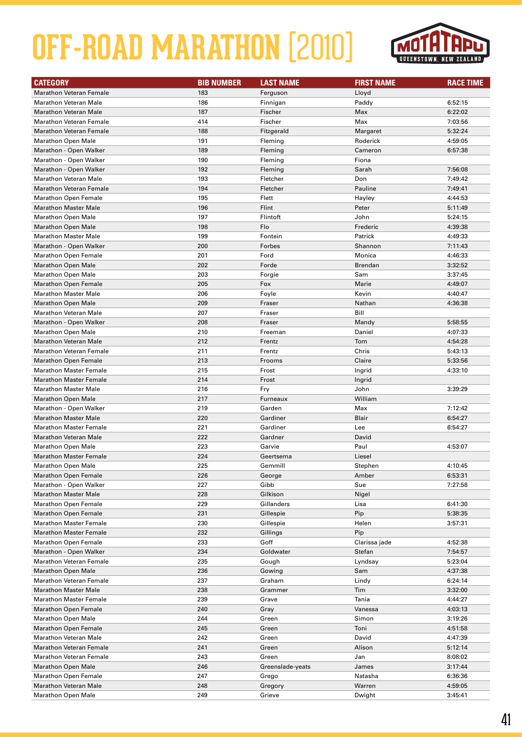

| <b>CATEGORY</b>                | <b>BIB NUMBER</b> | <b>LAST NAME</b> | <b>FIRST NAME</b> | <b>RACE TIME</b> |
|--------------------------------|-------------------|------------------|-------------------|------------------|
| <b>Marathon Veteran Female</b> | 183               | Ferguson         | Lloyd             |                  |
| <b>Marathon Veteran Male</b>   | 186               | Finnigan         | Paddy             | 6:52:15          |
| <b>Marathon Veteran Male</b>   | 187               | Fischer          | Max               | 6:22:02          |
| <b>Marathon Veteran Female</b> | 414               | Fischer          | Max               | 7:03:56          |
| <b>Marathon Veteran Female</b> | 188               | Fitzgerald       | Margaret          | 5:32:24          |
| <b>Marathon Open Male</b>      | 191               | Fleming          | Roderick          | 4:59:05          |
| Marathon - Open Walker         | 189               | Fleming          | Cameron           | 6:57:38          |
| Marathon - Open Walker         | 190               | Fleming          | Fiona             |                  |
| Marathon - Open Walker         | 192               | Fleming          | Sarah             | 7:56:08          |
| <b>Marathon Veteran Male</b>   | 193               | Fletcher         | Don               | 7:49:42          |
| <b>Marathon Veteran Female</b> | 194               | Fletcher         | Pauline           | 7:49:41          |
| <b>Marathon Open Female</b>    | 195               | Flett            | Hayley            | 4:44:53          |
| <b>Marathon Master Male</b>    | 196               | Flint            | Peter             | 5:11:49          |
| <b>Marathon Open Male</b>      | 197               | Flintoft         | John              | 5:24:15          |
| <b>Marathon Open Male</b>      | 198               | Flo              | Frederic          | 4:39:38          |
| <b>Marathon Master Male</b>    | 199               | Fontein          | Patrick           | 4:49:33          |
| Marathon - Open Walker         | 200               | Forbes           | Shannon           | 7:11:43          |
| <b>Marathon Open Female</b>    | 201               | Ford             | Monica            | 4:46:33          |
| <b>Marathon Open Male</b>      | 202               | Forde            | <b>Brendan</b>    | 3:32:52          |
| <b>Marathon Open Male</b>      | 203               | Forgie           | Sam               | 3:37:45          |
| <b>Marathon Open Female</b>    | 205               | Fox              | Marie             | 4:49:07          |
| <b>Marathon Master Male</b>    | 206               | Foyle            | Kevin             | 4:40:47          |
| <b>Marathon Open Male</b>      | 209               | Fraser           | Nathan            | 4:36:38          |
| <b>Marathon Veteran Male</b>   | 207               | Fraser           | Bill              |                  |
| Marathon - Open Walker         | 208               | Fraser           | Mandy             | 5:58:55          |
| <b>Marathon Open Male</b>      | 210               | Freeman          | Daniel            | 4:07:33          |
| <b>Marathon Veteran Male</b>   | 212               | Frentz           | Tom               | 4:54:28          |
| <b>Marathon Veteran Female</b> | 211               | Frentz           | Chris             | 5:43:13          |
| <b>Marathon Open Female</b>    | 213               | Frooms           | Claire            | 5:33:56          |
| <b>Marathon Master Female</b>  | 215               | Frost            | Ingrid            | 4:33:10          |
| <b>Marathon Master Female</b>  | 214               | Frost            | Ingrid            |                  |
| <b>Marathon Master Male</b>    | 216               | Fry              | John              | 3:39:29          |
| <b>Marathon Open Male</b>      | 217               | Furneaux         | William           |                  |
| Marathon - Open Walker         | 219               | Garden           | Max               | 7:12:42          |
| <b>Marathon Master Male</b>    | 220               | Gardiner         | Blair             | 6:54:27          |
| <b>Marathon Master Female</b>  | 221               | Gardiner         | Lee               | 6:54:27          |
| <b>Marathon Veteran Male</b>   | 222               | Gardner          | David             |                  |
| <b>Marathon Open Male</b>      | 223               | Garvie           | Paul              | 4:53:07          |
| <b>Marathon Master Female</b>  | 224               | Geertsema        | Liesel            |                  |
| <b>Marathon Open Male</b>      | 225               | Gemmill          | Stephen           | 4:10:45          |
| <b>Marathon Open Female</b>    | 226               | George           | Amber             | 6:53:31          |
| Marathon - Open Walker         | 227               | Gibb             | Sue               | 7:27:58          |
| <b>Marathon Master Male</b>    | 228               | Gilkison         | Nigel             |                  |
| <b>Marathon Open Female</b>    | 229               | Gillanders       | Lisa              | 6:41:30          |
| <b>Marathon Open Female</b>    | 231               | Gillespie        | Pip               | 5:38:35          |
| <b>Marathon Master Female</b>  | 230               | Gillespie        | Helen             | 3:57:31          |
| <b>Marathon Master Female</b>  | 232               | Gillings         | Pip               |                  |
| <b>Marathon Open Female</b>    | 233               | Goff             | Clarissa jade     | 4:52:38          |
| Marathon - Open Walker         | 234               | Goldwater        | Stefan            | 7:54:57          |
| <b>Marathon Veteran Female</b> | 235               | Gough            | Lyndsay           | 5:23:04          |
| <b>Marathon Open Male</b>      | 236               | Gowing           | Sam               | 4:37:38          |
| <b>Marathon Veteran Female</b> | 237               | Graham           | Lindy             | 6:24:14          |
| <b>Marathon Master Male</b>    | 238               | Grammer          | Tim               | 3:32:00          |
| <b>Marathon Master Female</b>  | 239               | Grave            | Tania             | 4:44:27          |
| <b>Marathon Open Female</b>    | 240               | Gray             | Vanessa           | 4:03:13          |
| <b>Marathon Open Male</b>      | 244               | Green            | Simon             | 3:19:26          |
| <b>Marathon Open Female</b>    | 245               | Green            | Toni              | 4:51:58          |
| <b>Marathon Veteran Male</b>   | 242               | Green            | David             | 4:47:39          |
| <b>Marathon Veteran Female</b> | 241               | Green            | Alison            | 5:12:14          |
| <b>Marathon Veteran Female</b> | 243               | Green            | Jan               | 8:08:02          |
| <b>Marathon Open Male</b>      | 246               | Greenslade-yeats | James             | 3:17:44          |
| <b>Marathon Open Female</b>    | 247               | Grego            | Natasha           | 6:36:36          |
| <b>Marathon Veteran Male</b>   | 248               | Gregory          | Warren            | 4:59:05          |
| <b>Marathon Open Male</b>      | 249               | Grieve           | Dwight            | 3:45:41          |
|                                |                   |                  |                   |                  |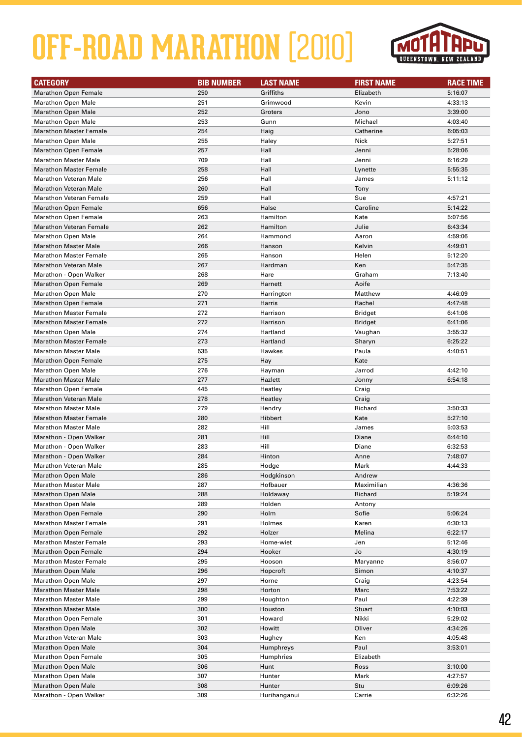

| <b>CATEGORY</b>                | <b>BIB NUMBER</b> | <b>LAST NAME</b> | <b>FIRST NAME</b> | <b>RACE TIME</b> |
|--------------------------------|-------------------|------------------|-------------------|------------------|
| <b>Marathon Open Female</b>    | 250               | Griffiths        | Elizabeth         | 5:16:07          |
| <b>Marathon Open Male</b>      | 251               | Grimwood         | Kevin             | 4:33:13          |
| <b>Marathon Open Male</b>      | 252               | Groters          | Jono              | 3:39:00          |
| <b>Marathon Open Male</b>      | 253               | Gunn             | Michael           | 4:03:40          |
| <b>Marathon Master Female</b>  | 254               | Haig             | Catherine         | 6:05:03          |
| <b>Marathon Open Male</b>      | 255               | Haley            | Nick              | 5:27:51          |
| <b>Marathon Open Female</b>    | 257               | Hall             | Jenni             | 5:28:06          |
| <b>Marathon Master Male</b>    | 709               | Hall             | Jenni             | 6:16:29          |
| <b>Marathon Master Female</b>  | 258               | Hall             | Lynette           | 5:55:35          |
| <b>Marathon Veteran Male</b>   | 256               | Hall             | James             | 5:11:12          |
| <b>Marathon Veteran Male</b>   | 260               | Hall             | Tony              |                  |
| Marathon Veteran Female        | 259               | Hall             | Sue               | 4:57:21          |
| <b>Marathon Open Female</b>    | 656               | Halse            | Caroline          | 5:14:22          |
| <b>Marathon Open Female</b>    | 263               | Hamilton         | Kate              | 5:07:56          |
| <b>Marathon Veteran Female</b> | 262               | Hamilton         | Julie             | 6:43:34          |
| <b>Marathon Open Male</b>      | 264               | Hammond          | Aaron             | 4:59:06          |
| <b>Marathon Master Male</b>    | 266               | Hanson           | Kelvin            | 4:49:01          |
| <b>Marathon Master Female</b>  | 265               | Hanson           | Helen             | 5:12:20          |
| <b>Marathon Veteran Male</b>   | 267               | Hardman          | Ken               | 5:47:35          |
| Marathon - Open Walker         | 268               | Hare             | Graham            | 7:13:40          |
| <b>Marathon Open Female</b>    | 269               | Harnett          | Aoife             |                  |
| <b>Marathon Open Male</b>      | 270               | Harrington       | Matthew           | 4:46:09          |
| <b>Marathon Open Female</b>    | 271               | Harris           | Rachel            | 4:47:48          |
| <b>Marathon Master Female</b>  | 272               | Harrison         | Bridget           | 6:41:06          |
| <b>Marathon Master Female</b>  | 272               | Harrison         | <b>Bridget</b>    | 6:41:06          |
| <b>Marathon Open Male</b>      | 274               | Hartland         | Vaughan           | 3:55:32          |
| <b>Marathon Master Female</b>  | 273               | Hartland         | Sharyn            | 6:25:22          |
| <b>Marathon Master Male</b>    | 535               | Hawkes           | Paula             | 4:40:51          |
| <b>Marathon Open Female</b>    | 275               | Hay              | Kate              |                  |
| <b>Marathon Open Male</b>      | 276               | Hayman           | Jarrod            | 4:42:10          |
| <b>Marathon Master Male</b>    | 277               | Hazlett          | Jonny             | 6:54:18          |
| Marathon Open Female           | 445               | Heatley          | Craig             |                  |
| <b>Marathon Veteran Male</b>   | 278               | Heatley          | Craig             |                  |
| <b>Marathon Master Male</b>    | 279               | Hendry           | Richard           | 3:50:33          |
| <b>Marathon Master Female</b>  | 280               | Hibbert          | Kate              | 5:27:10          |
| <b>Marathon Master Male</b>    | 282               | Hill             | James             | 5:03:53          |
| Marathon - Open Walker         | 281               | Hill             | Diane             | 6:44:10          |
| Marathon - Open Walker         | 283               | Hill             | Diane             | 6:32:53          |
| Marathon - Open Walker         | 284               | Hinton           | Anne              | 7:48:07          |
| Marathon Veteran Male          | 285               | Hodge            | Mark              | 4:44:33          |
| <b>Marathon Open Male</b>      | 286               | Hodgkinson       | Andrew            |                  |
| <b>Marathon Master Male</b>    | 287               | Hofbauer         | Maximilian        | 4:36:36          |
| <b>Marathon Open Male</b>      | 288               | Holdaway         | Richard           | 5:19:24          |
| <b>Marathon Open Male</b>      | 289               | Holden           | Antony            |                  |
| <b>Marathon Open Female</b>    | 290               | Holm             | Sofie             | 5:06:24          |
| <b>Marathon Master Female</b>  | 291               | Holmes           | Karen             | 6:30:13          |
| <b>Marathon Open Female</b>    | 292               | Holzer           | Melina            | 6:22:17          |
| <b>Marathon Master Female</b>  | 293               | Home-wiet        | Jen               | 5:12:46          |
| <b>Marathon Open Female</b>    | 294               | Hooker           | Jo                | 4:30:19          |
| <b>Marathon Master Female</b>  | 295               | Hooson           | Maryanne          | 8:56:07          |
| <b>Marathon Open Male</b>      | 296               | Hopcroft         | Simon             | 4:10:37          |
| <b>Marathon Open Male</b>      | 297               | Horne            | Craig             | 4:23:54          |
| <b>Marathon Master Male</b>    | 298               | Horton           | Marc              | 7:53:22          |
| <b>Marathon Master Male</b>    | 299               | Houghton         | Paul              | 4:22:39          |
| <b>Marathon Master Male</b>    | 300               | Houston          | Stuart            | 4:10:03          |
| <b>Marathon Open Female</b>    | 301               | Howard           | Nikki             | 5:29:02          |
| <b>Marathon Open Male</b>      | 302               | Howitt           | Oliver            | 4:34:26          |
| <b>Marathon Veteran Male</b>   | 303               | Hughey           | Ken               | 4:05:48          |
| <b>Marathon Open Male</b>      | 304               | Humphreys        | Paul              | 3:53:01          |
| <b>Marathon Open Female</b>    | 305               | Humphries        | Elizabeth         |                  |
| <b>Marathon Open Male</b>      | 306               | Hunt             | Ross              | 3:10:00          |
| <b>Marathon Open Male</b>      | 307               | Hunter           | Mark              | 4:27:57          |
| <b>Marathon Open Male</b>      | 308               | Hunter           | Stu               | 6:09:26          |
| Marathon - Open Walker         | 309               | Hurihanganui     | Carrie            | 6:32:26          |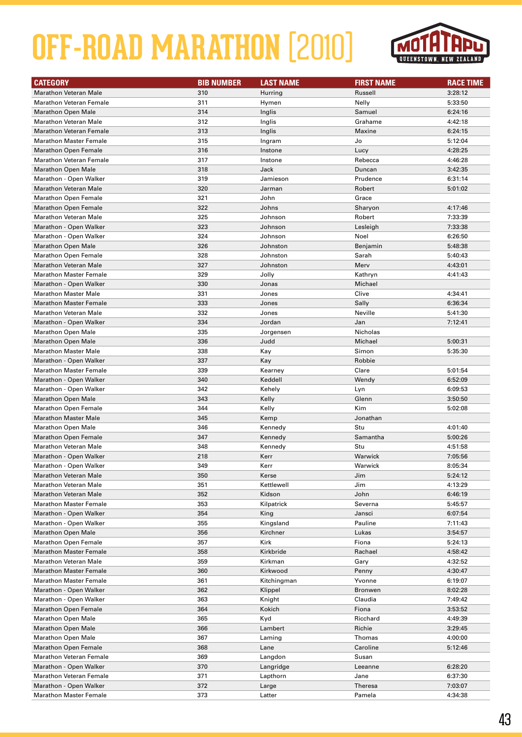

| <b>CATEGORY</b>                                             | <b>BIB NUMBER</b> | <b>LAST NAME</b>   | <b>FIRST NAME</b> | <b>RACE TIME</b>   |
|-------------------------------------------------------------|-------------------|--------------------|-------------------|--------------------|
| <b>Marathon Veteran Male</b>                                | 310               | Hurring            | Russell           | 3:28:12            |
| <b>Marathon Veteran Female</b>                              | 311               | Hymen              | Nelly             | 5:33:50            |
| <b>Marathon Open Male</b>                                   | 314               | Inglis             | Samuel            | 6:24:16            |
| <b>Marathon Veteran Male</b>                                | 312               | Inglis             | Grahame           | 4:42:18            |
| <b>Marathon Veteran Female</b>                              | 313               | Inglis             | Maxine            | 6:24:15            |
| <b>Marathon Master Female</b>                               | 315               | Ingram             | Jo                | 5:12:04            |
| <b>Marathon Open Female</b>                                 | 316               | Instone            | Lucy              | 4:28:25            |
| <b>Marathon Veteran Female</b>                              | 317               | Instone            | Rebecca           | 4:46:28            |
| <b>Marathon Open Male</b>                                   | 318               | Jack               | Duncan            | 3:42:35            |
| Marathon - Open Walker                                      | 319               | Jamieson           | Prudence          | 6:31:14            |
| <b>Marathon Veteran Male</b>                                | 320               | Jarman             | Robert            | 5:01:02            |
| <b>Marathon Open Female</b>                                 | 321               | John               | Grace             |                    |
| <b>Marathon Open Female</b>                                 | 322               | Johns              | Sharyon           | 4:17:46            |
| <b>Marathon Veteran Male</b>                                | 325               | Johnson            | Robert            | 7:33:39            |
| Marathon - Open Walker                                      | 323               | Johnson            | Lesleigh          | 7:33:38            |
| Marathon - Open Walker                                      | 324               | Johnson            | Noel              | 6:26:50            |
| <b>Marathon Open Male</b>                                   | 326               | Johnston           | Benjamin          | 5:48:38            |
| <b>Marathon Open Female</b>                                 | 328               | Johnston           | Sarah             | 5:40:43            |
| <b>Marathon Veteran Male</b>                                | 327               | Johnston           | Merv              | 4:43:01            |
| <b>Marathon Master Female</b>                               | 329               | Jolly              | Kathryn           | 4:41:43            |
| Marathon - Open Walker                                      | 330               | Jonas              | Michael           |                    |
| <b>Marathon Master Male</b>                                 | 331               | Jones              | Clive             | 4:34:41            |
| <b>Marathon Master Female</b>                               | 333               | Jones              | Sally             | 6:36:34            |
| Marathon Veteran Male                                       | 332               | Jones              | Neville           | 5:41:30            |
| Marathon - Open Walker                                      | 334               | Jordan             | Jan               | 7:12:41            |
| <b>Marathon Open Male</b>                                   | 335               |                    | Nicholas          |                    |
| <b>Marathon Open Male</b>                                   | 336               | Jorgensen          | Michael           | 5:00:31            |
| <b>Marathon Master Male</b>                                 | 338               | Judd<br>Kay        | Simon             | 5:35:30            |
| Marathon - Open Walker                                      | 337               |                    | Robbie            |                    |
| <b>Marathon Master Female</b>                               | 339               | Kay                |                   |                    |
|                                                             | 340               | Kearney<br>Keddell | Clare             | 5:01:54            |
| Marathon - Open Walker                                      | 342               |                    | Wendy             | 6:52:09            |
| Marathon - Open Walker<br><b>Marathon Open Male</b>         | 343               | Kehely             | Lyn<br>Glenn      | 6:09:53<br>3:50:50 |
|                                                             |                   | Kelly              |                   |                    |
| <b>Marathon Open Female</b><br><b>Marathon Master Male</b>  | 344               | Kelly              | Kim               | 5:02:08            |
|                                                             | 345               | Kemp               | Jonathan          |                    |
| <b>Marathon Open Male</b>                                   | 346               | Kennedy            | Stu               | 4:01:40            |
| <b>Marathon Open Female</b><br><b>Marathon Veteran Male</b> | 347               | Kennedy            | Samantha<br>Stu   | 5:00:26            |
|                                                             | 348<br>218        | Kennedy            | Warwick           | 4:51:58<br>7:05:56 |
| Marathon - Open Walker                                      | 349               | Kerr<br>Kerr       | Warwick           | 8:05:34            |
| Marathon - Open Walker                                      |                   |                    |                   |                    |
| <b>Marathon Veteran Male</b>                                | 350               | Kerse              | Jim               | 5:24:12            |
| <b>Marathon Veteran Male</b>                                | 351               | Kettlewell         | Jim               | 4:13:29            |
| <b>Marathon Veteran Male</b>                                | 352               | Kidson             | John              | 6:46:19            |
| <b>Marathon Master Female</b>                               | 353               | Kilpatrick         | Severna           | 5:45:57            |
| Marathon - Open Walker                                      | 354               | King<br>Kingsland  | Jansci            | 6:07:54            |
| Marathon - Open Walker                                      | 355               |                    | Pauline           | 7:11:43            |
| <b>Marathon Open Male</b>                                   | 356               | Kirchner           | Lukas<br>Fiona    | 3:54:57            |
| <b>Marathon Open Female</b>                                 | 357               | Kirk               |                   | 5:24:13            |
| <b>Marathon Master Female</b>                               | 358               | Kirkbride          | Rachael           | 4:58:42            |
| <b>Marathon Veteran Male</b>                                | 359               | Kirkman            | Gary              | 4:32:52            |
| <b>Marathon Master Female</b>                               | 360               | Kirkwood           | Penny             | 4:30:47            |
| <b>Marathon Master Female</b>                               | 361               | Kitchingman        | Yvonne            | 6:19:07            |
| Marathon - Open Walker                                      | 362               | Klippel            | <b>Bronwen</b>    | 8:02:28            |
| Marathon - Open Walker                                      | 363               | Knight             | Claudia           | 7:49:42            |
| <b>Marathon Open Female</b>                                 | 364               | Kokich             | Fiona             | 3:53:52            |
| <b>Marathon Open Male</b>                                   | 365               | Kyd                | Ricchard          | 4:49:39            |
| <b>Marathon Open Male</b>                                   | 366               | Lambert            | Richie            | 3:29:45            |
| <b>Marathon Open Male</b>                                   | 367               | Laming             | Thomas            | 4:00:00            |
| <b>Marathon Open Female</b>                                 | 368               | Lane               | Caroline          | 5:12:46            |
| <b>Marathon Veteran Female</b>                              | 369               | Langdon            | Susan             |                    |
| Marathon - Open Walker                                      | 370               | Langridge          | Leeanne           | 6:28:20            |
| <b>Marathon Veteran Female</b>                              | 371               | Lapthorn           | Jane              | 6:37:30            |
| Marathon - Open Walker                                      | 372               | Large              | <b>Theresa</b>    | 7:03:07            |
| <b>Marathon Master Female</b>                               | 373               | Latter             | Pamela            | 4:34:38            |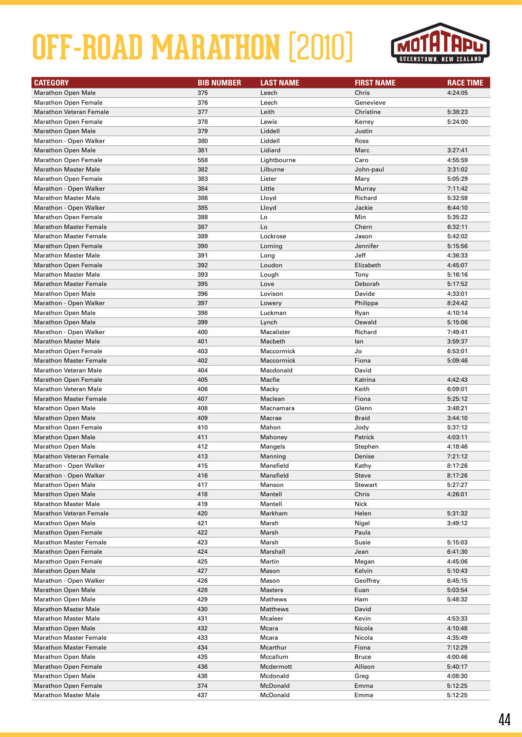

| <b>CATEGORY</b>                | <b>BIB NUMBER</b> | <b>LAST NAME</b> | <b>FIRST NAME</b> | <b>RACE TIME</b> |
|--------------------------------|-------------------|------------------|-------------------|------------------|
| <b>Marathon Open Male</b>      | 375               | Leech            | Chris             | 4:24:05          |
| <b>Marathon Open Female</b>    | 376               | Leech            | Genevieve         |                  |
| <b>Marathon Veteran Female</b> | 377               | Leith            | Christine         | 5:38:23          |
| <b>Marathon Open Female</b>    | 378               | Lewis            | Kerrey            | 5:24:00          |
| <b>Marathon Open Male</b>      | 379               | Liddell          | Justin            |                  |
| Marathon - Open Walker         | 380               | Liddell          | Ross              |                  |
| <b>Marathon Open Male</b>      | 381               | Lidiard          | Marc              | 3:27:41          |
| <b>Marathon Open Female</b>    | 558               | Lightbourne      | Caro              | 4:55:59          |
| <b>Marathon Master Male</b>    | 382               | Lilburne         | John-paul         | 3:31:02          |
| <b>Marathon Open Female</b>    | 383               | Lister           | Mary              | 5:05:29          |
| Marathon - Open Walker         | 384               | Little           | Murray            | 7:11:42          |
| <b>Marathon Master Male</b>    | 386               | Lloyd            | Richard           | 5:32:59          |
| Marathon - Open Walker         | 385               | Lloyd            | Jackie            | 6:44:10          |
| <b>Marathon Open Female</b>    | 388               | Lo               | Min               | 5:35:22          |
| <b>Marathon Master Female</b>  | 387               | Lo               | Chern             | 6:32:11          |
| <b>Marathon Master Female</b>  | 389               | Lockrose         | Jason             | 5:42:02          |
| <b>Marathon Open Female</b>    | 390               | Loming           | Jennifer          | 5:15:56          |
| <b>Marathon Master Male</b>    | 391               | Long             | Jeff              | 4:36:33          |
| <b>Marathon Open Female</b>    | 392               | Loudon           | Elizabeth         | 4:45:07          |
| <b>Marathon Master Male</b>    | 393               | Lough            | Tony              | 5:16:16          |
| <b>Marathon Master Female</b>  | 395               | Love             | Deborah           | 5:17:52          |
| <b>Marathon Open Male</b>      | 396               | Lovison          | Davide            | 4:33:01          |
| Marathon - Open Walker         | 397               | Lowery           | Philippa          | 8:24:42          |
| <b>Marathon Open Male</b>      | 398               | Luckman          | Ryan              | 4:10:14          |
| <b>Marathon Open Male</b>      | 399               | Lynch            | Oswald            | 5:15:06          |
| Marathon - Open Walker         | 400               | Macalister       | Richard           | 7:49:41          |
| <b>Marathon Master Male</b>    | 401               | Macbeth          | lan               | 3:59:37          |
| <b>Marathon Open Female</b>    | 403               | Maccormick       | Jo                | 6:53:01          |
| <b>Marathon Master Female</b>  | 402               | Maccormick       | Fiona             | 5:09:46          |
| <b>Marathon Veteran Male</b>   | 404               | Macdonald        | David             |                  |
| <b>Marathon Open Female</b>    | 405               | Macfie           | Katrina           | 4:42:43          |
| <b>Marathon Veteran Male</b>   | 406               | Macky            | Keith             | 6:09:01          |
| <b>Marathon Master Female</b>  | 407               | Maclean          | Fiona             | 5:25:12          |
| <b>Marathon Open Male</b>      | 408               | Macnamara        | Glenn             | 3:48:21          |
| <b>Marathon Open Male</b>      | 409               | Macrae           | <b>Braid</b>      | 3:44:10          |
| <b>Marathon Open Female</b>    | 410               | Mahon            | Jody              | 5:37:12          |
| <b>Marathon Open Male</b>      | 411               | Mahoney          | Patrick           | 4:03:11          |
| <b>Marathon Open Male</b>      | 412               | Mangels          | Stephen           | 4:18:46          |
| <b>Marathon Veteran Female</b> | 413               | Manning          | Denise            | 7:21:12          |
| Marathon - Open Walker         | 415               | Mansfield        | Kathy             | 8:17:26          |
| Marathon - Open Walker         | 416               | Mansfield        | <b>Steve</b>      | 8:17:26          |
| <b>Marathon Open Male</b>      | 417               | Manson           | Stewart           | 5:27:27          |
| <b>Marathon Open Male</b>      | 418               | Mantell          | Chris             | 4:26:01          |
| <b>Marathon Master Male</b>    | 419               | Mantell          | Nick              |                  |
| <b>Marathon Veteran Female</b> | 420               | Markham          | Helen             | 5:31:32          |
| <b>Marathon Open Male</b>      | 421               | Marsh            | Nigel             | 3:49:12          |
| <b>Marathon Open Female</b>    | 422               | Marsh            | Paula             |                  |
| <b>Marathon Master Female</b>  | 423               | Marsh            | Susie             | 5:15:03          |
| <b>Marathon Open Female</b>    | 424               | Marshall         | Jean              | 6:41:30          |
| <b>Marathon Open Female</b>    | 425               | Martin           | Megan             | 4:45:06          |
| <b>Marathon Open Male</b>      | 427               | Mason            | Kelvin            | 5:10:43          |
| Marathon - Open Walker         | 426               | Mason            | Geoffrey          | 6:45:15          |
| <b>Marathon Open Male</b>      | 428               | <b>Masters</b>   | Euan              | 5:03:54          |
| <b>Marathon Open Male</b>      | 429               | Mathews          | Ham               | 5:48:32          |
| <b>Marathon Master Male</b>    | 430               | Matthews         | David             |                  |
| <b>Marathon Master Male</b>    | 431               | Mcaleer          | Kevin             | 4:53:33          |
| <b>Marathon Open Male</b>      | 432               | Mcara            | Nicola            | 4:10:48          |
| <b>Marathon Master Female</b>  | 433               | Mcara            | Nicola            | 4:35:49          |
| <b>Marathon Master Female</b>  | 434               | Mcarthur         | Fiona             | 7:12:29          |
| <b>Marathon Open Male</b>      | 435               | Mccallum         | <b>Bruce</b>      | 4:00:46          |
| <b>Marathon Open Female</b>    | 436               | Mcdermott        | Allison           | 5:40:17          |
| <b>Marathon Open Male</b>      | 438               | Mcdonald         | Greg              | 4:08:30          |
| <b>Marathon Open Female</b>    | 374               | McDonald         | Emma              | 5:12:25          |
| <b>Marathon Master Male</b>    | 437               | McDonald         | Emma              | 5:12:25          |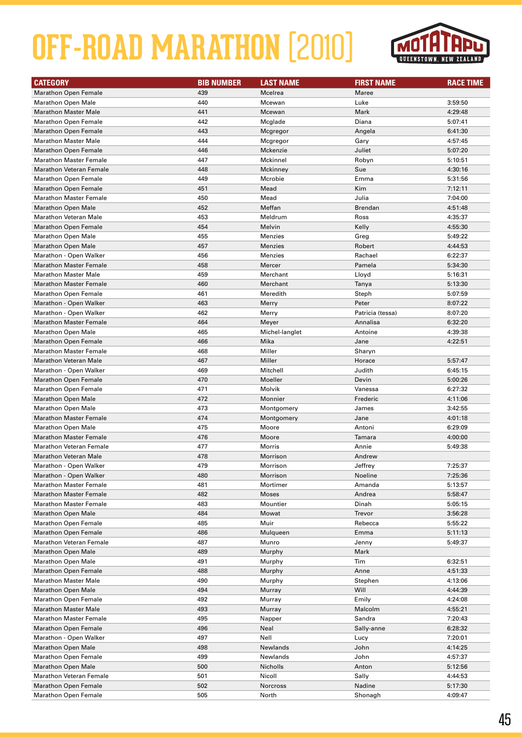

| <b>CATEGORY</b>                | <b>BIB NUMBER</b> | <b>LAST NAME</b> | <b>FIRST NAME</b> | <b>RACE TIME</b> |
|--------------------------------|-------------------|------------------|-------------------|------------------|
| <b>Marathon Open Female</b>    | 439               | Mcelrea          | Maree             |                  |
| <b>Marathon Open Male</b>      | 440               | Mcewan           | Luke              | 3:59:50          |
| <b>Marathon Master Male</b>    | 441               | Mcewan           | Mark              | 4:29:48          |
| <b>Marathon Open Female</b>    | 442               | Mcglade          | Diana             | 5:07:41          |
| <b>Marathon Open Female</b>    | 443               | Mcgregor         | Angela            | 6:41:30          |
| <b>Marathon Master Male</b>    | 444               | Mcgregor         | Gary              | 4:57:45          |
| <b>Marathon Open Female</b>    | 446               | Mckenzie         | Juliet            | 5:07:20          |
| <b>Marathon Master Female</b>  | 447               | Mckinnel         | Robyn             | 5:10:51          |
| <b>Marathon Veteran Female</b> | 448               | Mckinney         | Sue               | 4:30:16          |
| <b>Marathon Open Female</b>    | 449               | Mcrobie          | Emma              | 5:31:56          |
| <b>Marathon Open Female</b>    | 451               | Mead             | Kim               | 7:12:11          |
| <b>Marathon Master Female</b>  | 450               | Mead             | Julia             | 7:04:00          |
| <b>Marathon Open Male</b>      | 452               | Meffan           | Brendan           | 4:51:48          |
| <b>Marathon Veteran Male</b>   | 453               | Meldrum          | Ross              | 4:35:37          |
| <b>Marathon Open Female</b>    | 454               | Melvin           | Kelly             | 4:55:30          |
| <b>Marathon Open Male</b>      | 455               | <b>Menzies</b>   | Greg              | 5:49:22          |
| <b>Marathon Open Male</b>      | 457               | <b>Menzies</b>   | Robert            | 4:44:53          |
| Marathon - Open Walker         | 456               | Menzies          | Rachael           | 6:22:37          |
| <b>Marathon Master Female</b>  | 458               | Mercer           | Pamela            | 5:34:30          |
| <b>Marathon Master Male</b>    | 459               | Merchant         | Lloyd             | 5:16:31          |
| <b>Marathon Master Female</b>  | 460               | Merchant         | Tanya             | 5:13:30          |
| <b>Marathon Open Female</b>    | 461               | Meredith         | Steph             | 5:07:59          |
| Marathon - Open Walker         | 463               | Merry            | Peter             | 8:07:22          |
| Marathon - Open Walker         | 462               | Merry            | Patricia (tessa)  | 8:07:20          |
| <b>Marathon Master Female</b>  | 464               | Meyer            | Annalisa          | 6:32:20          |
| <b>Marathon Open Male</b>      | 465               | Michel-langlet   | Antoine           | 4:39:38          |
| <b>Marathon Open Female</b>    | 466               | Mika             | Jane              | 4:22:51          |
| <b>Marathon Master Female</b>  | 468               | Miller           | Sharyn            |                  |
| <b>Marathon Veteran Male</b>   | 467               | Miller           | Horace            | 5:57:47          |
| Marathon - Open Walker         | 469               | Mitchell         | Judith            | 6:45:15          |
| <b>Marathon Open Female</b>    | 470               | Moeller          | Devin             | 5:00:26          |
| <b>Marathon Open Female</b>    | 471               | Molvik           | Vanessa           | 6:27:32          |
| <b>Marathon Open Male</b>      | 472               | Monnier          | Frederic          | 4:11:06          |
| <b>Marathon Open Male</b>      | 473               | Montgomery       | James             | 3:42:55          |
| <b>Marathon Master Female</b>  | 474               | Montgomery       | Jane              | 4:01:18          |
| <b>Marathon Open Male</b>      | 475               | Moore            | Antoni            | 6:29:09          |
| <b>Marathon Master Female</b>  | 476               | Moore            | Tamara            | 4:00:00          |
| <b>Marathon Veteran Female</b> | 477               | Morris           | Annie             | 5:49:38          |
| <b>Marathon Veteran Male</b>   | 478               | Morrison         | Andrew            |                  |
| Marathon - Open Walker         | 479               | Morrison         | Jeffrey           | 7:25:37          |
| Marathon - Open Walker         | 480               | Morrison         | Noeline           | 7:25:36          |
| <b>Marathon Master Female</b>  | 481               | Mortimer         | Amanda            | 5:13:57          |
| <b>Marathon Master Female</b>  | 482               | Moses            | Andrea            | 5:58:47          |
| <b>Marathon Master Female</b>  | 483               | Mountier         | Dinah             | 5:05:15          |
| <b>Marathon Open Male</b>      | 484               | Mowat            | Trevor            | 3:56:28          |
| <b>Marathon Open Female</b>    | 485               | Muir             | Rebecca           | 5:55:22          |
| <b>Marathon Open Female</b>    | 486               | Mulqueen         | Emma              | 5:11:13          |
| <b>Marathon Veteran Female</b> | 487               | Munro            | Jenny             | 5:49:37          |
| <b>Marathon Open Male</b>      | 489               | Murphy           | Mark              |                  |
| <b>Marathon Open Male</b>      | 491               | Murphy           | Tim               | 6:32:51          |
| <b>Marathon Open Female</b>    | 488               | Murphy           | Anne              | 4:51:33          |
| <b>Marathon Master Male</b>    | 490               | Murphy           | Stephen           | 4:13:06          |
| <b>Marathon Open Male</b>      | 494               | Murray           | Will              | 4:44:39          |
| <b>Marathon Open Female</b>    | 492               | Murray           | Emily             | 4:24:08          |
| <b>Marathon Master Male</b>    | 493               | Murray           | Malcolm           | 4:55:21          |
| <b>Marathon Master Female</b>  | 495               | Napper           | Sandra            | 7:20:43          |
| <b>Marathon Open Female</b>    | 496               | Neal             | Sally-anne        | 6:28:32          |
| Marathon - Open Walker         | 497               | Nell             | Lucy              | 7:20:01          |
| <b>Marathon Open Male</b>      | 498               | Newlands         | John              | 4:14:25          |
| <b>Marathon Open Female</b>    | 499               | Newlands         | John              | 4:57:37          |
| <b>Marathon Open Male</b>      | 500               | Nicholls         | Anton             | 5:12:56          |
| <b>Marathon Veteran Female</b> | 501               | Nicoll           | Sally             | 4:44:53          |
| <b>Marathon Open Female</b>    | 502               | Norcross         | Nadine            | 5:17:30          |
| <b>Marathon Open Female</b>    | 505               | North            | Shonagh           | 4:09:47          |
|                                |                   |                  |                   |                  |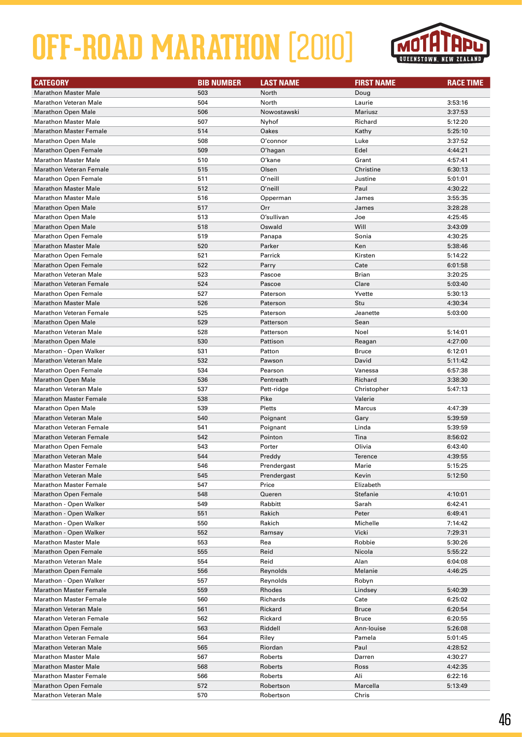

| <b>CATEGORY</b>                | <b>BIB NUMBER</b> | <b>LAST NAME</b> | <b>FIRST NAME</b> | <b>RACE TIME</b> |
|--------------------------------|-------------------|------------------|-------------------|------------------|
| <b>Marathon Master Male</b>    | 503               | North            | Doug              |                  |
| <b>Marathon Veteran Male</b>   | 504               | North            | Laurie            | 3:53:16          |
| <b>Marathon Open Male</b>      | 506               | Nowostawski      | Mariusz           | 3:37:53          |
| <b>Marathon Master Male</b>    | 507               | Nyhof            | Richard           | 5:12:20          |
| <b>Marathon Master Female</b>  | 514               | Oakes            | Kathy             | 5:25:10          |
| <b>Marathon Open Male</b>      | 508               | O'connor         | Luke              | 3:37:52          |
| <b>Marathon Open Female</b>    | 509               | O'hagan          | Edel              | 4:44:21          |
| <b>Marathon Master Male</b>    | 510               | O'kane           | Grant             | 4:57:41          |
| <b>Marathon Veteran Female</b> | 515               | Olsen            | Christine         | 6:30:13          |
| <b>Marathon Open Female</b>    | 511               | O'neill          | Justine           | 5:01:01          |
| <b>Marathon Master Male</b>    | 512               | O'neill          | Paul              | 4:30:22          |
| <b>Marathon Master Male</b>    | 516               | Opperman         | James             | 3:55:35          |
| <b>Marathon Open Male</b>      | 517               | Orr              | James             | 3:28:28          |
| <b>Marathon Open Male</b>      | 513               | O'sullivan       | Joe               | 4:25:45          |
| <b>Marathon Open Male</b>      | 518               | Oswald           | Will              | 3:43:09          |
| <b>Marathon Open Female</b>    | 519               | Panapa           | Sonia             | 4:30:25          |
| <b>Marathon Master Male</b>    | 520               | Parker           | Ken               | 5:38:46          |
| <b>Marathon Open Female</b>    | 521               | Parrick          | Kirsten           | 5:14:22          |
| <b>Marathon Open Female</b>    | 522               | Parry            | Cate              | 6:01:58          |
| <b>Marathon Veteran Male</b>   | 523               | Pascoe           | <b>Brian</b>      | 3:20:25          |
| <b>Marathon Veteran Female</b> | 524               | Pascoe           | Clare             | 5:03:40          |
| <b>Marathon Open Female</b>    | 527               | Paterson         | Yvette            | 5:30:13          |
| <b>Marathon Master Male</b>    | 526               | Paterson         | Stu               | 4:30:34          |
| <b>Marathon Veteran Female</b> | 525               | Paterson         | Jeanette          | 5:03:00          |
| <b>Marathon Open Male</b>      | 529               | Patterson        | Sean              |                  |
| <b>Marathon Veteran Male</b>   | 528               | Patterson        | Noel              | 5:14:01          |
| <b>Marathon Open Male</b>      | 530               | Pattison         | Reagan            | 4:27:00          |
| Marathon - Open Walker         | 531               | Patton           | <b>Bruce</b>      | 6:12:01          |
| <b>Marathon Veteran Male</b>   | 532               | Pawson           | David             | 5:11:42          |
| <b>Marathon Open Female</b>    | 534               | Pearson          | Vanessa           | 6:57:38          |
| <b>Marathon Open Male</b>      | 536               | Pentreath        | Richard           | 3:38:30          |
| <b>Marathon Veteran Male</b>   | 537               | Pett-ridge       | Christopher       | 5:47:13          |
| <b>Marathon Master Female</b>  | 538               | Pike             | Valerie           |                  |
| <b>Marathon Open Male</b>      | 539               | Pletts           | <b>Marcus</b>     | 4:47:39          |
| <b>Marathon Veteran Male</b>   | 540               | Poignant         | Gary              | 5:39:59          |
| <b>Marathon Veteran Female</b> | 541               | Poignant         | Linda             | 5:39:59          |
| <b>Marathon Veteran Female</b> | 542               | Pointon          | Tina              | 8:56:02          |
| <b>Marathon Open Female</b>    | 543               | Porter           | Olivia            | 6:43:40          |
| <b>Marathon Veteran Male</b>   | 544               | Preddy           | <b>Terence</b>    | 4:39:55          |
| Marathon Master Female         | 546               | Prendergast      | Marie             | 5:15:25          |
| <b>Marathon Veteran Male</b>   | 545               | Prendergast      | Kevin             | 5:12:50          |
| <b>Marathon Master Female</b>  | 547               | Price            | Elizabeth         |                  |
| <b>Marathon Open Female</b>    | 548               | Queren           | Stefanie          | 4:10:01          |
| Marathon - Open Walker         | 549               | Rabbitt          | Sarah             | 6:42:41          |
| Marathon - Open Walker         | 551               | Rakich           | Peter             | 6:49:41          |
| Marathon - Open Walker         | 550               | Rakich           | Michelle          | 7:14:42          |
| Marathon - Open Walker         | 552               | Ramsay           | Vicki             | 7:29:31          |
| <b>Marathon Master Male</b>    | 553               | Rea              | Robbie            | 5:30:26          |
| <b>Marathon Open Female</b>    | 555               | Reid             | Nicola            | 5:55:22          |
| <b>Marathon Veteran Male</b>   | 554               | Reid             | Alan              | 6:04:08          |
| <b>Marathon Open Female</b>    | 556               | Reynolds         | Melanie           | 4:46:25          |
| Marathon - Open Walker         | 557               | Reynolds         | Robyn             |                  |
| <b>Marathon Master Female</b>  | 559               | Rhodes           | Lindsey           | 5:40:39          |
| <b>Marathon Master Female</b>  | 560               | Richards         | Cate              | 6:25:02          |
| <b>Marathon Veteran Male</b>   | 561               | Rickard          | <b>Bruce</b>      | 6:20:54          |
| <b>Marathon Veteran Female</b> | 562               | Rickard          | <b>Bruce</b>      | 6:20:55          |
| <b>Marathon Open Female</b>    | 563               | Riddell          | Ann-Iouise        | 5:26:08          |
| <b>Marathon Veteran Female</b> | 564               | Riley            | Pamela            | 5:01:45          |
| <b>Marathon Veteran Male</b>   | 565               | Riordan          | Paul              | 4:28:52          |
| <b>Marathon Master Male</b>    | 567               | Roberts          | Darren            | 4:30:27          |
| <b>Marathon Master Male</b>    | 568               | Roberts          | Ross              | 4:42:35          |
| <b>Marathon Master Female</b>  | 566               | Roberts          | Ali               | 6:22:16          |
| <b>Marathon Open Female</b>    | 572               | Robertson        | Marcella          | 5:13:49          |
| Marathon Veteran Male          | 570               | Robertson        | Chris             |                  |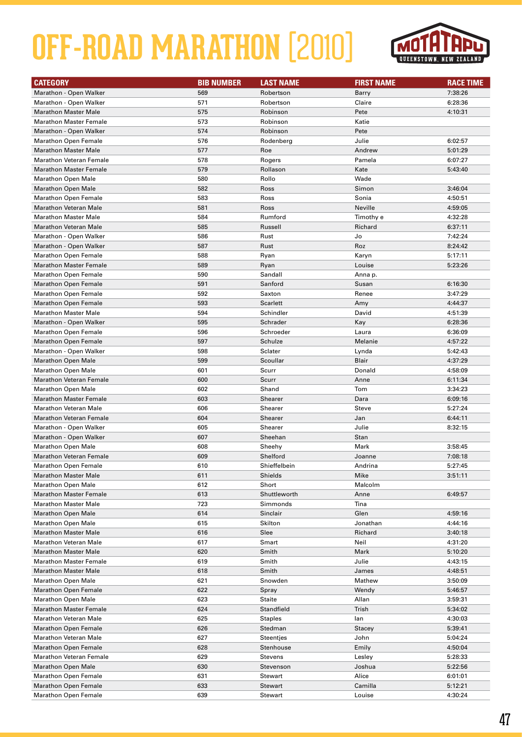

| <b>CATEGORY</b>                | <b>BIB NUMBER</b> | <b>LAST NAME</b> | <b>FIRST NAME</b> | <b>RACE TIME</b> |
|--------------------------------|-------------------|------------------|-------------------|------------------|
| Marathon - Open Walker         | 569               | Robertson        | Barry             | 7:38:26          |
| Marathon - Open Walker         | 571               | Robertson        | Claire            | 6:28:36          |
| <b>Marathon Master Male</b>    | 575               | Robinson         | Pete              | 4:10:31          |
| <b>Marathon Master Female</b>  | 573               | Robinson         | Katie             |                  |
| Marathon - Open Walker         | 574               | Robinson         | Pete              |                  |
| <b>Marathon Open Female</b>    | 576               | Rodenberg        | Julie             | 6:02:57          |
| <b>Marathon Master Male</b>    | 577               | Roe              | Andrew            | 5:01:29          |
| <b>Marathon Veteran Female</b> | 578               | Rogers           | Pamela            | 6:07:27          |
| <b>Marathon Master Female</b>  | 579               | Rollason         | Kate              | 5:43:40          |
| <b>Marathon Open Male</b>      | 580               | Rollo            | Wade              |                  |
| <b>Marathon Open Male</b>      | 582               | Ross             | Simon             | 3:46:04          |
| <b>Marathon Open Female</b>    | 583               | Ross             | Sonia             | 4:50:51          |
| <b>Marathon Veteran Male</b>   | 581               | Ross             | Neville           | 4:59:05          |
| <b>Marathon Master Male</b>    | 584               | Rumford          | Timothy e         | 4:32:28          |
| <b>Marathon Veteran Male</b>   | 585               | Russell          | Richard           | 6:37:11          |
| Marathon - Open Walker         | 586               | Rust             | Jo                | 7:42:24          |
| Marathon - Open Walker         | 587               | Rust             | Roz               | 8:24:42          |
| <b>Marathon Open Female</b>    | 588               | Ryan             | Karyn             | 5:17:11          |
| <b>Marathon Master Female</b>  | 589               | Ryan             | Louise            | 5:23:26          |
| <b>Marathon Open Female</b>    | 590               | Sandall          | Anna p.           |                  |
| <b>Marathon Open Female</b>    | 591               | Sanford          | Susan             | 6:16:30          |
| <b>Marathon Open Female</b>    | 592               | Saxton           | Renee             | 3:47:29          |
| <b>Marathon Open Female</b>    | 593               | <b>Scarlett</b>  | Amy               | 4:44:37          |
| <b>Marathon Master Male</b>    | 594               | Schindler        | David             | 4:51:39          |
| Marathon - Open Walker         | 595               | Schrader         | Kay               | 6:28:36          |
|                                | 596               | Schroeder        |                   |                  |
| <b>Marathon Open Female</b>    | 597               | Schulze          | Laura<br>Melanie  | 6:36:09          |
| <b>Marathon Open Female</b>    | 598               |                  |                   | 4:57:22          |
| Marathon - Open Walker         |                   | Sclater          | Lynda             | 5:42:43          |
| <b>Marathon Open Male</b>      | 599               | Scoullar         | Blair             | 4:37:29          |
| <b>Marathon Open Male</b>      | 601               | Scurr            | Donald            | 4:58:09          |
| <b>Marathon Veteran Female</b> | 600               | Scurr            | Anne              | 6:11:34          |
| <b>Marathon Open Male</b>      | 602               | Shand            | Tom               | 3:34:23          |
| <b>Marathon Master Female</b>  | 603               | Shearer          | Dara              | 6:09:16          |
| <b>Marathon Veteran Male</b>   | 606               | Shearer          | Steve             | 5:27:24          |
| <b>Marathon Veteran Female</b> | 604               | Shearer          | Jan               | 6:44:11          |
| Marathon - Open Walker         | 605               | Shearer          | Julie             | 8:32:15          |
| Marathon - Open Walker         | 607               | Sheehan          | Stan              |                  |
| <b>Marathon Open Male</b>      | 608               | Sheehy           | Mark              | 3:58:45          |
| <b>Marathon Veteran Female</b> | 609               | Shelford         | Joanne            | 7:08:18          |
| Marathon Open Female           | 610               | Shieffelbein     | Andrina           | 5:27:45          |
| <b>Marathon Master Male</b>    | 611               | Shields          | Mike              | 3:51:11          |
| <b>Marathon Open Male</b>      | 612               | Short            | Malcolm           |                  |
| <b>Marathon Master Female</b>  | 613               | Shuttleworth     | Anne              | 6:49:57          |
| <b>Marathon Master Male</b>    | 723               | Simmonds         | Tina              |                  |
| <b>Marathon Open Male</b>      | 614               | Sinclair         | Glen              | 4:59:16          |
| <b>Marathon Open Male</b>      | 615               | Skilton          | Jonathan          | 4:44:16          |
| <b>Marathon Master Male</b>    | 616               | Slee             | Richard           | 3:40:18          |
| <b>Marathon Veteran Male</b>   | 617               | Smart            | Neil              | 4:31:20          |
| <b>Marathon Master Male</b>    | 620               | Smith            | Mark              | 5:10:20          |
| <b>Marathon Master Female</b>  | 619               | Smith            | Julie             | 4:43:15          |
| <b>Marathon Master Male</b>    | 618               | Smith            | James             | 4:48:51          |
| <b>Marathon Open Male</b>      | 621               | Snowden          | Mathew            | 3:50:09          |
| <b>Marathon Open Female</b>    | 622               | Spray            | Wendy             | 5:46:57          |
| <b>Marathon Open Male</b>      | 623               | <b>Staite</b>    | Allan             | 3:59:31          |
| <b>Marathon Master Female</b>  | 624               | Standfield       | Trish             | 5:34:02          |
| <b>Marathon Veteran Male</b>   | 625               | <b>Staples</b>   | lan               | 4:30:03          |
| <b>Marathon Open Female</b>    | 626               | Stedman          | Stacey            | 5:39:41          |
| <b>Marathon Veteran Male</b>   | 627               | Steentjes        | John              | 5:04:24          |
| <b>Marathon Open Female</b>    | 628               | Stenhouse        | Emily             | 4:50:04          |
| <b>Marathon Veteran Female</b> | 629               | Stevens          | Lesley            | 5:28:33          |
| <b>Marathon Open Male</b>      | 630               | Stevenson        | Joshua            | 5:22:56          |
| <b>Marathon Open Female</b>    | 631               | <b>Stewart</b>   | Alice             | 6:01:01          |
| <b>Marathon Open Female</b>    | 633               | Stewart          | Camilla           | 5:12:21          |
| <b>Marathon Open Female</b>    | 639               | Stewart          | Louise            | 4:30:24          |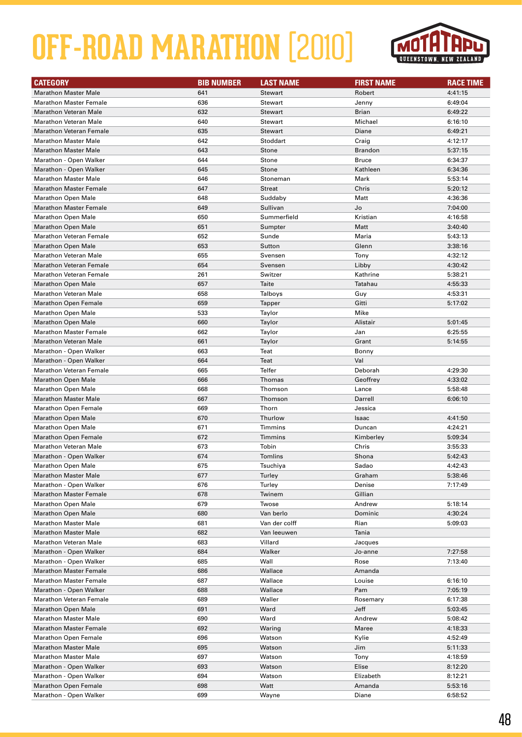

| <b>CATEGORY</b>                | <b>BIB NUMBER</b> | <b>LAST NAME</b>   | <b>FIRST NAME</b> | <b>RACE TIME</b> |
|--------------------------------|-------------------|--------------------|-------------------|------------------|
| <b>Marathon Master Male</b>    | 641               | <b>Stewart</b>     | Robert            | 4:41:15          |
| <b>Marathon Master Female</b>  | 636               | Stewart            | Jenny             | 6:49:04          |
| <b>Marathon Veteran Male</b>   | 632               | <b>Stewart</b>     | <b>Brian</b>      | 6:49:22          |
| <b>Marathon Veteran Male</b>   | 640               | <b>Stewart</b>     | Michael           | 6:16:10          |
| <b>Marathon Veteran Female</b> | 635               | <b>Stewart</b>     | Diane             | 6:49:21          |
| <b>Marathon Master Male</b>    | 642               | Stoddart           | Craig             | 4:12:17          |
| <b>Marathon Master Male</b>    | 643               | <b>Stone</b>       | <b>Brandon</b>    | 5:37:15          |
| Marathon - Open Walker         | 644               | Stone              | <b>Bruce</b>      | 6:34:37          |
| Marathon - Open Walker         | 645               | Stone              | Kathleen          | 6:34:36          |
| <b>Marathon Master Male</b>    | 646               | Stoneman           | Mark              | 5:53:14          |
| <b>Marathon Master Female</b>  | 647               | <b>Streat</b>      | Chris             | 5:20:12          |
| <b>Marathon Open Male</b>      | 648               | Suddaby            | Matt              | 4:36:36          |
| <b>Marathon Master Female</b>  | 649               | Sullivan           | Jo                | 7:04:00          |
| <b>Marathon Open Male</b>      | 650               | Summerfield        | Kristian          | 4:16:58          |
| <b>Marathon Open Male</b>      | 651               | Sumpter            | Matt              | 3:40:40          |
| <b>Marathon Veteran Female</b> | 652               | Sunde              | Maria             | 5:43:13          |
| <b>Marathon Open Male</b>      | 653               | Sutton             | Glenn             | 3:38:16          |
| <b>Marathon Veteran Male</b>   | 655               | Svensen            | Tony              | 4:32:12          |
| <b>Marathon Veteran Female</b> | 654               |                    | Libby             | 4:30:42          |
| <b>Marathon Veteran Female</b> | 261               | Svensen<br>Switzer | Kathrine          | 5:38:21          |
|                                | 657               |                    |                   |                  |
| <b>Marathon Open Male</b>      |                   | Taite              | Tatahau           | 4:55:33          |
| <b>Marathon Veteran Male</b>   | 658               | Talboys            | Guy               | 4:53:31          |
| <b>Marathon Open Female</b>    | 659               | Tapper             | Gitti             | 5:17:02          |
| <b>Marathon Open Male</b>      | 533               | Taylor             | Mike              |                  |
| <b>Marathon Open Male</b>      | 660               | Taylor             | Alistair          | 5:01:45          |
| <b>Marathon Master Female</b>  | 662               | Taylor             | Jan               | 6:25:55          |
| <b>Marathon Veteran Male</b>   | 661               | Taylor             | Grant             | 5:14:55          |
| Marathon - Open Walker         | 663               | Teat               | Bonny             |                  |
| Marathon - Open Walker         | 664               | Teat               | Val               |                  |
| <b>Marathon Veteran Female</b> | 665               | Telfer             | Deborah           | 4:29:30          |
| <b>Marathon Open Male</b>      | 666               | Thomas             | Geoffrey          | 4:33:02          |
| Marathon Open Male             | 668               | Thomson            | Lance             | 5:58:48          |
| <b>Marathon Master Male</b>    | 667               | Thomson            | Darrell           | 6:06:10          |
| <b>Marathon Open Female</b>    | 669               | Thorn              | Jessica           |                  |
| <b>Marathon Open Male</b>      | 670               | Thurlow            | Isaac             | 4:41:50          |
| <b>Marathon Open Male</b>      | 671               | <b>Timmins</b>     | Duncan            | 4:24:21          |
| <b>Marathon Open Female</b>    | 672               | <b>Timmins</b>     | Kimberley         | 5:09:34          |
| <b>Marathon Veteran Male</b>   | 673               | Tobin              | Chris             | 3:55:33          |
| Marathon - Open Walker         | 674               | Tomlins            | Shona             | 5:42:43          |
| Marathon Open Male             | 675               | Tsuchiva           | Sadao             | 4:42:43          |
| <b>Marathon Master Male</b>    | 677               | Turley             | Graham            | 5:38:46          |
| Marathon - Open Walker         | 676               | Turley             | Denise            | 7:17:49          |
| <b>Marathon Master Female</b>  | 678               | Twinem             | Gillian           |                  |
| <b>Marathon Open Male</b>      | 679               | Twose              | Andrew            | 5:18:14          |
| <b>Marathon Open Male</b>      | 680               | Van berlo          | Dominic           | 4:30:24          |
| <b>Marathon Master Male</b>    | 681               | Van der colff      | Rian              | 5:09:03          |
| <b>Marathon Master Male</b>    | 682               | Van leeuwen        | Tania             |                  |
| <b>Marathon Veteran Male</b>   | 683               | Villard            | Jacques           |                  |
| Marathon - Open Walker         | 684               | Walker             | Jo-anne           | 7:27:58          |
| Marathon - Open Walker         | 685               | Wall               | Rose              | 7:13:40          |
| <b>Marathon Master Female</b>  | 686               | Wallace            | Amanda            |                  |
| <b>Marathon Master Female</b>  | 687               | Wallace            | Louise            | 6:16:10          |
| Marathon - Open Walker         | 688               | Wallace            | Pam               | 7:05:19          |
| <b>Marathon Veteran Female</b> | 689               | Waller             | Rosemary          | 6:17:38          |
| <b>Marathon Open Male</b>      | 691               | Ward               | Jeff              | 5:03:45          |
| <b>Marathon Master Male</b>    | 690               | Ward               | Andrew            | 5:08:42          |
| <b>Marathon Master Female</b>  | 692               | Waring             | Maree             | 4:18:33          |
| <b>Marathon Open Female</b>    | 696               | Watson             | Kylie             | 4:52:49          |
| <b>Marathon Master Male</b>    | 695               | Watson             | Jim               | 5:11:33          |
| <b>Marathon Master Male</b>    | 697               | Watson             | Tony              | 4:18:59          |
| Marathon - Open Walker         | 693               | Watson             | Elise             | 8:12:20          |
| Marathon - Open Walker         | 694               | Watson             | Elizabeth         | 8:12:21          |
| <b>Marathon Open Female</b>    | 698               | Watt               | Amanda            | 5:53:16          |
| Marathon - Open Walker         | 699               | Wayne              | Diane             | 6:58:52          |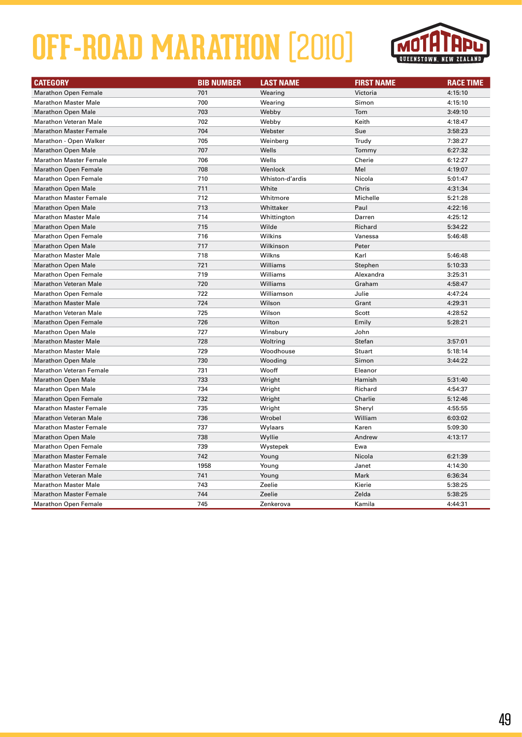

| <b>CATEGORY</b>               | <b>BIB NUMBER</b> | <b>LAST NAME</b> | <b>FIRST NAME</b> | <b>RACE TIME</b> |
|-------------------------------|-------------------|------------------|-------------------|------------------|
| <b>Marathon Open Female</b>   | 701               | Wearing          | Victoria          | 4:15:10          |
| <b>Marathon Master Male</b>   | 700               | Wearing          | Simon             | 4:15:10          |
| <b>Marathon Open Male</b>     | 703               | Webby            | Tom               | 3:49:10          |
| <b>Marathon Veteran Male</b>  | 702               | Webby            | Keith             | 4:18:47          |
| <b>Marathon Master Female</b> | 704               | Webster          | Sue               | 3:58:23          |
| Marathon - Open Walker        | 705               | Weinberg         | Trudy             | 7:38:27          |
| <b>Marathon Open Male</b>     | 707               | Wells            | Tommy             | 6:27:32          |
| <b>Marathon Master Female</b> | 706               | Wells            | Cherie            | 6:12:27          |
| <b>Marathon Open Female</b>   | 708               | Wenlock          | Mel               | 4:19:07          |
| <b>Marathon Open Female</b>   | 710               | Whiston-d'ardis  | Nicola            | 5:01:47          |
| <b>Marathon Open Male</b>     | 711               | White            | Chris             | 4:31:34          |
| <b>Marathon Master Female</b> | 712               | Whitmore         | Michelle          | 5:21:28          |
| <b>Marathon Open Male</b>     | 713               | Whittaker        | Paul              | 4:22:16          |
| <b>Marathon Master Male</b>   | 714               | Whittington      | Darren            | 4:25:12          |
| <b>Marathon Open Male</b>     | 715               | Wilde            | Richard           | 5:34:22          |
| <b>Marathon Open Female</b>   | 716               | Wilkins          | Vanessa           | 5:46:48          |
| <b>Marathon Open Male</b>     | 717               | Wilkinson        | Peter             |                  |
| <b>Marathon Master Male</b>   | 718               | Wilkns           | Karl              | 5:46:48          |
| <b>Marathon Open Male</b>     | 721               | Williams         | Stephen           | 5:10:33          |
| <b>Marathon Open Female</b>   | 719               | Williams         | Alexandra         | 3:25:31          |
| <b>Marathon Veteran Male</b>  | 720               | Williams         | Graham            | 4:58:47          |
| <b>Marathon Open Female</b>   | 722               | Williamson       | Julie             | 4:47:24          |
| <b>Marathon Master Male</b>   | 724               | Wilson           | Grant             | 4:29:31          |
| <b>Marathon Veteran Male</b>  | 725               | Wilson           | Scott             | 4:28:52          |
| <b>Marathon Open Female</b>   | 726               | Wilton           | Emily             | 5:28:21          |
| <b>Marathon Open Male</b>     | 727               | Winsbury         | John              |                  |
| <b>Marathon Master Male</b>   | 728               | Woltring         | Stefan            | 3:57:01          |
| <b>Marathon Master Male</b>   | 729               | Woodhouse        | Stuart            | 5:18:14          |
| <b>Marathon Open Male</b>     | 730               | Wooding          | Simon             | 3:44:22          |
| Marathon Veteran Female       | 731               | Wooff            | Eleanor           |                  |
| <b>Marathon Open Male</b>     | 733               | Wright           | Hamish            | 5:31:40          |
| <b>Marathon Open Male</b>     | 734               | Wright           | Richard           | 4:54:37          |
| <b>Marathon Open Female</b>   | 732               | Wright           | Charlie           | 5:12:46          |
| <b>Marathon Master Female</b> | 735               | Wright           | Sheryl            | 4:55:55          |
| <b>Marathon Veteran Male</b>  | 736               | Wrobel           | William           | 6:03:02          |
| <b>Marathon Master Female</b> | 737               | Wylaars          | Karen             | 5:09:30          |
| <b>Marathon Open Male</b>     | 738               | Wyllie           | Andrew            | 4:13:17          |
| <b>Marathon Open Female</b>   | 739               | Wystepek         | Ewa               |                  |
| <b>Marathon Master Female</b> | 742               | Young            | Nicola            | 6:21:39          |
| <b>Marathon Master Female</b> | 1958              | Young            | Janet             | 4:14:30          |
| <b>Marathon Veteran Male</b>  | 741               | Young            | Mark              | 6:36:34          |
| <b>Marathon Master Male</b>   | 743               | Zeelie           | Kierie            | 5:38:25          |
| <b>Marathon Master Female</b> | 744               | Zeelie           | Zelda             | 5:38:25          |
| <b>Marathon Open Female</b>   | 745               | Zenkerova        | Kamila            | 4:44:31          |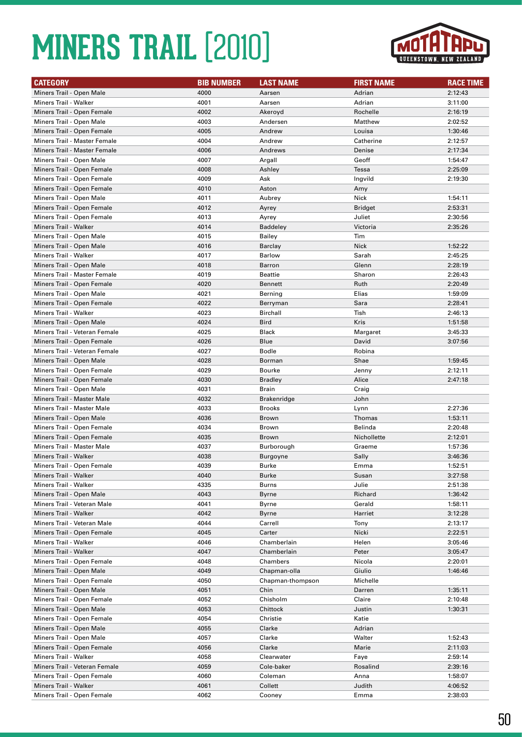

| <b>CATEGORY</b>                                                 | <b>BIB NUMBER</b> | <b>LAST NAME</b>              | <b>FIRST NAME</b>     | <b>RACE TIME</b>   |
|-----------------------------------------------------------------|-------------------|-------------------------------|-----------------------|--------------------|
| Miners Trail - Open Male                                        | 4000              | Aarsen                        | Adrian                | 2:12:43            |
| Miners Trail - Walker                                           | 4001              | Aarsen                        | Adrian                | 3:11:00            |
| Miners Trail - Open Female                                      | 4002              | Akeroyd                       | Rochelle              | 2:16:19            |
| Miners Trail - Open Male                                        | 4003              | Andersen                      | Matthew               | 2:02:52            |
| Miners Trail - Open Female                                      | 4005              | Andrew                        | Louisa                | 1:30:46            |
| Miners Trail - Master Female                                    | 4004              | Andrew                        | Catherine             | 2:12:57            |
| Miners Trail - Master Female                                    | 4006              | Andrews                       | Denise                | 2:17:34            |
| Miners Trail - Open Male                                        | 4007              | Argall                        | Geoff                 | 1:54:47            |
| Miners Trail - Open Female                                      | 4008              | Ashley                        | Tessa                 | 2:25:09            |
| Miners Trail - Open Female                                      | 4009              | Ask                           | Ingvild               | 2:19:30            |
| Miners Trail - Open Female                                      | 4010              | Aston                         | Amy                   |                    |
| Miners Trail - Open Male                                        | 4011              | Aubrey                        | Nick                  | 1:54:11            |
| Miners Trail - Open Female                                      | 4012              | Ayrey                         | <b>Bridget</b>        | 2:53:31            |
| Miners Trail - Open Female                                      | 4013              | Ayrey                         | Juliet                | 2:30:56            |
| Miners Trail - Walker                                           | 4014              | <b>Baddeley</b>               | Victoria              | 2:35:26            |
| Miners Trail - Open Male                                        | 4015              | Bailey                        | Tim                   |                    |
| Miners Trail - Open Male                                        | 4016              | Barclay                       | <b>Nick</b>           | 1:52:22            |
| <b>Miners Trail - Walker</b>                                    | 4017              | <b>Barlow</b>                 | Sarah                 | 2:45:25            |
| Miners Trail - Open Male                                        | 4018              | Barron                        | Glenn                 | 2:28:19            |
| Miners Trail - Master Female                                    | 4019              | Beattie                       | Sharon                | 2:26:43            |
| Miners Trail - Open Female                                      | 4020              | <b>Bennett</b>                | Ruth                  | 2:20:49            |
| Miners Trail - Open Male                                        | 4021              | Berning                       | Elias                 | 1:59:09            |
| Miners Trail - Open Female                                      | 4022              | Berryman                      | Sara                  | 2:28:41            |
| Miners Trail - Walker                                           | 4023              | Birchall                      | Tish                  | 2:46:13            |
| Miners Trail - Open Male                                        | 4024              | <b>Bird</b>                   | Kris                  | 1:51:58            |
| Miners Trail - Veteran Female                                   | 4025              | <b>Black</b>                  | Margaret              | 3:45:33            |
| Miners Trail - Open Female                                      | 4026              | Blue                          | David                 | 3:07:56            |
| Miners Trail - Veteran Female                                   | 4027              | <b>Bodle</b>                  | Robina                |                    |
| Miners Trail - Open Male                                        | 4028              | Borman                        | Shae                  | 1:59:45            |
| Miners Trail - Open Female                                      | 4029              | <b>Bourke</b>                 | Jenny                 | 2:12:11            |
| Miners Trail - Open Female                                      | 4030              | <b>Bradley</b>                | Alice                 | 2:47:18            |
| Miners Trail - Open Male                                        | 4031              | Brain                         | Craig                 |                    |
| <b>Miners Trail - Master Male</b>                               | 4032              | <b>Brakenridge</b>            | John                  |                    |
| <b>Miners Trail - Master Male</b>                               | 4033              | <b>Brooks</b>                 | Lynn                  | 2:27:36            |
| Miners Trail - Open Male                                        | 4036              | Brown                         | Thomas<br>Belinda     | 1:53:11            |
| Miners Trail - Open Female                                      | 4034<br>4035      | <b>Brown</b>                  |                       | 2:20:48            |
| Miners Trail - Open Female<br><b>Miners Trail - Master Male</b> | 4037              | Brown                         | Nichollette<br>Graeme | 2:12:01            |
| Miners Trail - Walker                                           | 4038              | Burborough<br><b>Burgoyne</b> | Sally                 | 1:57:36<br>3:46:36 |
| Miners Trail - Open Female                                      | 4039              | <b>Burke</b>                  | Emma                  | 1:52:51            |
| Miners Trail - Walker                                           | 4040              | Burke                         | Susan                 | 3:27:58            |
| Miners Trail - Walker                                           | 4335              | Burns                         | Julie                 | 2:51:38            |
| Miners Trail - Open Male                                        | 4043              | Byrne                         | Richard               | 1:36:42            |
| Miners Trail - Veteran Male                                     | 4041              | Byrne                         | Gerald                | 1:58:11            |
| Miners Trail - Walker                                           | 4042              | Byrne                         | Harriet               | 3:12:28            |
| Miners Trail - Veteran Male                                     | 4044              | Carrell                       | Tony                  | 2:13:17            |
| Miners Trail - Open Female                                      | 4045              | Carter                        | Nicki                 | 2:22:51            |
| Miners Trail - Walker                                           | 4046              | Chamberlain                   | Helen                 | 3:05:46            |
| <b>Miners Trail - Walker</b>                                    | 4047              | Chamberlain                   | Peter                 | 3:05:47            |
| Miners Trail - Open Female                                      | 4048              | Chambers                      | Nicola                | 2:20:01            |
| Miners Trail - Open Male                                        | 4049              | Chapman-olla                  | Giulio                | 1:46:46            |
| Miners Trail - Open Female                                      | 4050              | Chapman-thompson              | Michelle              |                    |
| Miners Trail - Open Male                                        | 4051              | Chin                          | Darren                | 1:35:11            |
| Miners Trail - Open Female                                      | 4052              | Chisholm                      | Claire                | 2:10:48            |
| Miners Trail - Open Male                                        | 4053              | Chittock                      | Justin                | 1:30:31            |
| Miners Trail - Open Female                                      | 4054              | Christie                      | Katie                 |                    |
| Miners Trail - Open Male                                        | 4055              | Clarke                        | Adrian                |                    |
| Miners Trail - Open Male                                        | 4057              | Clarke                        | Walter                | 1:52:43            |
| Miners Trail - Open Female                                      | 4056              | Clarke                        | Marie                 | 2:11:03            |
| Miners Trail - Walker                                           | 4058              | Clearwater                    | Faye                  | 2:59:14            |
| Miners Trail - Veteran Female                                   | 4059              | Cole-baker                    | Rosalind              | 2:39:16            |
| Miners Trail - Open Female                                      | 4060              | Coleman                       | Anna                  | 1:58:07            |
| Miners Trail - Walker                                           | 4061              | Collett                       | Judith                | 4:06:52            |
| Miners Trail - Open Female                                      | 4062              | Cooney                        | Emma                  | 2:38:03            |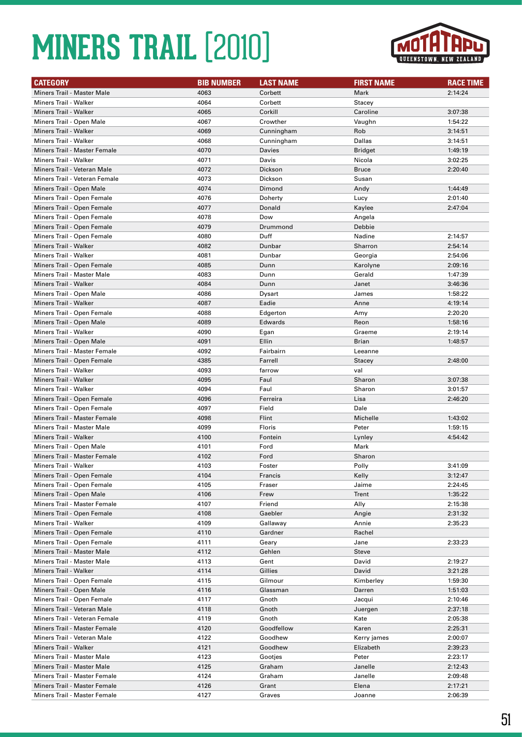

| <b>Miners Trail - Master Male</b><br>4063<br>Corbett<br>Mark<br>2:14:24<br>4064<br>Miners Trail - Walker<br>Corbett<br>Stacey<br>Miners Trail - Walker<br>4065<br>Corkill<br>Caroline<br>3:07:38<br>Miners Trail - Open Male<br>4067<br>Crowther<br>Vaughn<br>1:54:22<br>Miners Trail - Walker<br>4069<br>Rob<br>3:14:51<br>Cunningham<br>Dallas<br>Miners Trail - Walker<br>4068<br>3:14:51<br>Cunningham<br>4070<br>Miners Trail - Master Female<br><b>Bridget</b><br>1:49:19<br>Davies<br>4071<br>Miners Trail - Walker<br>Davis<br>Nicola<br>3:02:25<br>Miners Trail - Veteran Male<br>4072<br>Dickson<br><b>Bruce</b><br>2:20:40<br>Miners Trail - Veteran Female<br>4073<br>Dickson<br>Susan<br>Miners Trail - Open Male<br>4074<br>Dimond<br>Andy<br>1:44:49<br>Miners Trail - Open Female<br>4076<br>Lucy<br>2:01:40<br>Doherty<br>Miners Trail - Open Female<br>4077<br>2:47:04<br>Donald<br>Kaylee<br>Miners Trail - Open Female<br>4078<br>Dow<br>Angela<br>Miners Trail - Open Female<br>4079<br>Drummond<br>Debbie<br>Duff<br>Nadine<br>Miners Trail - Open Female<br>4080<br>2:14:57<br>4082<br>Miners Trail - Walker<br>Dunbar<br>Sharron<br>2:54:14<br>4081<br>Miners Trail - Walker<br>Dunbar<br>2:54:06<br>Georgia<br>4085<br>Miners Trail - Open Female<br>Dunn<br>Karolyne<br>2:09:16<br>4083<br><b>Miners Trail - Master Male</b><br>Gerald<br>1:47:39<br>Dunn<br>4084<br>Miners Trail - Walker<br>3:46:36<br>Dunn<br>Janet<br>Miners Trail - Open Male<br>4086<br>James<br>1:58:22<br>Dysart<br><b>Miners Trail - Walker</b><br>4087<br>Eadie<br>Anne<br>4:19:14<br>4088<br>Miners Trail - Open Female<br>Edgerton<br>Amy<br>2:20:20<br>4089<br>Reon<br>1:58:16<br>Miners Trail - Open Male<br>Edwards<br>4090<br>Miners Trail - Walker<br>Graeme<br>2:19:14<br>Egan<br>4091<br>Ellin<br>Miners Trail - Open Male<br><b>Brian</b><br>1:48:57<br>Miners Trail - Master Female<br>4092<br>Fairbairn<br>Leeanne<br>Miners Trail - Open Female<br>4385<br>Farrell<br>2:48:00<br>Stacey<br>4093<br>Miners Trail - Walker<br>farrow<br>val<br>4095<br>Faul<br>Sharon<br>3:07:38<br>Miners Trail - Walker<br>Faul<br>Miners Trail - Walker<br>4094<br>Sharon<br>3:01:57<br>Lisa<br>Miners Trail - Open Female<br>4096<br>Ferreira<br>2:46:20<br>4097<br>Dale<br>Miners Trail - Open Female<br>Field<br>Miners Trail - Master Female<br>4098<br>Flint<br>Michelle<br>1:43:02<br><b>Miners Trail - Master Male</b><br>4099<br>Floris<br>Peter<br>1:59:15<br>Miners Trail - Walker<br>4100<br>Fontein<br>4:54:42<br>Lynley<br>4101<br>Ford<br>Miners Trail - Open Male<br>Mark<br>Ford<br>Miners Trail - Master Female<br>4102<br>Sharon<br>4103<br>Foster<br>Polly<br>3:41:09<br>Miners Trail - Walker<br>4104<br>Miners Trail - Open Female<br>Francis<br>Kelly<br>3:12:47<br>Miners Trail - Open Female<br>4105<br>Jaime<br>2:24:45<br>Fraser<br>Miners Trail - Open Male<br>4106<br>Frew<br>Trent<br>1:35:22<br>Miners Trail - Master Female<br>4107<br>Friend<br>Ally<br>2:15:38<br>4108<br>2:31:32<br>Miners Trail - Open Female<br>Gaebler<br>Angie<br>Miners Trail - Walker<br>4109<br>Annie<br>2:35:23<br>Gallaway<br>Miners Trail - Open Female<br>4110<br>Rachel<br>Gardner<br>Miners Trail - Open Female<br>4111<br>2:33:23<br>Geary<br>Jane<br>Miners Trail - Master Male<br>4112<br>Gehlen<br><b>Steve</b><br><b>Miners Trail - Master Male</b><br>4113<br>David<br>2:19:27<br>Gent<br>Miners Trail - Walker<br>4114<br>Gillies<br>David<br>3:21:28<br>Miners Trail - Open Female<br>4115<br>Gilmour<br>Kimberley<br>1:59:30<br>Miners Trail - Open Male<br>4116<br>1:51:03<br>Glassman<br>Darren<br>Miners Trail - Open Female<br>4117<br>Gnoth<br>Jacqui<br>2:10:46<br>Miners Trail - Veteran Male<br>4118<br>Gnoth<br>2:37:18<br>Juergen<br>4119<br>Kate<br>2:05:38<br>Miners Trail - Veteran Female<br>Gnoth<br>Miners Trail - Master Female<br>4120<br>Goodfellow<br>Karen<br>2:25:31<br>Miners Trail - Veteran Male<br>4122<br>Goodhew<br>Kerry james<br>2:00:07<br>4121<br>2:39:23<br>Miners Trail - Walker<br>Goodhew<br>Elizabeth<br><b>Miners Trail - Master Male</b><br>4123<br>Peter<br>2:23:17<br>Gootjes<br><b>Miners Trail - Master Male</b><br>4125<br>Janelle<br>2:12:43<br>Graham<br>Miners Trail - Master Female<br>4124<br>Janelle<br>2:09:48<br>Graham<br>4126<br>Elena<br>2:17:21<br>Miners Trail - Master Female<br>Grant | <b>CATEGORY</b>              | <b>BIB NUMBER</b> | <b>LAST NAME</b> | <b>FIRST NAME</b> | <b>RACE TIME</b> |
|----------------------------------------------------------------------------------------------------------------------------------------------------------------------------------------------------------------------------------------------------------------------------------------------------------------------------------------------------------------------------------------------------------------------------------------------------------------------------------------------------------------------------------------------------------------------------------------------------------------------------------------------------------------------------------------------------------------------------------------------------------------------------------------------------------------------------------------------------------------------------------------------------------------------------------------------------------------------------------------------------------------------------------------------------------------------------------------------------------------------------------------------------------------------------------------------------------------------------------------------------------------------------------------------------------------------------------------------------------------------------------------------------------------------------------------------------------------------------------------------------------------------------------------------------------------------------------------------------------------------------------------------------------------------------------------------------------------------------------------------------------------------------------------------------------------------------------------------------------------------------------------------------------------------------------------------------------------------------------------------------------------------------------------------------------------------------------------------------------------------------------------------------------------------------------------------------------------------------------------------------------------------------------------------------------------------------------------------------------------------------------------------------------------------------------------------------------------------------------------------------------------------------------------------------------------------------------------------------------------------------------------------------------------------------------------------------------------------------------------------------------------------------------------------------------------------------------------------------------------------------------------------------------------------------------------------------------------------------------------------------------------------------------------------------------------------------------------------------------------------------------------------------------------------------------------------------------------------------------------------------------------------------------------------------------------------------------------------------------------------------------------------------------------------------------------------------------------------------------------------------------------------------------------------------------------------------------------------------------------------------------------------------------------------------------------------------------------------------------------------------------------------------------------------------------------------------------------------------------------------------------------------------------------------------------------------------------------------------------------------------------------------------------------------------------------------------------------------------------------------------------------------------------------------------------------------------------------------------------------------------------------------------------------------------------------------------------------------------------------------------|------------------------------|-------------------|------------------|-------------------|------------------|
|                                                                                                                                                                                                                                                                                                                                                                                                                                                                                                                                                                                                                                                                                                                                                                                                                                                                                                                                                                                                                                                                                                                                                                                                                                                                                                                                                                                                                                                                                                                                                                                                                                                                                                                                                                                                                                                                                                                                                                                                                                                                                                                                                                                                                                                                                                                                                                                                                                                                                                                                                                                                                                                                                                                                                                                                                                                                                                                                                                                                                                                                                                                                                                                                                                                                                                                                                                                                                                                                                                                                                                                                                                                                                                                                                                                                                                                                                                                                                                                                                                                                                                                                                                                                                                                                                                                                                                            |                              |                   |                  |                   |                  |
|                                                                                                                                                                                                                                                                                                                                                                                                                                                                                                                                                                                                                                                                                                                                                                                                                                                                                                                                                                                                                                                                                                                                                                                                                                                                                                                                                                                                                                                                                                                                                                                                                                                                                                                                                                                                                                                                                                                                                                                                                                                                                                                                                                                                                                                                                                                                                                                                                                                                                                                                                                                                                                                                                                                                                                                                                                                                                                                                                                                                                                                                                                                                                                                                                                                                                                                                                                                                                                                                                                                                                                                                                                                                                                                                                                                                                                                                                                                                                                                                                                                                                                                                                                                                                                                                                                                                                                            |                              |                   |                  |                   |                  |
|                                                                                                                                                                                                                                                                                                                                                                                                                                                                                                                                                                                                                                                                                                                                                                                                                                                                                                                                                                                                                                                                                                                                                                                                                                                                                                                                                                                                                                                                                                                                                                                                                                                                                                                                                                                                                                                                                                                                                                                                                                                                                                                                                                                                                                                                                                                                                                                                                                                                                                                                                                                                                                                                                                                                                                                                                                                                                                                                                                                                                                                                                                                                                                                                                                                                                                                                                                                                                                                                                                                                                                                                                                                                                                                                                                                                                                                                                                                                                                                                                                                                                                                                                                                                                                                                                                                                                                            |                              |                   |                  |                   |                  |
|                                                                                                                                                                                                                                                                                                                                                                                                                                                                                                                                                                                                                                                                                                                                                                                                                                                                                                                                                                                                                                                                                                                                                                                                                                                                                                                                                                                                                                                                                                                                                                                                                                                                                                                                                                                                                                                                                                                                                                                                                                                                                                                                                                                                                                                                                                                                                                                                                                                                                                                                                                                                                                                                                                                                                                                                                                                                                                                                                                                                                                                                                                                                                                                                                                                                                                                                                                                                                                                                                                                                                                                                                                                                                                                                                                                                                                                                                                                                                                                                                                                                                                                                                                                                                                                                                                                                                                            |                              |                   |                  |                   |                  |
|                                                                                                                                                                                                                                                                                                                                                                                                                                                                                                                                                                                                                                                                                                                                                                                                                                                                                                                                                                                                                                                                                                                                                                                                                                                                                                                                                                                                                                                                                                                                                                                                                                                                                                                                                                                                                                                                                                                                                                                                                                                                                                                                                                                                                                                                                                                                                                                                                                                                                                                                                                                                                                                                                                                                                                                                                                                                                                                                                                                                                                                                                                                                                                                                                                                                                                                                                                                                                                                                                                                                                                                                                                                                                                                                                                                                                                                                                                                                                                                                                                                                                                                                                                                                                                                                                                                                                                            |                              |                   |                  |                   |                  |
|                                                                                                                                                                                                                                                                                                                                                                                                                                                                                                                                                                                                                                                                                                                                                                                                                                                                                                                                                                                                                                                                                                                                                                                                                                                                                                                                                                                                                                                                                                                                                                                                                                                                                                                                                                                                                                                                                                                                                                                                                                                                                                                                                                                                                                                                                                                                                                                                                                                                                                                                                                                                                                                                                                                                                                                                                                                                                                                                                                                                                                                                                                                                                                                                                                                                                                                                                                                                                                                                                                                                                                                                                                                                                                                                                                                                                                                                                                                                                                                                                                                                                                                                                                                                                                                                                                                                                                            |                              |                   |                  |                   |                  |
|                                                                                                                                                                                                                                                                                                                                                                                                                                                                                                                                                                                                                                                                                                                                                                                                                                                                                                                                                                                                                                                                                                                                                                                                                                                                                                                                                                                                                                                                                                                                                                                                                                                                                                                                                                                                                                                                                                                                                                                                                                                                                                                                                                                                                                                                                                                                                                                                                                                                                                                                                                                                                                                                                                                                                                                                                                                                                                                                                                                                                                                                                                                                                                                                                                                                                                                                                                                                                                                                                                                                                                                                                                                                                                                                                                                                                                                                                                                                                                                                                                                                                                                                                                                                                                                                                                                                                                            |                              |                   |                  |                   |                  |
|                                                                                                                                                                                                                                                                                                                                                                                                                                                                                                                                                                                                                                                                                                                                                                                                                                                                                                                                                                                                                                                                                                                                                                                                                                                                                                                                                                                                                                                                                                                                                                                                                                                                                                                                                                                                                                                                                                                                                                                                                                                                                                                                                                                                                                                                                                                                                                                                                                                                                                                                                                                                                                                                                                                                                                                                                                                                                                                                                                                                                                                                                                                                                                                                                                                                                                                                                                                                                                                                                                                                                                                                                                                                                                                                                                                                                                                                                                                                                                                                                                                                                                                                                                                                                                                                                                                                                                            |                              |                   |                  |                   |                  |
|                                                                                                                                                                                                                                                                                                                                                                                                                                                                                                                                                                                                                                                                                                                                                                                                                                                                                                                                                                                                                                                                                                                                                                                                                                                                                                                                                                                                                                                                                                                                                                                                                                                                                                                                                                                                                                                                                                                                                                                                                                                                                                                                                                                                                                                                                                                                                                                                                                                                                                                                                                                                                                                                                                                                                                                                                                                                                                                                                                                                                                                                                                                                                                                                                                                                                                                                                                                                                                                                                                                                                                                                                                                                                                                                                                                                                                                                                                                                                                                                                                                                                                                                                                                                                                                                                                                                                                            |                              |                   |                  |                   |                  |
|                                                                                                                                                                                                                                                                                                                                                                                                                                                                                                                                                                                                                                                                                                                                                                                                                                                                                                                                                                                                                                                                                                                                                                                                                                                                                                                                                                                                                                                                                                                                                                                                                                                                                                                                                                                                                                                                                                                                                                                                                                                                                                                                                                                                                                                                                                                                                                                                                                                                                                                                                                                                                                                                                                                                                                                                                                                                                                                                                                                                                                                                                                                                                                                                                                                                                                                                                                                                                                                                                                                                                                                                                                                                                                                                                                                                                                                                                                                                                                                                                                                                                                                                                                                                                                                                                                                                                                            |                              |                   |                  |                   |                  |
|                                                                                                                                                                                                                                                                                                                                                                                                                                                                                                                                                                                                                                                                                                                                                                                                                                                                                                                                                                                                                                                                                                                                                                                                                                                                                                                                                                                                                                                                                                                                                                                                                                                                                                                                                                                                                                                                                                                                                                                                                                                                                                                                                                                                                                                                                                                                                                                                                                                                                                                                                                                                                                                                                                                                                                                                                                                                                                                                                                                                                                                                                                                                                                                                                                                                                                                                                                                                                                                                                                                                                                                                                                                                                                                                                                                                                                                                                                                                                                                                                                                                                                                                                                                                                                                                                                                                                                            |                              |                   |                  |                   |                  |
|                                                                                                                                                                                                                                                                                                                                                                                                                                                                                                                                                                                                                                                                                                                                                                                                                                                                                                                                                                                                                                                                                                                                                                                                                                                                                                                                                                                                                                                                                                                                                                                                                                                                                                                                                                                                                                                                                                                                                                                                                                                                                                                                                                                                                                                                                                                                                                                                                                                                                                                                                                                                                                                                                                                                                                                                                                                                                                                                                                                                                                                                                                                                                                                                                                                                                                                                                                                                                                                                                                                                                                                                                                                                                                                                                                                                                                                                                                                                                                                                                                                                                                                                                                                                                                                                                                                                                                            |                              |                   |                  |                   |                  |
|                                                                                                                                                                                                                                                                                                                                                                                                                                                                                                                                                                                                                                                                                                                                                                                                                                                                                                                                                                                                                                                                                                                                                                                                                                                                                                                                                                                                                                                                                                                                                                                                                                                                                                                                                                                                                                                                                                                                                                                                                                                                                                                                                                                                                                                                                                                                                                                                                                                                                                                                                                                                                                                                                                                                                                                                                                                                                                                                                                                                                                                                                                                                                                                                                                                                                                                                                                                                                                                                                                                                                                                                                                                                                                                                                                                                                                                                                                                                                                                                                                                                                                                                                                                                                                                                                                                                                                            |                              |                   |                  |                   |                  |
|                                                                                                                                                                                                                                                                                                                                                                                                                                                                                                                                                                                                                                                                                                                                                                                                                                                                                                                                                                                                                                                                                                                                                                                                                                                                                                                                                                                                                                                                                                                                                                                                                                                                                                                                                                                                                                                                                                                                                                                                                                                                                                                                                                                                                                                                                                                                                                                                                                                                                                                                                                                                                                                                                                                                                                                                                                                                                                                                                                                                                                                                                                                                                                                                                                                                                                                                                                                                                                                                                                                                                                                                                                                                                                                                                                                                                                                                                                                                                                                                                                                                                                                                                                                                                                                                                                                                                                            |                              |                   |                  |                   |                  |
|                                                                                                                                                                                                                                                                                                                                                                                                                                                                                                                                                                                                                                                                                                                                                                                                                                                                                                                                                                                                                                                                                                                                                                                                                                                                                                                                                                                                                                                                                                                                                                                                                                                                                                                                                                                                                                                                                                                                                                                                                                                                                                                                                                                                                                                                                                                                                                                                                                                                                                                                                                                                                                                                                                                                                                                                                                                                                                                                                                                                                                                                                                                                                                                                                                                                                                                                                                                                                                                                                                                                                                                                                                                                                                                                                                                                                                                                                                                                                                                                                                                                                                                                                                                                                                                                                                                                                                            |                              |                   |                  |                   |                  |
|                                                                                                                                                                                                                                                                                                                                                                                                                                                                                                                                                                                                                                                                                                                                                                                                                                                                                                                                                                                                                                                                                                                                                                                                                                                                                                                                                                                                                                                                                                                                                                                                                                                                                                                                                                                                                                                                                                                                                                                                                                                                                                                                                                                                                                                                                                                                                                                                                                                                                                                                                                                                                                                                                                                                                                                                                                                                                                                                                                                                                                                                                                                                                                                                                                                                                                                                                                                                                                                                                                                                                                                                                                                                                                                                                                                                                                                                                                                                                                                                                                                                                                                                                                                                                                                                                                                                                                            |                              |                   |                  |                   |                  |
|                                                                                                                                                                                                                                                                                                                                                                                                                                                                                                                                                                                                                                                                                                                                                                                                                                                                                                                                                                                                                                                                                                                                                                                                                                                                                                                                                                                                                                                                                                                                                                                                                                                                                                                                                                                                                                                                                                                                                                                                                                                                                                                                                                                                                                                                                                                                                                                                                                                                                                                                                                                                                                                                                                                                                                                                                                                                                                                                                                                                                                                                                                                                                                                                                                                                                                                                                                                                                                                                                                                                                                                                                                                                                                                                                                                                                                                                                                                                                                                                                                                                                                                                                                                                                                                                                                                                                                            |                              |                   |                  |                   |                  |
|                                                                                                                                                                                                                                                                                                                                                                                                                                                                                                                                                                                                                                                                                                                                                                                                                                                                                                                                                                                                                                                                                                                                                                                                                                                                                                                                                                                                                                                                                                                                                                                                                                                                                                                                                                                                                                                                                                                                                                                                                                                                                                                                                                                                                                                                                                                                                                                                                                                                                                                                                                                                                                                                                                                                                                                                                                                                                                                                                                                                                                                                                                                                                                                                                                                                                                                                                                                                                                                                                                                                                                                                                                                                                                                                                                                                                                                                                                                                                                                                                                                                                                                                                                                                                                                                                                                                                                            |                              |                   |                  |                   |                  |
|                                                                                                                                                                                                                                                                                                                                                                                                                                                                                                                                                                                                                                                                                                                                                                                                                                                                                                                                                                                                                                                                                                                                                                                                                                                                                                                                                                                                                                                                                                                                                                                                                                                                                                                                                                                                                                                                                                                                                                                                                                                                                                                                                                                                                                                                                                                                                                                                                                                                                                                                                                                                                                                                                                                                                                                                                                                                                                                                                                                                                                                                                                                                                                                                                                                                                                                                                                                                                                                                                                                                                                                                                                                                                                                                                                                                                                                                                                                                                                                                                                                                                                                                                                                                                                                                                                                                                                            |                              |                   |                  |                   |                  |
|                                                                                                                                                                                                                                                                                                                                                                                                                                                                                                                                                                                                                                                                                                                                                                                                                                                                                                                                                                                                                                                                                                                                                                                                                                                                                                                                                                                                                                                                                                                                                                                                                                                                                                                                                                                                                                                                                                                                                                                                                                                                                                                                                                                                                                                                                                                                                                                                                                                                                                                                                                                                                                                                                                                                                                                                                                                                                                                                                                                                                                                                                                                                                                                                                                                                                                                                                                                                                                                                                                                                                                                                                                                                                                                                                                                                                                                                                                                                                                                                                                                                                                                                                                                                                                                                                                                                                                            |                              |                   |                  |                   |                  |
|                                                                                                                                                                                                                                                                                                                                                                                                                                                                                                                                                                                                                                                                                                                                                                                                                                                                                                                                                                                                                                                                                                                                                                                                                                                                                                                                                                                                                                                                                                                                                                                                                                                                                                                                                                                                                                                                                                                                                                                                                                                                                                                                                                                                                                                                                                                                                                                                                                                                                                                                                                                                                                                                                                                                                                                                                                                                                                                                                                                                                                                                                                                                                                                                                                                                                                                                                                                                                                                                                                                                                                                                                                                                                                                                                                                                                                                                                                                                                                                                                                                                                                                                                                                                                                                                                                                                                                            |                              |                   |                  |                   |                  |
|                                                                                                                                                                                                                                                                                                                                                                                                                                                                                                                                                                                                                                                                                                                                                                                                                                                                                                                                                                                                                                                                                                                                                                                                                                                                                                                                                                                                                                                                                                                                                                                                                                                                                                                                                                                                                                                                                                                                                                                                                                                                                                                                                                                                                                                                                                                                                                                                                                                                                                                                                                                                                                                                                                                                                                                                                                                                                                                                                                                                                                                                                                                                                                                                                                                                                                                                                                                                                                                                                                                                                                                                                                                                                                                                                                                                                                                                                                                                                                                                                                                                                                                                                                                                                                                                                                                                                                            |                              |                   |                  |                   |                  |
|                                                                                                                                                                                                                                                                                                                                                                                                                                                                                                                                                                                                                                                                                                                                                                                                                                                                                                                                                                                                                                                                                                                                                                                                                                                                                                                                                                                                                                                                                                                                                                                                                                                                                                                                                                                                                                                                                                                                                                                                                                                                                                                                                                                                                                                                                                                                                                                                                                                                                                                                                                                                                                                                                                                                                                                                                                                                                                                                                                                                                                                                                                                                                                                                                                                                                                                                                                                                                                                                                                                                                                                                                                                                                                                                                                                                                                                                                                                                                                                                                                                                                                                                                                                                                                                                                                                                                                            |                              |                   |                  |                   |                  |
|                                                                                                                                                                                                                                                                                                                                                                                                                                                                                                                                                                                                                                                                                                                                                                                                                                                                                                                                                                                                                                                                                                                                                                                                                                                                                                                                                                                                                                                                                                                                                                                                                                                                                                                                                                                                                                                                                                                                                                                                                                                                                                                                                                                                                                                                                                                                                                                                                                                                                                                                                                                                                                                                                                                                                                                                                                                                                                                                                                                                                                                                                                                                                                                                                                                                                                                                                                                                                                                                                                                                                                                                                                                                                                                                                                                                                                                                                                                                                                                                                                                                                                                                                                                                                                                                                                                                                                            |                              |                   |                  |                   |                  |
|                                                                                                                                                                                                                                                                                                                                                                                                                                                                                                                                                                                                                                                                                                                                                                                                                                                                                                                                                                                                                                                                                                                                                                                                                                                                                                                                                                                                                                                                                                                                                                                                                                                                                                                                                                                                                                                                                                                                                                                                                                                                                                                                                                                                                                                                                                                                                                                                                                                                                                                                                                                                                                                                                                                                                                                                                                                                                                                                                                                                                                                                                                                                                                                                                                                                                                                                                                                                                                                                                                                                                                                                                                                                                                                                                                                                                                                                                                                                                                                                                                                                                                                                                                                                                                                                                                                                                                            |                              |                   |                  |                   |                  |
|                                                                                                                                                                                                                                                                                                                                                                                                                                                                                                                                                                                                                                                                                                                                                                                                                                                                                                                                                                                                                                                                                                                                                                                                                                                                                                                                                                                                                                                                                                                                                                                                                                                                                                                                                                                                                                                                                                                                                                                                                                                                                                                                                                                                                                                                                                                                                                                                                                                                                                                                                                                                                                                                                                                                                                                                                                                                                                                                                                                                                                                                                                                                                                                                                                                                                                                                                                                                                                                                                                                                                                                                                                                                                                                                                                                                                                                                                                                                                                                                                                                                                                                                                                                                                                                                                                                                                                            |                              |                   |                  |                   |                  |
|                                                                                                                                                                                                                                                                                                                                                                                                                                                                                                                                                                                                                                                                                                                                                                                                                                                                                                                                                                                                                                                                                                                                                                                                                                                                                                                                                                                                                                                                                                                                                                                                                                                                                                                                                                                                                                                                                                                                                                                                                                                                                                                                                                                                                                                                                                                                                                                                                                                                                                                                                                                                                                                                                                                                                                                                                                                                                                                                                                                                                                                                                                                                                                                                                                                                                                                                                                                                                                                                                                                                                                                                                                                                                                                                                                                                                                                                                                                                                                                                                                                                                                                                                                                                                                                                                                                                                                            |                              |                   |                  |                   |                  |
|                                                                                                                                                                                                                                                                                                                                                                                                                                                                                                                                                                                                                                                                                                                                                                                                                                                                                                                                                                                                                                                                                                                                                                                                                                                                                                                                                                                                                                                                                                                                                                                                                                                                                                                                                                                                                                                                                                                                                                                                                                                                                                                                                                                                                                                                                                                                                                                                                                                                                                                                                                                                                                                                                                                                                                                                                                                                                                                                                                                                                                                                                                                                                                                                                                                                                                                                                                                                                                                                                                                                                                                                                                                                                                                                                                                                                                                                                                                                                                                                                                                                                                                                                                                                                                                                                                                                                                            |                              |                   |                  |                   |                  |
|                                                                                                                                                                                                                                                                                                                                                                                                                                                                                                                                                                                                                                                                                                                                                                                                                                                                                                                                                                                                                                                                                                                                                                                                                                                                                                                                                                                                                                                                                                                                                                                                                                                                                                                                                                                                                                                                                                                                                                                                                                                                                                                                                                                                                                                                                                                                                                                                                                                                                                                                                                                                                                                                                                                                                                                                                                                                                                                                                                                                                                                                                                                                                                                                                                                                                                                                                                                                                                                                                                                                                                                                                                                                                                                                                                                                                                                                                                                                                                                                                                                                                                                                                                                                                                                                                                                                                                            |                              |                   |                  |                   |                  |
|                                                                                                                                                                                                                                                                                                                                                                                                                                                                                                                                                                                                                                                                                                                                                                                                                                                                                                                                                                                                                                                                                                                                                                                                                                                                                                                                                                                                                                                                                                                                                                                                                                                                                                                                                                                                                                                                                                                                                                                                                                                                                                                                                                                                                                                                                                                                                                                                                                                                                                                                                                                                                                                                                                                                                                                                                                                                                                                                                                                                                                                                                                                                                                                                                                                                                                                                                                                                                                                                                                                                                                                                                                                                                                                                                                                                                                                                                                                                                                                                                                                                                                                                                                                                                                                                                                                                                                            |                              |                   |                  |                   |                  |
|                                                                                                                                                                                                                                                                                                                                                                                                                                                                                                                                                                                                                                                                                                                                                                                                                                                                                                                                                                                                                                                                                                                                                                                                                                                                                                                                                                                                                                                                                                                                                                                                                                                                                                                                                                                                                                                                                                                                                                                                                                                                                                                                                                                                                                                                                                                                                                                                                                                                                                                                                                                                                                                                                                                                                                                                                                                                                                                                                                                                                                                                                                                                                                                                                                                                                                                                                                                                                                                                                                                                                                                                                                                                                                                                                                                                                                                                                                                                                                                                                                                                                                                                                                                                                                                                                                                                                                            |                              |                   |                  |                   |                  |
|                                                                                                                                                                                                                                                                                                                                                                                                                                                                                                                                                                                                                                                                                                                                                                                                                                                                                                                                                                                                                                                                                                                                                                                                                                                                                                                                                                                                                                                                                                                                                                                                                                                                                                                                                                                                                                                                                                                                                                                                                                                                                                                                                                                                                                                                                                                                                                                                                                                                                                                                                                                                                                                                                                                                                                                                                                                                                                                                                                                                                                                                                                                                                                                                                                                                                                                                                                                                                                                                                                                                                                                                                                                                                                                                                                                                                                                                                                                                                                                                                                                                                                                                                                                                                                                                                                                                                                            |                              |                   |                  |                   |                  |
|                                                                                                                                                                                                                                                                                                                                                                                                                                                                                                                                                                                                                                                                                                                                                                                                                                                                                                                                                                                                                                                                                                                                                                                                                                                                                                                                                                                                                                                                                                                                                                                                                                                                                                                                                                                                                                                                                                                                                                                                                                                                                                                                                                                                                                                                                                                                                                                                                                                                                                                                                                                                                                                                                                                                                                                                                                                                                                                                                                                                                                                                                                                                                                                                                                                                                                                                                                                                                                                                                                                                                                                                                                                                                                                                                                                                                                                                                                                                                                                                                                                                                                                                                                                                                                                                                                                                                                            |                              |                   |                  |                   |                  |
|                                                                                                                                                                                                                                                                                                                                                                                                                                                                                                                                                                                                                                                                                                                                                                                                                                                                                                                                                                                                                                                                                                                                                                                                                                                                                                                                                                                                                                                                                                                                                                                                                                                                                                                                                                                                                                                                                                                                                                                                                                                                                                                                                                                                                                                                                                                                                                                                                                                                                                                                                                                                                                                                                                                                                                                                                                                                                                                                                                                                                                                                                                                                                                                                                                                                                                                                                                                                                                                                                                                                                                                                                                                                                                                                                                                                                                                                                                                                                                                                                                                                                                                                                                                                                                                                                                                                                                            |                              |                   |                  |                   |                  |
|                                                                                                                                                                                                                                                                                                                                                                                                                                                                                                                                                                                                                                                                                                                                                                                                                                                                                                                                                                                                                                                                                                                                                                                                                                                                                                                                                                                                                                                                                                                                                                                                                                                                                                                                                                                                                                                                                                                                                                                                                                                                                                                                                                                                                                                                                                                                                                                                                                                                                                                                                                                                                                                                                                                                                                                                                                                                                                                                                                                                                                                                                                                                                                                                                                                                                                                                                                                                                                                                                                                                                                                                                                                                                                                                                                                                                                                                                                                                                                                                                                                                                                                                                                                                                                                                                                                                                                            |                              |                   |                  |                   |                  |
|                                                                                                                                                                                                                                                                                                                                                                                                                                                                                                                                                                                                                                                                                                                                                                                                                                                                                                                                                                                                                                                                                                                                                                                                                                                                                                                                                                                                                                                                                                                                                                                                                                                                                                                                                                                                                                                                                                                                                                                                                                                                                                                                                                                                                                                                                                                                                                                                                                                                                                                                                                                                                                                                                                                                                                                                                                                                                                                                                                                                                                                                                                                                                                                                                                                                                                                                                                                                                                                                                                                                                                                                                                                                                                                                                                                                                                                                                                                                                                                                                                                                                                                                                                                                                                                                                                                                                                            |                              |                   |                  |                   |                  |
|                                                                                                                                                                                                                                                                                                                                                                                                                                                                                                                                                                                                                                                                                                                                                                                                                                                                                                                                                                                                                                                                                                                                                                                                                                                                                                                                                                                                                                                                                                                                                                                                                                                                                                                                                                                                                                                                                                                                                                                                                                                                                                                                                                                                                                                                                                                                                                                                                                                                                                                                                                                                                                                                                                                                                                                                                                                                                                                                                                                                                                                                                                                                                                                                                                                                                                                                                                                                                                                                                                                                                                                                                                                                                                                                                                                                                                                                                                                                                                                                                                                                                                                                                                                                                                                                                                                                                                            |                              |                   |                  |                   |                  |
|                                                                                                                                                                                                                                                                                                                                                                                                                                                                                                                                                                                                                                                                                                                                                                                                                                                                                                                                                                                                                                                                                                                                                                                                                                                                                                                                                                                                                                                                                                                                                                                                                                                                                                                                                                                                                                                                                                                                                                                                                                                                                                                                                                                                                                                                                                                                                                                                                                                                                                                                                                                                                                                                                                                                                                                                                                                                                                                                                                                                                                                                                                                                                                                                                                                                                                                                                                                                                                                                                                                                                                                                                                                                                                                                                                                                                                                                                                                                                                                                                                                                                                                                                                                                                                                                                                                                                                            |                              |                   |                  |                   |                  |
|                                                                                                                                                                                                                                                                                                                                                                                                                                                                                                                                                                                                                                                                                                                                                                                                                                                                                                                                                                                                                                                                                                                                                                                                                                                                                                                                                                                                                                                                                                                                                                                                                                                                                                                                                                                                                                                                                                                                                                                                                                                                                                                                                                                                                                                                                                                                                                                                                                                                                                                                                                                                                                                                                                                                                                                                                                                                                                                                                                                                                                                                                                                                                                                                                                                                                                                                                                                                                                                                                                                                                                                                                                                                                                                                                                                                                                                                                                                                                                                                                                                                                                                                                                                                                                                                                                                                                                            |                              |                   |                  |                   |                  |
|                                                                                                                                                                                                                                                                                                                                                                                                                                                                                                                                                                                                                                                                                                                                                                                                                                                                                                                                                                                                                                                                                                                                                                                                                                                                                                                                                                                                                                                                                                                                                                                                                                                                                                                                                                                                                                                                                                                                                                                                                                                                                                                                                                                                                                                                                                                                                                                                                                                                                                                                                                                                                                                                                                                                                                                                                                                                                                                                                                                                                                                                                                                                                                                                                                                                                                                                                                                                                                                                                                                                                                                                                                                                                                                                                                                                                                                                                                                                                                                                                                                                                                                                                                                                                                                                                                                                                                            |                              |                   |                  |                   |                  |
|                                                                                                                                                                                                                                                                                                                                                                                                                                                                                                                                                                                                                                                                                                                                                                                                                                                                                                                                                                                                                                                                                                                                                                                                                                                                                                                                                                                                                                                                                                                                                                                                                                                                                                                                                                                                                                                                                                                                                                                                                                                                                                                                                                                                                                                                                                                                                                                                                                                                                                                                                                                                                                                                                                                                                                                                                                                                                                                                                                                                                                                                                                                                                                                                                                                                                                                                                                                                                                                                                                                                                                                                                                                                                                                                                                                                                                                                                                                                                                                                                                                                                                                                                                                                                                                                                                                                                                            |                              |                   |                  |                   |                  |
|                                                                                                                                                                                                                                                                                                                                                                                                                                                                                                                                                                                                                                                                                                                                                                                                                                                                                                                                                                                                                                                                                                                                                                                                                                                                                                                                                                                                                                                                                                                                                                                                                                                                                                                                                                                                                                                                                                                                                                                                                                                                                                                                                                                                                                                                                                                                                                                                                                                                                                                                                                                                                                                                                                                                                                                                                                                                                                                                                                                                                                                                                                                                                                                                                                                                                                                                                                                                                                                                                                                                                                                                                                                                                                                                                                                                                                                                                                                                                                                                                                                                                                                                                                                                                                                                                                                                                                            |                              |                   |                  |                   |                  |
|                                                                                                                                                                                                                                                                                                                                                                                                                                                                                                                                                                                                                                                                                                                                                                                                                                                                                                                                                                                                                                                                                                                                                                                                                                                                                                                                                                                                                                                                                                                                                                                                                                                                                                                                                                                                                                                                                                                                                                                                                                                                                                                                                                                                                                                                                                                                                                                                                                                                                                                                                                                                                                                                                                                                                                                                                                                                                                                                                                                                                                                                                                                                                                                                                                                                                                                                                                                                                                                                                                                                                                                                                                                                                                                                                                                                                                                                                                                                                                                                                                                                                                                                                                                                                                                                                                                                                                            |                              |                   |                  |                   |                  |
|                                                                                                                                                                                                                                                                                                                                                                                                                                                                                                                                                                                                                                                                                                                                                                                                                                                                                                                                                                                                                                                                                                                                                                                                                                                                                                                                                                                                                                                                                                                                                                                                                                                                                                                                                                                                                                                                                                                                                                                                                                                                                                                                                                                                                                                                                                                                                                                                                                                                                                                                                                                                                                                                                                                                                                                                                                                                                                                                                                                                                                                                                                                                                                                                                                                                                                                                                                                                                                                                                                                                                                                                                                                                                                                                                                                                                                                                                                                                                                                                                                                                                                                                                                                                                                                                                                                                                                            |                              |                   |                  |                   |                  |
|                                                                                                                                                                                                                                                                                                                                                                                                                                                                                                                                                                                                                                                                                                                                                                                                                                                                                                                                                                                                                                                                                                                                                                                                                                                                                                                                                                                                                                                                                                                                                                                                                                                                                                                                                                                                                                                                                                                                                                                                                                                                                                                                                                                                                                                                                                                                                                                                                                                                                                                                                                                                                                                                                                                                                                                                                                                                                                                                                                                                                                                                                                                                                                                                                                                                                                                                                                                                                                                                                                                                                                                                                                                                                                                                                                                                                                                                                                                                                                                                                                                                                                                                                                                                                                                                                                                                                                            |                              |                   |                  |                   |                  |
|                                                                                                                                                                                                                                                                                                                                                                                                                                                                                                                                                                                                                                                                                                                                                                                                                                                                                                                                                                                                                                                                                                                                                                                                                                                                                                                                                                                                                                                                                                                                                                                                                                                                                                                                                                                                                                                                                                                                                                                                                                                                                                                                                                                                                                                                                                                                                                                                                                                                                                                                                                                                                                                                                                                                                                                                                                                                                                                                                                                                                                                                                                                                                                                                                                                                                                                                                                                                                                                                                                                                                                                                                                                                                                                                                                                                                                                                                                                                                                                                                                                                                                                                                                                                                                                                                                                                                                            |                              |                   |                  |                   |                  |
|                                                                                                                                                                                                                                                                                                                                                                                                                                                                                                                                                                                                                                                                                                                                                                                                                                                                                                                                                                                                                                                                                                                                                                                                                                                                                                                                                                                                                                                                                                                                                                                                                                                                                                                                                                                                                                                                                                                                                                                                                                                                                                                                                                                                                                                                                                                                                                                                                                                                                                                                                                                                                                                                                                                                                                                                                                                                                                                                                                                                                                                                                                                                                                                                                                                                                                                                                                                                                                                                                                                                                                                                                                                                                                                                                                                                                                                                                                                                                                                                                                                                                                                                                                                                                                                                                                                                                                            |                              |                   |                  |                   |                  |
|                                                                                                                                                                                                                                                                                                                                                                                                                                                                                                                                                                                                                                                                                                                                                                                                                                                                                                                                                                                                                                                                                                                                                                                                                                                                                                                                                                                                                                                                                                                                                                                                                                                                                                                                                                                                                                                                                                                                                                                                                                                                                                                                                                                                                                                                                                                                                                                                                                                                                                                                                                                                                                                                                                                                                                                                                                                                                                                                                                                                                                                                                                                                                                                                                                                                                                                                                                                                                                                                                                                                                                                                                                                                                                                                                                                                                                                                                                                                                                                                                                                                                                                                                                                                                                                                                                                                                                            |                              |                   |                  |                   |                  |
|                                                                                                                                                                                                                                                                                                                                                                                                                                                                                                                                                                                                                                                                                                                                                                                                                                                                                                                                                                                                                                                                                                                                                                                                                                                                                                                                                                                                                                                                                                                                                                                                                                                                                                                                                                                                                                                                                                                                                                                                                                                                                                                                                                                                                                                                                                                                                                                                                                                                                                                                                                                                                                                                                                                                                                                                                                                                                                                                                                                                                                                                                                                                                                                                                                                                                                                                                                                                                                                                                                                                                                                                                                                                                                                                                                                                                                                                                                                                                                                                                                                                                                                                                                                                                                                                                                                                                                            |                              |                   |                  |                   |                  |
|                                                                                                                                                                                                                                                                                                                                                                                                                                                                                                                                                                                                                                                                                                                                                                                                                                                                                                                                                                                                                                                                                                                                                                                                                                                                                                                                                                                                                                                                                                                                                                                                                                                                                                                                                                                                                                                                                                                                                                                                                                                                                                                                                                                                                                                                                                                                                                                                                                                                                                                                                                                                                                                                                                                                                                                                                                                                                                                                                                                                                                                                                                                                                                                                                                                                                                                                                                                                                                                                                                                                                                                                                                                                                                                                                                                                                                                                                                                                                                                                                                                                                                                                                                                                                                                                                                                                                                            |                              |                   |                  |                   |                  |
|                                                                                                                                                                                                                                                                                                                                                                                                                                                                                                                                                                                                                                                                                                                                                                                                                                                                                                                                                                                                                                                                                                                                                                                                                                                                                                                                                                                                                                                                                                                                                                                                                                                                                                                                                                                                                                                                                                                                                                                                                                                                                                                                                                                                                                                                                                                                                                                                                                                                                                                                                                                                                                                                                                                                                                                                                                                                                                                                                                                                                                                                                                                                                                                                                                                                                                                                                                                                                                                                                                                                                                                                                                                                                                                                                                                                                                                                                                                                                                                                                                                                                                                                                                                                                                                                                                                                                                            |                              |                   |                  |                   |                  |
|                                                                                                                                                                                                                                                                                                                                                                                                                                                                                                                                                                                                                                                                                                                                                                                                                                                                                                                                                                                                                                                                                                                                                                                                                                                                                                                                                                                                                                                                                                                                                                                                                                                                                                                                                                                                                                                                                                                                                                                                                                                                                                                                                                                                                                                                                                                                                                                                                                                                                                                                                                                                                                                                                                                                                                                                                                                                                                                                                                                                                                                                                                                                                                                                                                                                                                                                                                                                                                                                                                                                                                                                                                                                                                                                                                                                                                                                                                                                                                                                                                                                                                                                                                                                                                                                                                                                                                            |                              |                   |                  |                   |                  |
|                                                                                                                                                                                                                                                                                                                                                                                                                                                                                                                                                                                                                                                                                                                                                                                                                                                                                                                                                                                                                                                                                                                                                                                                                                                                                                                                                                                                                                                                                                                                                                                                                                                                                                                                                                                                                                                                                                                                                                                                                                                                                                                                                                                                                                                                                                                                                                                                                                                                                                                                                                                                                                                                                                                                                                                                                                                                                                                                                                                                                                                                                                                                                                                                                                                                                                                                                                                                                                                                                                                                                                                                                                                                                                                                                                                                                                                                                                                                                                                                                                                                                                                                                                                                                                                                                                                                                                            |                              |                   |                  |                   |                  |
|                                                                                                                                                                                                                                                                                                                                                                                                                                                                                                                                                                                                                                                                                                                                                                                                                                                                                                                                                                                                                                                                                                                                                                                                                                                                                                                                                                                                                                                                                                                                                                                                                                                                                                                                                                                                                                                                                                                                                                                                                                                                                                                                                                                                                                                                                                                                                                                                                                                                                                                                                                                                                                                                                                                                                                                                                                                                                                                                                                                                                                                                                                                                                                                                                                                                                                                                                                                                                                                                                                                                                                                                                                                                                                                                                                                                                                                                                                                                                                                                                                                                                                                                                                                                                                                                                                                                                                            |                              |                   |                  |                   |                  |
|                                                                                                                                                                                                                                                                                                                                                                                                                                                                                                                                                                                                                                                                                                                                                                                                                                                                                                                                                                                                                                                                                                                                                                                                                                                                                                                                                                                                                                                                                                                                                                                                                                                                                                                                                                                                                                                                                                                                                                                                                                                                                                                                                                                                                                                                                                                                                                                                                                                                                                                                                                                                                                                                                                                                                                                                                                                                                                                                                                                                                                                                                                                                                                                                                                                                                                                                                                                                                                                                                                                                                                                                                                                                                                                                                                                                                                                                                                                                                                                                                                                                                                                                                                                                                                                                                                                                                                            |                              |                   |                  |                   |                  |
|                                                                                                                                                                                                                                                                                                                                                                                                                                                                                                                                                                                                                                                                                                                                                                                                                                                                                                                                                                                                                                                                                                                                                                                                                                                                                                                                                                                                                                                                                                                                                                                                                                                                                                                                                                                                                                                                                                                                                                                                                                                                                                                                                                                                                                                                                                                                                                                                                                                                                                                                                                                                                                                                                                                                                                                                                                                                                                                                                                                                                                                                                                                                                                                                                                                                                                                                                                                                                                                                                                                                                                                                                                                                                                                                                                                                                                                                                                                                                                                                                                                                                                                                                                                                                                                                                                                                                                            |                              |                   |                  |                   |                  |
|                                                                                                                                                                                                                                                                                                                                                                                                                                                                                                                                                                                                                                                                                                                                                                                                                                                                                                                                                                                                                                                                                                                                                                                                                                                                                                                                                                                                                                                                                                                                                                                                                                                                                                                                                                                                                                                                                                                                                                                                                                                                                                                                                                                                                                                                                                                                                                                                                                                                                                                                                                                                                                                                                                                                                                                                                                                                                                                                                                                                                                                                                                                                                                                                                                                                                                                                                                                                                                                                                                                                                                                                                                                                                                                                                                                                                                                                                                                                                                                                                                                                                                                                                                                                                                                                                                                                                                            |                              |                   |                  |                   |                  |
|                                                                                                                                                                                                                                                                                                                                                                                                                                                                                                                                                                                                                                                                                                                                                                                                                                                                                                                                                                                                                                                                                                                                                                                                                                                                                                                                                                                                                                                                                                                                                                                                                                                                                                                                                                                                                                                                                                                                                                                                                                                                                                                                                                                                                                                                                                                                                                                                                                                                                                                                                                                                                                                                                                                                                                                                                                                                                                                                                                                                                                                                                                                                                                                                                                                                                                                                                                                                                                                                                                                                                                                                                                                                                                                                                                                                                                                                                                                                                                                                                                                                                                                                                                                                                                                                                                                                                                            |                              |                   |                  |                   |                  |
|                                                                                                                                                                                                                                                                                                                                                                                                                                                                                                                                                                                                                                                                                                                                                                                                                                                                                                                                                                                                                                                                                                                                                                                                                                                                                                                                                                                                                                                                                                                                                                                                                                                                                                                                                                                                                                                                                                                                                                                                                                                                                                                                                                                                                                                                                                                                                                                                                                                                                                                                                                                                                                                                                                                                                                                                                                                                                                                                                                                                                                                                                                                                                                                                                                                                                                                                                                                                                                                                                                                                                                                                                                                                                                                                                                                                                                                                                                                                                                                                                                                                                                                                                                                                                                                                                                                                                                            |                              |                   |                  |                   |                  |
|                                                                                                                                                                                                                                                                                                                                                                                                                                                                                                                                                                                                                                                                                                                                                                                                                                                                                                                                                                                                                                                                                                                                                                                                                                                                                                                                                                                                                                                                                                                                                                                                                                                                                                                                                                                                                                                                                                                                                                                                                                                                                                                                                                                                                                                                                                                                                                                                                                                                                                                                                                                                                                                                                                                                                                                                                                                                                                                                                                                                                                                                                                                                                                                                                                                                                                                                                                                                                                                                                                                                                                                                                                                                                                                                                                                                                                                                                                                                                                                                                                                                                                                                                                                                                                                                                                                                                                            |                              |                   |                  |                   |                  |
|                                                                                                                                                                                                                                                                                                                                                                                                                                                                                                                                                                                                                                                                                                                                                                                                                                                                                                                                                                                                                                                                                                                                                                                                                                                                                                                                                                                                                                                                                                                                                                                                                                                                                                                                                                                                                                                                                                                                                                                                                                                                                                                                                                                                                                                                                                                                                                                                                                                                                                                                                                                                                                                                                                                                                                                                                                                                                                                                                                                                                                                                                                                                                                                                                                                                                                                                                                                                                                                                                                                                                                                                                                                                                                                                                                                                                                                                                                                                                                                                                                                                                                                                                                                                                                                                                                                                                                            |                              |                   |                  |                   |                  |
|                                                                                                                                                                                                                                                                                                                                                                                                                                                                                                                                                                                                                                                                                                                                                                                                                                                                                                                                                                                                                                                                                                                                                                                                                                                                                                                                                                                                                                                                                                                                                                                                                                                                                                                                                                                                                                                                                                                                                                                                                                                                                                                                                                                                                                                                                                                                                                                                                                                                                                                                                                                                                                                                                                                                                                                                                                                                                                                                                                                                                                                                                                                                                                                                                                                                                                                                                                                                                                                                                                                                                                                                                                                                                                                                                                                                                                                                                                                                                                                                                                                                                                                                                                                                                                                                                                                                                                            |                              |                   |                  |                   |                  |
|                                                                                                                                                                                                                                                                                                                                                                                                                                                                                                                                                                                                                                                                                                                                                                                                                                                                                                                                                                                                                                                                                                                                                                                                                                                                                                                                                                                                                                                                                                                                                                                                                                                                                                                                                                                                                                                                                                                                                                                                                                                                                                                                                                                                                                                                                                                                                                                                                                                                                                                                                                                                                                                                                                                                                                                                                                                                                                                                                                                                                                                                                                                                                                                                                                                                                                                                                                                                                                                                                                                                                                                                                                                                                                                                                                                                                                                                                                                                                                                                                                                                                                                                                                                                                                                                                                                                                                            | Miners Trail - Master Female | 4127              | Graves           | Joanne            | 2:06:39          |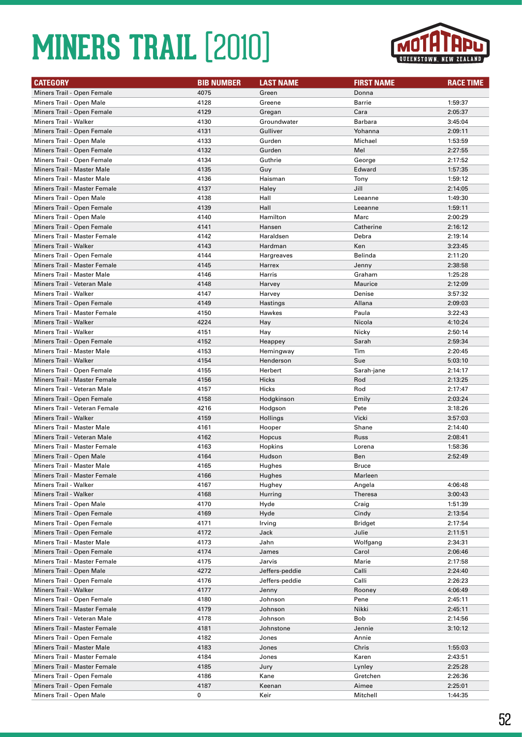

| <b>CATEGORY</b>                   | <b>BIB NUMBER</b> | <b>LAST NAME</b> | <b>FIRST NAME</b> | <b>RACE TIME</b> |
|-----------------------------------|-------------------|------------------|-------------------|------------------|
| Miners Trail - Open Female        | 4075              | Green            | Donna             |                  |
| Miners Trail - Open Male          | 4128              | Greene           | Barrie            | 1:59:37          |
| Miners Trail - Open Female        | 4129              | Gregan           | Cara              | 2:05:37          |
| Miners Trail - Walker             | 4130              | Groundwater      | <b>Barbara</b>    | 3:45:04          |
| Miners Trail - Open Female        | 4131              | Gulliver         | Yohanna           | 2:09:11          |
| Miners Trail - Open Male          | 4133              | Gurden           | Michael           | 1:53:59          |
| Miners Trail - Open Female        | 4132              | Gurden           | Mel               | 2:27:55          |
| Miners Trail - Open Female        | 4134              | Guthrie          | George            | 2:17:52          |
| <b>Miners Trail - Master Male</b> | 4135              | Guy              | Edward            | 1:57:35          |
| <b>Miners Trail - Master Male</b> | 4136              | Haisman          | Tony              | 1:59:12          |
| Miners Trail - Master Female      | 4137              | Haley            | Jill              | 2:14:05          |
| Miners Trail - Open Male          | 4138              | Hall             | Leeanne           | 1:49:30          |
| Miners Trail - Open Female        | 4139              | Hall             | Leeanne           | 1:59:11          |
| Miners Trail - Open Male          | 4140              | Hamilton         | Marc              | 2:00:29          |
| Miners Trail - Open Female        | 4141              | Hansen           | Catherine         | 2:16:12          |
| Miners Trail - Master Female      | 4142              | Haraldsen        | Debra             | 2:19:14          |
| Miners Trail - Walker             | 4143              | Hardman          | Ken               | 3:23:45          |
| Miners Trail - Open Female        | 4144              | Hargreaves       | Belinda           | 2:11:20          |
| Miners Trail - Master Female      | 4145              | Harrex           | Jenny             | 2:38:58          |
| <b>Miners Trail - Master Male</b> | 4146              | Harris           | Graham            | 1:25:28          |
| Miners Trail - Veteran Male       | 4148              | Harvey           | Maurice           | 2:12:09          |
| Miners Trail - Walker             | 4147              | Harvey           | Denise            | 3:57:32          |
| Miners Trail - Open Female        | 4149              | Hastings         | Allana            | 2:09:03          |
| Miners Trail - Master Female      | 4150              | Hawkes           | Paula             | 3:22:43          |
| Miners Trail - Walker             | 4224              | Hay              | Nicola            | 4:10:24          |
| Miners Trail - Walker             | 4151              | Hay              | Nicky             | 2:50:14          |
| Miners Trail - Open Female        | 4152              | Heappey          | Sarah             | 2:59:34          |
| <b>Miners Trail - Master Male</b> | 4153              | Hemingway        | Tim               | 2:20:45          |
| <b>Miners Trail - Walker</b>      | 4154              | Henderson        | Sue               | 5:03:10          |
| Miners Trail - Open Female        | 4155              | Herbert          | Sarah-jane        | 2:14:17          |
| Miners Trail - Master Female      | 4156              | Hicks            | Rod               | 2:13:25          |
| Miners Trail - Veteran Male       | 4157              | Hicks            | Rod               | 2:17:47          |
| Miners Trail - Open Female        | 4158              | Hodgkinson       | Emily             | 2:03:24          |
| Miners Trail - Veteran Female     | 4216              | Hodgson          | Pete              | 3:18:26          |
| Miners Trail - Walker             | 4159              | Hollings         | Vicki             | 3:57:03          |
| Miners Trail - Master Male        | 4161              | Hooper           | Shane             | 2:14:40          |
| Miners Trail - Veteran Male       | 4162              | Hopcus           | Russ              | 2:08:41          |
| Miners Trail - Master Female      | 4163              | Hopkins          | Lorena            | 1:58:36          |
| Miners Trail - Open Male          | 4164              | Hudson           | Ben               | 2:52:49          |
| Miners Trail - Master Male        | 4165              | Hughes           | <b>Bruce</b>      |                  |
| Miners Trail - Master Female      | 4166              | Hughes           | Marleen           |                  |
| Miners Trail - Walker             | 4167              | Hughey           | Angela            | 4:06:48          |
| <b>Miners Trail - Walker</b>      | 4168              | Hurring          | Theresa           | 3:00:43          |
| Miners Trail - Open Male          | 4170              | Hyde             | Craig             | 1:51:39          |
| Miners Trail - Open Female        | 4169              | Hyde             | Cindy             | 2:13:54          |
| Miners Trail - Open Female        | 4171              | Irving           | Bridget           | 2:17:54          |
| Miners Trail - Open Female        | 4172              | Jack             | Julie             | 2:11:51          |
| Miners Trail - Master Male        | 4173              | Jahn             | Wolfgang          | 2:34:31          |
| Miners Trail - Open Female        | 4174              | James            | Carol             | 2:06:46          |
| Miners Trail - Master Female      | 4175              | Jarvis           | Marie             | 2:17:58          |
| Miners Trail - Open Male          | 4272              | Jeffers-peddie   | Calli             | 2:24:40          |
| Miners Trail - Open Female        | 4176              | Jeffers-peddie   | Calli             | 2:26:23          |
| Miners Trail - Walker             | 4177              | Jenny            | Rooney            | 4:06:49          |
| Miners Trail - Open Female        | 4180              | Johnson          | Pene              | 2:45:11          |
| Miners Trail - Master Female      | 4179              | Johnson          | Nikki             | 2:45:11          |
| Miners Trail - Veteran Male       | 4178              | Johnson          | <b>Bob</b>        | 2:14:56          |
| Miners Trail - Master Female      | 4181              | Johnstone        | Jennie            | 3:10:12          |
| Miners Trail - Open Female        | 4182              | Jones            | Annie             |                  |
| Miners Trail - Master Male        | 4183              | Jones            | Chris             | 1:55:03          |
| Miners Trail - Master Female      | 4184              | Jones            | Karen             | 2:43:51          |
| Miners Trail - Master Female      | 4185              | Jury             | Lynley            | 2:25:28          |
| Miners Trail - Open Female        | 4186              | Kane             | Gretchen          | 2:26:36          |
| Miners Trail - Open Female        | 4187              | Keenan           | Aimee             | 2:25:01          |
| Miners Trail - Open Male          | 0                 | Keir             | Mitchell          | 1:44:35          |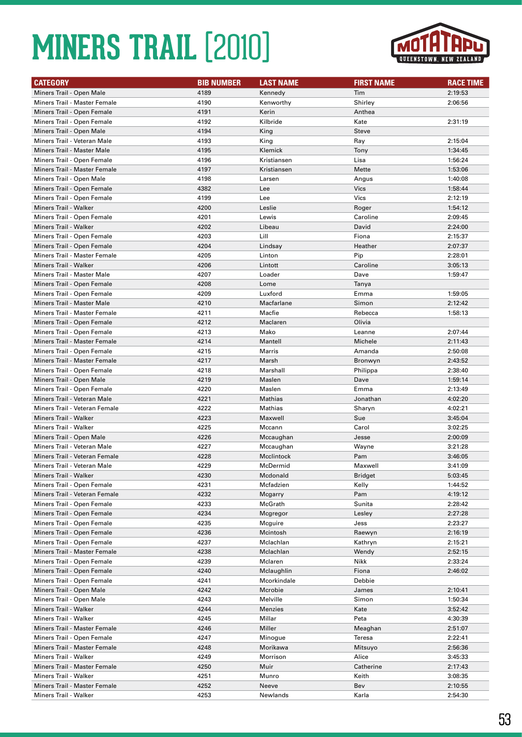

| <b>CATEGORY</b>                   | <b>BIB NUMBER</b> | <b>LAST NAME</b> | <b>FIRST NAME</b> | <b>RACE TIME</b> |
|-----------------------------------|-------------------|------------------|-------------------|------------------|
| Miners Trail - Open Male          | 4189              | Kennedy          | Tim               | 2:19:53          |
| Miners Trail - Master Female      | 4190              | Kenworthy        | Shirley           | 2:06:56          |
| Miners Trail - Open Female        | 4191              | Kerin            | Anthea            |                  |
| Miners Trail - Open Female        | 4192              | Kilbride         | Kate              | 2:31:19          |
| Miners Trail - Open Male          | 4194              | King             | <b>Steve</b>      |                  |
| Miners Trail - Veteran Male       | 4193              | King             | Ray               | 2:15:04          |
| <b>Miners Trail - Master Male</b> | 4195              | Klemick          | Tony              | 1:34:45          |
| Miners Trail - Open Female        | 4196              | Kristiansen      | Lisa              | 1:56:24          |
| Miners Trail - Master Female      | 4197              | Kristiansen      | Mette             | 1:53:06          |
| Miners Trail - Open Male          | 4198              | Larsen           | Angus             | 1:40:08          |
| Miners Trail - Open Female        | 4382              | Lee              | <b>Vics</b>       | 1:58:44          |
| Miners Trail - Open Female        | 4199              | Lee              | Vics              | 2:12:19          |
| Miners Trail - Walker             | 4200              | Leslie           | Roger             | 1:54:12          |
| Miners Trail - Open Female        | 4201              | Lewis            | Caroline          | 2:09:45          |
| Miners Trail - Walker             | 4202              | Libeau           | David             | 2:24:00          |
| Miners Trail - Open Female        | 4203              | Lill             | Fiona             | 2:15:37          |
| Miners Trail - Open Female        | 4204              | Lindsay          | Heather           | 2:07:37          |
| Miners Trail - Master Female      | 4205              | Linton           | Pip               | 2:28:01          |
| Miners Trail - Walker             | 4206              | Lintott          | Caroline          | 3:05:13          |
| <b>Miners Trail - Master Male</b> | 4207              | Loader           | Dave              | 1:59:47          |
| Miners Trail - Open Female        | 4208              | Lome             | Tanya             |                  |
| Miners Trail - Open Female        | 4209              | Luxford          | Emma              | 1:59:05          |
| <b>Miners Trail - Master Male</b> | 4210              | Macfarlane       | Simon             | 2:12:42          |
| Miners Trail - Master Female      | 4211              | Macfie           | Rebecca           | 1:58:13          |
| Miners Trail - Open Female        | 4212              | Maclaren         | Olivia            |                  |
| Miners Trail - Open Female        | 4213              | Mako             | Leanne            | 2:07:44          |
| Miners Trail - Master Female      | 4214              | Mantell          | Michele           | 2:11:43          |
| Miners Trail - Open Female        | 4215              | Marris           | Amanda            | 2:50:08          |
| Miners Trail - Master Female      | 4217              | Marsh            | Bronwyn           | 2:43:52          |
| Miners Trail - Open Female        | 4218              | Marshall         | Philippa          | 2:38:40          |
| Miners Trail - Open Male          | 4219              | Maslen           | Dave              | 1:59:14          |
| Miners Trail - Open Female        | 4220              | Maslen           | Emma              | 2:13:49          |
| Miners Trail - Veteran Male       | 4221              | Mathias          | Jonathan          | 4:02:20          |
| Miners Trail - Veteran Female     | 4222              | Mathias          | Sharyn            | 4:02:21          |
| Miners Trail - Walker             | 4223              | Maxwell          | Sue               | 3:45:04          |
| Miners Trail - Walker             | 4225              | Mccann           | Carol             | 3:02:25          |
| Miners Trail - Open Male          | 4226              | Mccaughan        | Jesse             | 2:00:09          |
| Miners Trail - Veteran Male       | 4227              | Mccaughan        | Wayne             | 3:21:28          |
| Miners Trail - Veteran Female     | 4228              | Mcclintock       | Pam               | 3:46:05          |
| Miners Trail - Veteran Male       | 4229              | McDermid         | Maxwell           | 3:41:09          |
| Miners Trail - Walker             | 4230              | Mcdonald         | Bridget           | 5:03:45          |
| Miners Trail - Open Female        | 4231              | Mcfadzien        | Kelly             | 1:44:52          |
| Miners Trail - Veteran Female     | 4232              | Mcgarry          | Pam               | 4:19:12          |
| Miners Trail - Open Female        | 4233              | McGrath          | Sunita            | 2:28:42          |
| Miners Trail - Open Female        | 4234              | Mcgregor         | Lesley            | 2:27:28          |
| Miners Trail - Open Female        | 4235              | Mcguire          | Jess              | 2:23:27          |
| Miners Trail - Open Female        | 4236              | Mcintosh         | Raewyn            | 2:16:19          |
| Miners Trail - Open Female        | 4237              | Mclachlan        | Kathryn           | 2:15:21          |
| Miners Trail - Master Female      | 4238              | Mclachlan        | Wendy             | 2:52:15          |
| Miners Trail - Open Female        | 4239              | Mclaren          | Nikk              | 2:33:24          |
| Miners Trail - Open Female        | 4240              | Mclaughlin       | Fiona             | 2:46:02          |
| Miners Trail - Open Female        | 4241              | Mcorkindale      | Debbie            |                  |
| Miners Trail - Open Male          | 4242              | Mcrobie          | James             | 2:10:41          |
| Miners Trail - Open Male          | 4243              | Melville         | Simon             | 1:50:34          |
| Miners Trail - Walker             | 4244              | Menzies          | Kate              | 3:52:42          |
| Miners Trail - Walker             | 4245              | Millar           | Peta              | 4:30:39          |
| Miners Trail - Master Female      | 4246              | Miller           | Meaghan           | 2:51:07          |
| Miners Trail - Open Female        | 4247              | Minogue          | Teresa            | 2:22:41          |
| Miners Trail - Master Female      | 4248              | Morikawa         | Mitsuyo           | 2:56:36          |
| Miners Trail - Walker             | 4249              | Morrison         | Alice             | 3:45:33          |
| Miners Trail - Master Female      | 4250              | Muir             | Catherine         | 2:17:43          |
| Miners Trail - Walker             | 4251              | Munro            | Keith             | 3:08:35          |
| Miners Trail - Master Female      | 4252              | Neeve            | Bev               | 2:10:55          |
| Miners Trail - Walker             | 4253              | Newlands         | Karla             | 2:54:30          |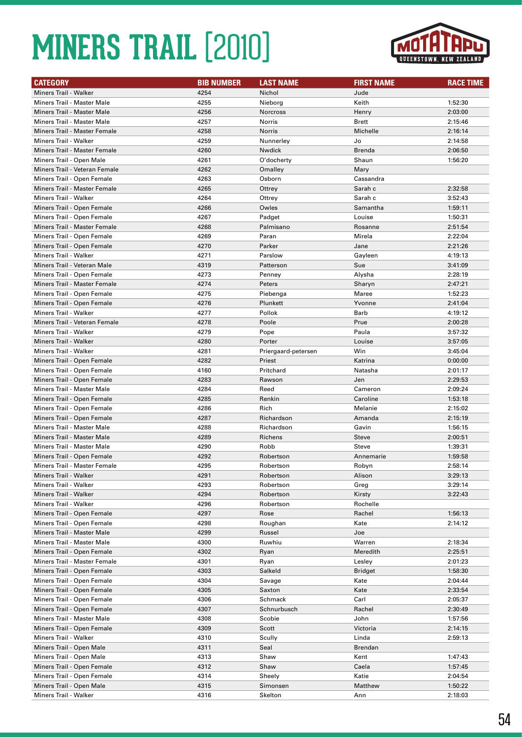

| <b>CATEGORY</b>                     | <b>BIB NUMBER</b> | <b>LAST NAME</b>    | <b>FIRST NAME</b> | <b>RACE TIME</b> |
|-------------------------------------|-------------------|---------------------|-------------------|------------------|
| Miners Trail - Walker               | 4254              | Nichol              | Jude              |                  |
| <b>Miners Trail - Master Male</b>   | 4255              | Nieborg             | Keith             | 1:52:30          |
| <b>Miners Trail - Master Male</b>   | 4256              | Norcross            | Henry             | 2:03:00          |
| Miners Trail - Master Male          | 4257              | Norris              | <b>Brett</b>      | 2:15:46          |
| Miners Trail - Master Female        | 4258              | Norris              | Michelle          | 2:16:14          |
| Miners Trail - Walker               | 4259              | Nunnerley           | Jo                | 2:14:58          |
| Miners Trail - Master Female        | 4260              | Nwdick              | <b>Brenda</b>     | 2:06:50          |
| Miners Trail - Open Male            | 4261              | O'docherty          | Shaun             | 1:56:20          |
| Miners Trail - Veteran Female       | 4262              | Omalley             | Mary              |                  |
| Miners Trail - Open Female          | 4263              | Osborn              | Cassandra         |                  |
| Miners Trail - Master Female        | 4265              | Ottrey              | Sarah c           | 2:32:58          |
| <b>Miners Trail - Walker</b>        | 4264              | Ottrey              | Sarah c           | 3:52:43          |
| Miners Trail - Open Female          | 4266              | Owles               | Samantha          | 1:59:11          |
| Miners Trail - Open Female          | 4267              | Padget              | Louise            | 1:50:31          |
| Miners Trail - Master Female        | 4268              | Palmisano           | Rosanne           | 2:51:54          |
| Miners Trail - Open Female          | 4269              | Paran               | Mirela            | 2:22:04          |
| Miners Trail - Open Female          | 4270              | Parker              | Jane              | 2:21:26          |
| Miners Trail - Walker               | 4271              | Parslow             | Gayleen           | 4:19:13          |
| Miners Trail - Veteran Male         | 4319              | Patterson           | Sue               | 3:41:09          |
| Miners Trail - Open Female          | 4273              | Penney              | Alysha            | 2:28:19          |
| <b>Miners Trail - Master Female</b> | 4274              | Peters              | Sharyn            | 2:47:21          |
| Miners Trail - Open Female          | 4275              | Piebenga            | Maree             | 1:52:23          |
| Miners Trail - Open Female          | 4276              | Plunkett            | Yvonne            | 2:41:04          |
| Miners Trail - Walker               | 4277              | Pollok              | Barb              |                  |
|                                     |                   |                     | Prue              | 4:19:12          |
| Miners Trail - Veteran Female       | 4278              | Poole               |                   | 2:00:28          |
| <b>Miners Trail - Walker</b>        | 4279              | Pope                | Paula             | 3:57:32          |
| <b>Miners Trail - Walker</b>        | 4280              | Porter              | Louise            | 3:57:05          |
| Miners Trail - Walker               | 4281              | Priergaard-petersen | Win               | 3:45:04          |
| Miners Trail - Open Female          | 4282              | Priest              | Katrina           | 0:00:00          |
| Miners Trail - Open Female          | 4160              | Pritchard           | Natasha           | 2:01:17          |
| Miners Trail - Open Female          | 4283              | Rawson              | Jen               | 2:29:53          |
| Miners Trail - Master Male          | 4284              | Reed                | Cameron           | 2:09:24          |
| Miners Trail - Open Female          | 4285              | Renkin              | Caroline          | 1:53:18          |
| Miners Trail - Open Female          | 4286              | Rich                | Melanie           | 2:15:02          |
| Miners Trail - Open Female          | 4287              | Richardson          | Amanda            | 2:15:19          |
| <b>Miners Trail - Master Male</b>   | 4288              | Richardson          | Gavin             | 1:56:15          |
| <b>Miners Trail - Master Male</b>   | 4289              | Richens             | <b>Steve</b>      | 2:00:51          |
| <b>Miners Trail - Master Male</b>   | 4290              | Robb                | Steve             | 1:39:31          |
| Miners Trail - Open Female          | 4292              | Robertson           | Annemarie         | 1:59:58          |
| Miners Trail - Master Female        | 4295              | Robertson           | Robyn             | 2:58:14          |
| Miners Trail - Walker               | 4291              | Robertson           | Alison            | 3:29:13          |
| Miners Trail - Walker               | 4293              | Robertson           | Greg              | 3:29:14          |
| Miners Trail - Walker               | 4294              | Robertson           | Kirsty            | 3:22:43          |
| Miners Trail - Walker               | 4296              | Robertson           | Rochelle          |                  |
| Miners Trail - Open Female          | 4297              | Rose                | Rachel            | 1:56:13          |
| Miners Trail - Open Female          | 4298              | Roughan             | Kate              | 2:14:12          |
| Miners Trail - Master Male          | 4299              | Russel              | Joe               |                  |
| Miners Trail - Master Male          | 4300              | Ruwhiu              | Warren            | 2:18:34          |
| Miners Trail - Open Female          | 4302              | Ryan                | Meredith          | 2:25:51          |
| Miners Trail - Master Female        | 4301              | Ryan                | Lesley            | 2:01:23          |
| Miners Trail - Open Female          | 4303              | Salkeld             | <b>Bridget</b>    | 1:58:30          |
| Miners Trail - Open Female          | 4304              | Savage              | Kate              | 2:04:44          |
| Miners Trail - Open Female          | 4305              | Saxton              | Kate              | 2:33:54          |
| Miners Trail - Open Female          | 4306              | Schmack             | Carl              | 2:05:37          |
| Miners Trail - Open Female          | 4307              | Schnurbusch         | Rachel            | 2:30:49          |
| Miners Trail - Master Male          | 4308              | Scobie              | John              | 1:57:56          |
| Miners Trail - Open Female          | 4309              | Scott               | Victoria          | 2:14:15          |
| Miners Trail - Walker               | 4310              | Scully              | Linda             | 2:59:13          |
| Miners Trail - Open Male            | 4311              | Seal                | Brendan           |                  |
| Miners Trail - Open Male            | 4313              | Shaw                | Kent              | 1:47:43          |
| Miners Trail - Open Female          | 4312              | Shaw                | Caela             | 1:57:45          |
| Miners Trail - Open Female          | 4314              | Sheely              | Katie             | 2:04:54          |
| Miners Trail - Open Male            | 4315              | Simonsen            | Matthew           | 1:50:22          |
| Miners Trail - Walker               | 4316              | Skelton             | Ann               | 2:18:03          |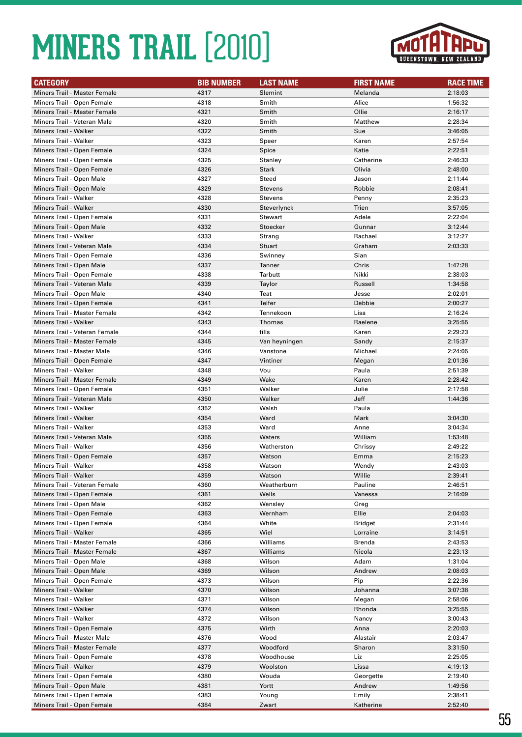

| <b>CATEGORY</b>               | <b>BIB NUMBER</b> | <b>LAST NAME</b>         | <b>FIRST NAME</b> | <b>RACE TIME</b> |
|-------------------------------|-------------------|--------------------------|-------------------|------------------|
| Miners Trail - Master Female  | 4317              | Slemint                  | Melanda           | 2:18:03          |
| Miners Trail - Open Female    | 4318              | Smith                    | Alice             | 1:56:32          |
| Miners Trail - Master Female  | 4321              | Smith                    | Ollie             | 2:16:17          |
| Miners Trail - Veteran Male   | 4320              | Smith                    | Matthew           | 2:28:34          |
| Miners Trail - Walker         | 4322              | Smith                    | Sue               | 3:46:05          |
| <b>Miners Trail - Walker</b>  | 4323              | Speer                    | Karen             | 2:57:54          |
| Miners Trail - Open Female    | 4324              | Spice                    | Katie             | 2:22:51          |
| Miners Trail - Open Female    | 4325              | Stanley                  | Catherine         | 2:46:33          |
| Miners Trail - Open Female    | 4326              | <b>Stark</b>             | Olivia            | 2:48:00          |
| Miners Trail - Open Male      | 4327              | Steed                    | Jason             | 2:11:44          |
| Miners Trail - Open Male      | 4329              | <b>Stevens</b>           | Robbie            | 2:08:41          |
| Miners Trail - Walker         | 4328              | <b>Stevens</b>           | Penny             | 2:35:23          |
| Miners Trail - Walker         | 4330              | Steverlynck              | Trien             | 3:57:05          |
| Miners Trail - Open Female    | 4331              | Stewart                  | Adele             | 2:22:04          |
| Miners Trail - Open Male      | 4332              | Stoecker                 | Gunnar            | 3:12:44          |
| <b>Miners Trail - Walker</b>  | 4333              | Strang                   | Rachael           | 3:12:27          |
| Miners Trail - Veteran Male   | 4334              |                          | Graham            | 2:03:33          |
|                               | 4336              | <b>Stuart</b><br>Swinney | Sian              |                  |
| Miners Trail - Open Female    |                   |                          |                   |                  |
| Miners Trail - Open Male      | 4337              | Tanner                   | Chris             | 1:47:28          |
| Miners Trail - Open Female    | 4338              | Tarbutt                  | Nikki             | 2:38:03          |
| Miners Trail - Veteran Male   | 4339              | Taylor                   | Russell           | 1:34:58          |
| Miners Trail - Open Male      | 4340              | Teat                     | Jesse             | 2:02:01          |
| Miners Trail - Open Female    | 4341              | Telfer                   | Debbie            | 2:00:27          |
| Miners Trail - Master Female  | 4342              | Tennekoon                | Lisa              | 2:16:24          |
| Miners Trail - Walker         | 4343              | <b>Thomas</b>            | Raelene           | 3:25:55          |
| Miners Trail - Veteran Female | 4344              | tills                    | Karen             | 2:29:23          |
| Miners Trail - Master Female  | 4345              | Van heyningen            | Sandy             | 2:15:37          |
| Miners Trail - Master Male    | 4346              | Vanstone                 | Michael           | 2:24:05          |
| Miners Trail - Open Female    | 4347              | Vintiner                 | Megan             | 2:01:36          |
| Miners Trail - Walker         | 4348              | Vou                      | Paula             | 2:51:39          |
| Miners Trail - Master Female  | 4349              | Wake                     | Karen             | 2:28:42          |
| Miners Trail - Open Female    | 4351              | Walker                   | Julie             | 2:17:58          |
| Miners Trail - Veteran Male   | 4350              | Walker                   | Jeff              | 1:44:36          |
| Miners Trail - Walker         | 4352              | Walsh                    | Paula             |                  |
| Miners Trail - Walker         | 4354              | Ward                     | Mark              | 3:04:30          |
| Miners Trail - Walker         | 4353              | Ward                     | Anne              | 3:04:34          |
| Miners Trail - Veteran Male   | 4355              | Waters                   | William           | 1:53:48          |
| Miners Trail - Walker         | 4356              | Watherston               | Chrissy           | 2:49:22          |
| Miners Trail - Open Female    | 4357              | Watson                   | Emma              | 2:15:23          |
| Miners Trail - Walker         | 4358              | Watson                   | Wendy             | 2:43:03          |
| Miners Trail - Walker         | 4359              | Watson                   | Willie            | 2:39:41          |
| Miners Trail - Veteran Female | 4360              | Weatherburn              | Pauline           | 2:46:51          |
| Miners Trail - Open Female    | 4361              | Wells                    | Vanessa           | 2:16:09          |
| Miners Trail - Open Male      | 4362              | Wensley                  | Greg              |                  |
| Miners Trail - Open Female    | 4363              | Wernham                  | Ellie             | 2:04:03          |
| Miners Trail - Open Female    | 4364              | White                    | Bridget           | 2:31:44          |
| Miners Trail - Walker         | 4365              | Wiel                     | Lorraine          | 3:14:51          |
| Miners Trail - Master Female  | 4366              | Williams                 | Brenda            | 2:43:53          |
| Miners Trail - Master Female  | 4367              | Williams                 | Nicola            | 2:23:13          |
| Miners Trail - Open Male      | 4368              | Wilson                   | Adam              | 1:31:04          |
| Miners Trail - Open Male      | 4369              | Wilson                   | Andrew            | 2:08:03          |
| Miners Trail - Open Female    | 4373              | Wilson                   | Pip               | 2:22:36          |
| Miners Trail - Walker         | 4370              | Wilson                   | Johanna           | 3:07:38          |
| Miners Trail - Walker         | 4371              | Wilson                   | Megan             | 2:58:06          |
| Miners Trail - Walker         | 4374              | Wilson                   | Rhonda            | 3:25:55          |
| Miners Trail - Walker         | 4372              | Wilson                   | Nancy             | 3:00:43          |
| Miners Trail - Open Female    | 4375              | Wirth                    | Anna              | 2:20:03          |
| Miners Trail - Master Male    |                   | Wood                     |                   |                  |
|                               | 4376              |                          | Alastair          | 2:03:47          |
| Miners Trail - Master Female  | 4377              | Woodford                 | Sharon            | 3:31:50          |
| Miners Trail - Open Female    | 4378              | Woodhouse                | Liz               | 2:25:05          |
| Miners Trail - Walker         | 4379              | Woolston                 | Lissa             | 4:19:13          |
| Miners Trail - Open Female    | 4380              | Wouda                    | Georgette         | 2:19:40          |
| Miners Trail - Open Male      | 4381              | Yortt                    | Andrew            | 1:49:56          |
| Miners Trail - Open Female    | 4383              | Young                    | Emily             | 2:38:41          |
| Miners Trail - Open Female    | 4384              | Zwart                    | Katherine         | 2:52:40          |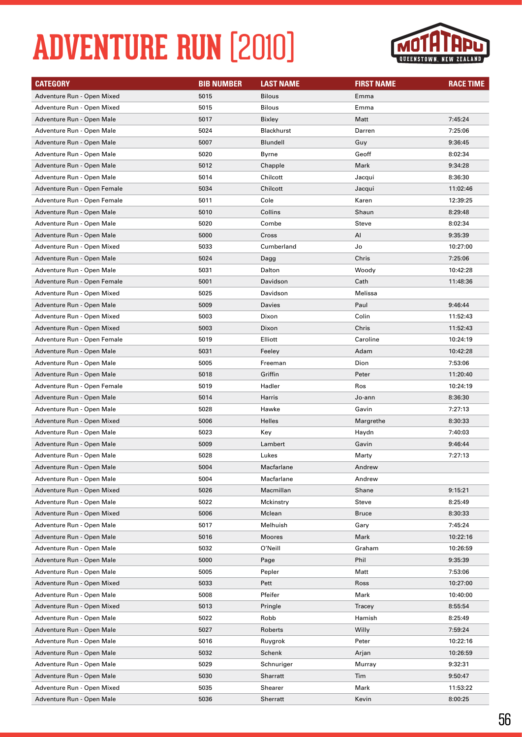# **ADVENTURE RUN** (2010)



| <b>CATEGORY</b>             | <b>BIB NUMBER</b> | <b>LAST NAME</b> | <b>FIRST NAME</b> | <b>RACE TIME</b> |
|-----------------------------|-------------------|------------------|-------------------|------------------|
| Adventure Run - Open Mixed  | 5015              | <b>Bilous</b>    | Emma              |                  |
| Adventure Run - Open Mixed  | 5015              | <b>Bilous</b>    | Emma              |                  |
| Adventure Run - Open Male   | 5017              | <b>Bixley</b>    | Matt              | 7:45:24          |
| Adventure Run - Open Male   | 5024              | Blackhurst       | Darren            | 7:25:06          |
| Adventure Run - Open Male   | 5007              | Blundell         | Guy               | 9:36:45          |
| Adventure Run - Open Male   | 5020              | Byrne            | Geoff             | 8:02:34          |
| Adventure Run - Open Male   | 5012              | Chapple          | Mark              | 9:34:28          |
| Adventure Run - Open Male   | 5014              | Chilcott         | Jacqui            | 8:36:30          |
| Adventure Run - Open Female | 5034              | Chilcott         | Jacqui            | 11:02:46         |
| Adventure Run - Open Female | 5011              | Cole             | Karen             | 12:39:25         |
| Adventure Run - Open Male   | 5010              | Collins          | Shaun             | 8:29:48          |
| Adventure Run - Open Male   | 5020              | Combe            | Steve             | 8:02:34          |
| Adventure Run - Open Male   | 5000              | Cross            | Al                | 9:35:39          |
| Adventure Run - Open Mixed  | 5033              | Cumberland       | Jo                | 10:27:00         |
| Adventure Run - Open Male   | 5024              | Dagg             | Chris             | 7:25:06          |
| Adventure Run - Open Male   | 5031              | Dalton           | Woody             | 10:42:28         |
| Adventure Run - Open Female | 5001              | Davidson         | Cath              | 11:48:36         |
| Adventure Run - Open Mixed  | 5025              | Davidson         | Melissa           |                  |
| Adventure Run - Open Male   | 5009              | Davies           | Paul              | 9:46:44          |
| Adventure Run - Open Mixed  | 5003              | Dixon            | Colin             | 11:52:43         |
| Adventure Run - Open Mixed  | 5003              | Dixon            | Chris             | 11:52:43         |
| Adventure Run - Open Female | 5019              | Elliott          | Caroline          | 10:24:19         |
| Adventure Run - Open Male   | 5031              | Feeley           | Adam              | 10:42:28         |
| Adventure Run - Open Male   | 5005              | Freeman          | Dion              | 7:53:06          |
| Adventure Run - Open Male   | 5018              | Griffin          | Peter             | 11:20:40         |
| Adventure Run - Open Female | 5019              | Hadler           | Ros               | 10:24:19         |
| Adventure Run - Open Male   | 5014              | Harris           | Jo-ann            | 8:36:30          |
| Adventure Run - Open Male   | 5028              | Hawke            | Gavin             | 7:27:13          |
| Adventure Run - Open Mixed  | 5006              | <b>Helles</b>    | Margrethe         | 8:30:33          |
| Adventure Run - Open Male   | 5023              | Key              | Haydn             | 7:40:03          |
| Adventure Run - Open Male   | 5009              | Lambert          | Gavin             | 9:46:44          |
| Adventure Run - Open Male   | 5028              | Lukes            | Marty             | 7:27:13          |
| Adventure Run - Open Male   | 5004              | Macfarlane       | Andrew            |                  |
| Adventure Run - Open Male   | 5004              | Macfarlane       | Andrew            |                  |
| Adventure Run - Open Mixed  | 5026              | Macmillan        | Shane             | 9:15:21          |
| Adventure Run - Open Male   | 5022              | Mckinstry        | Steve             | 8:25:49          |
| Adventure Run - Open Mixed  | 5006              | Mclean           | Bruce             | 8:30:33          |
| Adventure Run - Open Male   | 5017              | Melhuish         | Gary              | 7:45:24          |
| Adventure Run - Open Male   | 5016              | Moores           | Mark              | 10:22:16         |
| Adventure Run - Open Male   | 5032              | O'Neill          | Graham            | 10:26:59         |
| Adventure Run - Open Male   | 5000              | Page             | Phil              | 9:35:39          |
| Adventure Run - Open Male   | 5005              | Pepler           | Matt              | 7:53:06          |
| Adventure Run - Open Mixed  | 5033              | Pett             | Ross              | 10:27:00         |
| Adventure Run - Open Male   | 5008              | Pfeifer          | Mark              | 10:40:00         |
| Adventure Run - Open Mixed  | 5013              | Pringle          | Tracey            | 8:55:54          |
| Adventure Run - Open Male   | 5022              | Robb             | Hamish            | 8:25:49          |
| Adventure Run - Open Male   | 5027              | Roberts          | Willy             | 7:59:24          |
| Adventure Run - Open Male   | 5016              | Ruygrok          | Peter             | 10:22:16         |
| Adventure Run - Open Male   | 5032              | Schenk           | Arjan             | 10:26:59         |
| Adventure Run - Open Male   | 5029              | Schnuriger       | Murray            | 9:32:31          |
| Adventure Run - Open Male   | 5030              | Sharratt         | Tim               | 9:50:47          |
| Adventure Run - Open Mixed  | 5035              | Shearer          | Mark              | 11:53:22         |
| Adventure Run - Open Male   | 5036              | Sherratt         | Kevin             | 8:00:25          |